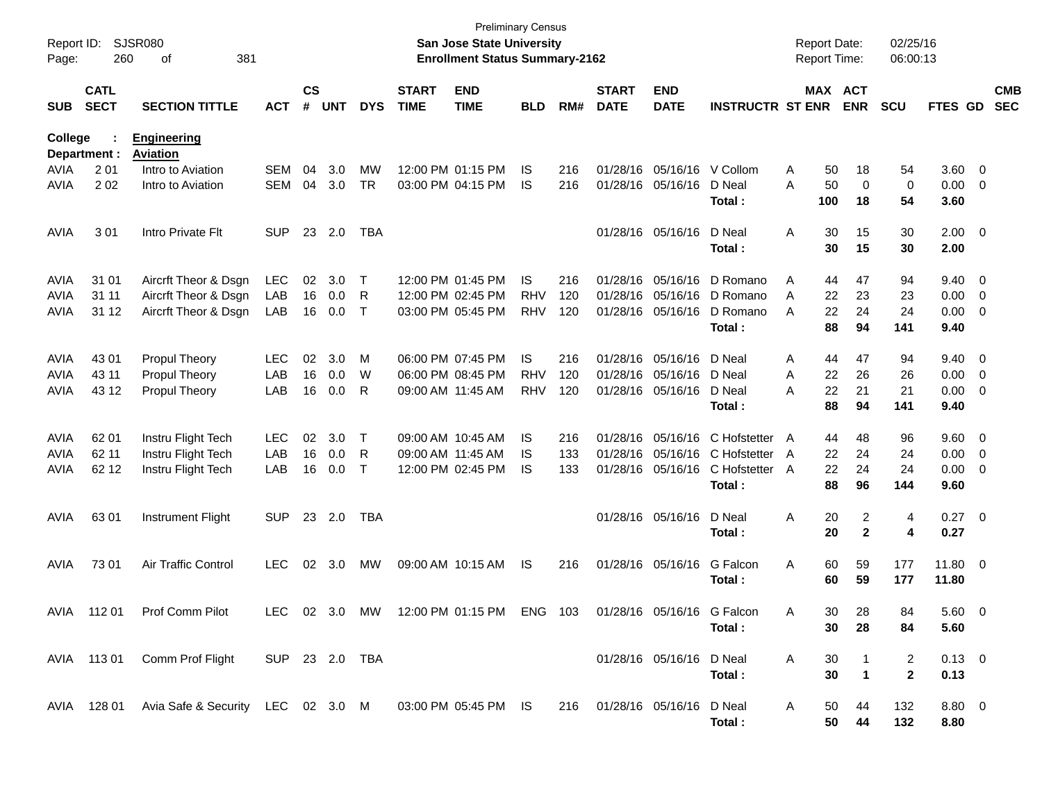| Report ID:<br>Page: |                            | <b>Preliminary Census</b><br><b>SJSR080</b><br><b>San Jose State University</b><br>260<br>381<br><b>Enrollment Status Summary-2162</b><br>оf |                |                    |            |            |                             |                                 |            |     |                             |                              |                         |              |           | <b>Report Date:</b><br><b>Report Time:</b> | 02/25/16<br>06:00:13 |                |                         |                          |
|---------------------|----------------------------|----------------------------------------------------------------------------------------------------------------------------------------------|----------------|--------------------|------------|------------|-----------------------------|---------------------------------|------------|-----|-----------------------------|------------------------------|-------------------------|--------------|-----------|--------------------------------------------|----------------------|----------------|-------------------------|--------------------------|
| <b>SUB</b>          | <b>CATL</b><br><b>SECT</b> | <b>SECTION TITTLE</b>                                                                                                                        | <b>ACT</b>     | $\mathsf{cs}$<br># | <b>UNT</b> | <b>DYS</b> | <b>START</b><br><b>TIME</b> | <b>END</b><br><b>TIME</b>       | <b>BLD</b> | RM# | <b>START</b><br><b>DATE</b> | <b>END</b><br><b>DATE</b>    | <b>INSTRUCTR ST ENR</b> |              | MAX ACT   | <b>ENR</b>                                 | <b>SCU</b>           | FTES GD        |                         | <b>CMB</b><br><b>SEC</b> |
| <b>College</b>      | Department :               | <b>Engineering</b><br><b>Aviation</b>                                                                                                        |                |                    |            |            |                             |                                 |            |     |                             |                              |                         |              |           |                                            |                      |                |                         |                          |
| AVIA                | 2 0 1                      | Intro to Aviation                                                                                                                            | <b>SEM</b>     | 04                 | 3.0        | MW         |                             | 12:00 PM 01:15 PM               | IS         | 216 | 01/28/16                    | 05/16/16                     | V Collom                | Α            | 50        | 18                                         | 54                   | 3.60           | 0                       |                          |
| <b>AVIA</b>         | 202                        | Intro to Aviation                                                                                                                            | <b>SEM</b>     | 04                 | 3.0        | <b>TR</b>  |                             | 03:00 PM 04:15 PM               | <b>IS</b>  | 216 |                             | 01/28/16 05/16/16            | D Neal<br>Total:        | Α            | 50<br>100 | 0<br>18                                    | 0<br>54              | 0.00<br>3.60   | 0                       |                          |
| AVIA                | 301                        | Intro Private Flt                                                                                                                            | <b>SUP</b>     | 23                 | 2.0        | <b>TBA</b> |                             |                                 |            |     |                             | 01/28/16 05/16/16            | D Neal<br>Total:        | Α            | 30<br>30  | 15<br>15                                   | 30<br>30             | 2.00<br>2.00   | $\overline{0}$          |                          |
| AVIA                | 31 01                      | Aircrft Theor & Dsgn                                                                                                                         | <b>LEC</b>     | 02                 | 3.0        | Τ          |                             | 12:00 PM 01:45 PM               | <b>IS</b>  | 216 | 01/28/16                    | 05/16/16                     | D Romano                | Α            | 44        | 47                                         | 94                   | 9.40           | 0                       |                          |
| <b>AVIA</b>         | 31 11                      | Aircrft Theor & Dsgn                                                                                                                         | LAB            | 16                 | 0.0        | R          |                             | 12:00 PM 02:45 PM               | <b>RHV</b> | 120 | 01/28/16                    | 05/16/16                     | D Romano                | A            | 22        | 23                                         | 23                   | 0.00           | 0                       |                          |
| <b>AVIA</b>         | 31 12                      | Aircrft Theor & Dsgn                                                                                                                         | LAB            | 16                 | 0.0        | $\top$     |                             | 03:00 PM 05:45 PM               | <b>RHV</b> | 120 | 01/28/16                    | 05/16/16                     | D Romano                | A            | 22        | 24                                         | 24                   | 0.00           | 0                       |                          |
|                     |                            |                                                                                                                                              |                |                    |            |            |                             |                                 |            |     |                             |                              | Total:                  |              | 88        | 94                                         | 141                  | 9.40           |                         |                          |
| AVIA                | 43 01                      | Propul Theory                                                                                                                                | LEC            | 02                 | 3.0        | М          |                             | 06:00 PM 07:45 PM               | <b>IS</b>  | 216 | 01/28/16                    | 05/16/16                     | D Neal                  | Α            | 44        | 47                                         | 94                   | 9.40           | 0                       |                          |
| AVIA                | 43 11                      | Propul Theory                                                                                                                                | LAB            | 16                 | 0.0        | W          |                             | 06:00 PM 08:45 PM               | <b>RHV</b> | 120 | 01/28/16                    | 05/16/16                     | D Neal                  | Α            | 22        | 26                                         | 26                   | 0.00           | 0                       |                          |
| <b>AVIA</b>         | 43 12                      | <b>Propul Theory</b>                                                                                                                         | LAB            | 16                 | 0.0        | R          |                             | 09:00 AM 11:45 AM               | <b>RHV</b> | 120 | 01/28/16                    | 05/16/16                     | D Neal                  | Α            | 22        | 21                                         | 21                   | 0.00           | 0                       |                          |
|                     |                            |                                                                                                                                              |                |                    |            |            |                             |                                 |            |     |                             |                              | Total:                  |              | 88        | 94                                         | 141                  | 9.40           |                         |                          |
| AVIA                | 62 01                      | Instru Flight Tech                                                                                                                           | LEC            | 02                 | 3.0        | Τ          |                             | 09:00 AM 10:45 AM               | IS         | 216 | 01/28/16                    | 05/16/16                     | C Hofstetter            | A            | 44        | 48                                         | 96                   | 9.60           | 0                       |                          |
| <b>AVIA</b>         | 62 11                      | Instru Flight Tech                                                                                                                           | LAB            | 16                 | 0.0        | R          |                             | 09:00 AM 11:45 AM               | IS         | 133 | 01/28/16                    | 05/16/16                     | C Hofstetter            | A            | 22        | 24                                         | 24                   | 0.00           | 0                       |                          |
| <b>AVIA</b>         | 62 12                      | Instru Flight Tech                                                                                                                           | LAB            | 16                 | 0.0        | $\top$     |                             | 12:00 PM 02:45 PM               | <b>IS</b>  | 133 |                             | 01/28/16 05/16/16            | C Hofstetter            | A            | 22        | 24                                         | 24                   | 0.00           | 0                       |                          |
|                     |                            |                                                                                                                                              |                |                    |            |            |                             |                                 |            |     |                             |                              | Total:                  |              | 88        | 96                                         | 144                  | 9.60           |                         |                          |
| AVIA                | 63 01                      | Instrument Flight                                                                                                                            | <b>SUP</b>     | 23                 | 2.0        | <b>TBA</b> |                             |                                 |            |     |                             | 01/28/16 05/16/16            | D Neal                  | Α            | 20        | 2                                          | 4                    | 0.27           | $\overline{\mathbf{0}}$ |                          |
|                     |                            |                                                                                                                                              |                |                    |            |            |                             |                                 |            |     |                             |                              | Total:                  |              | 20        | $\mathbf{2}$                               | 4                    | 0.27           |                         |                          |
| AVIA                | 73 01                      | Air Traffic Control                                                                                                                          | <b>LEC</b>     | 02                 | 3.0        | МW         |                             | 09:00 AM 10:15 AM               | IS         | 216 |                             | 01/28/16 05/16/16            | G Falcon                | Α            | 60        | 59                                         | 177                  | 11.80          | $\overline{0}$          |                          |
|                     |                            |                                                                                                                                              |                |                    |            |            |                             |                                 |            |     |                             |                              | Total :                 |              | 60        | 59                                         | 177                  | 11.80          |                         |                          |
|                     |                            | AVIA 112 01 Prof Comm Pilot                                                                                                                  |                |                    |            |            |                             | LEC 02 3.0 MW 12:00 PM 01:15 PM | ENG 103    |     |                             | 01/28/16 05/16/16 G Falcon   |                         | A            | 30        | 28                                         | 84                   | 5.60 0         |                         |                          |
|                     |                            |                                                                                                                                              |                |                    |            |            |                             |                                 |            |     |                             |                              | Total :                 |              | 30        | 28                                         | 84                   | 5.60           |                         |                          |
|                     |                            | AVIA 113 01 Comm Prof Flight                                                                                                                 | SUP 23 2.0 TBA |                    |            |            |                             |                                 |            |     |                             | 01/28/16 05/16/16 D Neal     |                         | $\mathsf{A}$ | 30        |                                            | $\overline{2}$       | $0.13 \quad 0$ |                         |                          |
|                     |                            |                                                                                                                                              |                |                    |            |            |                             |                                 |            |     |                             |                              | Total:                  |              | 30        | $\overline{1}$                             | $\overline{2}$       | 0.13           |                         |                          |
|                     |                            | AVIA 128 01 Avia Safe & Security LEC 02 3.0 M 03:00 PM 05:45 PM IS                                                                           |                |                    |            |            |                             |                                 |            |     |                             | 216 01/28/16 05/16/16 D Neal |                         | A            | 50        | 44                                         | 132                  | 8.80 0         |                         |                          |
|                     |                            |                                                                                                                                              |                |                    |            |            |                             |                                 |            |     |                             |                              | Total:                  |              | 50        | 44                                         | 132                  | 8.80           |                         |                          |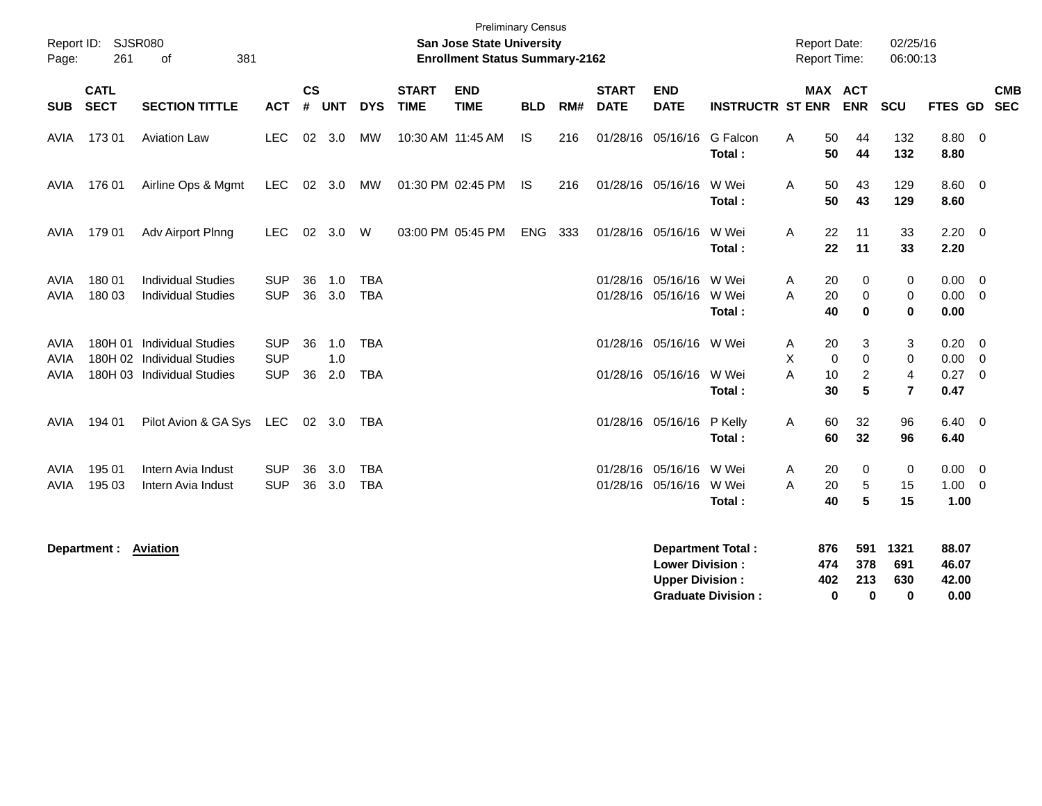| Report ID:<br>Page:        | <b>Preliminary Census</b><br><b>SJSR080</b><br>San Jose State University<br>381<br><b>Enrollment Status Summary-2162</b><br>261<br>of |                                                         |                          |                 |            |                          |                             |                           |            |     |                             |                                                  |                                                       |        | <b>Report Date:</b><br><b>Report Time:</b> |                                  | 02/25/16<br>06:00:13             |                                    |                                                    |            |
|----------------------------|---------------------------------------------------------------------------------------------------------------------------------------|---------------------------------------------------------|--------------------------|-----------------|------------|--------------------------|-----------------------------|---------------------------|------------|-----|-----------------------------|--------------------------------------------------|-------------------------------------------------------|--------|--------------------------------------------|----------------------------------|----------------------------------|------------------------------------|----------------------------------------------------|------------|
| <b>SUB</b>                 | <b>CATL</b><br><b>SECT</b>                                                                                                            | <b>SECTION TITTLE</b>                                   | <b>ACT</b>               | <b>CS</b><br>#  | <b>UNT</b> | <b>DYS</b>               | <b>START</b><br><b>TIME</b> | <b>END</b><br><b>TIME</b> | <b>BLD</b> | RM# | <b>START</b><br><b>DATE</b> | <b>END</b><br><b>DATE</b>                        | <b>INSTRUCTR ST ENR</b>                               |        | <b>MAX ACT</b>                             | <b>ENR</b>                       | SCU                              | FTES GD SEC                        |                                                    | <b>CMB</b> |
| AVIA                       | 17301                                                                                                                                 | <b>Aviation Law</b>                                     | <b>LEC</b>               |                 | 02 3.0     | MW                       | 10:30 AM 11:45 AM           |                           | <b>IS</b>  | 216 |                             | 01/28/16 05/16/16                                | G Falcon<br>Total:                                    | Α      | 50<br>50                                   | 44<br>44                         | 132<br>132                       | 8.80 0<br>8.80                     |                                                    |            |
| AVIA                       | 176 01                                                                                                                                | Airline Ops & Mgmt                                      | LEC.                     | 02 <sub>o</sub> | 3.0        | MW                       |                             | 01:30 PM 02:45 PM         | IS.        | 216 |                             | 01/28/16 05/16/16                                | W Wei<br>Total:                                       | A      | 50<br>50                                   | 43<br>43                         | 129<br>129                       | $8.60 \quad 0$<br>8.60             |                                                    |            |
| AVIA                       | 179 01                                                                                                                                | Adv Airport Plnng                                       | <b>LEC</b>               | 02              | 3.0        | W                        |                             | 03:00 PM 05:45 PM         | <b>ENG</b> | 333 |                             | 01/28/16 05/16/16                                | W Wei<br>Total:                                       | A      | 22<br>22                                   | 11<br>11                         | 33<br>33                         | $2.20 \t 0$<br>2.20                |                                                    |            |
| <b>AVIA</b><br><b>AVIA</b> | 180 01<br>180 03                                                                                                                      | <b>Individual Studies</b><br><b>Individual Studies</b>  | <b>SUP</b><br><b>SUP</b> | 36<br>36        | 1.0<br>3.0 | TBA<br><b>TBA</b>        |                             |                           |            |     |                             | 01/28/16 05/16/16 W Wei<br>01/28/16 05/16/16     | W Wei<br>Total:                                       | A<br>A | 20<br>20<br>40                             | 0<br>$\mathbf 0$<br>$\bf{0}$     | $\mathbf 0$<br>0<br>$\mathbf 0$  | $0.00 \t 0$<br>$0.00 \t 0$<br>0.00 |                                                    |            |
| <b>AVIA</b><br><b>AVIA</b> | 180H 01                                                                                                                               | <b>Individual Studies</b><br>180H 02 Individual Studies | <b>SUP</b><br><b>SUP</b> | 36              | 1.0<br>1.0 | <b>TBA</b>               |                             |                           |            |     |                             | 01/28/16 05/16/16 W Wei                          |                                                       | A<br>X | 20<br>$\mathbf 0$                          | 3<br>$\mathbf 0$                 | 3<br>$\mathbf 0$                 | 0.20<br>0.00                       | $\overline{\mathbf{0}}$<br>$\overline{\mathbf{0}}$ |            |
| <b>AVIA</b>                |                                                                                                                                       | 180H 03 Individual Studies                              | <b>SUP</b>               | 36              | 2.0        | <b>TBA</b>               |                             |                           |            |     |                             | 01/28/16 05/16/16                                | W Wei<br>Total:                                       | A      | 10<br>30                                   | $\overline{c}$<br>$5\phantom{1}$ | $\overline{4}$<br>$\overline{7}$ | 0.27<br>0.47                       | $\overline{0}$                                     |            |
| AVIA                       | 194 01                                                                                                                                | Pilot Avion & GA Sys                                    | LEC                      | 02              | 3.0        | TBA                      |                             |                           |            |     |                             | 01/28/16 05/16/16 P Kelly                        | Total:                                                | A      | 60<br>60                                   | 32<br>32                         | 96<br>96                         | $6.40 \quad 0$<br>6.40             |                                                    |            |
| AVIA<br><b>AVIA</b>        | 195 01<br>195 03                                                                                                                      | Intern Avia Indust<br>Intern Avia Indust                | <b>SUP</b><br><b>SUP</b> | 36<br>36        | 3.0<br>3.0 | <b>TBA</b><br><b>TBA</b> |                             |                           |            |     |                             | 01/28/16 05/16/16<br>01/28/16 05/16/16           | W Wei<br>W Wei<br>Total:                              | A<br>A | 20<br>20<br>40                             | 0<br>5<br>5                      | 0<br>15<br>15                    | 0.00<br>1.00<br>1.00               | $\overline{\mathbf{0}}$<br>$\overline{\mathbf{0}}$ |            |
|                            | Department :                                                                                                                          | <b>Aviation</b>                                         |                          |                 |            |                          |                             |                           |            |     |                             | <b>Lower Division:</b><br><b>Upper Division:</b> | <b>Department Total:</b><br><b>Graduate Division:</b> |        | 876<br>474<br>402<br>$\bf{0}$              | 591<br>378<br>213<br>$\bf{0}$    | 1321<br>691<br>630<br>0          | 88.07<br>46.07<br>42.00<br>0.00    |                                                    |            |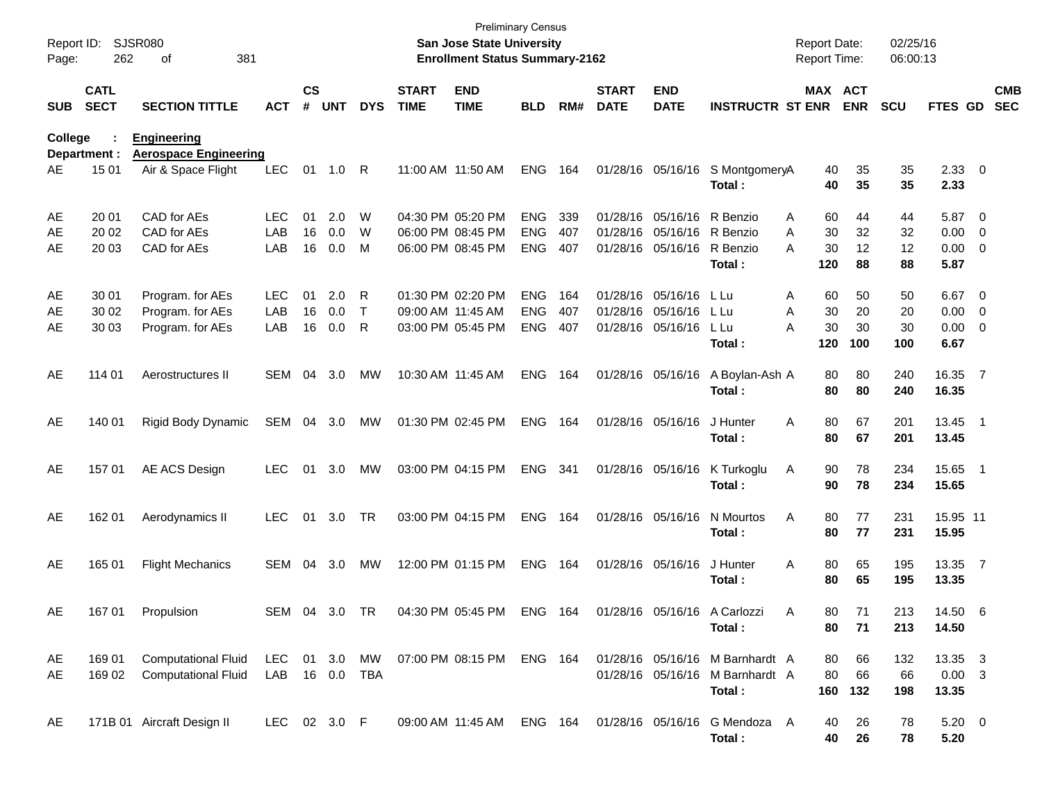| Report ID:<br>Page: | 262                        | <b>SJSR080</b><br>381<br>οf                              |                          |                    |                   |                        |                             | San Jose State University<br><b>Enrollment Status Summary-2162</b> | <b>Preliminary Census</b>              |                   |                             |                                                             |                                                            | <b>Report Date:</b><br><b>Report Time:</b> |                       | 02/25/16<br>06:00:13  |                                    |                                                                               |                          |
|---------------------|----------------------------|----------------------------------------------------------|--------------------------|--------------------|-------------------|------------------------|-----------------------------|--------------------------------------------------------------------|----------------------------------------|-------------------|-----------------------------|-------------------------------------------------------------|------------------------------------------------------------|--------------------------------------------|-----------------------|-----------------------|------------------------------------|-------------------------------------------------------------------------------|--------------------------|
| <b>SUB</b>          | <b>CATL</b><br><b>SECT</b> | <b>SECTION TITTLE</b>                                    | <b>ACT</b>               | $\mathsf{cs}$<br># | <b>UNT</b>        | <b>DYS</b>             | <b>START</b><br><b>TIME</b> | <b>END</b><br><b>TIME</b>                                          | <b>BLD</b>                             | RM#               | <b>START</b><br><b>DATE</b> | <b>END</b><br><b>DATE</b>                                   | <b>INSTRUCTR ST ENR</b>                                    |                                            | MAX ACT<br><b>ENR</b> | <b>SCU</b>            | FTES GD                            |                                                                               | <b>CMB</b><br><b>SEC</b> |
| College             | Department :               | <b>Engineering</b><br><b>Aerospace Engineering</b>       |                          |                    |                   |                        |                             |                                                                    |                                        |                   |                             |                                                             |                                                            |                                            |                       |                       |                                    |                                                                               |                          |
| AE                  | 15 01                      | Air & Space Flight                                       | <b>LEC</b>               | 01                 | 1.0               | -R                     |                             | 11:00 AM 11:50 AM                                                  | <b>ENG</b>                             | 164               |                             | 01/28/16 05/16/16                                           | S MontgomeryA<br>Total:                                    | 40<br>40                                   | 35<br>35              | 35<br>35              | $2.33 \t 0$<br>2.33                |                                                                               |                          |
| AE                  | 20 01<br>20 02             | CAD for AEs<br>CAD for AEs                               | LEC<br>LAB               | 01<br>16           | 2.0<br>0.0        | W<br>W                 |                             | 04:30 PM 05:20 PM<br>06:00 PM 08:45 PM                             | <b>ENG</b><br><b>ENG</b>               | 339<br>407        |                             | 01/28/16 05/16/16<br>01/28/16 05/16/16                      | R Benzio<br>R Benzio                                       | Α<br>60<br>A<br>30                         | 44<br>32              | 44<br>32              | 5.87<br>0.00                       | $\overline{\phantom{0}}$<br>$\overline{\mathbf{0}}$                           |                          |
| AE<br>AE            | 20 03                      | CAD for AEs                                              | LAB                      | 16                 | 0.0               | М                      |                             | 06:00 PM 08:45 PM                                                  | <b>ENG</b>                             | 407               |                             | 01/28/16 05/16/16                                           | R Benzio<br>Total:                                         | A<br>30<br>120                             | 12<br>88              | 12<br>88              | 0.00<br>5.87                       | $\overline{\phantom{0}}$                                                      |                          |
| AE<br>AE<br>AE      | 30 01<br>30 02<br>30 03    | Program. for AEs<br>Program. for AEs<br>Program. for AEs | <b>LEC</b><br>LAB<br>LAB | 01<br>16<br>16     | 2.0<br>0.0<br>0.0 | R<br>$\mathsf{T}$<br>R |                             | 01:30 PM 02:20 PM<br>09:00 AM 11:45 AM<br>03:00 PM 05:45 PM        | <b>ENG</b><br><b>ENG</b><br><b>ENG</b> | 164<br>407<br>407 |                             | 01/28/16 05/16/16<br>01/28/16 05/16/16<br>01/28/16 05/16/16 | L Lu<br>L Lu<br>L Lu<br>Total:                             | 60<br>Α<br>30<br>Α<br>30<br>Α<br>120       | 50<br>20<br>30<br>100 | 50<br>20<br>30<br>100 | 6.67<br>0.00<br>0.00<br>6.67       | $\overline{\mathbf{0}}$<br>$\overline{\mathbf{0}}$<br>$\overline{\mathbf{0}}$ |                          |
| AE                  | 114 01                     | Aerostructures II                                        | <b>SEM</b>               | 04                 | 3.0               | MW                     | 10:30 AM 11:45 AM           |                                                                    | <b>ENG</b>                             | 164               |                             | 01/28/16 05/16/16                                           | A Boylan-Ash A<br>Total:                                   | 80<br>80                                   | 80<br>80              | 240<br>240            | 16.35<br>16.35                     | $\overline{7}$                                                                |                          |
| AE                  | 140 01                     | Rigid Body Dynamic                                       | <b>SEM</b>               | 04                 | 3.0               | МW                     |                             | 01:30 PM 02:45 PM                                                  | <b>ENG</b>                             | 164               |                             | 01/28/16 05/16/16                                           | J Hunter<br>Total:                                         | 80<br>Α<br>80                              | 67<br>67              | 201<br>201            | 13.45<br>13.45                     | $\blacksquare$ 1                                                              |                          |
| AE                  | 15701                      | AE ACS Design                                            | <b>LEC</b>               | 01                 | 3.0               | МW                     |                             | 03:00 PM 04:15 PM                                                  | <b>ENG</b>                             | -341              |                             | 01/28/16 05/16/16                                           | K Turkoglu<br>Total:                                       | Α<br>90<br>90                              | 78<br>78              | 234<br>234            | 15.65<br>15.65                     | $\overline{\phantom{0}}$                                                      |                          |
| AE                  | 162 01                     | Aerodynamics II                                          | <b>LEC</b>               | 01                 | 3.0               | <b>TR</b>              |                             | 03:00 PM 04:15 PM                                                  | <b>ENG</b>                             | 164               |                             | 01/28/16 05/16/16                                           | N Mourtos<br>Total:                                        | Α<br>80<br>80                              | 77<br>77              | 231<br>231            | 15.95 11<br>15.95                  |                                                                               |                          |
| AE                  | 165 01                     | <b>Flight Mechanics</b>                                  | <b>SEM</b>               | 04                 | 3.0               | MW                     |                             | 12:00 PM 01:15 PM                                                  | <b>ENG</b>                             | 164               |                             | 01/28/16 05/16/16                                           | J Hunter<br>Total:                                         | Α<br>80<br>80                              | 65<br>65              | 195<br>195            | 13.35<br>13.35                     | $\overline{7}$                                                                |                          |
| AE                  | 167 01                     | Propulsion                                               | SEM                      |                    | 04 3.0 TR         |                        |                             | 04:30 PM 05:45 PM                                                  | ENG 164                                |                   |                             |                                                             | 01/28/16 05/16/16 A Carlozzi<br>Total:                     | A<br>80                                    | 80.<br>71<br>71       | 213<br>213            | 14.50 6<br>14.50                   |                                                                               |                          |
| AE<br>AE            | 169 01<br>169 02           | <b>Computational Fluid</b><br><b>Computational Fluid</b> | LEC<br>LAB               |                    | 01 3.0<br>16 0.0  | MW<br>TBA              |                             | 07:00 PM 08:15 PM ENG 164                                          |                                        |                   |                             | 01/28/16 05/16/16                                           | 01/28/16 05/16/16 M Barnhardt A<br>M Barnhardt A<br>Total: | 80<br>80<br>160                            | 66<br>66<br>132       | 132<br>66<br>198      | 13.35 3<br>$0.00 \quad 3$<br>13.35 |                                                                               |                          |
| AE                  |                            | 171B 01 Aircraft Design II                               | LEC 02 3.0 F             |                    |                   |                        |                             | 09:00 AM 11:45 AM                                                  | ENG 164                                |                   |                             |                                                             | 01/28/16 05/16/16 G Mendoza A<br>Total:                    | 40<br>40                                   | 26<br>26              | 78<br>78              | $5.20 \t 0$<br>5.20                |                                                                               |                          |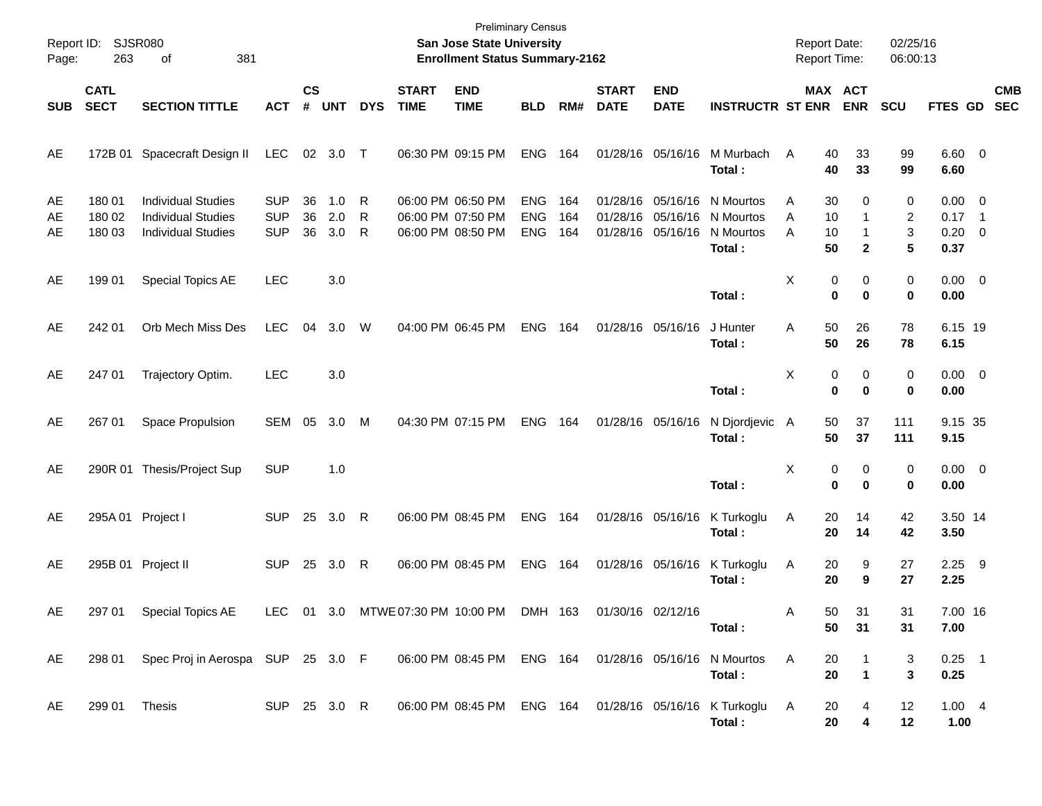| Page:          | Report ID: SJSR080<br>263  | 381<br>οf                                                                           |                                        |                |                   |             |                                                             | <b>Preliminary Census</b><br>San Jose State University<br><b>Enrollment Status Summary-2162</b> |                                        |                   |                             |                                        |                                                                  | <b>Report Date:</b><br><b>Report Time:</b> |                               | 02/25/16<br>06:00:13 |                                               |            |
|----------------|----------------------------|-------------------------------------------------------------------------------------|----------------------------------------|----------------|-------------------|-------------|-------------------------------------------------------------|-------------------------------------------------------------------------------------------------|----------------------------------------|-------------------|-----------------------------|----------------------------------------|------------------------------------------------------------------|--------------------------------------------|-------------------------------|----------------------|-----------------------------------------------|------------|
| <b>SUB</b>     | <b>CATL</b><br><b>SECT</b> | <b>SECTION TITTLE</b>                                                               | <b>ACT</b>                             | <b>CS</b><br># | <b>UNT</b>        | <b>DYS</b>  | <b>START</b><br><b>TIME</b>                                 | <b>END</b><br><b>TIME</b>                                                                       | <b>BLD</b>                             | RM#               | <b>START</b><br><b>DATE</b> | <b>END</b><br><b>DATE</b>              | <b>INSTRUCTR ST ENR</b>                                          |                                            | MAX ACT<br><b>ENR</b>         | <b>SCU</b>           | FTES GD SEC                                   | <b>CMB</b> |
| AE             |                            | 172B 01 Spacecraft Design II                                                        | LEC                                    |                | 02 3.0 T          |             | 06:30 PM 09:15 PM                                           |                                                                                                 | ENG                                    | 164               |                             | 01/28/16 05/16/16                      | M Murbach<br>Total:                                              | 40<br>A<br>40                              | 33<br>33                      | 99<br>99             | $6.60$ 0<br>6.60                              |            |
| AE<br>AE<br>AE | 180 01<br>180 02<br>180 03 | <b>Individual Studies</b><br><b>Individual Studies</b><br><b>Individual Studies</b> | <b>SUP</b><br><b>SUP</b><br><b>SUP</b> | 36<br>36<br>36 | 1.0<br>2.0<br>3.0 | R<br>R<br>R | 06:00 PM 06:50 PM<br>06:00 PM 07:50 PM<br>06:00 PM 08:50 PM |                                                                                                 | <b>ENG</b><br><b>ENG</b><br><b>ENG</b> | 164<br>164<br>164 | 01/28/16 05/16/16           | 01/28/16 05/16/16<br>01/28/16 05/16/16 | N Mourtos<br>N Mourtos<br>N Mourtos<br>Total:                    | 30<br>A<br>10<br>A<br>A<br>10<br>50        | 0<br>1<br>1<br>$\overline{2}$ | 0<br>2<br>3<br>5     | $0.00 \t 0$<br>$0.17$ 1<br>$0.20 \ 0$<br>0.37 |            |
| AE             | 199 01                     | Special Topics AE                                                                   | <b>LEC</b>                             |                | 3.0               |             |                                                             |                                                                                                 |                                        |                   |                             |                                        | Total:                                                           | X                                          | 0<br>0<br>$\bf{0}$<br>0       | 0<br>0               | $0.00 \t 0$<br>0.00                           |            |
| AE             | 242 01                     | Orb Mech Miss Des                                                                   | <b>LEC</b>                             | 04             | 3.0               | W           | 04:00 PM 06:45 PM                                           |                                                                                                 | <b>ENG</b>                             | 164               | 01/28/16 05/16/16           |                                        | J Hunter<br>Total:                                               | 50<br>Α<br>50                              | 26<br>26                      | 78<br>78             | 6.15 19<br>6.15                               |            |
| AE             | 247 01                     | Trajectory Optim.                                                                   | <b>LEC</b>                             |                | 3.0               |             |                                                             |                                                                                                 |                                        |                   |                             |                                        | Total:                                                           | X                                          | 0<br>0<br>0<br>0              | 0<br>0               | $0.00 \t 0$<br>0.00                           |            |
| AE             | 267 01                     | Space Propulsion                                                                    | SEM 05                                 |                | 3.0               | M           | 04:30 PM 07:15 PM                                           |                                                                                                 | <b>ENG</b>                             | 164               | 01/28/16 05/16/16           |                                        | N Djordjevic A<br>Total:                                         | 50<br>50                                   | 37<br>37                      | 111<br>111           | 9.15 35<br>9.15                               |            |
| AE             |                            | 290R 01 Thesis/Project Sup                                                          | <b>SUP</b>                             |                | 1.0               |             |                                                             |                                                                                                 |                                        |                   |                             |                                        | Total:                                                           | X                                          | 0<br>0<br>0<br>0              | 0<br>0               | $0.00 \t 0$<br>0.00                           |            |
| AE             | 295A 01 Project I          |                                                                                     | <b>SUP</b>                             | 25             | 3.0               | R           | 06:00 PM 08:45 PM                                           |                                                                                                 | <b>ENG</b>                             | 164               | 01/28/16 05/16/16           |                                        | K Turkoglu<br>Total:                                             | 20<br>A<br>20                              | 14<br>14                      | 42<br>42             | 3.50 14<br>3.50                               |            |
| AE             |                            | 295B 01 Project II                                                                  | <b>SUP</b>                             |                | 25 3.0            | R           | 06:00 PM 08:45 PM                                           |                                                                                                 | ENG                                    | 164               | 01/28/16 05/16/16           |                                        | K Turkoglu<br>Total:                                             | 20<br>A<br>20                              | 9<br>9                        | 27<br>27             | $2.25$ 9<br>2.25                              |            |
| AE             | 297 01                     | Special Topics AE                                                                   | LEC 01 3.0                             |                |                   |             | MTWE 07:30 PM 10:00 PM                                      |                                                                                                 | DMH 163                                |                   | 01/30/16 02/12/16           |                                        | Total :                                                          | 50<br>A<br>50                              | 31<br>31                      | 31<br>31             | 7.00 16<br>7.00                               |            |
| AE             | 298 01                     | Spec Proj in Aerospa SUP 25 3.0 F                                                   |                                        |                |                   |             |                                                             | 06:00 PM 08:45 PM ENG 164 01/28/16 05/16/16                                                     |                                        |                   |                             |                                        | N Mourtos<br>Total:                                              | A<br>20<br>20                              | 1                             | 3<br>3               | $0.25$ 1<br>0.25                              |            |
| AE             | 299 01 Thesis              |                                                                                     | SUP 25 3.0 R                           |                |                   |             |                                                             |                                                                                                 |                                        |                   |                             |                                        | 06:00 PM 08:45 PM ENG 164 01/28/16 05/16/16 K Turkoglu<br>Total: | 20<br>A<br>20                              | 4<br>4                        | 12<br>12             | $1.00 \quad 4$<br>1.00                        |            |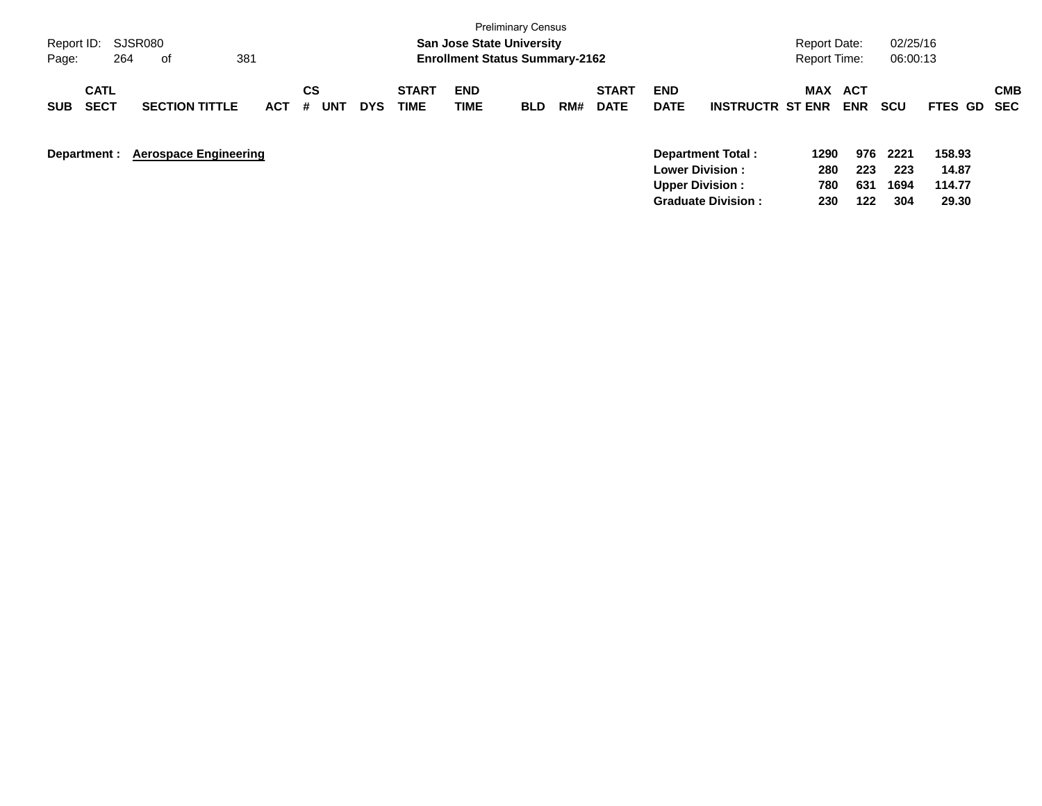| Report ID:<br>264<br>Page:               | SJSR080<br>381<br>оf         |            |                       |            |                      | <b>San Jose State University</b><br><b>Enrollment Status Summary-2162</b> | <b>Preliminary Census</b> |     |                             |                                                  |                         | Report Date:<br><b>Report Time:</b> |                          | 02/25/16<br>06:00:13 |                           |                          |
|------------------------------------------|------------------------------|------------|-----------------------|------------|----------------------|---------------------------------------------------------------------------|---------------------------|-----|-----------------------------|--------------------------------------------------|-------------------------|-------------------------------------|--------------------------|----------------------|---------------------------|--------------------------|
| <b>CATL</b><br><b>SECT</b><br><b>SUB</b> | <b>SECTION TITTLE</b>        | <b>ACT</b> | CS<br><b>UNT</b><br># | <b>DYS</b> | <b>START</b><br>TIME | <b>END</b><br>TIME                                                        | <b>BLD</b>                | RM# | <b>START</b><br><b>DATE</b> | <b>END</b><br><b>DATE</b>                        | <b>INSTRUCTR ST ENR</b> | MAX                                 | <b>ACT</b><br><b>ENR</b> | <b>SCU</b>           | <b>FTES GD</b>            | <b>CMB</b><br><b>SEC</b> |
| Department :                             | <b>Aerospace Engineering</b> |            |                       |            |                      |                                                                           |                           |     |                             | <b>Lower Division:</b><br><b>Upper Division:</b> | Department Total:       | 1290<br>280<br>780                  | 976<br>223<br>631        | 2221<br>223<br>1694  | 158.93<br>14.87<br>114.77 |                          |

**Graduate Division : 230 122 304 29.30**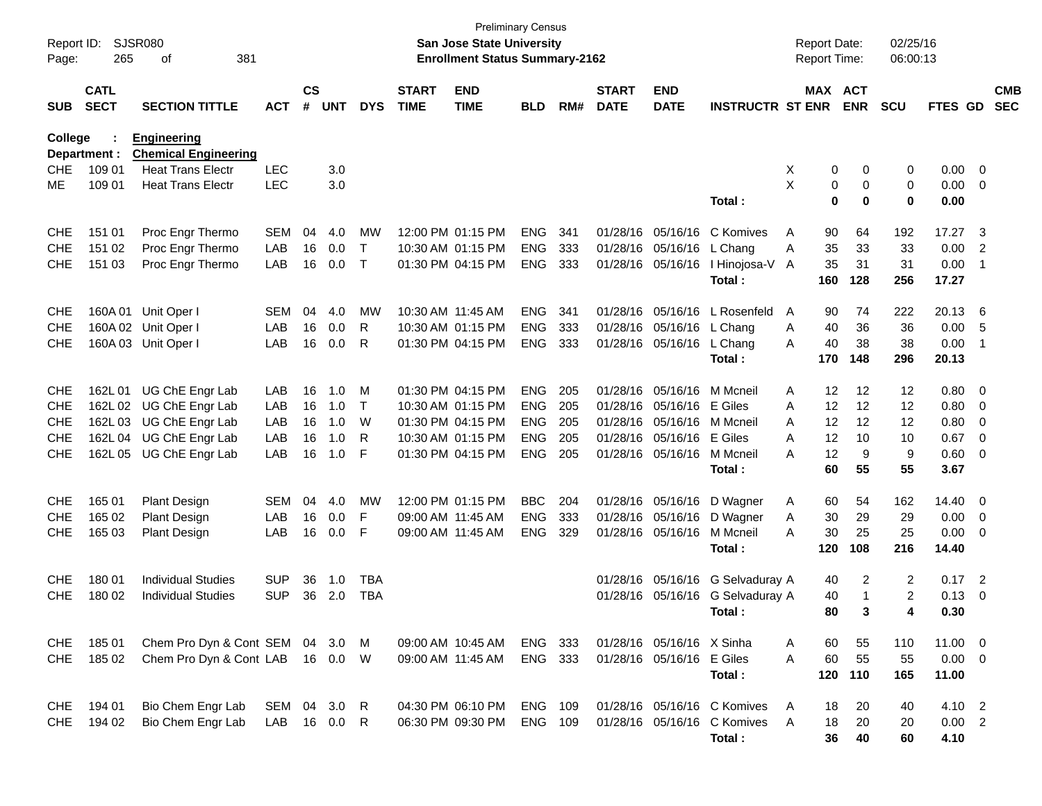| Report ID:<br>Page:      | 265                        | <b>SJSR080</b><br>381<br>οf                       |            |                    |            |              |                             | <b>San Jose State University</b><br><b>Enrollment Status Summary-2162</b> | <b>Preliminary Census</b> |            |                             |                            |                                             | <b>Report Date:</b><br>Report Time: |                              | 02/25/16<br>06:00:13 |                      |                          |                          |
|--------------------------|----------------------------|---------------------------------------------------|------------|--------------------|------------|--------------|-----------------------------|---------------------------------------------------------------------------|---------------------------|------------|-----------------------------|----------------------------|---------------------------------------------|-------------------------------------|------------------------------|----------------------|----------------------|--------------------------|--------------------------|
| <b>SUB</b>               | <b>CATL</b><br><b>SECT</b> | <b>SECTION TITTLE</b>                             | <b>ACT</b> | $\mathsf{cs}$<br># | <b>UNT</b> | <b>DYS</b>   | <b>START</b><br><b>TIME</b> | <b>END</b><br><b>TIME</b>                                                 | <b>BLD</b>                | RM#        | <b>START</b><br><b>DATE</b> | <b>END</b><br><b>DATE</b>  | <b>INSTRUCTR ST ENR</b>                     |                                     | <b>MAX ACT</b><br><b>ENR</b> | <b>SCU</b>           | FTES GD              |                          | <b>CMB</b><br><b>SEC</b> |
| College                  | Department :               | <b>Engineering</b><br><b>Chemical Engineering</b> |            |                    |            |              |                             |                                                                           |                           |            |                             |                            |                                             |                                     |                              |                      |                      |                          |                          |
| <b>CHE</b>               | 109 01                     | <b>Heat Trans Electr</b>                          | <b>LEC</b> |                    | 3.0        |              |                             |                                                                           |                           |            |                             |                            |                                             | X                                   | 0<br>0                       | 0                    | 0.00 0               |                          |                          |
| ME                       | 109 01                     | <b>Heat Trans Electr</b>                          | <b>LEC</b> |                    | 3.0        |              |                             |                                                                           |                           |            |                             |                            |                                             | X                                   | 0<br>0                       | 0                    | $0.00 \t 0$          |                          |                          |
|                          |                            |                                                   |            |                    |            |              |                             |                                                                           |                           |            |                             |                            | Total:                                      |                                     | 0<br>0                       | 0                    | 0.00                 |                          |                          |
| <b>CHE</b>               | 151 01                     | Proc Engr Thermo                                  | <b>SEM</b> | 04                 | 4.0        | MW           |                             | 12:00 PM 01:15 PM                                                         | <b>ENG</b>                | 341        | 01/28/16                    | 05/16/16                   | C Komives                                   | Α<br>90                             | 64                           | 192                  | 17.27                | - 3                      |                          |
| <b>CHE</b>               | 151 02                     | Proc Engr Thermo                                  | LAB        | 16                 | 0.0        | $\mathsf{T}$ |                             | 10:30 AM 01:15 PM                                                         | <b>ENG</b>                | 333        | 01/28/16                    | 05/16/16                   | L Chang                                     | 35<br>Α                             | 33                           | 33                   | 0.00                 | $\overline{2}$           |                          |
| <b>CHE</b>               | 151 03                     | Proc Engr Thermo                                  | LAB        | 16                 | 0.0        | $\mathsf{T}$ |                             | 01:30 PM 04:15 PM                                                         | <b>ENG</b>                | 333        |                             |                            | 01/28/16 05/16/16   Hinojosa-V A<br>Total : | 35<br>160                           | 31<br>128                    | 31<br>256            | 0.00<br>17.27        | $\overline{\phantom{1}}$ |                          |
|                          |                            |                                                   |            |                    |            |              |                             |                                                                           |                           |            |                             |                            |                                             |                                     |                              |                      |                      |                          |                          |
| <b>CHE</b>               |                            | 160A 01 Unit Oper I                               | <b>SEM</b> | 04<br>16           | 4.0        | MW<br>R      |                             | 10:30 AM 11:45 AM                                                         | <b>ENG</b>                | 341        | 01/28/16                    | 05/16/16 L Chang           | 05/16/16 L Rosenfeld                        | 90<br>A                             | 74<br>36                     | 222<br>36            | 20.13 6              |                          |                          |
| <b>CHE</b><br><b>CHE</b> |                            | 160A 02 Unit Oper I<br>160A 03 Unit Oper I        | LAB<br>LAB | 16                 | 0.0<br>0.0 | R            |                             | 10:30 AM 01:15 PM<br>01:30 PM 04:15 PM                                    | <b>ENG</b><br><b>ENG</b>  | 333<br>333 | 01/28/16                    | 01/28/16 05/16/16 L Chang  |                                             | 40<br>A<br>40<br>A                  | 38                           | 38                   | 0.00<br>0.00         | - 5<br>$\overline{1}$    |                          |
|                          |                            |                                                   |            |                    |            |              |                             |                                                                           |                           |            |                             |                            | Total:                                      | 170                                 | 148                          | 296                  | 20.13                |                          |                          |
| <b>CHE</b>               | 162L 01                    | UG ChE Engr Lab                                   | LAB        | 16                 | 1.0        | м            |                             | 01:30 PM 04:15 PM                                                         | <b>ENG</b>                | 205        | 01/28/16                    | 05/16/16 M Mcneil          |                                             | 12<br>A                             | 12                           | 12                   | 0.80 0               |                          |                          |
| <b>CHE</b>               | 162L 02                    | UG ChE Engr Lab                                   | LAB        | 16                 | 1.0        | $\mathsf{T}$ |                             | 10:30 AM 01:15 PM                                                         | <b>ENG</b>                | 205        | 01/28/16                    | 05/16/16 E Giles           |                                             | 12<br>A                             | 12                           | 12                   | 0.80 0               |                          |                          |
| <b>CHE</b>               | 162L03                     | UG ChE Engr Lab                                   | LAB        | 16                 | 1.0        | W            |                             | 01:30 PM 04:15 PM                                                         | <b>ENG</b>                | 205        | 01/28/16                    | 05/16/16 M Mcneil          |                                             | 12<br>A                             | 12                           | 12                   | 0.80                 | $\overline{\mathbf{0}}$  |                          |
| <b>CHE</b>               | 162L 04                    | UG ChE Engr Lab                                   | LAB        | 16                 | 1.0        | R            |                             | 10:30 AM 01:15 PM                                                         | <b>ENG</b>                | 205        | 01/28/16                    | 05/16/16 E Giles           |                                             | 12<br>Α                             | 10                           | 10                   | 0.67                 | $\overline{\phantom{0}}$ |                          |
| <b>CHE</b>               |                            | 162L 05 UG ChE Engr Lab                           | LAB        | 16                 | 1.0        | F            |                             | 01:30 PM 04:15 PM                                                         | <b>ENG</b>                | 205        |                             | 01/28/16 05/16/16 M Mcneil |                                             | 12<br>A                             | 9                            | 9                    | $0.60 \t 0$          |                          |                          |
|                          |                            |                                                   |            |                    |            |              |                             |                                                                           |                           |            |                             |                            | Total :                                     | 60                                  | 55                           | 55                   | 3.67                 |                          |                          |
| <b>CHE</b>               | 165 01                     | <b>Plant Design</b>                               | SEM        | 04                 | 4.0        | MW           |                             | 12:00 PM 01:15 PM                                                         | <b>BBC</b>                | 204        | 01/28/16                    | 05/16/16                   | D Wagner                                    | 60<br>A                             | 54                           | 162                  | 14.40 0              |                          |                          |
| <b>CHE</b>               | 165 02                     | <b>Plant Design</b>                               | LAB        | 16                 | 0.0        | F            |                             | 09:00 AM 11:45 AM                                                         | <b>ENG</b>                | 333        | 01/28/16                    | 05/16/16                   | D Wagner                                    | 30<br>Α                             | 29                           | 29                   | $0.00 \t 0$          |                          |                          |
| <b>CHE</b>               | 165 03                     | <b>Plant Design</b>                               | LAB        | 16                 | 0.0        | F            |                             | 09:00 AM  11:45 AM                                                        | <b>ENG</b>                | 329        |                             | 01/28/16 05/16/16          | M Mcneil<br>Total:                          | 30<br>Α<br>120                      | 25<br>108                    | 25<br>216            | $0.00 \t 0$<br>14.40 |                          |                          |
| <b>CHE</b>               | 180 01                     | <b>Individual Studies</b>                         | SUP        | 36                 | 1.0        | <b>TBA</b>   |                             |                                                                           |                           |            | 01/28/16                    |                            | 05/16/16 G Selvaduray A                     | 40                                  | 2                            | 2                    | $0.17$ 2             |                          |                          |
| <b>CHE</b>               | 180 02                     | <b>Individual Studies</b>                         | <b>SUP</b> | 36                 | 2.0        | <b>TBA</b>   |                             |                                                                           |                           |            |                             |                            | 01/28/16 05/16/16 G Selvaduray A            | 40                                  | 1                            | 2                    | $0.13 \ 0$           |                          |                          |
|                          |                            |                                                   |            |                    |            |              |                             |                                                                           |                           |            |                             |                            | Total :                                     | 80                                  | 3                            | 4                    | 0.30                 |                          |                          |
| <b>CHE</b>               | 18501                      | Chem Pro Dyn & Cont SEM 04 3.0                    |            |                    |            | M            |                             | 09:00 AM 10:45 AM                                                         | ENG 333                   |            |                             | 01/28/16 05/16/16 X Sinha  |                                             | 60<br>A                             | 55                           | 110                  | 11.00 0              |                          |                          |
| <b>CHE</b>               | 185 02                     | Chem Pro Dyn & Cont LAB                           |            |                    | 16  0.0  W |              |                             | 09:00 AM 11:45 AM                                                         | ENG 333                   |            |                             | 01/28/16 05/16/16 E Giles  |                                             | 60<br>A                             | 55                           | 55                   | $0.00 \t 0$          |                          |                          |
|                          |                            |                                                   |            |                    |            |              |                             |                                                                           |                           |            |                             |                            | Total:                                      | 120                                 | 110                          | 165                  | 11.00                |                          |                          |
| <b>CHE</b>               | 194 01                     | Bio Chem Engr Lab                                 | SEM 04 3.0 |                    |            | R            |                             | 04:30 PM 06:10 PM                                                         | ENG 109                   |            |                             |                            | 01/28/16 05/16/16 C Komives                 | 18<br>A                             | 20                           | 40                   | 4.10 2               |                          |                          |
| <b>CHE</b>               | 194 02                     | Bio Chem Engr Lab                                 | LAB 16 0.0 |                    |            | R            |                             | 06:30 PM 09:30 PM                                                         | ENG 109                   |            |                             |                            | 01/28/16 05/16/16 C Komives                 | 18<br>A                             | 20                           | 20                   | $0.00$ 2             |                          |                          |
|                          |                            |                                                   |            |                    |            |              |                             |                                                                           |                           |            |                             |                            | Total:                                      | 36                                  | 40                           | 60                   | 4.10                 |                          |                          |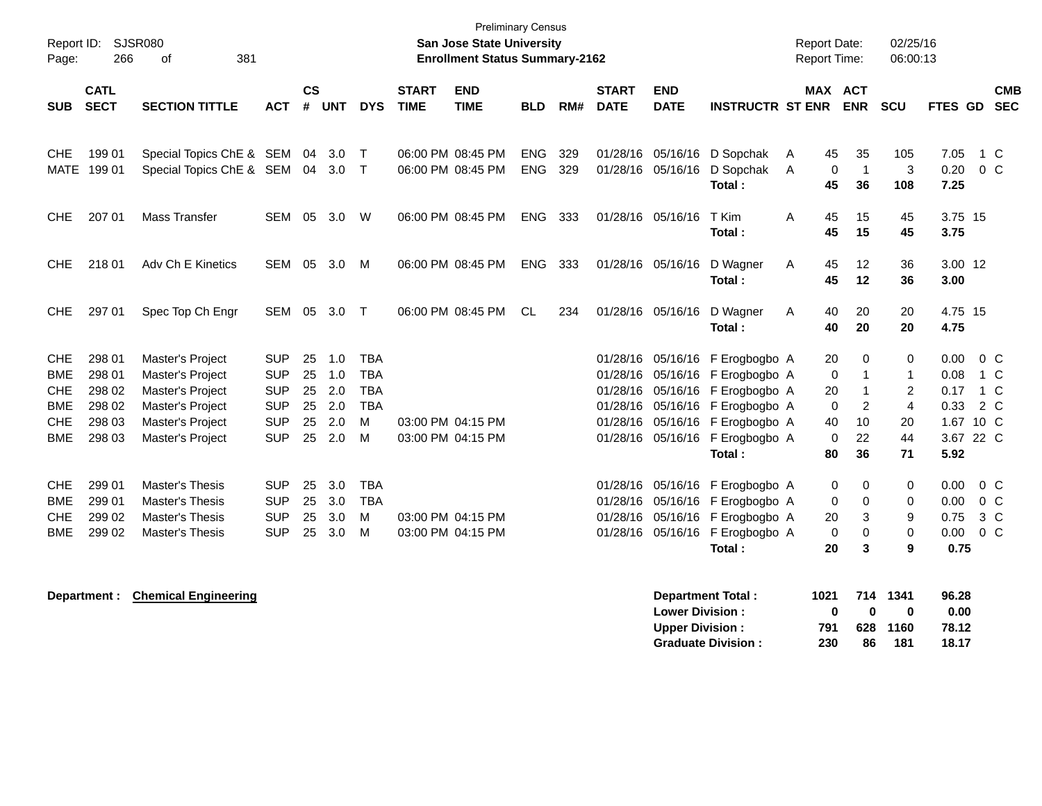| Page:      | Report ID: SJSR080<br>266  | 381<br>0f                                                            |            |                |            |            |                             | <b>Preliminary Census</b><br>San Jose State University<br><b>Enrollment Status Summary-2162</b> |            |            |                             |                                        |                                  | <b>Report Date:</b><br><b>Report Time:</b> |                            | 02/25/16<br>06:00:13 |                      |                           |
|------------|----------------------------|----------------------------------------------------------------------|------------|----------------|------------|------------|-----------------------------|-------------------------------------------------------------------------------------------------|------------|------------|-----------------------------|----------------------------------------|----------------------------------|--------------------------------------------|----------------------------|----------------------|----------------------|---------------------------|
| <b>SUB</b> | <b>CATL</b><br><b>SECT</b> | <b>SECTION TITTLE</b>                                                | <b>ACT</b> | <b>CS</b><br># | <b>UNT</b> | <b>DYS</b> | <b>START</b><br><b>TIME</b> | <b>END</b><br><b>TIME</b>                                                                       | <b>BLD</b> | RM#        | <b>START</b><br><b>DATE</b> | <b>END</b><br><b>DATE</b>              | <b>INSTRUCTR ST ENR</b>          | <b>MAX ACT</b>                             | <b>ENR</b>                 | <b>SCU</b>           |                      | <b>CMB</b><br>FTES GD SEC |
| <b>CHE</b> | 199 01<br>MATE 199 01      | Special Topics ChE & SEM 04 3.0<br>Special Topics ChE & SEM 04 3.0 T |            |                |            | $\top$     |                             | 06:00 PM 08:45 PM<br>06:00 PM 08:45 PM                                                          | ENG<br>ENG | 329<br>329 |                             | 01/28/16 05/16/16<br>01/28/16 05/16/16 | D Sopchak<br>D Sopchak<br>Total: | 45<br>A<br>$\mathbf 0$<br>A<br>45          | 35<br>$\overline{1}$<br>36 | 105<br>3<br>108      | 7.05<br>0.20<br>7.25 | 1 C<br>$0\,C$             |
| <b>CHE</b> | 207 01                     | Mass Transfer                                                        | SEM 05 3.0 |                |            | W          |                             | 06:00 PM 08:45 PM                                                                               | ENG 333    |            |                             | 01/28/16 05/16/16                      | T Kim<br>Total:                  | A<br>45<br>45                              | 15<br>15                   | 45<br>45             | 3.75 15<br>3.75      |                           |
| <b>CHE</b> | 218 01                     | Adv Ch E Kinetics                                                    | SEM 05 3.0 |                |            | M          |                             | 06:00 PM 08:45 PM                                                                               | ENG 333    |            |                             | 01/28/16 05/16/16                      | D Wagner<br>Total:               | A<br>45<br>45                              | 12<br>12                   | 36<br>36             | 3.00 12<br>3.00      |                           |
| <b>CHE</b> | 297 01                     | Spec Top Ch Engr                                                     | SEM 05     |                | 3.0 T      |            |                             | 06:00 PM 08:45 PM                                                                               | CL.        | 234        |                             | 01/28/16 05/16/16                      | D Wagner<br>Total:               | Α<br>40<br>40                              | 20<br>20                   | 20<br>20             | 4.75 15<br>4.75      |                           |
| <b>CHE</b> | 298 01                     | Master's Project                                                     | <b>SUP</b> | 25             | 1.0        | <b>TBA</b> |                             |                                                                                                 |            |            |                             |                                        | 01/28/16 05/16/16 F Erogbogbo A  | 20                                         | 0                          | 0                    | 0.00                 | $0\,$ C                   |
| <b>BME</b> | 298 01                     | Master's Project                                                     | <b>SUP</b> | 25             | 1.0        | <b>TBA</b> |                             |                                                                                                 |            |            |                             |                                        | 01/28/16 05/16/16 F Erogbogbo A  | 0                                          | $\mathbf{1}$               | $\mathbf{1}$         | 0.08                 | 1 C                       |
| CHE        | 298 02                     | Master's Project                                                     | <b>SUP</b> | 25             | 2.0        | <b>TBA</b> |                             |                                                                                                 |            |            |                             |                                        | 01/28/16 05/16/16 F Erogbogbo A  | 20                                         | $\mathbf{1}$               | 2                    | 0.17                 | 1 C                       |
| <b>BME</b> | 298 02                     | Master's Project                                                     | <b>SUP</b> | 25             | 2.0        | <b>TBA</b> |                             |                                                                                                 |            |            |                             |                                        | 01/28/16 05/16/16 F Erogbogbo A  | 0                                          | 2                          | $\overline{4}$       | 0.33                 | 2 C                       |
| CHE        | 298 03                     | Master's Project                                                     | <b>SUP</b> | 25             | 2.0        | M          |                             | 03:00 PM 04:15 PM                                                                               |            |            |                             |                                        | 01/28/16 05/16/16 F Erogbogbo A  | 40                                         | 10                         | 20                   |                      | 1.67 10 C                 |
| <b>BME</b> | 298 03                     | Master's Project                                                     | <b>SUP</b> | 25             | 2.0        | M          |                             | 03:00 PM 04:15 PM                                                                               |            |            |                             |                                        | 01/28/16 05/16/16 F Erogbogbo A  | $\mathbf 0$                                | 22                         | 44                   |                      | 3.67 22 C                 |
|            |                            |                                                                      |            |                |            |            |                             |                                                                                                 |            |            |                             |                                        | Total:                           | 80                                         | 36                         | 71                   | 5.92                 |                           |
| <b>CHE</b> | 299 01                     | Master's Thesis                                                      | <b>SUP</b> | 25             | 3.0        | <b>TBA</b> |                             |                                                                                                 |            |            |                             |                                        | 01/28/16 05/16/16 F Erogbogbo A  | 0                                          | 0                          | 0                    | 0.00                 | 0 <sup>o</sup>            |
| <b>BME</b> | 299 01                     | Master's Thesis                                                      | <b>SUP</b> | 25             | 3.0        | <b>TBA</b> |                             |                                                                                                 |            |            |                             |                                        | 01/28/16 05/16/16 F Erogbogbo A  | 0                                          | $\mathbf 0$                | 0                    | 0.00                 | 0 <sup>o</sup>            |
| <b>CHE</b> | 299 02                     | Master's Thesis                                                      | <b>SUP</b> | 25             | 3.0        | M          |                             | 03:00 PM 04:15 PM                                                                               |            |            |                             |                                        | 01/28/16 05/16/16 F Erogbogbo A  | 20                                         | 3                          | 9                    | 0.75                 | 3 C                       |
| <b>BME</b> | 299 02                     | Master's Thesis                                                      | <b>SUP</b> | 25             | 3.0        | M          |                             | 03:00 PM 04:15 PM                                                                               |            |            |                             |                                        | 01/28/16 05/16/16 F Erogbogbo A  | $\mathbf 0$                                | $\mathbf 0$                | $\mathbf 0$          | 0.00                 | 0 <sup>o</sup>            |
|            |                            |                                                                      |            |                |            |            |                             |                                                                                                 |            |            |                             |                                        | Total:                           | 20                                         | 3                          | 9                    | 0.75                 |                           |
|            |                            | <b>Department:</b> Chamical Engineering                              |            |                |            |            |                             |                                                                                                 |            |            |                             |                                        | Donarimont Total                 |                                            | $1021$ $711$ $1211$        |                      | <b>00.30</b>         |                           |

**Department : Chemical Engineering** 

| Department Total:         | 1021 | 714 | 1341         | 96.28 |
|---------------------------|------|-----|--------------|-------|
| <b>Lower Division:</b>    | n    | n   | $\mathbf{u}$ | 0.00  |
| <b>Upper Division:</b>    | 791  |     | 628 1160     | 78.12 |
| <b>Graduate Division:</b> | 230  | 86  | 181          | 18.17 |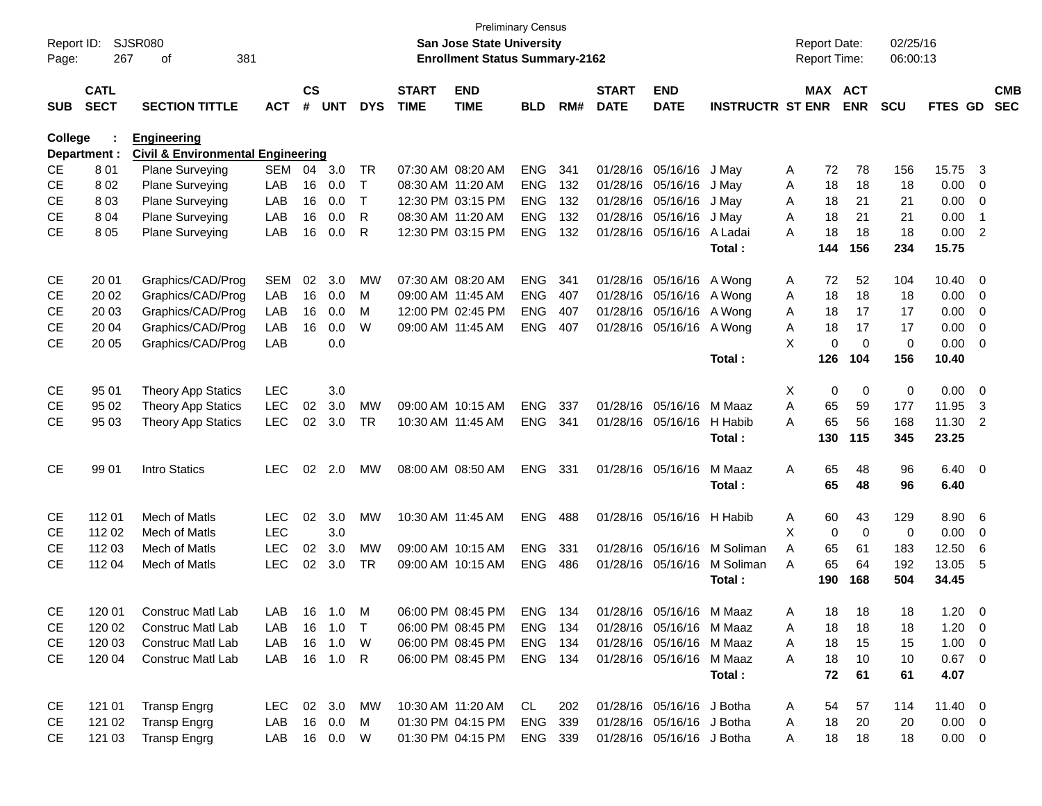| Report ID:<br>Page: | 267                        | SJSR080<br>381<br>οf                         |              |                    |            |              |                             | <b>San Jose State University</b><br><b>Enrollment Status Summary-2162</b> | <b>Preliminary Census</b> |      |                             |                           |                         |   | <b>Report Date:</b><br>Report Time: |             | 02/25/16<br>06:00:13 |               |                |            |
|---------------------|----------------------------|----------------------------------------------|--------------|--------------------|------------|--------------|-----------------------------|---------------------------------------------------------------------------|---------------------------|------|-----------------------------|---------------------------|-------------------------|---|-------------------------------------|-------------|----------------------|---------------|----------------|------------|
| <b>SUB</b>          | <b>CATL</b><br><b>SECT</b> | <b>SECTION TITTLE</b>                        | <b>ACT</b>   | $\mathsf{cs}$<br># | <b>UNT</b> | <b>DYS</b>   | <b>START</b><br><b>TIME</b> | <b>END</b><br><b>TIME</b>                                                 | <b>BLD</b>                | RM#  | <b>START</b><br><b>DATE</b> | <b>END</b><br><b>DATE</b> | <b>INSTRUCTR ST ENR</b> |   | MAX ACT                             | <b>ENR</b>  | <b>SCU</b>           | FTES GD SEC   |                | <b>CMB</b> |
| College             |                            | <b>Engineering</b>                           |              |                    |            |              |                             |                                                                           |                           |      |                             |                           |                         |   |                                     |             |                      |               |                |            |
|                     | Department :               | <b>Civil &amp; Environmental Engineering</b> |              |                    |            |              |                             |                                                                           |                           |      |                             |                           |                         |   |                                     |             |                      |               |                |            |
| <b>CE</b>           | 801                        | Plane Surveying                              | <b>SEM</b>   | 04                 | 3.0        | TR           |                             | 07:30 AM 08:20 AM                                                         | <b>ENG</b>                | 341  |                             | 01/28/16 05/16/16         | J May                   | A | 72                                  | 78          | 156                  | 15.75         | 3              |            |
| <b>CE</b>           | 802                        | Plane Surveying                              | LAB          | 16                 | 0.0        | Т            | 08:30 AM 11:20 AM           |                                                                           | <b>ENG</b>                | 132  |                             | 01/28/16 05/16/16         | J May                   | Α | 18                                  | 18          | 18                   | 0.00          | 0              |            |
| <b>CE</b>           | 803                        | <b>Plane Surveying</b>                       | LAB          | 16                 | 0.0        | $\mathsf{T}$ |                             | 12:30 PM 03:15 PM                                                         | <b>ENG</b>                | 132  |                             | 01/28/16 05/16/16         | J May                   | A | 18                                  | 21          | 21                   | 0.00          | 0              |            |
| <b>CE</b>           | 8 0 4                      | Plane Surveying                              | LAB          | 16                 | 0.0        | R            | 08:30 AM 11:20 AM           |                                                                           | <b>ENG</b>                | 132  |                             | 01/28/16 05/16/16         | J May                   | A | 18                                  | 21          | 21                   | 0.00          | -1             |            |
| <b>CE</b>           | 805                        | Plane Surveying                              | LAB          | 16                 | 0.0        | R            |                             | 12:30 PM 03:15 PM                                                         | <b>ENG</b>                | 132  |                             | 01/28/16 05/16/16         | A Ladai                 | A | 18                                  | 18          | 18                   | 0.00          | $\overline{2}$ |            |
|                     |                            |                                              |              |                    |            |              |                             |                                                                           |                           |      |                             |                           | Total:                  |   | 144                                 | 156         | 234                  | 15.75         |                |            |
| <b>CE</b>           | 20 01                      | Graphics/CAD/Prog                            | <b>SEM</b>   | 02                 | 3.0        | <b>MW</b>    |                             | 07:30 AM 08:20 AM                                                         | <b>ENG</b>                | 341  |                             | 01/28/16 05/16/16 A Wong  |                         | A | 72                                  | 52          | 104                  | 10.40         | $\overline{0}$ |            |
| <b>CE</b>           | 20 02                      | Graphics/CAD/Prog                            | LAB          | 16                 | 0.0        | M            | 09:00 AM 11:45 AM           |                                                                           | <b>ENG</b>                | 407  |                             | 01/28/16 05/16/16 A Wong  |                         | Α | 18                                  | 18          | 18                   | 0.00          | 0              |            |
| СE                  | 20 03                      | Graphics/CAD/Prog                            | LAB          | 16                 | 0.0        | M            |                             | 12:00 PM 02:45 PM                                                         | <b>ENG</b>                | 407  |                             | 01/28/16 05/16/16 A Wong  |                         | A | 18                                  | 17          | 17                   | 0.00          | 0              |            |
| <b>CE</b>           | 20 04                      | Graphics/CAD/Prog                            | LAB          | 16                 | 0.0        | W            | 09:00 AM 11:45 AM           |                                                                           | <b>ENG</b>                | 407  |                             | 01/28/16 05/16/16 A Wong  |                         | Α | 18                                  | 17          | 17                   | 0.00          | 0              |            |
| <b>CE</b>           | 20 05                      | Graphics/CAD/Prog                            | LAB          |                    | 0.0        |              |                             |                                                                           |                           |      |                             |                           |                         | X | 0                                   | $\mathbf 0$ | 0                    | 0.00          | 0              |            |
|                     |                            |                                              |              |                    |            |              |                             |                                                                           |                           |      |                             |                           | Total:                  |   | 126                                 | 104         | 156                  | 10.40         |                |            |
| CE                  | 95 01                      | <b>Theory App Statics</b>                    | <b>LEC</b>   |                    | 3.0        |              |                             |                                                                           |                           |      |                             |                           |                         | Χ | 0                                   | 0           | 0                    | 0.00          | $\overline{0}$ |            |
| <b>CE</b>           | 95 02                      | <b>Theory App Statics</b>                    | <b>LEC</b>   | 02                 | 3.0        | <b>MW</b>    |                             | 09:00 AM 10:15 AM                                                         | <b>ENG</b>                | 337  |                             | 01/28/16 05/16/16         | M Maaz                  | A | 65                                  | 59          | 177                  | 11.95         | 3              |            |
| <b>CE</b>           | 95 03                      | <b>Theory App Statics</b>                    | <b>LEC</b>   | 02                 | 3.0        | TR           | 10:30 AM 11:45 AM           |                                                                           | ENG                       | -341 |                             | 01/28/16 05/16/16         | H Habib                 | A | 65                                  | 56          | 168                  | 11.30         | $\overline{2}$ |            |
|                     |                            |                                              |              |                    |            |              |                             |                                                                           |                           |      |                             |                           | Total:                  |   | 130                                 | 115         | 345                  | 23.25         |                |            |
| <b>CE</b>           | 99 01                      | Intro Statics                                | <b>LEC</b>   | 02                 | 2.0        | МW           |                             | 08:00 AM 08:50 AM                                                         | ENG                       | -331 |                             | 01/28/16 05/16/16         | M Maaz                  | Α | 65                                  | 48          | 96                   | $6.40\quad 0$ |                |            |
|                     |                            |                                              |              |                    |            |              |                             |                                                                           |                           |      |                             |                           | Total:                  |   | 65                                  | 48          | 96                   | 6.40          |                |            |
| <b>CE</b>           | 112 01                     | Mech of Matls                                | <b>LEC</b>   | 02                 | 3.0        | <b>MW</b>    | 10:30 AM 11:45 AM           |                                                                           | <b>ENG</b>                | 488  |                             | 01/28/16 05/16/16 H Habib |                         | A | 60                                  | 43          | 129                  | 8.90          | 6              |            |
| <b>CE</b>           | 112 02                     | Mech of Matls                                | <b>LEC</b>   |                    | 3.0        |              |                             |                                                                           |                           |      |                             |                           |                         | X | 0                                   | $\mathbf 0$ | 0                    | 0.00          | 0              |            |
| <b>CE</b>           | 112 03                     | Mech of Matls                                | <b>LEC</b>   | 02                 | 3.0        | <b>MW</b>    |                             | 09:00 AM 10:15 AM                                                         | <b>ENG</b>                | 331  |                             | 01/28/16 05/16/16         | M Soliman               | A | 65                                  | 61          | 183                  | 12.50         | 6              |            |
| <b>CE</b>           | 112 04                     | Mech of Matls                                | <b>LEC</b>   | 02                 | 3.0        | TR           |                             | 09:00 AM 10:15 AM                                                         | <b>ENG</b>                | 486  |                             | 01/28/16 05/16/16         | M Soliman               | A | 65                                  | 64          | 192                  | 13.05         | 5              |            |
|                     |                            |                                              |              |                    |            |              |                             |                                                                           |                           |      |                             |                           | Total:                  |   | 190                                 | 168         | 504                  | 34.45         |                |            |
| <b>CE</b>           | 120 01                     | Construc Matl Lab                            | LAB 16 1.0 M |                    |            |              |                             | 06:00 PM 08:45 PM                                                         | ENG 134                   |      |                             | 01/28/16 05/16/16 M Maaz  |                         | A | 18                                  | 18          | 18                   | 1.20          | - 0            |            |
| CE                  | 120 02                     | <b>Construc Matl Lab</b>                     | LAB          |                    | 16 1.0 T   |              |                             | 06:00 PM 08:45 PM                                                         | ENG 134                   |      |                             | 01/28/16 05/16/16 M Maaz  |                         | Α | 18                                  | 18          | 18                   | $1.20 \t 0$   |                |            |
| CE                  | 120 03                     | Construc Matl Lab                            | LAB          |                    | 16 1.0     | W            |                             | 06:00 PM 08:45 PM                                                         | ENG 134                   |      |                             | 01/28/16 05/16/16 M Maaz  |                         | A | 18                                  | 15          | 15                   | $1.00 \t 0$   |                |            |
| <b>CE</b>           | 120 04                     | Construc Matl Lab                            | LAB          |                    | 16  1.0  R |              |                             | 06:00 PM 08:45 PM                                                         | ENG 134                   |      |                             | 01/28/16 05/16/16 M Maaz  |                         | A | 18                                  | 10          | 10                   | $0.67$ 0      |                |            |
|                     |                            |                                              |              |                    |            |              |                             |                                                                           |                           |      |                             |                           | Total:                  |   | 72                                  | 61          | 61                   | 4.07          |                |            |
| CE                  | 121 01                     | <b>Transp Engrg</b>                          | LEC 02 3.0   |                    |            | MW           |                             | 10:30 AM 11:20 AM                                                         | CL.                       | 202  |                             | 01/28/16 05/16/16 J Botha |                         | A | 54                                  | 57          | 114                  | 11.40 0       |                |            |
| CE                  | 121 02                     | <b>Transp Engrg</b>                          | LAB          |                    | 16 0.0     | M            |                             | 01:30 PM 04:15 PM                                                         | ENG 339                   |      |                             | 01/28/16 05/16/16 J Botha |                         | A | 18                                  | 20          | 20                   | $0.00 \t 0$   |                |            |
| <b>CE</b>           | 121 03                     | <b>Transp Engrg</b>                          | LAB 16 0.0 W |                    |            |              |                             | 01:30 PM 04:15 PM                                                         | ENG 339                   |      |                             | 01/28/16 05/16/16 J Botha |                         | A | 18                                  | 18          | 18                   | $0.00 \t 0$   |                |            |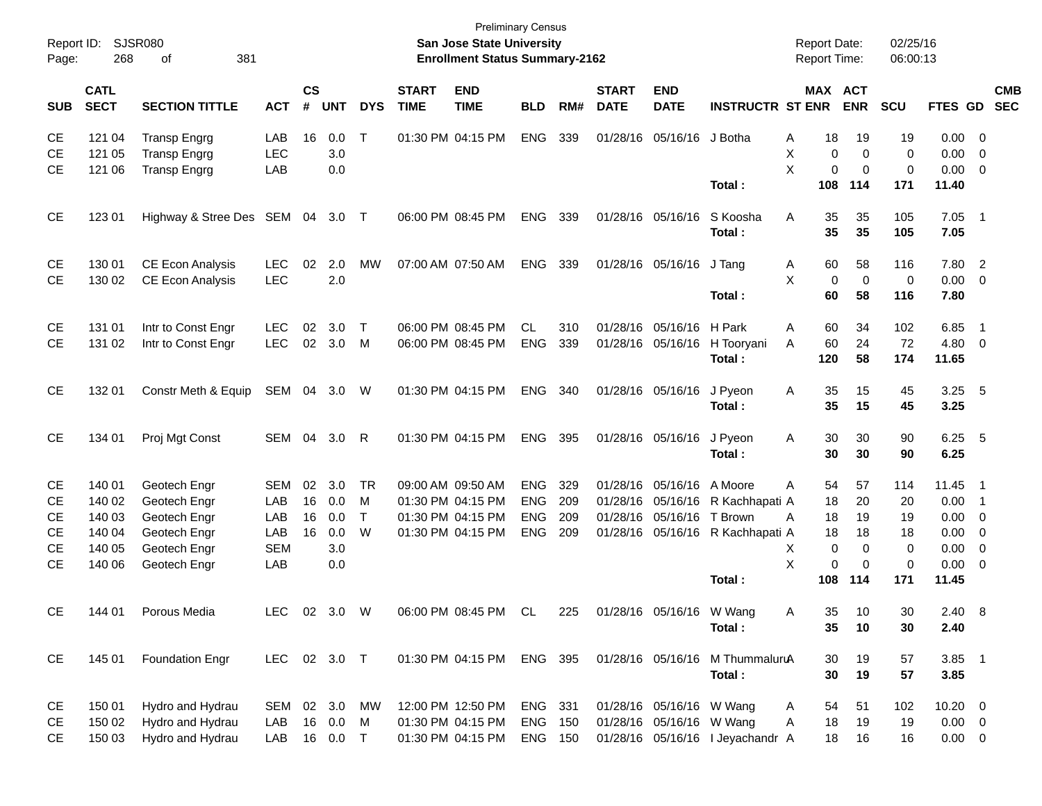| Page:                               | Report ID: SJSR080<br>268  | 381<br>οf                                                         |                          |                |                   |              |                             | <b>Preliminary Census</b><br>San Jose State University<br><b>Enrollment Status Summary-2162</b> |                |     |                             |                           |                                           | <b>Report Date:</b><br><b>Report Time:</b> |                        |                         | 02/25/16<br>06:00:13   |                        |                                                                                |            |
|-------------------------------------|----------------------------|-------------------------------------------------------------------|--------------------------|----------------|-------------------|--------------|-----------------------------|-------------------------------------------------------------------------------------------------|----------------|-----|-----------------------------|---------------------------|-------------------------------------------|--------------------------------------------|------------------------|-------------------------|------------------------|------------------------|--------------------------------------------------------------------------------|------------|
| <b>SUB</b>                          | <b>CATL</b><br><b>SECT</b> | <b>SECTION TITTLE</b>                                             | <b>ACT</b>               | <b>CS</b><br># | <b>UNT</b>        | <b>DYS</b>   | <b>START</b><br><b>TIME</b> | <b>END</b><br><b>TIME</b>                                                                       | <b>BLD</b>     | RM# | <b>START</b><br><b>DATE</b> | <b>END</b><br><b>DATE</b> | <b>INSTRUCTR ST ENR</b>                   | MAX ACT                                    |                        | <b>ENR</b>              | <b>SCU</b>             | FTES GD SEC            |                                                                                | <b>CMB</b> |
| <b>CE</b><br><b>CE</b><br><b>CE</b> | 121 04<br>121 05<br>121 06 | <b>Transp Engrg</b><br><b>Transp Engrg</b><br><b>Transp Engrg</b> | LAB<br><b>LEC</b><br>LAB | 16             | 0.0<br>3.0<br>0.0 | $\mathsf{T}$ |                             | 01:30 PM 04:15 PM                                                                               | ENG            | 339 |                             | 01/28/16 05/16/16 J Botha |                                           | Α<br>Χ<br>X                                | 18<br>$\mathbf 0$<br>0 | 19<br>0<br>0            | 19<br>0<br>$\mathbf 0$ | 0.00<br>0.00<br>0.00   | $\overline{\phantom{0}}$<br>$\overline{\mathbf{0}}$<br>$\overline{\mathbf{0}}$ |            |
|                                     |                            |                                                                   |                          |                |                   |              |                             |                                                                                                 |                |     |                             |                           | Total:                                    |                                            | 108                    | 114                     | 171                    | 11.40                  |                                                                                |            |
| <b>CE</b>                           | 123 01                     | Highway & Stree Des SEM 04 3.0 T                                  |                          |                |                   |              |                             | 06:00 PM 08:45 PM                                                                               | <b>ENG</b>     | 339 |                             | 01/28/16 05/16/16         | S Koosha<br>Total:                        | Α                                          | 35<br>35               | 35<br>35                | 105<br>105             | $7.05$ 1<br>7.05       |                                                                                |            |
| <b>CE</b><br><b>CE</b>              | 130 01<br>130 02           | <b>CE Econ Analysis</b><br><b>CE Econ Analysis</b>                | <b>LEC</b><br><b>LEC</b> | 02             | 2.0<br>2.0        | MW           |                             | 07:00 AM 07:50 AM                                                                               | <b>ENG</b>     | 339 |                             | 01/28/16 05/16/16         | J Tang<br>Total:                          | A<br>X                                     | 60<br>0<br>60          | 58<br>$\mathbf 0$<br>58 | 116<br>0<br>116        | 7.80 2<br>0.00<br>7.80 | $\overline{\phantom{0}}$                                                       |            |
| <b>CE</b>                           | 131 01                     | Intr to Const Engr                                                | <b>LEC</b>               | 02             | 3.0               | $\top$       |                             | 06:00 PM 08:45 PM                                                                               | CL             | 310 |                             | 01/28/16 05/16/16         | H Park                                    | A                                          | 60                     | 34                      | 102                    | 6.85                   | $\overline{\phantom{1}}$                                                       |            |
| <b>CE</b>                           | 131 02                     | Intr to Const Engr                                                | <b>LEC</b>               |                | 02 3.0            | M            |                             | 06:00 PM 08:45 PM                                                                               | <b>ENG</b>     | 339 |                             | 01/28/16 05/16/16         | H Tooryani<br>Total:                      | A                                          | 60<br>120              | 24<br>58                | 72<br>174              | 4.80<br>11.65          | $\overline{\mathbf{0}}$                                                        |            |
| <b>CE</b>                           | 132 01                     | Constr Meth & Equip                                               | SEM 04 3.0               |                |                   | W            |                             | 01:30 PM 04:15 PM                                                                               | ENG            | 340 |                             | 01/28/16 05/16/16         | J Pyeon<br>Total:                         | A                                          | 35<br>35               | 15<br>15                | 45<br>45               | $3.25$ 5<br>3.25       |                                                                                |            |
| <b>CE</b>                           | 134 01                     | Proj Mgt Const                                                    | SEM                      |                | 04 3.0            | -R           |                             | 01:30 PM 04:15 PM                                                                               | <b>ENG</b>     | 395 |                             | 01/28/16 05/16/16         | J Pyeon<br>Total:                         | A                                          | 30<br>30               | 30<br>30                | 90<br>90               | $6.25$ 5<br>6.25       |                                                                                |            |
| <b>CE</b>                           | 140 01                     | Geotech Engr                                                      | <b>SEM</b>               | 02             | 3.0               | <b>TR</b>    |                             | 09:00 AM 09:50 AM                                                                               | <b>ENG</b>     | 329 |                             | 01/28/16 05/16/16         | A Moore                                   | A                                          | 54                     | 57                      | 114                    | 11.45 1                |                                                                                |            |
| <b>CE</b>                           | 140 02                     | Geotech Engr                                                      | LAB                      | 16             | 0.0               | M            |                             | 01:30 PM 04:15 PM                                                                               | <b>ENG</b>     | 209 |                             |                           | 01/28/16 05/16/16 R Kachhapati A          |                                            | 18                     | 20                      | 20                     | 0.00                   | - 1                                                                            |            |
| СE                                  | 140 03                     | Geotech Engr                                                      | LAB                      | 16             | 0.0               | $\mathsf{T}$ |                             | 01:30 PM 04:15 PM                                                                               | <b>ENG</b>     | 209 |                             | 01/28/16 05/16/16         | T Brown                                   | A                                          | 18                     | 19                      | 19                     | 0.00                   | $\overline{\mathbf{0}}$                                                        |            |
| СE                                  | 140 04                     | Geotech Engr                                                      | LAB                      | 16             | 0.0               | W            |                             | 01:30 PM 04:15 PM                                                                               | <b>ENG</b>     | 209 |                             |                           | 01/28/16 05/16/16 R Kachhapati A          |                                            | 18                     | 18                      | 18                     | 0.00                   | $\overline{\mathbf{0}}$                                                        |            |
| <b>CE</b>                           | 140 05                     | Geotech Engr                                                      | <b>SEM</b>               |                | 3.0               |              |                             |                                                                                                 |                |     |                             |                           |                                           | Х                                          | 0                      | 0                       | 0                      | 0.00                   | 0                                                                              |            |
| <b>CE</b>                           | 140 06                     | Geotech Engr                                                      | LAB                      |                | 0.0               |              |                             |                                                                                                 |                |     |                             |                           | Total:                                    | X                                          | $\mathbf 0$<br>108     | $\mathbf 0$<br>114      | $\mathbf 0$<br>171     | 0.00<br>11.45          | $\overline{\mathbf{0}}$                                                        |            |
| <b>CE</b>                           | 144 01                     | Porous Media                                                      | LEC                      |                | 02 3.0            | W            |                             | 06:00 PM 08:45 PM                                                                               | CL             | 225 |                             | 01/28/16 05/16/16 W Wang  | Total:                                    | A                                          | 35<br>35               | 10<br>10                | 30<br>30               | $2.40\quad 8$<br>2.40  |                                                                                |            |
| CE                                  | 145 01                     | <b>Foundation Engr</b>                                            | LEC 02 3.0 T             |                |                   |              |                             | 01:30 PM 04:15 PM ENG 395                                                                       |                |     |                             |                           | 01/28/16 05/16/16 M ThummaluruA<br>Total: |                                            | 30<br>30               | 19<br>19                | 57<br>57               | $3.85$ 1<br>3.85       |                                                                                |            |
| CE                                  | 150 01                     | Hydro and Hydrau                                                  | SEM                      |                | 02 3.0            | MW           |                             | 12:00 PM 12:50 PM                                                                               | ENG 331        |     |                             | 01/28/16 05/16/16 W Wang  |                                           | A                                          | 54                     | 51                      | 102                    | $10.20 \t 0$           |                                                                                |            |
| CE                                  | 150 02                     | Hydro and Hydrau                                                  | LAB                      |                | 16 0.0            | M            |                             | 01:30 PM 04:15 PM                                                                               | <b>ENG 150</b> |     |                             | 01/28/16 05/16/16 W Wang  |                                           | Α                                          | 18                     | 19                      | 19                     | $0.00 \t 0$            |                                                                                |            |
| <b>CE</b>                           | 150 03                     | Hydro and Hydrau                                                  | LAB                      |                | 16  0.0  T        |              |                             | 01:30 PM 04:15 PM                                                                               | ENG 150        |     |                             |                           | 01/28/16 05/16/16 I Jeyachandr A          |                                            | 18                     | 16                      | 16                     | $0.00 \t 0$            |                                                                                |            |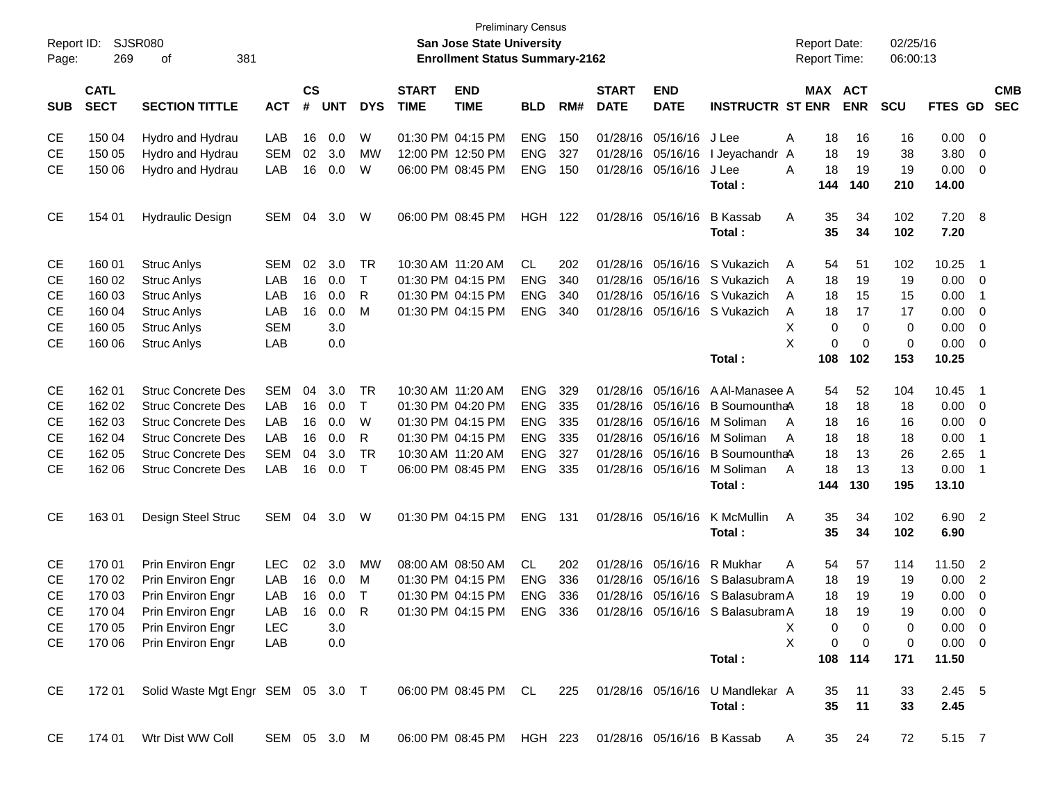| <b>CS</b><br>MAX ACT<br><b>CATL</b><br><b>START</b><br><b>END</b><br><b>START</b><br><b>END</b><br><b>SECT</b><br>#<br><b>SECTION TITTLE</b><br><b>UNT</b><br><b>DYS</b><br><b>TIME</b><br><b>BLD</b><br>RM#<br><b>DATE</b><br><b>DATE</b><br><b>INSTRUCTR ST ENR</b><br><b>ENR</b><br><b>SCU</b><br><b>SUB</b><br><b>ACT</b><br><b>TIME</b><br>W<br>01:30 PM 04:15 PM<br><b>ENG</b><br>150<br>01/28/16<br>05/16/16<br>0.00<br><b>CE</b><br>150 04<br>Hydro and Hydrau<br>LAB<br>16<br>0.0<br>J Lee<br>Α<br>18<br>16<br>16<br><b>CE</b><br>150 05<br>Hydro and Hydrau<br><b>SEM</b><br>02<br>3.0<br>12:00 PM 12:50 PM<br><b>ENG</b><br>327<br>01/28/16<br>05/16/16<br>18<br>19<br>38<br>3.80<br>МW<br>I Jeyachandr<br>A<br><b>CE</b><br>150 06<br>LAB<br>16<br>0.0<br>W<br>06:00 PM 08:45 PM<br><b>ENG</b><br>150<br>01/28/16 05/16/16<br>A<br>18<br>19<br>19<br>0.00<br>Hydro and Hydrau<br>J Lee<br>Total:<br>144<br>140<br>210<br>14.00 | <b>CMB</b><br>FTES GD SEC<br>0<br>$\overline{0}$<br>$\overline{0}$ |
|--------------------------------------------------------------------------------------------------------------------------------------------------------------------------------------------------------------------------------------------------------------------------------------------------------------------------------------------------------------------------------------------------------------------------------------------------------------------------------------------------------------------------------------------------------------------------------------------------------------------------------------------------------------------------------------------------------------------------------------------------------------------------------------------------------------------------------------------------------------------------------------------------------------------------------------------|--------------------------------------------------------------------|
|                                                                                                                                                                                                                                                                                                                                                                                                                                                                                                                                                                                                                                                                                                                                                                                                                                                                                                                                            |                                                                    |
|                                                                                                                                                                                                                                                                                                                                                                                                                                                                                                                                                                                                                                                                                                                                                                                                                                                                                                                                            |                                                                    |
|                                                                                                                                                                                                                                                                                                                                                                                                                                                                                                                                                                                                                                                                                                                                                                                                                                                                                                                                            |                                                                    |
|                                                                                                                                                                                                                                                                                                                                                                                                                                                                                                                                                                                                                                                                                                                                                                                                                                                                                                                                            |                                                                    |
|                                                                                                                                                                                                                                                                                                                                                                                                                                                                                                                                                                                                                                                                                                                                                                                                                                                                                                                                            |                                                                    |
| <b>CE</b><br>06:00 PM 08:45 PM<br>122<br>35<br>34<br>102<br>7.20<br>154 01<br><b>Hydraulic Design</b><br>SEM<br>04<br>3.0<br>W<br>HGH<br>01/28/16 05/16/16<br><b>B</b> Kassab<br>Α                                                                                                                                                                                                                                                                                                                                                                                                                                                                                                                                                                                                                                                                                                                                                         | 8                                                                  |
| 35<br>34<br>102<br>7.20<br>Total:                                                                                                                                                                                                                                                                                                                                                                                                                                                                                                                                                                                                                                                                                                                                                                                                                                                                                                          |                                                                    |
| 3.0<br><b>TR</b><br>10:30 AM 11:20 AM<br><b>CL</b><br>S Vukazich<br>10.25<br><b>CE</b><br>160 01<br><b>Struc Anlys</b><br>SEM<br>02<br>202<br>01/28/16<br>05/16/16<br>54<br>51<br>102<br>A                                                                                                                                                                                                                                                                                                                                                                                                                                                                                                                                                                                                                                                                                                                                                 | - 1                                                                |
| $\mathsf{T}$<br><b>CE</b><br>160 02<br>LAB<br>16<br>0.0<br>01:30 PM 04:15 PM<br><b>ENG</b><br>340<br>01/28/16<br>05/16/16<br>S Vukazich<br>18<br>19<br>0.00<br><b>Struc Anlys</b><br>19<br>A                                                                                                                                                                                                                                                                                                                                                                                                                                                                                                                                                                                                                                                                                                                                               | 0                                                                  |
| $\mathsf{R}$<br>LAB<br>16<br>0.0<br>01:30 PM 04:15 PM<br><b>ENG</b><br>340<br>01/28/16<br>05/16/16<br>S Vukazich<br>15<br>0.00<br><b>CE</b><br>160 03<br><b>Struc Anlys</b><br>Α<br>18<br>15                                                                                                                                                                                                                                                                                                                                                                                                                                                                                                                                                                                                                                                                                                                                               | -1                                                                 |
| M<br><b>CE</b><br>160 04<br>LAB<br>16<br>0.0<br>01:30 PM 04:15 PM<br><b>ENG</b><br>340<br>01/28/16 05/16/16 S Vukazich<br>18<br>17<br>0.00<br><b>Struc Anlys</b><br>Α<br>17                                                                                                                                                                                                                                                                                                                                                                                                                                                                                                                                                                                                                                                                                                                                                                | 0                                                                  |
| <b>CE</b><br><b>SEM</b><br>3.0<br>X<br>$\mathbf 0$<br>0<br>0.00<br>160 05<br><b>Struc Anlys</b><br>0                                                                                                                                                                                                                                                                                                                                                                                                                                                                                                                                                                                                                                                                                                                                                                                                                                       | 0                                                                  |
| X<br><b>CE</b><br>160 06<br>LAB<br>0.0<br>0<br>$\mathbf 0$<br>$\mathbf 0$<br>0.00<br><b>Struc Anlys</b>                                                                                                                                                                                                                                                                                                                                                                                                                                                                                                                                                                                                                                                                                                                                                                                                                                    | $\overline{0}$                                                     |
| Total:<br>108<br>102<br>153<br>10.25                                                                                                                                                                                                                                                                                                                                                                                                                                                                                                                                                                                                                                                                                                                                                                                                                                                                                                       |                                                                    |
| 162 01<br><b>Struc Concrete Des</b><br>3.0<br><b>TR</b><br>10:30 AM 11:20 AM<br><b>ENG</b><br>329<br>05/16/16<br>10.45<br><b>CE</b><br>SEM<br>04<br>01/28/16<br>A Al-Manasee A<br>54<br>52<br>104                                                                                                                                                                                                                                                                                                                                                                                                                                                                                                                                                                                                                                                                                                                                          | - 1                                                                |
| $\mathsf{T}$<br><b>CE</b><br>162 02<br><b>Struc Concrete Des</b><br>LAB<br>16<br>0.0<br>01:30 PM 04:20 PM<br><b>ENG</b><br>335<br>01/28/16<br>05/16/16<br>B SoumounthaA<br>18<br>18<br>0.00<br>18                                                                                                                                                                                                                                                                                                                                                                                                                                                                                                                                                                                                                                                                                                                                          | 0                                                                  |
| <b>CE</b><br>162 03<br><b>Struc Concrete Des</b><br>LAB<br>16<br>0.0<br>W<br>01:30 PM 04:15 PM<br><b>ENG</b><br>335<br>01/28/16<br>05/16/16<br>18<br>0.00<br>M Soliman<br>16<br>16<br>A                                                                                                                                                                                                                                                                                                                                                                                                                                                                                                                                                                                                                                                                                                                                                    | 0                                                                  |
| $\mathsf{R}$<br><b>CE</b><br>162 04<br><b>Struc Concrete Des</b><br>LAB<br>16<br>0.0<br>01:30 PM 04:15 PM<br><b>ENG</b><br>335<br>01/28/16<br>05/16/16 M Soliman<br>18<br>0.00<br>A<br>18<br>18                                                                                                                                                                                                                                                                                                                                                                                                                                                                                                                                                                                                                                                                                                                                            | -1                                                                 |
| <b>TR</b><br><b>CE</b><br>162 05<br><b>Struc Concrete Des</b><br><b>SEM</b><br>3.0<br><b>ENG</b><br>327<br>01/28/16<br>05/16/16<br>B SoumounthaA<br>18<br>13<br>2.65<br>04<br>10:30 AM 11:20 AM<br>26                                                                                                                                                                                                                                                                                                                                                                                                                                                                                                                                                                                                                                                                                                                                      | $\overline{1}$                                                     |
| $\top$<br>18<br><b>CE</b><br>162 06<br><b>Struc Concrete Des</b><br>LAB<br>16<br>0.0<br>06:00 PM 08:45 PM<br><b>ENG</b><br>335<br>M Soliman<br>13<br>13<br>0.00<br>01/28/16 05/16/16<br>A                                                                                                                                                                                                                                                                                                                                                                                                                                                                                                                                                                                                                                                                                                                                                  | $\overline{\phantom{0}}$                                           |
| 144<br>130<br>195<br>13.10<br>Total:                                                                                                                                                                                                                                                                                                                                                                                                                                                                                                                                                                                                                                                                                                                                                                                                                                                                                                       |                                                                    |
| <b>CE</b><br>Design Steel Struc<br><b>SEM</b><br>01:30 PM 04:15 PM<br><b>ENG</b><br>131<br>35<br>34<br>102<br>6.90 2<br>16301<br>04<br>3.0<br>W<br>01/28/16 05/16/16<br>K McMullin<br>A                                                                                                                                                                                                                                                                                                                                                                                                                                                                                                                                                                                                                                                                                                                                                    |                                                                    |
| 35<br>34<br>102<br>6.90<br>Total:                                                                                                                                                                                                                                                                                                                                                                                                                                                                                                                                                                                                                                                                                                                                                                                                                                                                                                          |                                                                    |
| Prin Environ Engr<br>3.0<br>08:00 AM 08:50 AM<br><b>CL</b><br>R Mukhar<br>11.50<br><b>CE</b><br>170 01<br><b>LEC</b><br>02<br>МW<br>202<br>01/28/16<br>05/16/16<br>54<br>57<br>114<br>A                                                                                                                                                                                                                                                                                                                                                                                                                                                                                                                                                                                                                                                                                                                                                    | $\overline{2}$                                                     |
| 170 02<br>Prin Environ Engr<br>LAB<br>01:30 PM 04:15 PM<br><b>ENG</b><br>336<br>S Balasubram A<br>18<br>19<br>0.00<br>СE<br>16<br>0.0<br>м<br>01/28/16<br>05/16/16<br>19                                                                                                                                                                                                                                                                                                                                                                                                                                                                                                                                                                                                                                                                                                                                                                   | $\overline{2}$                                                     |
| <b>CE</b><br>LAB<br>$\top$<br>336<br>18<br>19<br>0.00<br>170 03<br>Prin Environ Engr<br>16<br>0.0<br>01:30 PM 04:15 PM<br><b>ENG</b><br>01/28/16 05/16/16 S Balasubram A<br>19                                                                                                                                                                                                                                                                                                                                                                                                                                                                                                                                                                                                                                                                                                                                                             | $\mathbf 0$                                                        |
| <b>CE</b><br>170 04<br>Prin Environ Engr<br>LAB<br>16<br>$0.0$ R<br>01:30 PM 04:15 PM ENG 336 01/28/16 05/16/16 S Balasubram A<br>0.00<br>18<br>19<br>19                                                                                                                                                                                                                                                                                                                                                                                                                                                                                                                                                                                                                                                                                                                                                                                   | $\overline{\mathbf{0}}$                                            |
| Prin Environ Engr<br>CE<br>170 05<br><b>LEC</b><br>3.0<br>$0.00 \t 0$<br>X<br>0<br>0<br>0                                                                                                                                                                                                                                                                                                                                                                                                                                                                                                                                                                                                                                                                                                                                                                                                                                                  |                                                                    |
| X<br>$\pmb{0}$<br>$0.00 \t 0$<br><b>CE</b><br>170 06<br>Prin Environ Engr<br>LAB<br>0.0<br>0<br>0                                                                                                                                                                                                                                                                                                                                                                                                                                                                                                                                                                                                                                                                                                                                                                                                                                          |                                                                    |
| Total:<br>108 114<br>171<br>11.50                                                                                                                                                                                                                                                                                                                                                                                                                                                                                                                                                                                                                                                                                                                                                                                                                                                                                                          |                                                                    |
| CE<br>Solid Waste Mgt Engr SEM 05 3.0 T<br>06:00 PM 08:45 PM CL<br>01/28/16 05/16/16<br>U Mandlekar A<br>$2.45$ 5<br>172 01<br>225<br>35<br>11<br>33                                                                                                                                                                                                                                                                                                                                                                                                                                                                                                                                                                                                                                                                                                                                                                                       |                                                                    |
| 35<br>11<br>33<br>2.45<br>Total:                                                                                                                                                                                                                                                                                                                                                                                                                                                                                                                                                                                                                                                                                                                                                                                                                                                                                                           |                                                                    |
| Wtr Dist WW Coll<br>SEM 05 3.0 M<br>06:00 PM 08:45 PM HGH 223 01/28/16 05/16/16 B Kassab<br>35<br>72<br>5.15 7<br>CE<br>174 01<br>24<br>A                                                                                                                                                                                                                                                                                                                                                                                                                                                                                                                                                                                                                                                                                                                                                                                                  |                                                                    |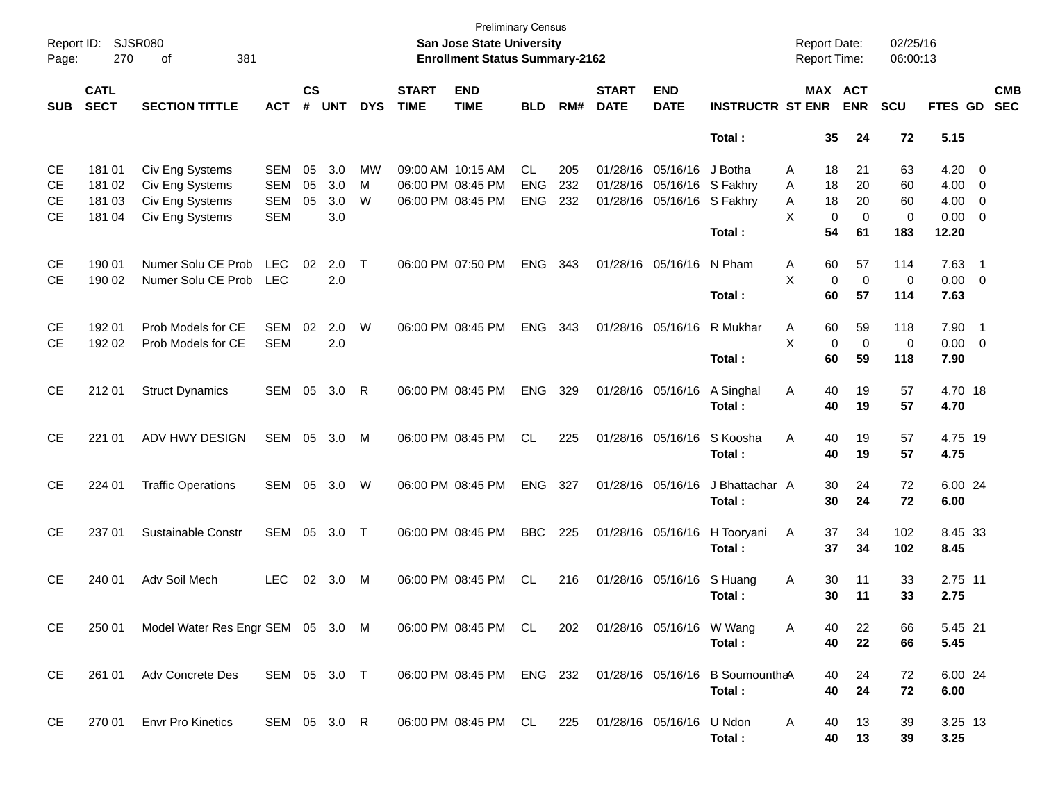| Report ID:<br>Page:                              | 270                                  | SJSR080<br>381<br>оf                                                     |                                                      |                    |                          |              |                             | <b>Preliminary Census</b><br><b>San Jose State University</b><br><b>Enrollment Status Summary-2162</b> |                                       |                   |                             |                                           |                                            | <b>Report Date:</b><br>Report Time: |                                    | 02/25/16<br>06:00:13   |                               |                                                                  |  |
|--------------------------------------------------|--------------------------------------|--------------------------------------------------------------------------|------------------------------------------------------|--------------------|--------------------------|--------------|-----------------------------|--------------------------------------------------------------------------------------------------------|---------------------------------------|-------------------|-----------------------------|-------------------------------------------|--------------------------------------------|-------------------------------------|------------------------------------|------------------------|-------------------------------|------------------------------------------------------------------|--|
| <b>SUB</b>                                       | <b>CATL</b><br><b>SECT</b>           | <b>SECTION TITTLE</b>                                                    | <b>ACT</b>                                           | $\mathsf{cs}$<br># | <b>UNT</b>               | <b>DYS</b>   | <b>START</b><br><b>TIME</b> | <b>END</b><br><b>TIME</b>                                                                              | <b>BLD</b>                            | RM#               | <b>START</b><br><b>DATE</b> | <b>END</b><br><b>DATE</b>                 | <b>INSTRUCTR ST ENR</b>                    |                                     | MAX ACT<br><b>ENR</b>              | SCU                    | FTES GD                       | <b>CMB</b><br><b>SEC</b>                                         |  |
|                                                  |                                      |                                                                          |                                                      |                    |                          |              |                             |                                                                                                        |                                       |                   |                             |                                           | Total:                                     | 35                                  | 24                                 | 72                     | 5.15                          |                                                                  |  |
| <b>CE</b><br><b>CE</b><br><b>CE</b><br><b>CE</b> | 181 01<br>181 02<br>181 03<br>181 04 | Civ Eng Systems<br>Civ Eng Systems<br>Civ Eng Systems<br>Civ Eng Systems | <b>SEM</b><br><b>SEM</b><br><b>SEM</b><br><b>SEM</b> | 05<br>05<br>05     | 3.0<br>3.0<br>3.0<br>3.0 | МW<br>M<br>W |                             | 09:00 AM 10:15 AM<br>06:00 PM 08:45 PM<br>06:00 PM 08:45 PM                                            | <b>CL</b><br><b>ENG</b><br><b>ENG</b> | 205<br>232<br>232 | 01/28/16<br>01/28/16        | 01/28/16 05/16/16<br>05/16/16<br>05/16/16 | J Botha<br>S Fakhry<br>S Fakhry            | 18<br>A<br>18<br>A<br>18<br>Α<br>X  | 21<br>20<br>20<br>0<br>$\mathbf 0$ | 63<br>60<br>60<br>0    | 4.20<br>4.00<br>4.00<br>0.00  | $\overline{\mathbf{0}}$<br>0<br>$\overline{0}$<br>$\overline{0}$ |  |
| <b>CE</b><br><b>CE</b>                           | 190 01<br>190 02                     | Numer Solu CE Prob<br>Numer Solu CE Prob                                 | <b>LEC</b><br><b>LEC</b>                             | 02                 | 2.0<br>2.0               | $\top$       |                             | 06:00 PM 07:50 PM                                                                                      | <b>ENG</b>                            | 343               |                             | 01/28/16 05/16/16                         | Total:<br>N Pham<br>Total:                 | 54<br>Α<br>60<br>X<br>60            | 61<br>57<br>$\mathbf 0$<br>0<br>57 | 183<br>114<br>0<br>114 | 12.20<br>7.63<br>0.00<br>7.63 | $\overline{1}$<br>$\overline{0}$                                 |  |
| <b>CE</b><br><b>CE</b>                           | 192 01<br>192 02                     | Prob Models for CE<br>Prob Models for CE                                 | <b>SEM</b><br><b>SEM</b>                             | 02                 | 2.0<br>2.0               | W            |                             | 06:00 PM 08:45 PM                                                                                      | <b>ENG</b>                            | 343               |                             | 01/28/16 05/16/16                         | R Mukhar<br>Total:                         | 60<br>Α<br>X<br>60                  | 59<br>$\mathbf 0$<br>0<br>59       | 118<br>0<br>118        | 7.90<br>0.00<br>7.90          | $\overline{1}$<br>$\overline{\mathbf{0}}$                        |  |
| <b>CE</b>                                        | 212 01                               | <b>Struct Dynamics</b>                                                   | SEM                                                  | 05                 | 3.0                      | R            |                             | 06:00 PM 08:45 PM                                                                                      | <b>ENG</b>                            | 329               |                             | 01/28/16 05/16/16                         | A Singhal<br>Total:                        | 40<br>Α<br>40                       | 19<br>19                           | 57<br>57               | 4.70 18<br>4.70               |                                                                  |  |
| <b>CE</b>                                        | 221 01                               | ADV HWY DESIGN                                                           | SEM                                                  | 05                 | 3.0                      | M            |                             | 06:00 PM 08:45 PM                                                                                      | <b>CL</b>                             | 225               |                             | 01/28/16 05/16/16                         | S Koosha<br>Total:                         | A<br>40<br>40                       | 19<br>19                           | 57<br>57               | 4.75 19<br>4.75               |                                                                  |  |
| <b>CE</b>                                        | 224 01                               | <b>Traffic Operations</b>                                                | SEM                                                  | 05                 | 3.0                      | W            |                             | 06:00 PM 08:45 PM                                                                                      | <b>ENG</b>                            | 327               |                             | 01/28/16 05/16/16                         | J Bhattachar A<br>Total:                   | 30<br>30                            | 24<br>24                           | 72<br>72               | 6.00 24<br>6.00               |                                                                  |  |
| <b>CE</b>                                        | 237 01                               | Sustainable Constr                                                       | SEM                                                  | 05                 | 3.0                      | $\top$       |                             | 06:00 PM 08:45 PM                                                                                      | <b>BBC</b>                            | 225               |                             | 01/28/16 05/16/16                         | H Tooryani<br>Total:                       | 37<br>Α<br>37                       | 34<br>34                           | 102<br>102             | 8.45 33<br>8.45               |                                                                  |  |
| <b>CE</b>                                        | 240 01                               | Adv Soil Mech                                                            | <b>LEC</b>                                           | 02                 | 3.0                      | M            | 06:00 PM 08:45 PM           |                                                                                                        | <b>CL</b>                             | 216               |                             | 01/28/16 05/16/16                         | S Huang<br>Total:                          | 30<br>Α<br>30                       | 11<br>11                           | 33<br>33               | 2.75 11<br>2.75               |                                                                  |  |
| CE                                               | 250 01                               | Model Water Res Engr SEM 05 3.0 M                                        |                                                      |                    |                          |              |                             | 06:00 PM 08:45 PM CL                                                                                   |                                       | 202               |                             | 01/28/16 05/16/16 W Wang                  | Total:                                     | 40<br>A<br>40                       | 22<br>22                           | 66<br>66               | 5.45 21<br>5.45               |                                                                  |  |
| CE                                               |                                      | 261 01 Adv Concrete Des                                                  | SEM 05 3.0 T                                         |                    |                          |              |                             | 06:00 PM 08:45 PM ENG 232                                                                              |                                       |                   |                             |                                           | 01/28/16 05/16/16 B Soumountha A<br>Total: | 40<br>40                            | 24<br>24                           | 72<br>72               | 6.00 24<br>6.00               |                                                                  |  |
| CE                                               |                                      | 270 01 Envr Pro Kinetics                                                 | SEM 05 3.0 R                                         |                    |                          |              |                             | 06:00 PM 08:45 PM CL                                                                                   |                                       | 225               | 01/28/16 05/16/16 U Ndon    |                                           | Total:                                     | A<br>40<br>40                       | 13<br>13                           | 39<br>39               | 3.25 13<br>3.25               |                                                                  |  |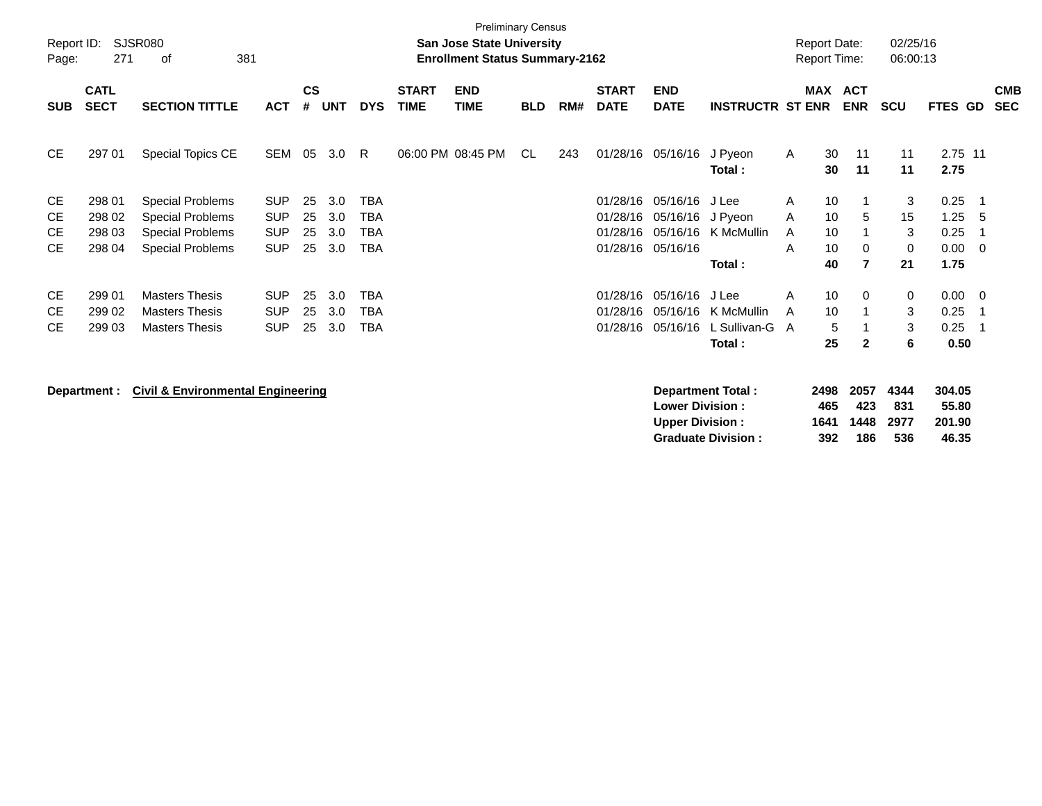| Report ID:<br>Page: | 271                        | SJSR080<br>381<br>οf                         |            |                    |            |            |                             | <b>Preliminary Census</b><br><b>San Jose State University</b><br><b>Enrollment Status Summary-2162</b> |            |     |                             |                                                  |                                                       |              | <b>Report Date:</b><br><b>Report Time:</b> |                            | 02/25/16<br>06:00:13       |                                    |                |                          |
|---------------------|----------------------------|----------------------------------------------|------------|--------------------|------------|------------|-----------------------------|--------------------------------------------------------------------------------------------------------|------------|-----|-----------------------------|--------------------------------------------------|-------------------------------------------------------|--------------|--------------------------------------------|----------------------------|----------------------------|------------------------------------|----------------|--------------------------|
| <b>SUB</b>          | <b>CATL</b><br><b>SECT</b> | <b>SECTION TITTLE</b>                        | <b>ACT</b> | $\mathsf{cs}$<br># | <b>UNT</b> | <b>DYS</b> | <b>START</b><br><b>TIME</b> | <b>END</b><br><b>TIME</b>                                                                              | <b>BLD</b> | RM# | <b>START</b><br><b>DATE</b> | <b>END</b><br><b>DATE</b>                        | <b>INSTRUCTR ST ENR</b>                               |              | <b>MAX ACT</b>                             | <b>ENR</b>                 | <b>SCU</b>                 | FTES GD                            |                | <b>CMB</b><br><b>SEC</b> |
| CE.                 | 297 01                     | Special Topics CE                            | SEM        | 05                 | 3.0        | R.         |                             | 06:00 PM 08:45 PM                                                                                      | CL         | 243 |                             | 01/28/16 05/16/16                                | J Pyeon<br>Total:                                     | $\mathsf{A}$ | 30<br>30                                   | 11<br>11                   | 11<br>11                   | 2.75 11<br>2.75                    |                |                          |
| CE                  | 298 01                     | <b>Special Problems</b>                      | <b>SUP</b> | 25                 | 3.0        | <b>TBA</b> |                             |                                                                                                        |            |     | 01/28/16                    | 05/16/16                                         | J Lee                                                 | A            | 10                                         |                            | 3                          | 0.25                               | - 1            |                          |
| <b>CE</b>           | 298 02                     | <b>Special Problems</b>                      | <b>SUP</b> | 25                 | 3.0        | <b>TBA</b> |                             |                                                                                                        |            |     | 01/28/16                    | 05/16/16                                         | J Pyeon                                               | A            | 10                                         | 5                          | 15                         | 1.25                               | -5             |                          |
| <b>CE</b>           | 298 03                     | <b>Special Problems</b>                      | <b>SUP</b> | 25                 | 3.0        | <b>TBA</b> |                             |                                                                                                        |            |     | 01/28/16                    | 05/16/16                                         | K McMullin                                            | A            | 10                                         |                            | 3                          | 0.25                               | -1             |                          |
| <b>CE</b>           | 298 04                     | <b>Special Problems</b>                      | <b>SUP</b> | 25                 | 3.0        | <b>TBA</b> |                             |                                                                                                        |            |     | 01/28/16                    | 05/16/16                                         |                                                       | A            | 10                                         | 0                          | 0                          | 0.00                               | $\overline{0}$ |                          |
|                     |                            |                                              |            |                    |            |            |                             |                                                                                                        |            |     |                             |                                                  | Total:                                                |              | 40                                         | $\overline{7}$             | 21                         | 1.75                               |                |                          |
| <b>CE</b>           | 299 01                     | <b>Masters Thesis</b>                        | <b>SUP</b> | 25                 | 3.0        | <b>TBA</b> |                             |                                                                                                        |            |     | 01/28/16                    | 05/16/16                                         | J Lee                                                 | A            | 10                                         | 0                          | 0                          | 0.00                               | - 0            |                          |
| <b>CE</b>           | 299 02                     | <b>Masters Thesis</b>                        | <b>SUP</b> | 25                 | 3.0        | <b>TBA</b> |                             |                                                                                                        |            |     | 01/28/16                    | 05/16/16                                         | K McMullin                                            | A            | 10                                         |                            | 3                          | 0.25                               | -1             |                          |
| <b>CE</b>           | 299 03                     | <b>Masters Thesis</b>                        | <b>SUP</b> | 25                 | 3.0        | <b>TBA</b> |                             |                                                                                                        |            |     | 01/28/16                    | 05/16/16                                         | L Sullivan-G                                          | A            | 5                                          |                            | 3                          | 0.25                               | -1             |                          |
|                     |                            |                                              |            |                    |            |            |                             |                                                                                                        |            |     |                             |                                                  | Total:                                                |              | 25                                         | $\overline{2}$             | 6                          | 0.50                               |                |                          |
|                     | Department :               | <b>Civil &amp; Environmental Engineering</b> |            |                    |            |            |                             |                                                                                                        |            |     |                             | <b>Lower Division:</b><br><b>Upper Division:</b> | <b>Department Total:</b><br><b>Graduate Division:</b> |              | 2498<br>465<br>1641<br>392                 | 2057<br>423<br>1448<br>186 | 4344<br>831<br>2977<br>536 | 304.05<br>55.80<br>201.90<br>46.35 |                |                          |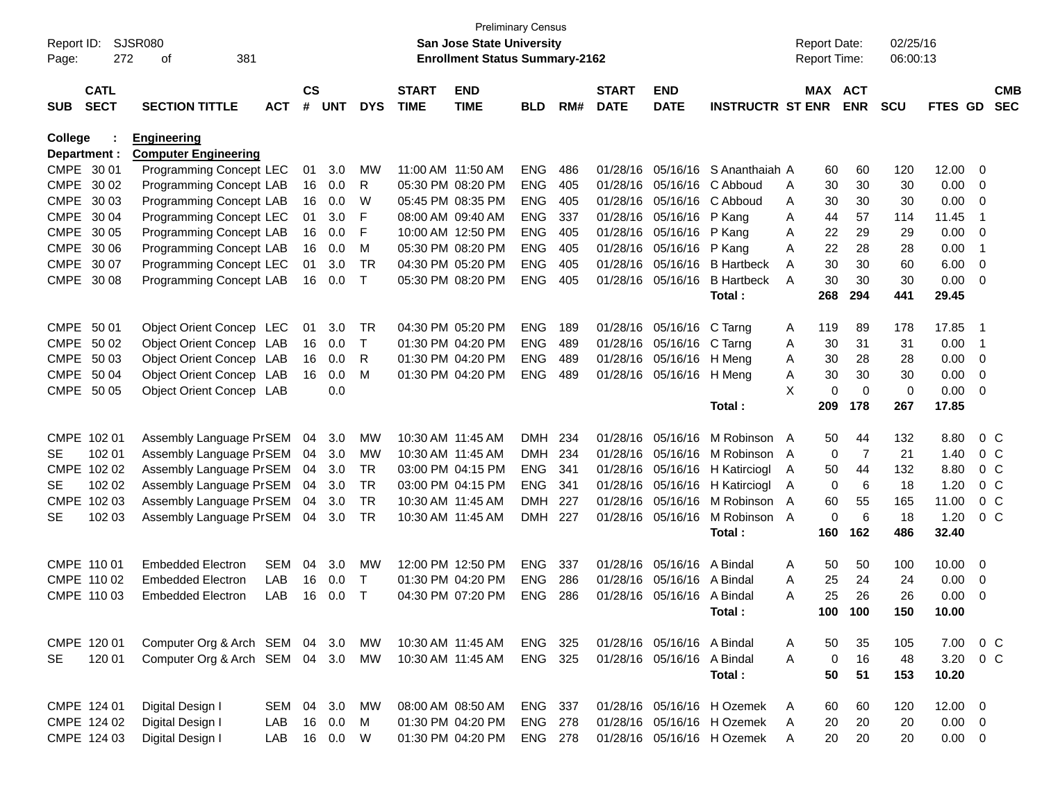| Report ID:     |              | <b>SJSR080</b>                 |            |               |            |            |                   | <b>Preliminary Census</b><br><b>San Jose State University</b> |            |     |              |                            |                            |   | <b>Report Date:</b> |             | 02/25/16   |                |                          |            |
|----------------|--------------|--------------------------------|------------|---------------|------------|------------|-------------------|---------------------------------------------------------------|------------|-----|--------------|----------------------------|----------------------------|---|---------------------|-------------|------------|----------------|--------------------------|------------|
| Page:          | 272          | 381<br>of                      |            |               |            |            |                   | <b>Enrollment Status Summary-2162</b>                         |            |     |              |                            |                            |   | Report Time:        |             | 06:00:13   |                |                          |            |
|                | <b>CATL</b>  |                                |            | $\mathsf{cs}$ |            |            | <b>START</b>      | <b>END</b>                                                    |            |     | <b>START</b> | <b>END</b>                 |                            |   | MAX ACT             |             |            |                |                          | <b>CMB</b> |
| <b>SUB</b>     | <b>SECT</b>  | <b>SECTION TITTLE</b>          | <b>ACT</b> | #             | <b>UNT</b> | <b>DYS</b> | <b>TIME</b>       | <b>TIME</b>                                                   | <b>BLD</b> | RM# | <b>DATE</b>  | <b>DATE</b>                | <b>INSTRUCTR ST ENR</b>    |   |                     | <b>ENR</b>  | <b>SCU</b> | <b>FTES GD</b> |                          | <b>SEC</b> |
| <b>College</b> |              | <b>Engineering</b>             |            |               |            |            |                   |                                                               |            |     |              |                            |                            |   |                     |             |            |                |                          |            |
|                | Department : | <b>Computer Engineering</b>    |            |               |            |            |                   |                                                               |            |     |              |                            |                            |   |                     |             |            |                |                          |            |
| CMPE 30 01     |              | Programming Concept LEC        |            | 01            | 3.0        | MW         | 11:00 AM 11:50 AM |                                                               | <b>ENG</b> | 486 | 01/28/16     | 05/16/16                   | S Ananthaiah A             |   | 60                  | 60          | 120        | 12.00          | 0                        |            |
|                | CMPE 30 02   | Programming Concept LAB        |            | 16            | 0.0        | R          |                   | 05:30 PM 08:20 PM                                             | <b>ENG</b> | 405 | 01/28/16     | 05/16/16                   | C Abboud                   | A | 30                  | 30          | 30         | 0.00           | 0                        |            |
|                | CMPE 30 03   | Programming Concept LAB        |            | 16            | 0.0        | W          |                   | 05:45 PM 08:35 PM                                             | <b>ENG</b> | 405 | 01/28/16     | 05/16/16                   | C Abboud                   | Α | 30                  | 30          | 30         | 0.00           | 0                        |            |
|                | CMPE 30 04   | Programming Concept LEC        |            | 01            | 3.0        | F          | 08:00 AM 09:40 AM |                                                               | <b>ENG</b> | 337 | 01/28/16     | 05/16/16                   | P Kang                     | Α | 44                  | 57          | 114        | 11.45          | $\overline{1}$           |            |
|                | CMPE 30 05   | Programming Concept LAB        |            | 16            | 0.0        | F          |                   | 10:00 AM 12:50 PM                                             | <b>ENG</b> | 405 | 01/28/16     | 05/16/16                   | P Kang                     | Α | 22                  | 29          | 29         | 0.00           | 0                        |            |
|                | CMPE 30 06   | Programming Concept LAB        |            | 16            | 0.0        | M          |                   | 05:30 PM 08:20 PM                                             | <b>ENG</b> | 405 | 01/28/16     | 05/16/16                   | P Kang                     | Α | 22                  | 28          | 28         | 0.00           | -1                       |            |
|                | CMPE 30 07   | Programming Concept LEC        |            | 01            | 3.0        | <b>TR</b>  |                   | 04:30 PM 05:20 PM                                             | <b>ENG</b> | 405 | 01/28/16     | 05/16/16                   | <b>B</b> Hartbeck          | A | 30                  | 30          | 60         | 6.00           | 0                        |            |
| <b>CMPE</b>    | 30 08        | Programming Concept LAB        |            | 16            | 0.0        | Т          |                   | 05:30 PM 08:20 PM                                             | <b>ENG</b> | 405 | 01/28/16     | 05/16/16                   | <b>B</b> Hartbeck          | A | 30                  | 30          | 30         | 0.00           | 0                        |            |
|                |              |                                |            |               |            |            |                   |                                                               |            |     |              |                            | Total:                     |   | 268                 | 294         | 441        | 29.45          |                          |            |
| CMPE 50 01     |              | Object Orient Concep LEC       |            | 01            | 3.0        | TR         |                   | 04:30 PM 05:20 PM                                             | <b>ENG</b> | 189 | 01/28/16     | 05/16/16                   | C Tarng                    | A | 119                 | 89          | 178        | 17.85          | $\overline{1}$           |            |
|                | CMPE 50 02   | Object Orient Concep LAB       |            | 16            | 0.0        | Τ          |                   | 01:30 PM 04:20 PM                                             | <b>ENG</b> | 489 | 01/28/16     | 05/16/16                   | C Tarng                    | A | 30                  | 31          | 31         | 0.00           | $\overline{1}$           |            |
| CMPE           | 50 03        | Object Orient Concep LAB       |            | 16            | 0.0        | R          |                   | 01:30 PM 04:20 PM                                             | <b>ENG</b> | 489 | 01/28/16     | 05/16/16                   | H Meng                     | A | 30                  | 28          | 28         | 0.00           | 0                        |            |
| CMPE           | 50 04        | Object Orient Concep LAB       |            | 16            | 0.0        | M          |                   | 01:30 PM 04:20 PM                                             | <b>ENG</b> | 489 | 01/28/16     | 05/16/16                   | H Meng                     | Α | 30                  | 30          | 30         | 0.00           | 0                        |            |
| <b>CMPE</b>    | 50 05        | Object Orient Concep LAB       |            |               | 0.0        |            |                   |                                                               |            |     |              |                            |                            | X | 0                   | $\mathbf 0$ | 0          | 0.00           | 0                        |            |
|                |              |                                |            |               |            |            |                   |                                                               |            |     |              |                            | Total:                     |   | 209                 | 178         | 267        | 17.85          |                          |            |
|                | CMPE 102 01  | Assembly Language PrSEM        |            | 04            | 3.0        | <b>MW</b>  | 10:30 AM 11:45 AM |                                                               | <b>DMH</b> | 234 | 01/28/16     | 05/16/16                   | M Robinson                 | A | 50                  | 44          | 132        | 8.80           | 0 <sup>C</sup>           |            |
| SE             | 102 01       | Assembly Language PrSEM        |            | 04            | 3.0        | MW         | 10:30 AM 11:45 AM |                                                               | <b>DMH</b> | 234 | 01/28/16     | 05/16/16                   | M Robinson                 | A | 0                   | 7           | 21         | 1.40           | $0\,C$                   |            |
|                | CMPE 102 02  | Assembly Language PrSEM        |            | 04            | 3.0        | TR         |                   | 03:00 PM 04:15 PM                                             | <b>ENG</b> | 341 | 01/28/16     | 05/16/16                   | H Katirciogl               | A | 50                  | 44          | 132        | 8.80           | $0\,C$                   |            |
| SE             | 102 02       | Assembly Language PrSEM        |            | 04            | 3.0        | <b>TR</b>  |                   | 03:00 PM 04:15 PM                                             | <b>ENG</b> | 341 | 01/28/16     | 05/16/16                   | H Katirciogl               | A | 0                   | 6           | 18         | 1.20           | 0 <sup>C</sup>           |            |
|                | CMPE 102 03  | Assembly Language PrSEM        |            | 04            | 3.0        | <b>TR</b>  | 10:30 AM 11:45 AM |                                                               | <b>DMH</b> | 227 | 01/28/16     | 05/16/16                   | M Robinson                 | A | 60                  | 55          | 165        | 11.00          | 0 <sup>C</sup>           |            |
| SE             | 102 03       | Assembly Language PrSEM        |            | 04            | 3.0        | TR.        | 10:30 AM 11:45 AM |                                                               | DMH        | 227 | 01/28/16     | 05/16/16                   | M Robinson                 | A | 0                   | 6           | 18         | 1.20           | $0\,C$                   |            |
|                |              |                                |            |               |            |            |                   |                                                               |            |     |              |                            | Total:                     |   | 160                 | 162         | 486        | 32.40          |                          |            |
|                | CMPE 110 01  | <b>Embedded Electron</b>       | <b>SEM</b> | 04            | 3.0        | MW         | 12:00 PM 12:50 PM |                                                               | <b>ENG</b> | 337 | 01/28/16     | 05/16/16                   | A Bindal                   | Α | 50                  | 50          | 100        | 10.00          | 0                        |            |
|                | CMPE 110 02  | <b>Embedded Electron</b>       | LAB        | 16            | 0.0        | Т          | 01:30 PM 04:20 PM |                                                               | <b>ENG</b> | 286 | 01/28/16     | 05/16/16                   | A Bindal                   | A | 25                  | 24          | 24         | 0.00           | 0                        |            |
|                | CMPE 110 03  | <b>Embedded Electron</b>       | LAB        | 16            | 0.0        | Т          |                   | 04:30 PM 07:20 PM                                             | <b>ENG</b> | 286 | 01/28/16     | 05/16/16                   | A Bindal                   | Α | 25                  | 26          | 26         | 0.00           | 0                        |            |
|                |              |                                |            |               |            |            |                   |                                                               |            |     |              |                            | Total :                    |   | 100                 | 100         | 150        | 10.00          |                          |            |
|                | CMPE 120 01  | Computer Org & Arch SEM 04 3.0 |            |               |            | MW         | 10:30 AM 11:45 AM |                                                               | ENG 325    |     |              | 01/28/16 05/16/16 A Bindal |                            | A | 50                  | 35          | 105        | 7.00           | 0 C                      |            |
| <b>SE</b>      | 120 01       | Computer Org & Arch SEM 04 3.0 |            |               |            | MW         | 10:30 AM 11:45 AM |                                                               | ENG 325    |     |              | 01/28/16 05/16/16 A Bindal |                            | A | $\mathbf 0$         | 16          | 48         | 3.20           | $0\,C$                   |            |
|                |              |                                |            |               |            |            |                   |                                                               |            |     |              |                            | Total:                     |   | 50                  | 51          | 153        | 10.20          |                          |            |
|                |              |                                |            |               |            |            |                   |                                                               |            |     |              |                            |                            |   |                     |             |            |                |                          |            |
|                | CMPE 124 01  | Digital Design I               | SEM        |               | 04 3.0     | МW         | 08:00 AM 08:50 AM |                                                               | ENG 337    |     |              |                            | 01/28/16 05/16/16 H Ozemek | A | 60                  | 60          | 120        | 12.00          | $\overline{\phantom{0}}$ |            |
|                | CMPE 124 02  | Digital Design I               | LAB        | 16            | 0.0        | M          |                   | 01:30 PM 04:20 PM                                             | ENG 278    |     |              |                            | 01/28/16 05/16/16 H Ozemek | A | 20                  | 20          | 20         | 0.00           | $\overline{\mathbf{0}}$  |            |
|                | CMPE 124 03  | Digital Design I               | LAB        |               | 16  0.0  W |            |                   | 01:30 PM 04:20 PM                                             | ENG 278    |     |              |                            | 01/28/16 05/16/16 H Ozemek | A | 20                  | 20          | 20         | $0.00 \t 0$    |                          |            |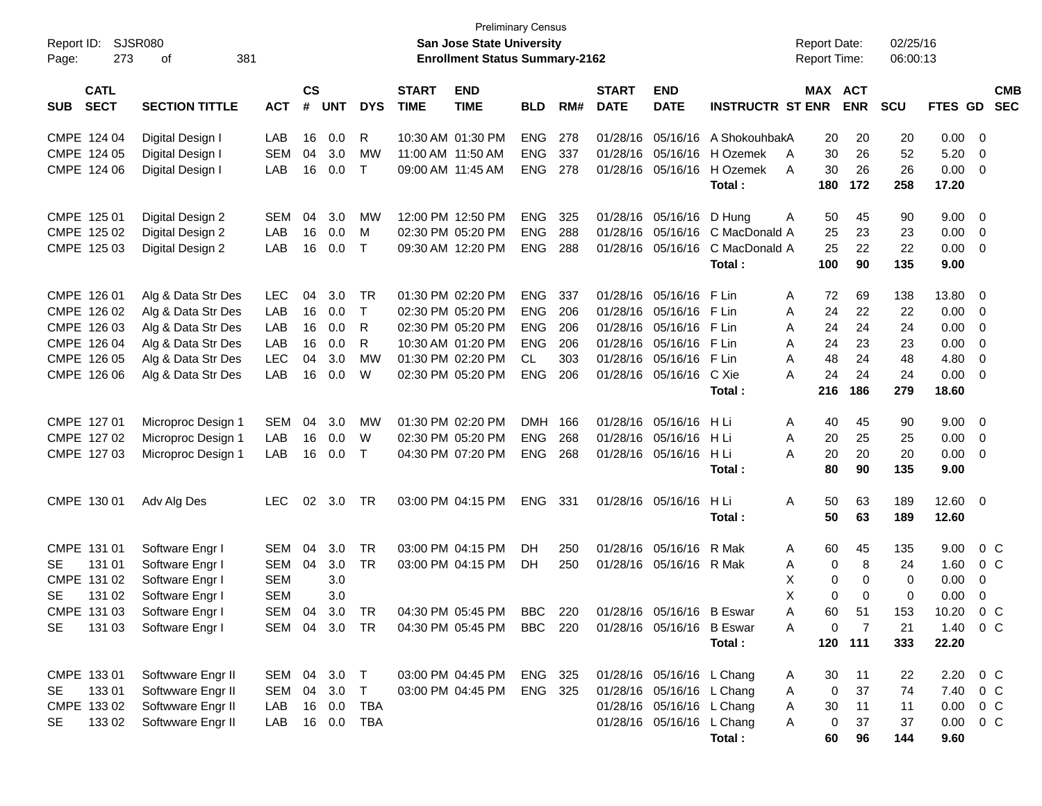| Report ID:<br>273<br>Page:                                                               | SJSR080<br>381<br>оf                                                                                                             |                                                                          |                                  |                                        |                                                |                             | <b>Preliminary Census</b><br>San Jose State University<br><b>Enrollment Status Summary-2162</b>                            |                                                                           |                                        |                                                          |                                                                                                                  |                                                              | <b>Report Date:</b><br><b>Report Time:</b>                            |                                                  | 02/25/16<br>06:00:13                     |                                                        |                                                                       |  |
|------------------------------------------------------------------------------------------|----------------------------------------------------------------------------------------------------------------------------------|--------------------------------------------------------------------------|----------------------------------|----------------------------------------|------------------------------------------------|-----------------------------|----------------------------------------------------------------------------------------------------------------------------|---------------------------------------------------------------------------|----------------------------------------|----------------------------------------------------------|------------------------------------------------------------------------------------------------------------------|--------------------------------------------------------------|-----------------------------------------------------------------------|--------------------------------------------------|------------------------------------------|--------------------------------------------------------|-----------------------------------------------------------------------|--|
| <b>CATL</b><br><b>SECT</b><br><b>SUB</b>                                                 | <b>SECTION TITTLE</b>                                                                                                            | <b>ACT</b>                                                               | <b>CS</b><br>#                   | <b>UNT</b>                             | <b>DYS</b>                                     | <b>START</b><br><b>TIME</b> | <b>END</b><br><b>TIME</b>                                                                                                  | <b>BLD</b>                                                                | RM#                                    | <b>START</b><br><b>DATE</b>                              | <b>END</b><br><b>DATE</b>                                                                                        | <b>INSTRUCTR ST ENR</b>                                      | <b>MAX ACT</b>                                                        | <b>ENR</b>                                       | <b>SCU</b>                               | FTES GD                                                | <b>CMB</b><br><b>SEC</b>                                              |  |
| CMPE 124 04<br>CMPE 124 05<br>CMPE 124 06                                                | Digital Design I<br>Digital Design I<br>Digital Design I                                                                         | LAB<br><b>SEM</b><br>LAB                                                 | 16<br>04<br>16                   | 0.0<br>3.0<br>0.0                      | R<br>MW<br>$\top$                              |                             | 10:30 AM 01:30 PM<br>11:00 AM 11:50 AM<br>09:00 AM 11:45 AM                                                                | <b>ENG</b><br><b>ENG</b><br><b>ENG</b>                                    | 278<br>337<br>278                      | 01/28/16<br>01/28/16<br>01/28/16                         | 05/16/16<br>05/16/16<br>05/16/16                                                                                 | A ShokouhbakA<br>H Ozemek<br>H Ozemek<br>Total:              | 20<br>30<br>A<br>30<br>A<br>180                                       | 20<br>26<br>26<br>172                            | 20<br>52<br>26<br>258                    | 0.00<br>5.20<br>0.00<br>17.20                          | - 0<br>$\overline{0}$<br>- 0                                          |  |
| CMPE 125 01<br>CMPE 125 02<br>CMPE 125 03                                                | Digital Design 2<br>Digital Design 2<br>Digital Design 2                                                                         | <b>SEM</b><br>LAB<br>LAB                                                 | 04<br>16<br>16                   | 3.0<br>0.0<br>0.0                      | MW<br>M<br>$\mathsf{T}$                        |                             | 12:00 PM 12:50 PM<br>02:30 PM 05:20 PM<br>09:30 AM 12:20 PM                                                                | <b>ENG</b><br><b>ENG</b><br><b>ENG</b>                                    | 325<br>288<br>288                      | 01/28/16<br>01/28/16<br>01/28/16                         | 05/16/16<br>05/16/16<br>05/16/16                                                                                 | D Hung<br>C MacDonald A<br>C MacDonald A<br>Total:           | 50<br>A<br>25<br>25<br>100                                            | 45<br>23<br>22<br>90                             | 90<br>23<br>22<br>135                    | 9.00<br>0.00<br>0.00<br>9.00                           | - 0<br>$\overline{0}$<br>- 0                                          |  |
| CMPE 126 01<br>CMPE 126 02<br>CMPE 126 03<br>CMPE 126 04<br>CMPE 126 05<br>CMPE 126 06   | Alg & Data Str Des<br>Alg & Data Str Des<br>Alg & Data Str Des<br>Alg & Data Str Des<br>Alg & Data Str Des<br>Alg & Data Str Des | <b>LEC</b><br>LAB<br>LAB<br>LAB<br><b>LEC</b><br>LAB                     | 04<br>16<br>16<br>16<br>04<br>16 | 3.0<br>0.0<br>0.0<br>0.0<br>3.0<br>0.0 | TR<br>$\mathsf{T}$<br>R<br>R<br><b>MW</b><br>W |                             | 01:30 PM 02:20 PM<br>02:30 PM 05:20 PM<br>02:30 PM 05:20 PM<br>10:30 AM 01:20 PM<br>01:30 PM 02:20 PM<br>02:30 PM 05:20 PM | <b>ENG</b><br><b>ENG</b><br><b>ENG</b><br><b>ENG</b><br>CL.<br><b>ENG</b> | 337<br>206<br>206<br>206<br>303<br>206 | 01/28/16<br>01/28/16<br>01/28/16<br>01/28/16<br>01/28/16 | 05/16/16<br>05/16/16<br>05/16/16<br>05/16/16<br>05/16/16<br>01/28/16 05/16/16                                    | F Lin<br>F Lin<br>F Lin<br>F Lin<br>F Lin<br>C Xie<br>Total: | 72<br>Α<br>24<br>A<br>24<br>A<br>24<br>A<br>48<br>A<br>24<br>A<br>216 | 69<br>22<br>24<br>23<br>24<br>24<br>186          | 138<br>22<br>24<br>23<br>48<br>24<br>279 | 13.80<br>0.00<br>0.00<br>0.00<br>4.80<br>0.00<br>18.60 | - 0<br>- 0<br>- 0<br>- 0<br>- 0<br>- 0                                |  |
| CMPE 127 01<br>CMPE 127 02<br>CMPE 127 03                                                | Microproc Design 1<br>Microproc Design 1<br>Microproc Design 1                                                                   | <b>SEM</b><br>LAB<br>LAB                                                 | 04<br>16<br>16                   | 3.0<br>0.0<br>0.0                      | MW<br>W<br>$\top$                              |                             | 01:30 PM 02:20 PM<br>02:30 PM 05:20 PM<br>04:30 PM 07:20 PM                                                                | <b>DMH</b><br><b>ENG</b><br><b>ENG</b>                                    | 166<br>268<br>268                      | 01/28/16                                                 | 05/16/16<br>01/28/16 05/16/16<br>01/28/16 05/16/16                                                               | H Li<br>H Li<br>H Li<br>Total:                               | Α<br>40<br>20<br>Α<br>20<br>A<br>80                                   | 45<br>25<br>20<br>90                             | 90<br>25<br>20<br>135                    | 9.00<br>0.00<br>0.00<br>9.00                           | - 0<br>$\overline{0}$<br>- 0                                          |  |
| CMPE 130 01                                                                              | Adv Alg Des                                                                                                                      | <b>LEC</b>                                                               | 02                               | 3.0                                    | TR                                             |                             | 03:00 PM 04:15 PM                                                                                                          | <b>ENG</b>                                                                | 331                                    |                                                          | 01/28/16 05/16/16                                                                                                | H Li<br>Total:                                               | Α<br>50<br>50                                                         | 63<br>63                                         | 189<br>189                               | 12.60<br>12.60                                         | $\overline{\phantom{0}}$                                              |  |
| CMPE 131 01<br>131 01<br>SE.<br>CMPE 131 02<br><b>SE</b><br>131 02<br>CMPE 131 03<br>SE. | Software Engr I<br>Software Engr I<br>Software Engr I<br>Software Engr I<br>Software Engr I<br>131 03 Software Engr I            | SEM<br>SEM<br><b>SEM</b><br><b>SEM</b><br>SEM 04 3.0 TR<br>SEM 04 3.0 TR | 04<br>04                         | 3.0<br>3.0<br>3.0<br>3.0               | TR<br>TR                                       |                             | 03:00 PM 04:15 PM<br>03:00 PM 04:15 PM<br>04:30 PM 05:45 PM<br>04:30 PM 05:45 PM BBC 220                                   | DH<br>DH.<br><b>BBC</b>                                                   | 250<br>250<br>220                      | 01/28/16                                                 | 05/16/16<br>01/28/16 05/16/16<br>01/28/16 05/16/16 B Eswar<br>01/28/16 05/16/16 B Eswar                          | R Mak<br>R Mak<br>Total:                                     | 60<br>A<br>0<br>Α<br>х<br>0<br>X<br>0<br>60<br>Α<br>0<br>A<br>120     | 45<br>8<br>0<br>0<br>51<br>$\overline{7}$<br>111 | 135<br>24<br>0<br>0<br>153<br>21<br>333  | 9.00<br>1.60<br>0.00<br>0.00<br>10.20<br>22.20         | 0 <sup>C</sup><br>$0\,C$<br>0<br>0<br>0 <sup>C</sup><br>$1.40 \t 0 C$ |  |
| CMPE 133 01<br>13301<br><b>SE</b><br>CMPE 133 02<br>133 02<br>SE                         | Softwware Engr II<br>Softwware Engr II<br>Softwware Engr II<br>Softwware Engr II                                                 | SEM 04 3.0 T<br>SEM<br>LAB<br>LAB                                        | 04                               | 3.0<br>16  0.0<br>16 0.0               | $\top$<br>TBA<br>TBA                           |                             | 03:00 PM 04:45 PM<br>03:00 PM 04:45 PM                                                                                     | ENG 325<br>ENG 325                                                        |                                        |                                                          | 01/28/16 05/16/16 L Chang<br>01/28/16 05/16/16 L Chang<br>01/28/16 05/16/16 L Chang<br>01/28/16 05/16/16 L Chang | Total:                                                       | 30<br>A<br>0<br>A<br>30<br>A<br>0<br>A<br>60                          | 11<br>37<br>11<br>37<br>96                       | 22<br>74<br>11<br>37<br>144              | 2.20<br>7.40<br>0.00<br>0.00<br>9.60                   | $0\,C$<br>$0\,C$<br>0 C<br>$0\,$ C                                    |  |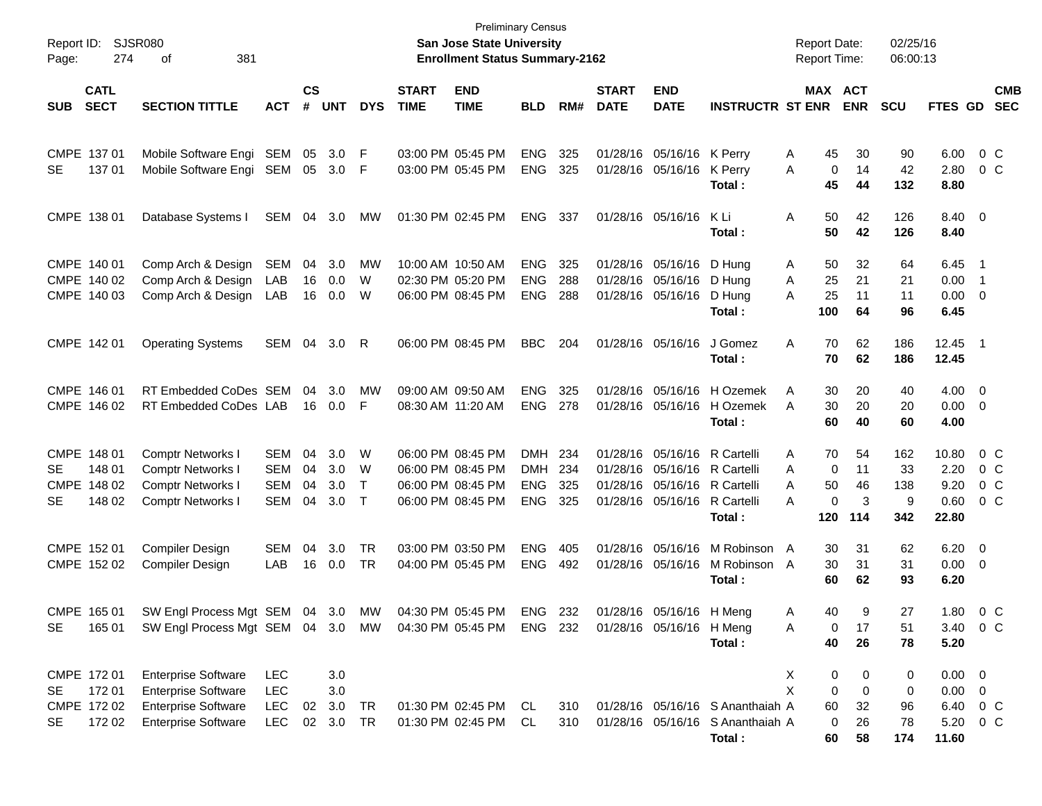| Report ID:<br>Page:    |                                                |                                                                                                                        |                                               |                      |                                | <b>San Jose State University</b><br><b>Enrollment Status Summary-2162</b> | <b>Preliminary Census</b>              |                                                             |                                                      |                          |                             | <b>Report Date:</b><br><b>Report Time:</b>                                                                                   |                                                                                | 02/25/16<br>06:00:13                 |                                         |                              |                                                             |                            |                                                              |
|------------------------|------------------------------------------------|------------------------------------------------------------------------------------------------------------------------|-----------------------------------------------|----------------------|--------------------------------|---------------------------------------------------------------------------|----------------------------------------|-------------------------------------------------------------|------------------------------------------------------|--------------------------|-----------------------------|------------------------------------------------------------------------------------------------------------------------------|--------------------------------------------------------------------------------|--------------------------------------|-----------------------------------------|------------------------------|-------------------------------------------------------------|----------------------------|--------------------------------------------------------------|
| <b>SUB</b>             | <b>CATL</b><br><b>SECT</b>                     | <b>SECTION TITTLE</b>                                                                                                  | <b>ACT</b>                                    | $\mathsf{cs}$<br>#   | <b>UNT</b>                     | <b>DYS</b>                                                                | <b>START</b><br><b>TIME</b>            | <b>END</b><br><b>TIME</b>                                   | <b>BLD</b>                                           | RM#                      | <b>START</b><br><b>DATE</b> | <b>END</b><br><b>DATE</b>                                                                                                    | <b>INSTRUCTR ST ENR</b>                                                        |                                      | MAX ACT<br><b>ENR</b>                   | <b>SCU</b>                   | FTES GD                                                     |                            | <b>CMB</b><br><b>SEC</b>                                     |
| <b>SE</b>              | CMPE 137 01<br>137 01                          | Mobile Software Engi<br>Mobile Software Engi                                                                           | SEM<br>SEM                                    | 05                   | 3.0<br>05 3.0                  | F<br>-F                                                                   |                                        | 03:00 PM 05:45 PM<br>03:00 PM 05:45 PM                      | <b>ENG</b><br><b>ENG</b>                             | 325<br>325               |                             | 01/28/16 05/16/16 K Perry<br>01/28/16 05/16/16 K Perry                                                                       | Total :                                                                        | 45<br>A<br>A<br>45                   | 30<br>0<br>14<br>44                     | 90<br>42<br>132              | 6.00<br>2.80<br>8.80                                        | $0\,$ C                    | 0 <sup>o</sup>                                               |
|                        | CMPE 138 01                                    | Database Systems I                                                                                                     | SEM                                           | 04                   | 3.0                            | MW                                                                        | 01:30 PM 02:45 PM                      |                                                             | <b>ENG</b>                                           | 337                      |                             | 01/28/16 05/16/16                                                                                                            | K Li<br>Total :                                                                | 50<br>Α<br>50                        | 42<br>42                                | 126<br>126                   | 8.40 0<br>8.40                                              |                            |                                                              |
|                        | CMPE 140 01<br>CMPE 140 02<br>CMPE 140 03      | Comp Arch & Design<br>Comp Arch & Design<br>Comp Arch & Design                                                         | SEM<br>LAB<br>LAB                             | 04<br>16<br>16       | 3.0<br>0.0<br>0.0              | MW<br>W<br>W                                                              |                                        | 10:00 AM 10:50 AM<br>02:30 PM 05:20 PM<br>06:00 PM 08:45 PM | <b>ENG</b><br><b>ENG</b><br><b>ENG</b>               | 325<br>288<br>288        |                             | 01/28/16 05/16/16 D Hung<br>01/28/16 05/16/16 D Hung<br>01/28/16 05/16/16 D Hung                                             | Total:                                                                         | 50<br>A<br>25<br>A<br>25<br>Α<br>100 | 32<br>21<br>11<br>64                    | 64<br>21<br>11<br>96         | $6.45$ 1<br>0.00<br>$0.00 \t 0$<br>6.45                     | $\overline{\phantom{0}}$ 1 |                                                              |
|                        | CMPE 142 01                                    | <b>Operating Systems</b>                                                                                               | SEM                                           | 04                   | 3.0                            | R                                                                         |                                        | 06:00 PM 08:45 PM                                           | <b>BBC</b>                                           | 204                      |                             | 01/28/16 05/16/16                                                                                                            | J Gomez<br>Total :                                                             | 70<br>Α<br>70                        | 62<br>62                                | 186<br>186                   | 12.45 1<br>12.45                                            |                            |                                                              |
|                        | CMPE 146 01<br>CMPE 146 02                     | RT Embedded CoDes SEM<br>RT Embedded CoDes LAB                                                                         |                                               | 04                   | 3.0<br>16  0.0                 | МW<br>F                                                                   | 09:00 AM 09:50 AM<br>08:30 AM 11:20 AM |                                                             | <b>ENG</b><br><b>ENG</b>                             | 325<br>278               |                             |                                                                                                                              | 01/28/16 05/16/16 H Ozemek<br>01/28/16 05/16/16 H Ozemek<br>Total:             | 30<br>A<br>30<br>A<br>60             | 20<br>20<br>40                          | 40<br>20<br>60               | $4.00 \ 0$<br>$0.00 \t 0$<br>4.00                           |                            |                                                              |
| <b>SE</b><br><b>SE</b> | CMPE 148 01<br>148 01<br>CMPE 148 02<br>148 02 | <b>Comptr Networks I</b><br>Comptr Networks I<br>Comptr Networks I<br><b>Comptr Networks I</b>                         | SEM<br>SEM<br><b>SEM</b><br>SEM               | 04<br>04<br>04<br>04 | 3.0<br>3.0<br>3.0<br>3.0       | W<br>W<br>$\top$<br>$\top$                                                | 06:00 PM 08:45 PM                      | 06:00 PM 08:45 PM<br>06:00 PM 08:45 PM<br>06:00 PM 08:45 PM | <b>DMH</b><br><b>DMH</b><br><b>ENG</b><br><b>ENG</b> | 234<br>234<br>325<br>325 |                             | 01/28/16 05/16/16 R Cartelli<br>01/28/16 05/16/16 R Cartelli<br>01/28/16 05/16/16 R Cartelli<br>01/28/16 05/16/16 R Cartelli | Total :                                                                        | 70<br>A<br>A<br>A<br>50<br>A<br>120  | 54<br>0<br>11<br>46<br>0<br>3<br>114    | 162<br>33<br>138<br>9<br>342 | 10.80<br>2.20<br>9.20<br>0.60<br>22.80                      |                            | 0 <sup>o</sup><br>0 <sup>o</sup><br>0 <sup>o</sup><br>$0\,C$ |
|                        | CMPE 152 01<br>CMPE 152 02                     | <b>Compiler Design</b><br><b>Compiler Design</b>                                                                       | SEM<br>LAB                                    | 04<br>16             | 3.0<br>0.0                     | <b>TR</b><br><b>TR</b>                                                    | 03:00 PM 03:50 PM                      | 04:00 PM 05:45 PM                                           | <b>ENG</b><br><b>ENG</b>                             | 405<br>492               |                             |                                                                                                                              | 01/28/16 05/16/16 M Robinson<br>01/28/16 05/16/16 M Robinson A<br>Total :      | 30<br>A<br>30<br>60                  | 31<br>31<br>62                          | 62<br>31<br>93               | $6.20 \quad 0$<br>$0.00 \t 0$<br>6.20                       |                            |                                                              |
| SE                     | CMPE 165 01<br>165 01                          | SW Engl Process Mgt SEM 04 3.0<br>SW Engl Process Mgt SEM 04 3.0 MW 04:30 PM 05:45 PM ENG 232 01/28/16 05/16/16 H Meng |                                               |                      |                                | MW                                                                        |                                        | 04:30 PM 05:45 PM                                           | ENG 232                                              |                          |                             | 01/28/16 05/16/16 H Meng                                                                                                     | Total:                                                                         | 40<br>A<br>A<br>40                   | 9<br>0<br>17<br>26                      | 27<br>51<br>78               | 1.80 0 C<br>3.40 0 C<br>5.20                                |                            |                                                              |
| SE<br>SE               | CMPE 172 01<br>172 01<br>CMPE 172 02<br>172 02 | <b>Enterprise Software</b><br><b>Enterprise Software</b><br><b>Enterprise Software</b><br><b>Enterprise Software</b>   | <b>LEC</b><br><b>LEC</b><br><b>LEC</b><br>LEC |                      | 3.0<br>3.0<br>02 3.0<br>02 3.0 | TR<br><b>TR</b>                                                           |                                        | 01:30 PM 02:45 PM CL<br>01:30 PM 02:45 PM                   | CL                                                   | 310<br>310               |                             |                                                                                                                              | 01/28/16 05/16/16 S Ananthaiah A<br>01/28/16 05/16/16 S Ananthaiah A<br>Total: | X<br>X<br>60<br>60                   | 0<br>0<br>0<br>0<br>32<br>0<br>26<br>58 | 0<br>0<br>96<br>78<br>174    | $0.00 \t 0$<br>$0.00 \t 0$<br>6.40 0 C<br>5.20 0 C<br>11.60 |                            |                                                              |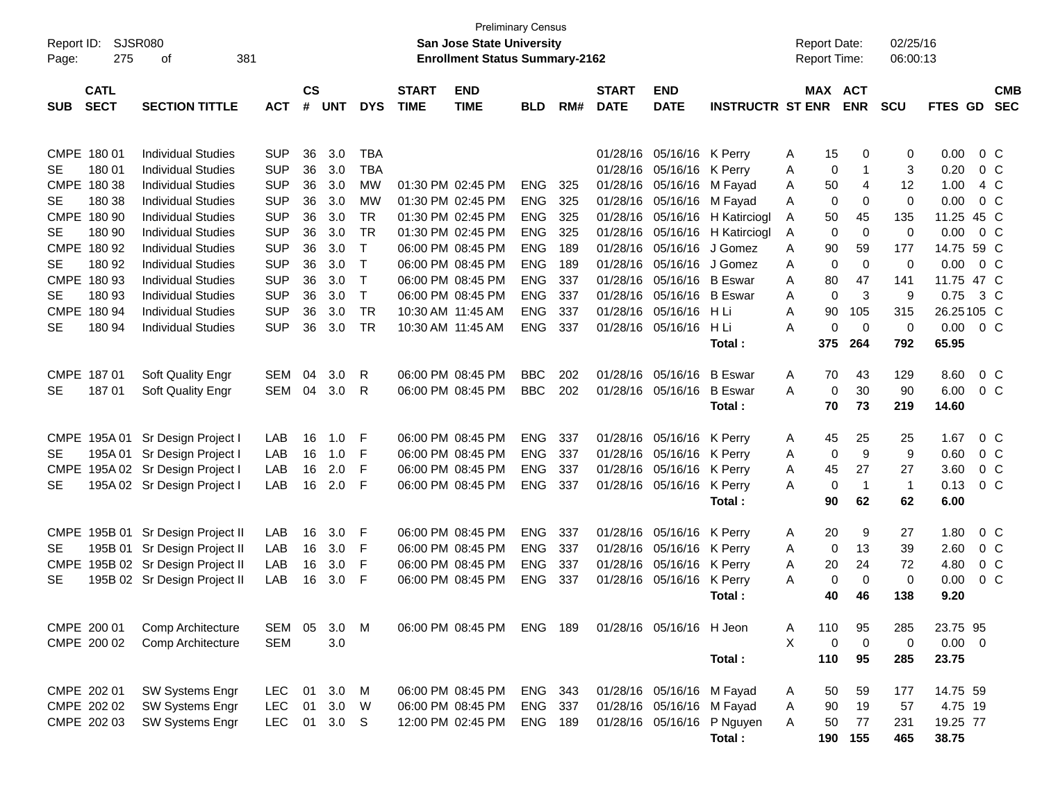|             | Report ID: SJSR080<br>275<br>381<br>Page:<br>οf |                                   |            |           |                  |              |              | San Jose State University             | <b>Preliminary Census</b> |     |              |                           |                                |        | <b>Report Date:</b> |                | 02/25/16     |             |         |                |
|-------------|-------------------------------------------------|-----------------------------------|------------|-----------|------------------|--------------|--------------|---------------------------------------|---------------------------|-----|--------------|---------------------------|--------------------------------|--------|---------------------|----------------|--------------|-------------|---------|----------------|
|             |                                                 |                                   |            |           |                  |              |              | <b>Enrollment Status Summary-2162</b> |                           |     |              |                           |                                |        | Report Time:        |                | 06:00:13     |             |         |                |
|             | <b>CATL</b>                                     |                                   |            | <b>CS</b> |                  |              | <b>START</b> | <b>END</b>                            |                           |     | <b>START</b> | <b>END</b>                |                                |        | MAX ACT             |                |              |             |         | <b>CMB</b>     |
| <b>SUB</b>  | <b>SECT</b>                                     | <b>SECTION TITTLE</b>             | <b>ACT</b> | #         | <b>UNT</b>       | <b>DYS</b>   | <b>TIME</b>  | <b>TIME</b>                           | <b>BLD</b>                | RM# | <b>DATE</b>  | <b>DATE</b>               | <b>INSTRUCTR ST ENR</b>        |        |                     | <b>ENR</b>     | <b>SCU</b>   | FTES GD     |         | <b>SEC</b>     |
|             |                                                 |                                   |            |           |                  |              |              |                                       |                           |     |              |                           |                                |        |                     |                |              |             |         |                |
|             |                                                 |                                   |            |           |                  |              |              |                                       |                           |     |              |                           |                                |        |                     |                |              |             |         |                |
|             | CMPE 180 01                                     | <b>Individual Studies</b>         | <b>SUP</b> | 36        | 3.0              | TBA          |              |                                       |                           |     |              | 01/28/16 05/16/16 K Perry |                                | A      | 15                  | 0              | 0            | 0.00        |         | $0\,$ C        |
| SE.         | 180 01                                          | <b>Individual Studies</b>         | <b>SUP</b> | 36        | 3.0              | <b>TBA</b>   |              | 01:30 PM 02:45 PM                     |                           |     |              | 01/28/16 05/16/16 K Perry |                                | A      | 0                   | -1             | 3            | 0.20        |         | 0 <sup>o</sup> |
|             | CMPE 180 38                                     | <b>Individual Studies</b>         | <b>SUP</b> | 36        | 3.0              | <b>MW</b>    |              |                                       | <b>ENG</b>                | 325 |              | 01/28/16 05/16/16 M Fayad |                                | A      | 50                  | 4              | 12           | 1.00        |         | 4 C            |
| SE          | 180 38                                          | <b>Individual Studies</b>         | <b>SUP</b> | 36        | 3.0              | <b>MW</b>    |              | 01:30 PM 02:45 PM                     | <b>ENG</b>                | 325 |              | 01/28/16 05/16/16 M Fayad |                                | A      | 0                   | 0              | 0            | 0.00        |         | 0 <sup>o</sup> |
|             | CMPE 180 90                                     | <b>Individual Studies</b>         | <b>SUP</b> | 36        | 3.0              | <b>TR</b>    |              | 01:30 PM 02:45 PM                     | <b>ENG</b>                | 325 |              |                           | 01/28/16 05/16/16 H Katirciogl | A      | 50                  | 45             | 135          | 11.25 45 C  |         |                |
| SE          | 180 90                                          | <b>Individual Studies</b>         | <b>SUP</b> | 36        | 3.0              | <b>TR</b>    |              | 01:30 PM 02:45 PM                     | <b>ENG</b>                | 325 |              |                           | 01/28/16 05/16/16 H Katirciogl | A      | $\mathbf 0$         | $\mathbf 0$    | 0            | 0.00        |         | 0 <sup>o</sup> |
|             | CMPE 180 92                                     | <b>Individual Studies</b>         | <b>SUP</b> | 36        | 3.0              | $\mathsf{T}$ |              | 06:00 PM 08:45 PM                     | <b>ENG</b>                | 189 |              | 01/28/16 05/16/16         | J Gomez                        | A      | 90                  | 59             | 177          | 14.75 59 C  |         |                |
| SE          | 180 92                                          | <b>Individual Studies</b>         | <b>SUP</b> | 36        | 3.0              | $\mathsf{T}$ |              | 06:00 PM 08:45 PM                     | <b>ENG</b>                | 189 |              | 01/28/16 05/16/16 J Gomez |                                | A      | 0                   | $\mathbf 0$    | 0            | 0.00        |         | 0 <sup>o</sup> |
|             | CMPE 180 93                                     | <b>Individual Studies</b>         | <b>SUP</b> | 36        | 3.0              | $\mathsf{T}$ |              | 06:00 PM 08:45 PM                     | <b>ENG</b>                | 337 |              | 01/28/16 05/16/16 B Eswar |                                | A      | 80                  | 47             | 141          | 11.75 47 C  |         |                |
| SE          | 180 93                                          | <b>Individual Studies</b>         | <b>SUP</b> | 36        | 3.0              | $\mathsf{T}$ |              | 06:00 PM 08:45 PM                     | <b>ENG</b>                | 337 |              | 01/28/16 05/16/16 B Eswar |                                | A      | $\mathbf 0$         | 3              | 9            | 0.75        |         | $3\,C$         |
|             | CMPE 180 94                                     | <b>Individual Studies</b>         | <b>SUP</b> | 36        | 3.0              | <b>TR</b>    |              | 10:30 AM 11:45 AM                     | <b>ENG</b>                | 337 |              | 01/28/16 05/16/16 H Li    |                                | Α      | 90                  | 105            | 315          | 26.25105 C  |         |                |
| SE          | 180 94                                          | <b>Individual Studies</b>         | <b>SUP</b> | 36        | 3.0              | <b>TR</b>    |              | 10:30 AM 11:45 AM                     | <b>ENG</b>                | 337 |              | 01/28/16 05/16/16         | H Li                           | A      | 0                   | $\mathbf 0$    | 0            | 0.00        | $0\,$ C |                |
|             |                                                 |                                   |            |           |                  |              |              |                                       |                           |     |              |                           | Total:                         |        | 375                 | 264            | 792          | 65.95       |         |                |
|             | CMPE 187 01                                     | Soft Quality Engr                 | <b>SEM</b> | 04        | 3.0              | R            |              | 06:00 PM 08:45 PM                     | <b>BBC</b>                | 202 |              | 01/28/16 05/16/16 B Eswar |                                | Α      | 70                  | 43             | 129          | 8.60        |         | 0 <sup>o</sup> |
| SE          | 18701                                           | Soft Quality Engr                 | <b>SEM</b> | 04        | 3.0              | R            |              | 06:00 PM 08:45 PM                     | <b>BBC</b>                | 202 |              | 01/28/16 05/16/16         | <b>B</b> Eswar                 | A      | $\mathbf 0$         | 30             | 90           | 6.00        |         | 0 <sup>C</sup> |
|             |                                                 |                                   |            |           |                  |              |              |                                       |                           |     |              |                           | Total:                         |        | 70                  | 73             | 219          | 14.60       |         |                |
|             |                                                 |                                   |            |           |                  |              |              |                                       |                           |     |              |                           |                                |        |                     |                |              |             |         |                |
|             | CMPE 195A 01                                    | Sr Design Project I               | LAB        | 16        | 1.0              | F            |              | 06:00 PM 08:45 PM                     | <b>ENG</b>                | 337 |              | 01/28/16 05/16/16 K Perry |                                | A      | 45                  | 25             | 25           | 1.67        |         | $0\,$ C        |
| SE.         | 195A 01                                         | Sr Design Project I               | LAB        | 16        | 1.0              | F            |              | 06:00 PM 08:45 PM                     | <b>ENG</b>                | 337 |              | 01/28/16 05/16/16         | K Perry                        | A      | 0                   | 9              | 9            | 0.60        |         | $0\,C$         |
| <b>CMPE</b> |                                                 | 195A 02 Sr Design Project I       | LAB        | 16        | 2.0              | F            |              | 06:00 PM 08:45 PM                     | <b>ENG</b>                | 337 |              | 01/28/16 05/16/16 K Perry |                                | A      | 45                  | 27             | 27           | 3.60        |         | 0 <sup>o</sup> |
| SE.         |                                                 | 195A 02 Sr Design Project I       | LAB        | 16        | 2.0              | F            |              | 06:00 PM 08:45 PM                     | <b>ENG</b>                | 337 |              | 01/28/16 05/16/16 K Perry |                                | A      | $\mathbf 0$         | $\overline{1}$ | $\mathbf{1}$ | 0.13        |         | $0\,C$         |
|             |                                                 |                                   |            |           |                  |              |              |                                       |                           |     |              |                           | Total:                         |        | 90                  | 62             | 62           | 6.00        |         |                |
|             |                                                 |                                   |            |           |                  |              |              |                                       |                           |     |              |                           |                                |        |                     |                |              |             |         |                |
|             |                                                 | CMPE 195B 01 Sr Design Project II | LAB        | 16        | 3.0              | F            |              | 06:00 PM 08:45 PM                     | <b>ENG</b>                | 337 |              | 01/28/16 05/16/16 K Perry |                                | A      | 20                  | 9              | 27           | 1.80        |         | $0\,$ C        |
| <b>SE</b>   |                                                 | 195B 01 Sr Design Project II      | LAB        | 16        | 3.0              | F            |              | 06:00 PM 08:45 PM                     | <b>ENG</b>                | 337 |              | 01/28/16 05/16/16         | K Perry                        | A      | 0                   | 13             | 39           | 2.60        |         | 0 <sup>o</sup> |
| <b>CMPE</b> |                                                 | 195B 02 Sr Design Project II      | LAB        | 16        | 3.0              | F            |              | 06:00 PM 08:45 PM                     | <b>ENG</b>                | 337 |              | 01/28/16 05/16/16         | K Perry                        | A      | 20                  | 24             | 72           | 4.80        |         | 0 <sup>o</sup> |
| <b>SE</b>   |                                                 | 195B 02 Sr Design Project II      | LAB        | 16        | 3.0              | F            |              | 06:00 PM 08:45 PM                     | <b>ENG</b>                | 337 |              | 01/28/16 05/16/16         | K Perry                        | A      | 0                   | $\mathbf 0$    | 0            | 0.00        |         | $0\,C$         |
|             |                                                 |                                   |            |           |                  |              |              |                                       |                           |     |              |                           | Total:                         |        | 40                  | 46             | 138          | 9.20        |         |                |
|             |                                                 |                                   |            |           |                  |              |              |                                       |                           |     |              |                           |                                |        |                     |                |              |             |         |                |
|             | CMPE 200 01                                     | Comp Architecture                 | SEM        | 05        | 3.0              | M            |              | 06:00 PM 08:45 PM                     | <b>ENG 189</b>            |     |              | 01/28/16 05/16/16 H Jeon  |                                | A      | 110                 | 95             | 285          | 23.75 95    |         |                |
|             | CMPE 200 02                                     | Comp Architecture                 | <b>SEM</b> |           | 3.0              |              |              |                                       |                           |     |              |                           |                                | X      | $\mathbf 0$         | $\mathbf 0$    | 0            | $0.00 \t 0$ |         |                |
|             |                                                 |                                   |            |           |                  |              |              |                                       |                           |     |              |                           | Total:                         |        | 110                 | 95             | 285          | 23.75       |         |                |
|             | CMPE 202 01                                     | SW Systems Engr                   | <b>LEC</b> | 01        | 3.0              | M            |              | 06:00 PM 08:45 PM                     | ENG 343                   |     |              | 01/28/16 05/16/16 M Fayad |                                |        |                     | 59             |              | 14.75 59    |         |                |
|             | CMPE 202 02                                     | SW Systems Engr                   | <b>LEC</b> | 01        | 3.0              | W            |              | 06:00 PM 08:45 PM                     | ENG                       | 337 |              | 01/28/16 05/16/16         | M Fayad                        | A<br>Α | 50<br>90            | 19             | 177<br>57    | 4.75 19     |         |                |
|             | CMPE 202 03                                     | SW Systems Engr                   | <b>LEC</b> | 01        | 3.0 <sub>S</sub> |              |              | 12:00 PM 02:45 PM                     | <b>ENG 189</b>            |     |              | 01/28/16 05/16/16         | P Nguyen                       |        | 50                  | 77             |              | 19.25 77    |         |                |
|             |                                                 |                                   |            |           |                  |              |              |                                       |                           |     |              |                           | Total:                         | A      | 190                 | 155            | 231<br>465   | 38.75       |         |                |
|             |                                                 |                                   |            |           |                  |              |              |                                       |                           |     |              |                           |                                |        |                     |                |              |             |         |                |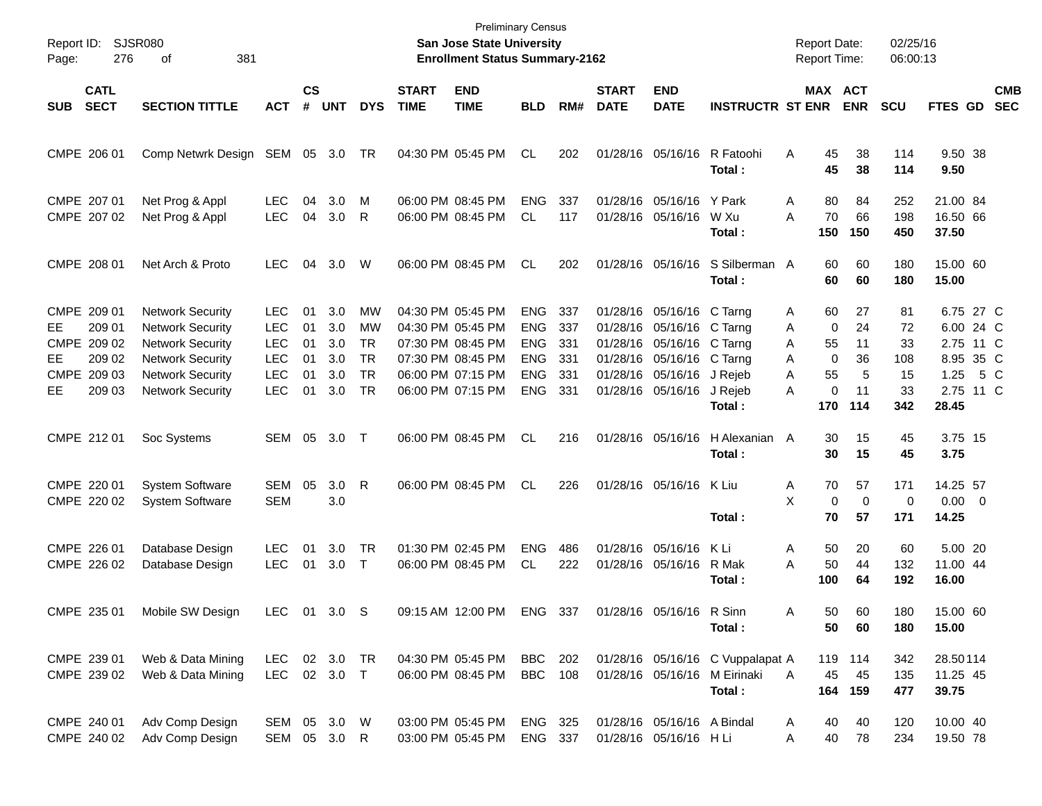| Report ID:<br>Page: | SJSR080<br>276                                                          | 381<br>оf                                                                                                                                                      |                                                                            |                                  |                                        |                                                              |                             | <b>Preliminary Census</b><br>San Jose State University<br><b>Enrollment Status Summary-2162</b>                            |                                                                                  |                                        |                             |                                                                                                                                                                    |                                                          | <b>Report Date:</b><br><b>Report Time:</b> |                                                                                        | 02/25/16<br>06:00:13                          |                                                                                |     |                          |
|---------------------|-------------------------------------------------------------------------|----------------------------------------------------------------------------------------------------------------------------------------------------------------|----------------------------------------------------------------------------|----------------------------------|----------------------------------------|--------------------------------------------------------------|-----------------------------|----------------------------------------------------------------------------------------------------------------------------|----------------------------------------------------------------------------------|----------------------------------------|-----------------------------|--------------------------------------------------------------------------------------------------------------------------------------------------------------------|----------------------------------------------------------|--------------------------------------------|----------------------------------------------------------------------------------------|-----------------------------------------------|--------------------------------------------------------------------------------|-----|--------------------------|
| <b>SUB</b>          | <b>CATL</b><br><b>SECT</b>                                              | <b>SECTION TITTLE</b>                                                                                                                                          | <b>ACT</b>                                                                 | $\mathsf{cs}$<br>#               | <b>UNT</b>                             | <b>DYS</b>                                                   | <b>START</b><br><b>TIME</b> | <b>END</b><br><b>TIME</b>                                                                                                  | <b>BLD</b>                                                                       | RM#                                    | <b>START</b><br><b>DATE</b> | <b>END</b><br><b>DATE</b>                                                                                                                                          | <b>INSTRUCTR ST ENR</b>                                  |                                            | MAX ACT<br><b>ENR</b>                                                                  | <b>SCU</b>                                    | FTES GD                                                                        |     | <b>CMB</b><br><b>SEC</b> |
|                     | CMPE 206 01                                                             | Comp Netwrk Design SEM 05 3.0 TR                                                                                                                               |                                                                            |                                  |                                        |                                                              |                             | 04:30 PM 05:45 PM                                                                                                          | CL                                                                               | 202                                    |                             | 01/28/16 05/16/16                                                                                                                                                  | R Fatoohi<br>Total:                                      | A                                          | 45<br>38<br>45<br>38                                                                   | 114<br>114                                    | 9.50 38<br>9.50                                                                |     |                          |
|                     | CMPE 207 01<br>CMPE 207 02                                              | Net Prog & Appl<br>Net Prog & Appl                                                                                                                             | <b>LEC</b><br><b>LEC</b>                                                   | 04<br>04                         | 3.0<br>3.0                             | м<br>R                                                       |                             | 06:00 PM 08:45 PM<br>06:00 PM 08:45 PM                                                                                     | <b>ENG</b><br>CL                                                                 | 337<br>117                             |                             | 01/28/16 05/16/16 Y Park<br>01/28/16 05/16/16                                                                                                                      | W Xu<br>Total:                                           | Α<br>A<br>150                              | 80<br>84<br>70<br>66<br>150                                                            | 252<br>198<br>450                             | 21.00 84<br>16.50 66<br>37.50                                                  |     |                          |
|                     | CMPE 208 01                                                             | Net Arch & Proto                                                                                                                                               | <b>LEC</b>                                                                 | 04                               | 3.0                                    | W                                                            |                             | 06:00 PM 08:45 PM                                                                                                          | <b>CL</b>                                                                        | 202                                    |                             | 01/28/16 05/16/16                                                                                                                                                  | S Silberman A<br>Total:                                  |                                            | 60<br>60<br>60<br>60                                                                   | 180<br>180                                    | 15.00 60<br>15.00                                                              |     |                          |
| EE.<br>EE.<br>EE    | CMPE 209 01<br>209 01<br>CMPE 209 02<br>209 02<br>CMPE 209 03<br>209 03 | <b>Network Security</b><br><b>Network Security</b><br><b>Network Security</b><br><b>Network Security</b><br><b>Network Security</b><br><b>Network Security</b> | LEC.<br><b>LEC</b><br><b>LEC</b><br><b>LEC</b><br><b>LEC</b><br><b>LEC</b> | 01<br>01<br>01<br>01<br>01<br>01 | 3.0<br>3.0<br>3.0<br>3.0<br>3.0<br>3.0 | МW<br>МW<br><b>TR</b><br><b>TR</b><br><b>TR</b><br><b>TR</b> |                             | 04:30 PM 05:45 PM<br>04:30 PM 05:45 PM<br>07:30 PM 08:45 PM<br>07:30 PM 08:45 PM<br>06:00 PM 07:15 PM<br>06:00 PM 07:15 PM | <b>ENG</b><br><b>ENG</b><br><b>ENG</b><br><b>ENG</b><br><b>ENG</b><br><b>ENG</b> | 337<br>337<br>331<br>331<br>331<br>331 |                             | 01/28/16 05/16/16 C Tarng<br>01/28/16 05/16/16 C Tarng<br>01/28/16 05/16/16 C Tarng<br>01/28/16 05/16/16 C Tarng<br>01/28/16 05/16/16 J Rejeb<br>01/28/16 05/16/16 | J Rejeb<br>Total:                                        | A<br>Α<br>A<br>A<br>A<br>A<br>170          | 27<br>60<br>$\mathbf 0$<br>24<br>55<br>11<br>$\mathbf 0$<br>36<br>55<br>0<br>11<br>114 | 81<br>72<br>33<br>108<br>5<br>15<br>33<br>342 | 6.75 27 C<br>6.00 24 C<br>2.75 11 C<br>8.95 35 C<br>1.25<br>2.75 11 C<br>28.45 | 5 C |                          |
|                     | CMPE 212 01                                                             | Soc Systems                                                                                                                                                    | SEM 05                                                                     |                                  | 3.0                                    | $\top$                                                       |                             | 06:00 PM 08:45 PM                                                                                                          | <b>CL</b>                                                                        | 216                                    |                             | 01/28/16 05/16/16                                                                                                                                                  | H Alexanian A<br>Total:                                  |                                            | 15<br>30<br>15<br>30                                                                   | 45<br>45                                      | 3.75 15<br>3.75                                                                |     |                          |
|                     | CMPE 220 01<br>CMPE 220 02                                              | <b>System Software</b><br><b>System Software</b>                                                                                                               | <b>SEM</b><br><b>SEM</b>                                                   | 05                               | 3.0<br>3.0                             | R                                                            |                             | 06:00 PM 08:45 PM                                                                                                          | <b>CL</b>                                                                        | 226                                    |                             | 01/28/16 05/16/16                                                                                                                                                  | K Liu<br>Total:                                          | Α<br>X                                     | 57<br>70<br>$\mathbf 0$<br>57<br>70                                                    | 171<br>$\mathbf 0$<br>0<br>171                | 14.25 57<br>$0.00 \t 0$<br>14.25                                               |     |                          |
|                     | CMPE 226 01<br>CMPE 226 02                                              | Database Design<br>Database Design                                                                                                                             | <b>LEC</b><br><b>LEC</b>                                                   | 01<br>01                         | 3.0<br>3.0                             | TR<br>$\top$                                                 |                             | 01:30 PM 02:45 PM<br>06:00 PM 08:45 PM                                                                                     | <b>ENG</b><br>CL                                                                 | 486<br>222                             |                             | 01/28/16 05/16/16<br>01/28/16 05/16/16                                                                                                                             | K Li<br>R Mak<br>Total:                                  | A<br>A<br>100                              | 20<br>50<br>50<br>44<br>64                                                             | 60<br>132<br>192                              | 5.00 20<br>11.00 44<br>16.00                                                   |     |                          |
|                     | CMPE 235 01                                                             | Mobile SW Design                                                                                                                                               | LEC 01 3.0 S                                                               |                                  |                                        |                                                              |                             | 09:15 AM 12:00 PM                                                                                                          |                                                                                  | ENG 337                                |                             | 01/28/16 05/16/16                                                                                                                                                  | R Sinn<br>Total:                                         | Α                                          | 50<br>60<br>50<br>60                                                                   | 180<br>180                                    | 15.00 60<br>15.00                                                              |     |                          |
|                     | CMPE 239 01<br>CMPE 239 02                                              | Web & Data Mining<br>Web & Data Mining                                                                                                                         | LEC.<br><b>LEC</b>                                                         |                                  | 02 3.0 TR<br>02 3.0 T                  |                                                              |                             | 04:30 PM 05:45 PM<br>06:00 PM 08:45 PM                                                                                     | BBC 202<br><b>BBC</b> 108                                                        |                                        |                             | 01/28/16 05/16/16                                                                                                                                                  | 01/28/16 05/16/16 C Vuppalapat A<br>M Eirinaki<br>Total: | A                                          | 119 114<br>45<br>45<br>164 159                                                         | 342<br>135<br>477                             | 28.50114<br>11.25 45<br>39.75                                                  |     |                          |
|                     | CMPE 240 01<br>CMPE 240 02                                              | Adv Comp Design<br>Adv Comp Design                                                                                                                             | SEM 05 3.0 W<br>SEM 05 3.0 R                                               |                                  |                                        |                                                              |                             | 03:00 PM 05:45 PM<br>03:00 PM 05:45 PM                                                                                     | ENG 325<br>ENG 337                                                               |                                        |                             | 01/28/16 05/16/16 A Bindal<br>01/28/16 05/16/16 H Li                                                                                                               |                                                          | A<br>Α                                     | 40<br>40<br>40<br>78                                                                   | 120<br>234                                    | 10.00 40<br>19.50 78                                                           |     |                          |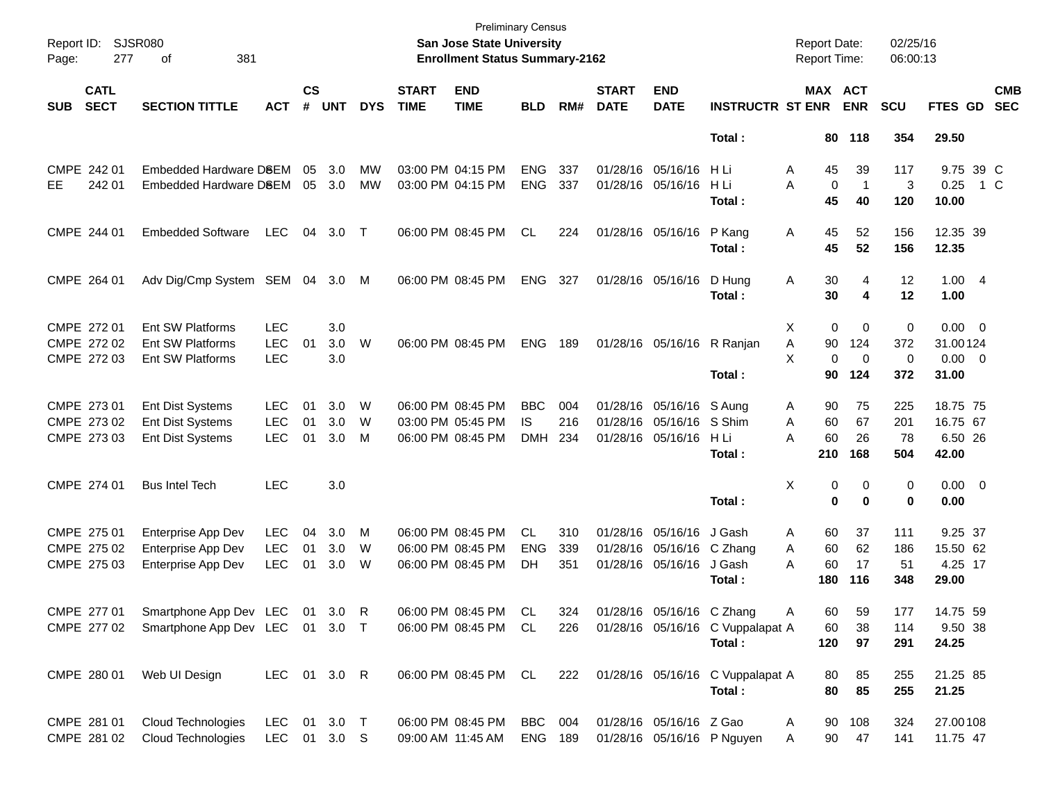| Report ID:<br>Page: | <b>SJSR080</b><br>277      | 381<br>οf                                   |              |                    |            |            |                             | <b>Preliminary Census</b><br>San Jose State University<br><b>Enrollment Status Summary-2162</b> |            |     |                             |                            |                                                           | <b>Report Date:</b><br><b>Report Time:</b> |                         | 02/25/16<br>06:00:13 |                |     |                          |
|---------------------|----------------------------|---------------------------------------------|--------------|--------------------|------------|------------|-----------------------------|-------------------------------------------------------------------------------------------------|------------|-----|-----------------------------|----------------------------|-----------------------------------------------------------|--------------------------------------------|-------------------------|----------------------|----------------|-----|--------------------------|
| <b>SUB</b>          | <b>CATL</b><br><b>SECT</b> | <b>SECTION TITTLE</b>                       | <b>ACT</b>   | $\mathsf{cs}$<br># | <b>UNT</b> | <b>DYS</b> | <b>START</b><br><b>TIME</b> | <b>END</b><br><b>TIME</b>                                                                       | <b>BLD</b> | RM# | <b>START</b><br><b>DATE</b> | <b>END</b><br><b>DATE</b>  | <b>INSTRUCTR ST ENR</b>                                   |                                            | MAX ACT<br><b>ENR</b>   | <b>SCU</b>           | <b>FTES GD</b> |     | <b>CMB</b><br><b>SEC</b> |
|                     |                            |                                             |              |                    |            |            |                             |                                                                                                 |            |     |                             |                            | Total:                                                    |                                            | 80 118                  | 354                  | 29.50          |     |                          |
|                     | CMPE 242 01                | Embedded Hardware DSEM                      |              | 05                 | 3.0        | MW         |                             | 03:00 PM 04:15 PM                                                                               | <b>ENG</b> | 337 |                             | 01/28/16 05/16/16          | - H Li                                                    | 45<br>A                                    | 39                      | 117                  | 9.75 39 C      |     |                          |
| EE.                 | 242 01                     | Embedded Hardware DSEM                      |              | 05                 | 3.0        | МW         |                             | 03:00 PM 04:15 PM                                                                               | <b>ENG</b> | 337 |                             | 01/28/16 05/16/16          | H Li                                                      | A                                          | 0<br>-1                 | 3                    | 0.25           | 1 C |                          |
|                     |                            |                                             |              |                    |            |            |                             |                                                                                                 |            |     |                             |                            | Total:                                                    | 45                                         | 40                      | 120                  | 10.00          |     |                          |
|                     | CMPE 244 01                | <b>Embedded Software</b>                    | <b>LEC</b>   | 04                 | 3.0        | $\top$     |                             | 06:00 PM 08:45 PM                                                                               | <b>CL</b>  | 224 |                             | 01/28/16 05/16/16          | P Kang                                                    | Α<br>45                                    | 52                      | 156                  | 12.35 39       |     |                          |
|                     |                            |                                             |              |                    |            |            |                             |                                                                                                 |            |     |                             |                            | Total:                                                    | 45                                         | 52                      | 156                  | 12.35          |     |                          |
|                     | CMPE 264 01                | Adv Dig/Cmp System SEM 04 3.0               |              |                    |            | M          |                             | 06:00 PM 08:45 PM                                                                               | ENG        | 327 |                             | 01/28/16 05/16/16          | D Hung                                                    | 30<br>A                                    | 4                       | 12                   | 1.004          |     |                          |
|                     |                            |                                             |              |                    |            |            |                             |                                                                                                 |            |     |                             |                            | Total :                                                   | 30                                         | 4                       | 12                   | 1.00           |     |                          |
|                     | CMPE 272 01                | Ent SW Platforms                            | <b>LEC</b>   |                    | 3.0        |            |                             |                                                                                                 |            |     |                             |                            |                                                           | X                                          | 0<br>0                  | $\pmb{0}$            | $0.00 \t 0$    |     |                          |
|                     | CMPE 272 02                | <b>Ent SW Platforms</b>                     | <b>LEC</b>   | 01                 | 3.0        | W          |                             | 06:00 PM 08:45 PM                                                                               | <b>ENG</b> | 189 |                             | 01/28/16 05/16/16 R Ranjan |                                                           | 90<br>Α                                    | 124                     | 372                  | 31.00124       |     |                          |
|                     | CMPE 272 03                | Ent SW Platforms                            | <b>LEC</b>   |                    | 3.0        |            |                             |                                                                                                 |            |     |                             |                            |                                                           | X                                          | 0<br>0                  | 0                    | $0.00 \t 0$    |     |                          |
|                     |                            |                                             |              |                    |            |            |                             |                                                                                                 |            |     |                             |                            | Total:                                                    |                                            | 90<br>124               | 372                  | 31.00          |     |                          |
|                     | CMPE 273 01                | <b>Ent Dist Systems</b>                     | <b>LEC</b>   | 01                 | 3.0        | W          |                             | 06:00 PM 08:45 PM                                                                               | <b>BBC</b> | 004 |                             | 01/28/16 05/16/16 S Aung   |                                                           | 90<br>A                                    | 75                      | 225                  | 18.75 75       |     |                          |
|                     | CMPE 273 02                | <b>Ent Dist Systems</b>                     | <b>LEC</b>   | 01                 | 3.0        | W          |                             | 03:00 PM 05:45 PM                                                                               | IS.        | 216 |                             | 01/28/16 05/16/16 S Shim   |                                                           | 60<br>A                                    | 67                      | 201                  | 16.75 67       |     |                          |
|                     | CMPE 273 03                | <b>Ent Dist Systems</b>                     | <b>LEC</b>   | 01                 | 3.0        | M          |                             | 06:00 PM 08:45 PM                                                                               | <b>DMH</b> | 234 |                             | 01/28/16 05/16/16          | - H Li                                                    | 60<br>A                                    | 26                      | 78                   | 6.50 26        |     |                          |
|                     |                            |                                             |              |                    |            |            |                             |                                                                                                 |            |     |                             |                            | Total:                                                    | 210                                        | 168                     | 504                  | 42.00          |     |                          |
|                     | CMPE 274 01                | <b>Bus Intel Tech</b>                       | <b>LEC</b>   |                    | 3.0        |            |                             |                                                                                                 |            |     |                             |                            |                                                           | Χ                                          | 0<br>0                  | 0                    | $0.00 \t 0$    |     |                          |
|                     |                            |                                             |              |                    |            |            |                             |                                                                                                 |            |     |                             |                            | Total:                                                    |                                            | $\bf{0}$<br>$\mathbf 0$ | 0                    | 0.00           |     |                          |
|                     | CMPE 275 01                | Enterprise App Dev                          | <b>LEC</b>   | 04                 | 3.0        | M          |                             | 06:00 PM 08:45 PM                                                                               | CL         | 310 |                             | 01/28/16 05/16/16          | J Gash                                                    | 60<br>A                                    | 37                      | 111                  | 9.25 37        |     |                          |
|                     | CMPE 275 02                | <b>Enterprise App Dev</b>                   | <b>LEC</b>   | 01                 | 3.0        | W          |                             | 06:00 PM 08:45 PM                                                                               | <b>ENG</b> | 339 |                             | 01/28/16 05/16/16          | C Zhang                                                   | 60<br>A                                    | 62                      | 186                  | 15.50 62       |     |                          |
|                     | CMPE 275 03                | Enterprise App Dev                          | <b>LEC</b>   | 01                 | 3.0        | W          |                             | 06:00 PM 08:45 PM                                                                               | DH         | 351 |                             | 01/28/16 05/16/16          | J Gash                                                    | 60<br>A                                    | 17                      | 51                   | 4.25 17        |     |                          |
|                     |                            |                                             |              |                    |            |            |                             |                                                                                                 |            |     |                             |                            | Total :                                                   | 180                                        | 116                     | 348                  | 29.00          |     |                          |
|                     | CMPE 277 01                | Smartphone App Dev LEC 01 3.0 R             |              |                    |            |            |                             | 06:00 PM 08:45 PM                                                                               | .CL        | 324 |                             | 01/28/16 05/16/16 C Zhang  |                                                           | A                                          | 59<br>60                | 177                  | 14.75 59       |     |                          |
|                     |                            | CMPE 277 02 Smartphone App Dev LEC 01 3.0 T |              |                    |            |            |                             |                                                                                                 |            |     |                             |                            | 06:00 PM 08:45 PM CL 226 01/28/16 05/16/16 C Vuppalapat A | 60                                         | 38                      | 114                  | 9.50 38        |     |                          |
|                     |                            |                                             |              |                    |            |            |                             |                                                                                                 |            |     |                             |                            | Total:                                                    | 120                                        | 97                      | 291                  | 24.25          |     |                          |
|                     |                            | CMPE 280 01 Web UI Design                   | LEC 01 3.0 R |                    |            |            |                             |                                                                                                 |            |     |                             |                            | 06:00 PM 08:45 PM CL 222 01/28/16 05/16/16 C Vuppalapat A | 80                                         | 85                      | 255                  | 21.25 85       |     |                          |
|                     |                            |                                             |              |                    |            |            |                             |                                                                                                 |            |     |                             |                            | Total:                                                    | 80                                         | 85                      | 255                  | 21.25          |     |                          |
|                     | CMPE 281 01                | Cloud Technologies                          | LEC 01 3.0 T |                    |            |            |                             | 06:00 PM 08:45 PM                                                                               | BBC 004    |     |                             | 01/28/16 05/16/16 Z Gao    |                                                           | A                                          | 90 108                  | 324                  | 27.00108       |     |                          |
|                     | CMPE 281 02                | Cloud Technologies                          | LEC 01 3.0 S |                    |            |            |                             | 09:00 AM 11:45 AM                                                                               | ENG 189    |     |                             |                            | 01/28/16 05/16/16 P Nguyen                                | A                                          | 90 47                   | 141                  | 11.75 47       |     |                          |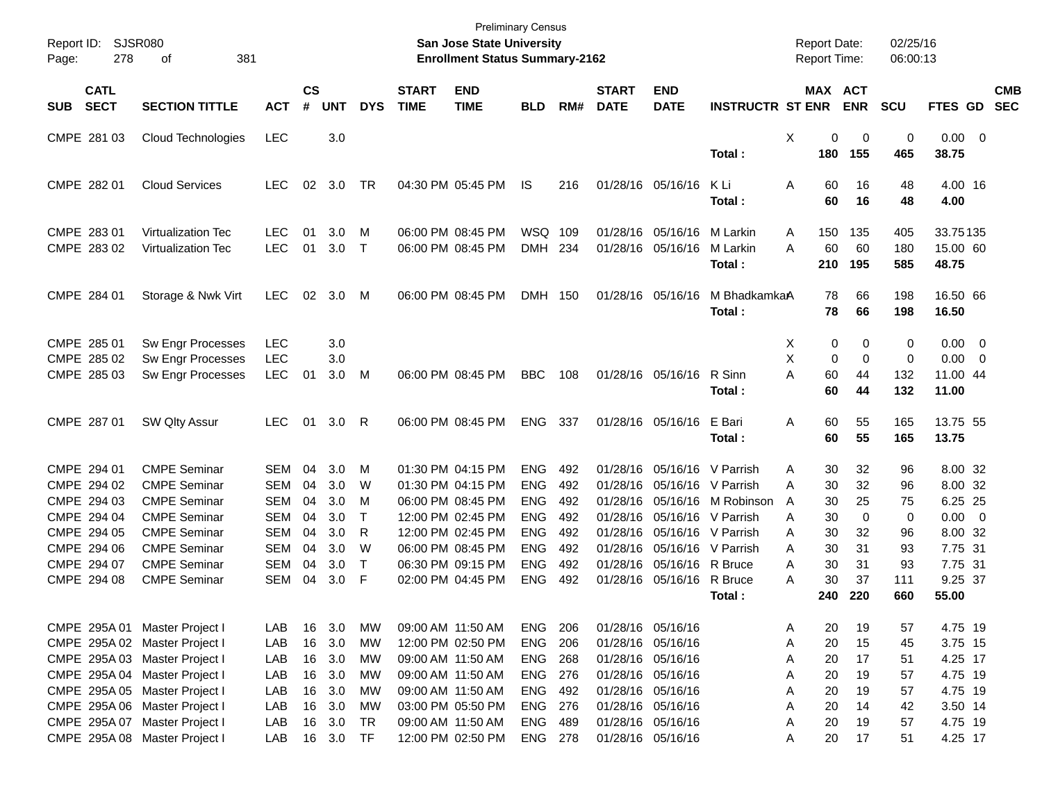| Report ID: |                            | SJSR080                                                        |                          |                    |            |                        |                             | <b>Preliminary Census</b><br>San Jose State University |                          |            |                             |                                        |                                | <b>Report Date:</b>        |                   | 02/25/16          |                                                                     |                          |
|------------|----------------------------|----------------------------------------------------------------|--------------------------|--------------------|------------|------------------------|-----------------------------|--------------------------------------------------------|--------------------------|------------|-----------------------------|----------------------------------------|--------------------------------|----------------------------|-------------------|-------------------|---------------------------------------------------------------------|--------------------------|
| Page:      | 278<br>381<br>оf           |                                                                |                          |                    |            |                        |                             | <b>Enrollment Status Summary-2162</b>                  |                          |            |                             |                                        |                                | Report Time:               |                   | 06:00:13          |                                                                     |                          |
| <b>SUB</b> | <b>CATL</b><br><b>SECT</b> | <b>SECTION TITTLE</b>                                          | <b>ACT</b>               | $\mathsf{cs}$<br># | <b>UNT</b> | <b>DYS</b>             | <b>START</b><br><b>TIME</b> | <b>END</b><br><b>TIME</b>                              | <b>BLD</b>               | RM#        | <b>START</b><br><b>DATE</b> | <b>END</b><br><b>DATE</b>              | <b>INSTRUCTR ST ENR</b>        | MAX ACT                    | <b>ENR</b>        | <b>SCU</b>        | FTES GD                                                             | <b>CMB</b><br><b>SEC</b> |
|            | CMPE 281 03                | Cloud Technologies                                             | <b>LEC</b>               |                    | 3.0        |                        |                             |                                                        |                          |            |                             |                                        | Total:                         | X<br>0<br>180              | 0<br>155          | 0<br>465          | $0.00 \t 0$<br>38.75                                                |                          |
|            | CMPE 282 01                | <b>Cloud Services</b>                                          | <b>LEC</b>               | 02                 | 3.0        | TR                     |                             | 04:30 PM 05:45 PM                                      | IS                       | 216        |                             | 01/28/16 05/16/16                      | K Li<br>Total:                 | A<br>60<br>60              | 16<br>16          | 48<br>48          | 4.00 16<br>4.00                                                     |                          |
|            | CMPE 283 01<br>CMPE 283 02 | <b>Virtualization Tec</b><br><b>Virtualization Tec</b>         | <b>LEC</b><br><b>LEC</b> | 01<br>01           | 3.0<br>3.0 | M<br>$\top$            |                             | 06:00 PM 08:45 PM<br>06:00 PM 08:45 PM                 | WSQ<br><b>DMH</b>        | 109<br>234 | 01/28/16<br>01/28/16        | 05/16/16<br>05/16/16                   | M Larkin<br>M Larkin<br>Total: | 150<br>A<br>A<br>60<br>210 | 135<br>60<br>195  | 405<br>180<br>585 | 33.75135<br>15.00 60<br>48.75                                       |                          |
|            | CMPE 284 01                | Storage & Nwk Virt                                             | <b>LEC</b>               | 02                 | 3.0        | M                      |                             | 06:00 PM 08:45 PM                                      | <b>DMH</b>               | 150        |                             | 01/28/16 05/16/16                      | M BhadkamkaA<br>Total:         | 78<br>78                   | 66<br>66          | 198<br>198        | 16.50 66<br>16.50                                                   |                          |
|            | CMPE 285 01<br>CMPE 285 02 | Sw Engr Processes<br>Sw Engr Processes                         | <b>LEC</b><br><b>LEC</b> |                    | 3.0<br>3.0 |                        |                             |                                                        |                          |            |                             |                                        |                                | Х<br>0<br>Χ<br>0           | 0<br>$\mathbf 0$  | 0<br>0            | 0.00<br>$\overline{\phantom{0}}$<br>0.00<br>$\overline{\mathbf{0}}$ |                          |
|            | CMPE 285 03                | Sw Engr Processes                                              | <b>LEC</b>               | 01                 | 3.0        | м                      |                             | 06:00 PM 08:45 PM                                      | <b>BBC</b>               | 108        |                             | 01/28/16 05/16/16                      | R Sinn<br>Total:               | A<br>60<br>60              | 44<br>44          | 132<br>132        | 11.00 44<br>11.00                                                   |                          |
|            | CMPE 287 01                | SW Qlty Assur                                                  | <b>LEC</b>               | 01                 | 3.0        | R                      |                             | 06:00 PM 08:45 PM                                      | <b>ENG</b>               | 337        |                             | 01/28/16 05/16/16                      | E Bari<br>Total:               | 60<br>Α<br>60              | 55<br>55          | 165<br>165        | 13.75 55<br>13.75                                                   |                          |
|            | CMPE 294 01<br>CMPE 294 02 | <b>CMPE Seminar</b><br><b>CMPE Seminar</b>                     | <b>SEM</b><br><b>SEM</b> | 04<br>04           | 3.0<br>3.0 | M<br>W                 |                             | 01:30 PM 04:15 PM<br>01:30 PM 04:15 PM                 | <b>ENG</b><br><b>ENG</b> | 492<br>492 | 01/28/16<br>01/28/16        | 05/16/16<br>05/16/16                   | V Parrish<br>V Parrish         | 30<br>A<br>30<br>A         | 32<br>32          | 96<br>96          | 8.00 32<br>8.00 32                                                  |                          |
|            | CMPE 294 03<br>CMPE 294 04 | <b>CMPE Seminar</b><br><b>CMPE Seminar</b>                     | <b>SEM</b><br><b>SEM</b> | 04<br>04           | 3.0<br>3.0 | м<br>$\mathsf{T}$      |                             | 06:00 PM 08:45 PM<br>12:00 PM 02:45 PM                 | <b>ENG</b><br><b>ENG</b> | 492<br>492 | 01/28/16<br>01/28/16        | 05/16/16<br>05/16/16                   | M Robinson<br>V Parrish        | A<br>30<br>30<br>Α         | 25<br>$\mathbf 0$ | 75<br>0           | 6.25 25<br>$0.00 \t 0$                                              |                          |
|            | CMPE 294 05<br>CMPE 294 06 | <b>CMPE Seminar</b><br><b>CMPE Seminar</b>                     | <b>SEM</b><br><b>SEM</b> | 04<br>04           | 3.0<br>3.0 | R<br>W                 |                             | 12:00 PM 02:45 PM<br>06:00 PM 08:45 PM                 | <b>ENG</b><br><b>ENG</b> | 492<br>492 | 01/28/16<br>01/28/16        | 05/16/16<br>05/16/16                   | V Parrish<br>V Parrish         | 30<br>Α<br>A<br>30         | 32<br>31          | 96<br>93          | 8.00 32<br>7.75 31                                                  |                          |
|            | CMPE 294 07<br>CMPE 294 08 | <b>CMPE Seminar</b><br><b>CMPE Seminar</b>                     | <b>SEM</b><br><b>SEM</b> | 04<br>04           | 3.0<br>3.0 | $\top$<br>F            |                             | 06:30 PM 09:15 PM<br>02:00 PM 04:45 PM                 | <b>ENG</b><br><b>ENG</b> | 492<br>492 | 01/28/16<br>01/28/16        | 05/16/16<br>05/16/16                   | R Bruce<br>R Bruce<br>Total:   | 30<br>A<br>30<br>А<br>240  | 31<br>37<br>220   | 93<br>111<br>660  | 7.75 31<br>9.25 37<br>55.00                                         |                          |
|            | CMPE 295A 01               | Master Project I                                               | LAB                      | 16                 | 3.0        | МW                     |                             | 09:00 AM 11:50 AM                                      | ENG                      | 206        | 01/28/16 05/16/16           |                                        |                                | 20<br>Α                    | 19                | 57                | 4.75 19                                                             |                          |
|            |                            | CMPE 295A 02 Master Project I<br>CMPE 295A 03 Master Project I | LAB<br>LAB               | 16<br>16           | 3.0<br>3.0 | <b>MW</b><br><b>MW</b> |                             | 12:00 PM 02:50 PM<br>09:00 AM 11:50 AM                 | <b>ENG</b><br><b>ENG</b> | 206<br>268 | 01/28/16 05/16/16           | 01/28/16 05/16/16                      |                                | 20<br>Α<br>20<br>Α         | 15<br>17          | 45<br>51          | 3.75 15<br>4.25 17                                                  |                          |
|            |                            | CMPE 295A 04 Master Project I<br>CMPE 295A 05 Master Project I | LAB<br>LAB               | 16<br>16           | 3.0<br>3.0 | <b>MW</b><br><b>MW</b> |                             | 09:00 AM 11:50 AM<br>09:00 AM 11:50 AM                 | <b>ENG</b><br><b>ENG</b> | 276<br>492 |                             | 01/28/16 05/16/16<br>01/28/16 05/16/16 |                                | 20<br>Α<br>Α<br>20         | 19<br>19          | 57<br>57          | 4.75 19<br>4.75 19                                                  |                          |
|            | CMPE 295A 07               | CMPE 295A 06 Master Project I<br>Master Project I              | LAB<br>LAB               | 16<br>16           | 3.0<br>3.0 | MW<br><b>TR</b>        |                             | 03:00 PM 05:50 PM<br>09:00 AM 11:50 AM                 | <b>ENG</b><br><b>ENG</b> | 276<br>489 |                             | 01/28/16 05/16/16<br>01/28/16 05/16/16 |                                | Α<br>20<br>20<br>Α         | 14<br>19          | 42<br>57          | 3.50 14<br>4.75 19                                                  |                          |
|            |                            | CMPE 295A 08 Master Project I                                  | LAB                      | 16                 | 3.0        | <b>TF</b>              |                             | 12:00 PM 02:50 PM                                      | ENG 278                  |            |                             | 01/28/16 05/16/16                      |                                | Α<br>20                    | 17                | 51                | 4.25 17                                                             |                          |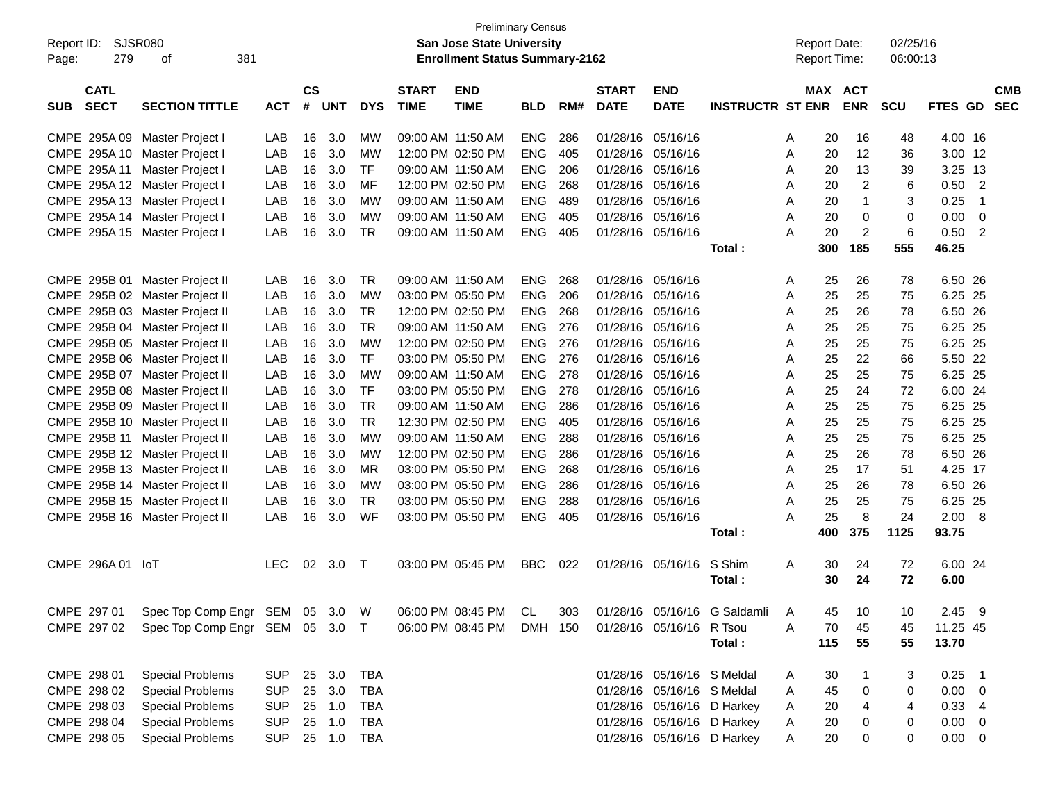| Report ID:<br>279<br>Page:               | SJSR080<br>381<br>οf                                             |            |                    |            |            |                             | <b>Preliminary Census</b><br>San Jose State University<br><b>Enrollment Status Summary-2162</b> |            |     |                             |                            |                            | <b>Report Date:</b><br><b>Report Time:</b> |                       | 02/25/16<br>06:00:13 |                 |                          |
|------------------------------------------|------------------------------------------------------------------|------------|--------------------|------------|------------|-----------------------------|-------------------------------------------------------------------------------------------------|------------|-----|-----------------------------|----------------------------|----------------------------|--------------------------------------------|-----------------------|----------------------|-----------------|--------------------------|
| <b>CATL</b><br><b>SECT</b><br><b>SUB</b> | <b>SECTION TITTLE</b>                                            | <b>ACT</b> | $\mathsf{cs}$<br># | <b>UNT</b> | <b>DYS</b> | <b>START</b><br><b>TIME</b> | <b>END</b><br><b>TIME</b>                                                                       | <b>BLD</b> | RM# | <b>START</b><br><b>DATE</b> | <b>END</b><br><b>DATE</b>  | <b>INSTRUCTR ST ENR</b>    |                                            | MAX ACT<br><b>ENR</b> | <b>SCU</b>           | FTES GD         | <b>CMB</b><br><b>SEC</b> |
| CMPE 295A 09                             | Master Project I                                                 | LAB        | 16                 | 3.0        | МW         | 09:00 AM 11:50 AM           |                                                                                                 | <b>ENG</b> | 286 | 01/28/16                    | 05/16/16                   |                            | 20<br>A                                    | 16                    | 48                   | 4.00 16         |                          |
| CMPE 295A 10                             | Master Project I                                                 | LAB        | 16                 | 3.0        | <b>MW</b>  | 12:00 PM 02:50 PM           |                                                                                                 | <b>ENG</b> | 405 | 01/28/16                    | 05/16/16                   |                            | 20<br>Α                                    | 12                    | 36                   | 3.00 12         |                          |
| CMPE 295A 11                             | Master Project I                                                 | LAB        | 16                 | 3.0        | <b>TF</b>  | 09:00 AM 11:50 AM           |                                                                                                 | <b>ENG</b> | 206 | 01/28/16                    | 05/16/16                   |                            | 20<br>Α                                    | 13                    | 39                   | 3.25            | -13                      |
| CMPE 295A 12 Master Project I            |                                                                  | LAB        | 16                 | 3.0        | MF         |                             | 12:00 PM 02:50 PM                                                                               | <b>ENG</b> | 268 | 01/28/16                    | 05/16/16                   |                            | 20<br>Α                                    | $\overline{c}$        | 6                    | 0.50            | $\overline{2}$           |
| CMPE 295A 13 Master Project I            |                                                                  | LAB        | 16                 | 3.0        | <b>MW</b>  | 09:00 AM 11:50 AM           |                                                                                                 | <b>ENG</b> | 489 | 01/28/16                    | 05/16/16                   |                            | 20<br>A                                    | $\mathbf{1}$          | 3                    | 0.25            | $\overline{1}$           |
| CMPE 295A 14 Master Project I            |                                                                  | LAB        | 16                 | 3.0        | <b>MW</b>  | 09:00 AM 11:50 AM           |                                                                                                 | <b>ENG</b> | 405 | 01/28/16                    | 05/16/16                   |                            | 20<br>A                                    | 0                     | 0                    | 0.00            | $\mathbf 0$              |
| CMPE 295A 15 Master Project I            |                                                                  | LAB        | 16                 | 3.0        | <b>TR</b>  | 09:00 AM 11:50 AM           |                                                                                                 | <b>ENG</b> | 405 | 01/28/16                    | 05/16/16                   |                            | 20<br>A                                    | $\overline{c}$        | 6                    | 0.50            | $\overline{2}$           |
|                                          |                                                                  |            |                    |            |            |                             |                                                                                                 |            |     |                             |                            | Total:                     | 300                                        | 185                   | 555                  | 46.25           |                          |
| CMPE 295B 01                             | Master Project II                                                | LAB        | 16                 | 3.0        | <b>TR</b>  | 09:00 AM 11:50 AM           |                                                                                                 | <b>ENG</b> | 268 | 01/28/16                    | 05/16/16                   |                            | 25<br>A                                    | 26                    | 78                   | 6.50 26         |                          |
|                                          | CMPE 295B 02 Master Project II                                   | LAB        | 16                 | 3.0        | <b>MW</b>  |                             | 03:00 PM 05:50 PM                                                                               | <b>ENG</b> | 206 | 01/28/16                    | 05/16/16                   |                            | 25<br>Α                                    | 25                    | 75                   | 6.25 25         |                          |
|                                          | CMPE 295B 03 Master Project II                                   | LAB        | 16                 | 3.0        | <b>TR</b>  |                             | 12:00 PM 02:50 PM                                                                               | <b>ENG</b> | 268 | 01/28/16                    | 05/16/16                   |                            | 25<br>Α                                    | 26                    | 78                   | 6.50 26         |                          |
|                                          | CMPE 295B 04 Master Project II                                   | LAB        | 16                 | 3.0        | <b>TR</b>  | 09:00 AM 11:50 AM           |                                                                                                 | <b>ENG</b> | 276 | 01/28/16                    | 05/16/16                   |                            | 25<br>Α                                    | 25                    | 75                   | 6.25            | 25                       |
|                                          | CMPE 295B 05 Master Project II                                   | LAB        | 16                 | 3.0        | <b>MW</b>  |                             | 12:00 PM 02:50 PM                                                                               | <b>ENG</b> | 276 | 01/28/16                    | 05/16/16                   |                            | 25<br>Α                                    | 25                    | 75                   | 6.25            | 25                       |
|                                          | CMPE 295B 06 Master Project II                                   | LAB        | 16                 | 3.0        | <b>TF</b>  |                             | 03:00 PM 05:50 PM                                                                               | <b>ENG</b> | 276 | 01/28/16                    | 05/16/16                   |                            | 25<br>Α                                    | 22                    | 66                   | 5.50 22         |                          |
|                                          | CMPE 295B 07 Master Project II                                   | LAB        | 16                 | 3.0        | <b>MW</b>  | 09:00 AM 11:50 AM           |                                                                                                 | <b>ENG</b> | 278 | 01/28/16                    | 05/16/16                   |                            | 25<br>Α                                    | 25                    | 75                   | 6.25 25         |                          |
|                                          | CMPE 295B 08 Master Project II                                   | LAB        | 16                 | 3.0        | <b>TF</b>  |                             | 03:00 PM 05:50 PM                                                                               | <b>ENG</b> | 278 | 01/28/16                    | 05/16/16                   |                            | 25<br>Α                                    | 24                    | 72                   | 6.00 24         |                          |
|                                          | CMPE 295B 09 Master Project II                                   | LAB        | 16                 | 3.0        | <b>TR</b>  | 09:00 AM 11:50 AM           |                                                                                                 | <b>ENG</b> | 286 | 01/28/16                    | 05/16/16                   |                            | 25<br>Α                                    | 25                    | 75                   | 6.25            | 25                       |
|                                          | CMPE 295B 10 Master Project II                                   | LAB        | 16                 | 3.0        | <b>TR</b>  |                             | 12:30 PM 02:50 PM                                                                               | <b>ENG</b> | 405 | 01/28/16                    | 05/16/16                   |                            | 25<br>Α                                    | 25                    | 75                   | 6.25            | 25                       |
| CMPE 295B 11                             | Master Project II                                                | LAB        | 16                 | 3.0        | <b>MW</b>  | 09:00 AM 11:50 AM           |                                                                                                 | <b>ENG</b> | 288 | 01/28/16                    | 05/16/16                   |                            | 25<br>Α                                    | 25                    | 75                   | 6.25 25         |                          |
|                                          | CMPE 295B 12 Master Project II                                   | LAB        | 16                 | 3.0        | <b>MW</b>  |                             | 12:00 PM 02:50 PM                                                                               | <b>ENG</b> | 286 | 01/28/16                    | 05/16/16                   |                            | 25<br>Α                                    | 26                    | 78                   | 6.50 26         |                          |
|                                          | CMPE 295B 13 Master Project II                                   | LAB        | 16                 | 3.0        | <b>MR</b>  |                             | 03:00 PM 05:50 PM                                                                               | <b>ENG</b> | 268 | 01/28/16                    | 05/16/16                   |                            | 25<br>A                                    | 17                    | 51                   | 4.25 17         |                          |
|                                          | CMPE 295B 14 Master Project II                                   | LAB        | 16                 | 3.0        | <b>MW</b>  |                             | 03:00 PM 05:50 PM                                                                               | <b>ENG</b> | 286 | 01/28/16                    | 05/16/16                   |                            | 25<br>A                                    | 26                    | 78                   | 6.50 26         |                          |
|                                          | CMPE 295B 15 Master Project II                                   | LAB        | 16                 | 3.0        | <b>TR</b>  |                             | 03:00 PM 05:50 PM                                                                               | <b>ENG</b> | 288 | 01/28/16                    | 05/16/16                   |                            | 25<br>A                                    | 25                    | 75                   | 6.25            | 25                       |
|                                          | CMPE 295B 16 Master Project II                                   | LAB        | 16                 | 3.0        | WF         | 03:00 PM 05:50 PM           |                                                                                                 | <b>ENG</b> | 405 | 01/28/16                    | 05/16/16                   |                            | 25<br>A                                    | 8                     | 24                   | 2.00            | 8                        |
|                                          |                                                                  |            |                    |            |            |                             |                                                                                                 |            |     |                             |                            | Total:                     | 400                                        | 375                   | 1125                 | 93.75           |                          |
| CMPE 296A 01 IoT                         |                                                                  | <b>LEC</b> | 02                 | 3.0        | $\top$     |                             | 03:00 PM 05:45 PM                                                                               | <b>BBC</b> | 022 | 01/28/16                    | 05/16/16                   | S Shim<br>Total:           | 30<br>A<br>30                              | 24<br>24              | 72<br>72             | 6.00 24<br>6.00 |                          |
|                                          | CMPE 297 01 Spec Top Comp Engr SEM 05 3.0 W 06:00 PM 08:45 PM CL |            |                    |            |            |                             |                                                                                                 |            |     |                             | 303 01/28/16 05/16/16      | G Saldamli                 | $\overline{A}$<br>45                       | 10                    | 10                   | $2.45$ 9        |                          |
| CMPE 297 02                              | Spec Top Comp Engr SEM 05 3.0 T                                  |            |                    |            |            |                             | 06:00 PM 08:45 PM                                                                               | DMH 150    |     |                             | 01/28/16 05/16/16          | R Tsou                     | 70<br>Α                                    | 45                    | 45                   | 11.25 45        |                          |
|                                          |                                                                  |            |                    |            |            |                             |                                                                                                 |            |     |                             |                            | Total:                     | 115                                        | 55                    | 55                   | 13.70           |                          |
| CMPE 298 01                              | <b>Special Problems</b>                                          | <b>SUP</b> |                    | 25 3.0     | <b>TBA</b> |                             |                                                                                                 |            |     |                             | 01/28/16 05/16/16 S Meldal |                            | 30<br>A                                    | $\mathbf 1$           | 3                    | 0.25            | $\overline{\phantom{1}}$ |
| CMPE 298 02                              | <b>Special Problems</b>                                          | <b>SUP</b> |                    | 25 3.0     | <b>TBA</b> |                             |                                                                                                 |            |     |                             | 01/28/16 05/16/16 S Meldal |                            | 45<br>Α                                    | $\boldsymbol{0}$      | 0                    | 0.00            | 0                        |
| CMPE 298 03                              | <b>Special Problems</b>                                          | <b>SUP</b> |                    | 25 1.0     | <b>TBA</b> |                             |                                                                                                 |            |     |                             | 01/28/16 05/16/16 D Harkey |                            | Α<br>20                                    | 4                     | 4                    | 0.33            | $\overline{4}$           |
| CMPE 298 04                              | <b>Special Problems</b>                                          | <b>SUP</b> |                    | 25 1.0     | <b>TBA</b> |                             |                                                                                                 |            |     |                             | 01/28/16 05/16/16 D Harkey |                            | Α<br>20                                    | 0                     | 0                    | 0.00            | 0                        |
| CMPE 298 05                              | <b>Special Problems</b>                                          | <b>SUP</b> |                    | 25 1.0     | TBA        |                             |                                                                                                 |            |     |                             |                            | 01/28/16 05/16/16 D Harkey | Α<br>20                                    | 0                     | 0                    | $0.00 \t 0$     |                          |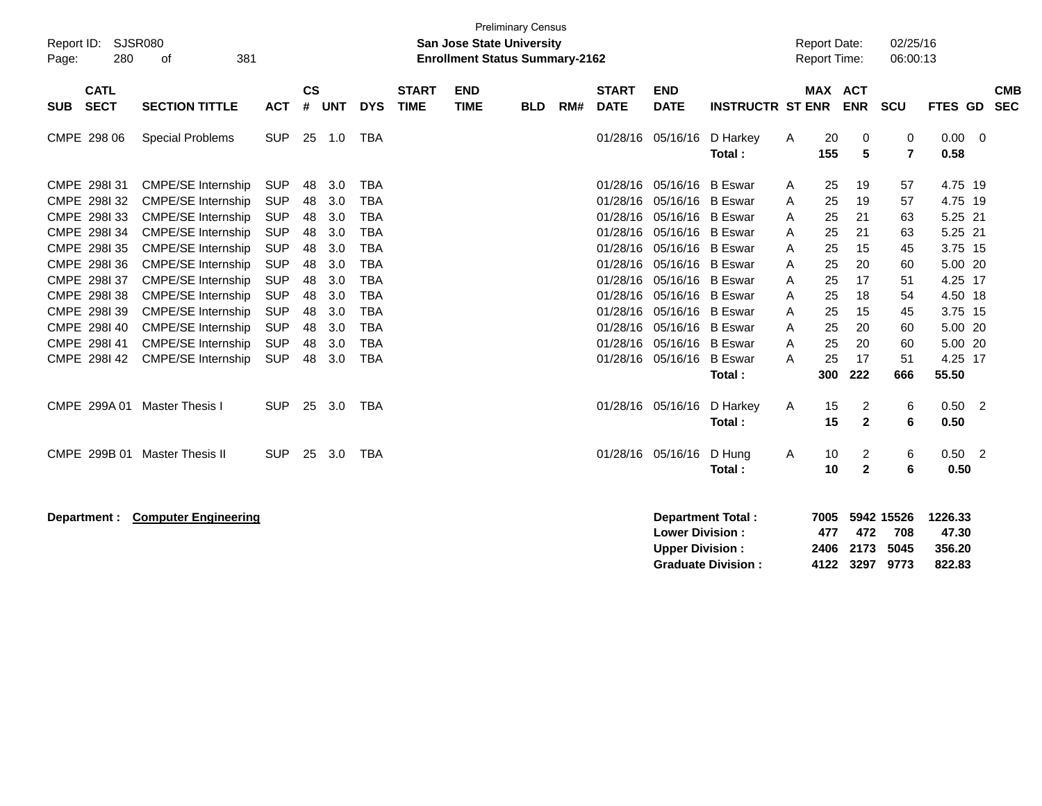| Report ID:<br>280<br>Page:               | SJSR080<br>381<br>оf                                   |                          |                |            |                          |                             | <b>San Jose State University</b><br><b>Enrollment Status Summary-2162</b> | <b>Preliminary Census</b> |     |                             |                                                  |                          |        | <b>Report Date:</b><br><b>Report Time:</b> |                   | 02/25/16<br>06:00:13      |                             |                          |                          |
|------------------------------------------|--------------------------------------------------------|--------------------------|----------------|------------|--------------------------|-----------------------------|---------------------------------------------------------------------------|---------------------------|-----|-----------------------------|--------------------------------------------------|--------------------------|--------|--------------------------------------------|-------------------|---------------------------|-----------------------------|--------------------------|--------------------------|
| <b>CATL</b><br><b>SECT</b><br><b>SUB</b> | <b>SECTION TITTLE</b>                                  | <b>ACT</b>               | <b>CS</b><br># | <b>UNT</b> | <b>DYS</b>               | <b>START</b><br><b>TIME</b> | <b>END</b><br><b>TIME</b>                                                 | <b>BLD</b>                | RM# | <b>START</b><br><b>DATE</b> | <b>END</b><br><b>DATE</b>                        | <b>INSTRUCTR ST ENR</b>  |        | <b>MAX ACT</b>                             | <b>ENR</b>        | <b>SCU</b>                | FTES GD                     |                          | <b>CMB</b><br><b>SEC</b> |
| CMPE 298 06                              | <b>Special Problems</b>                                | <b>SUP</b>               |                | 25 1.0     | <b>TBA</b>               |                             |                                                                           |                           |     | 01/28/16                    | 05/16/16                                         | D Harkey<br>Total:       | Α      | 20<br>155                                  | 0<br>5            | 0<br>7                    | $0.00 \quad 0$<br>0.58      |                          |                          |
| CMPE 298131<br>CMPE 298132               | <b>CMPE/SE Internship</b><br><b>CMPE/SE Internship</b> | <b>SUP</b><br><b>SUP</b> | 48<br>48       | 3.0<br>3.0 | <b>TBA</b><br><b>TBA</b> |                             |                                                                           |                           |     | 01/28/16<br>01/28/16        | 05/16/16<br>05/16/16 B Eswar                     | <b>B</b> Eswar           | A<br>A | 25<br>25                                   | 19<br>19          | 57<br>57                  | 4.75 19<br>4.75 19          |                          |                          |
| CMPE 298133<br>CMPE 298134               | <b>CMPE/SE Internship</b><br><b>CMPE/SE Internship</b> | <b>SUP</b><br><b>SUP</b> | 48<br>48       | 3.0<br>3.0 | <b>TBA</b><br><b>TBA</b> |                             |                                                                           |                           |     | 01/28/16<br>01/28/16        | 05/16/16 B Eswar<br>05/16/16 B Eswar             |                          | A<br>A | 25<br>25                                   | 21<br>21          | 63<br>63                  | 5.25 21<br>5.25 21          |                          |                          |
| CMPE 2981 35<br>CMPE 2981 36             | <b>CMPE/SE Internship</b><br><b>CMPE/SE Internship</b> | <b>SUP</b><br><b>SUP</b> | 48<br>48       | 3.0<br>3.0 | <b>TBA</b><br><b>TBA</b> |                             |                                                                           |                           |     | 01/28/16<br>01/28/16        | 05/16/16 B Eswar<br>05/16/16 B Eswar             |                          | A<br>A | 25<br>25                                   | 15<br>20          | 45<br>60                  | 3.75 15<br>5.00 20          |                          |                          |
| CMPE 298I 37<br>CMPE 298138              | <b>CMPE/SE Internship</b><br><b>CMPE/SE Internship</b> | <b>SUP</b><br><b>SUP</b> | 48<br>48       | 3.0<br>3.0 | <b>TBA</b><br><b>TBA</b> |                             |                                                                           |                           |     | 01/28/16<br>01/28/16        | 05/16/16 B Eswar<br>05/16/16 B Eswar             |                          | A<br>A | 25<br>25                                   | 17<br>18          | 51<br>54                  | 4.25 17<br>4.50 18          |                          |                          |
| CMPE 2981 39<br>CMPE 2981 40             | <b>CMPE/SE Internship</b><br><b>CMPE/SE Internship</b> | <b>SUP</b><br><b>SUP</b> | 48<br>48       | 3.0<br>3.0 | <b>TBA</b><br><b>TBA</b> |                             |                                                                           |                           |     | 01/28/16<br>01/28/16        | 05/16/16 B Eswar<br>05/16/16 B Eswar             |                          | A<br>A | 25<br>25                                   | 15<br>20          | 45<br>60                  | 3.75 15<br>5.00 20          |                          |                          |
| CMPE 2981 41<br>CMPE 2981 42             | CMPE/SE Internship<br><b>CMPE/SE Internship</b>        | <b>SUP</b><br><b>SUP</b> | 48<br>48       | 3.0<br>3.0 | <b>TBA</b><br><b>TBA</b> |                             |                                                                           |                           |     | 01/28/16<br>01/28/16        | 05/16/16 B Eswar<br>05/16/16 B Eswar             | Total:                   | A<br>A | 25<br>25<br>300                            | 20<br>17<br>222   | 60<br>51<br>666           | 5.00 20<br>4.25 17<br>55.50 |                          |                          |
| CMPE 299A 01                             | <b>Master Thesis I</b>                                 | <b>SUP</b>               | 25             | 3.0        | TBA                      |                             |                                                                           |                           |     |                             | 01/28/16 05/16/16                                | D Harkey<br>Total:       | A      | 15<br>15                                   | 2<br>$\mathbf{2}$ | 6<br>6                    | 0.50<br>0.50                | $\overline{\phantom{a}}$ |                          |
| CMPE 299B 01                             | <b>Master Thesis II</b>                                | <b>SUP</b>               | 25             | 3.0        | <b>TBA</b>               |                             |                                                                           |                           |     |                             | 01/28/16 05/16/16                                | D Hung<br>Total:         | Α      | 10<br>10                                   | 2<br>$\mathbf{2}$ | 6<br>6                    | $0.50$ 2<br>0.50            |                          |                          |
| Department :                             | <b>Computer Engineering</b>                            |                          |                |            |                          |                             |                                                                           |                           |     |                             | <b>Lower Division:</b><br><b>Upper Division:</b> | <b>Department Total:</b> |        | 7005<br>477<br>2406                        | 472<br>2173       | 5942 15526<br>708<br>5045 | 1226.33<br>47.30<br>356.20  |                          |                          |

**Graduate Division : 4122 3297 9773 822.83**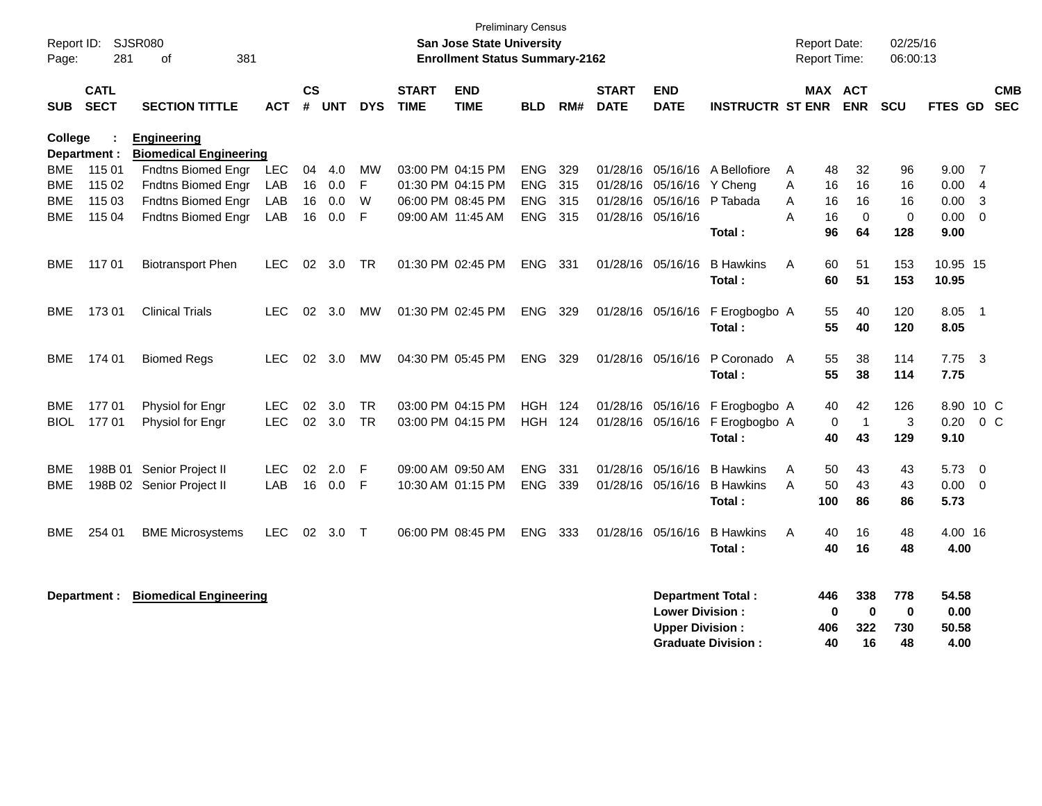| Report ID:<br>Page:             | <b>SJSR080</b><br>281      | 381<br>οf                                                      |                          |                |                   |                     |                             | <b>Preliminary Census</b><br>San Jose State University<br><b>Enrollment Status Summary-2162</b> |                                        |                   |                                        |                                                                              |                                                | <b>Report Date:</b><br><b>Report Time:</b> |                                 |                                      | 02/25/16<br>06:00:13         |                                |                      |                          |
|---------------------------------|----------------------------|----------------------------------------------------------------|--------------------------|----------------|-------------------|---------------------|-----------------------------|-------------------------------------------------------------------------------------------------|----------------------------------------|-------------------|----------------------------------------|------------------------------------------------------------------------------|------------------------------------------------|--------------------------------------------|---------------------------------|--------------------------------------|------------------------------|--------------------------------|----------------------|--------------------------|
| <b>SUB</b>                      | <b>CATL</b><br><b>SECT</b> | <b>SECTION TITTLE</b>                                          | <b>ACT</b>               | $\mathsf{cs}$  | # UNT             | <b>DYS</b>          | <b>START</b><br><b>TIME</b> | <b>END</b><br><b>TIME</b>                                                                       | <b>BLD</b>                             | RM#               | <b>START</b><br><b>DATE</b>            | <b>END</b><br><b>DATE</b>                                                    | <b>INSTRUCTR ST ENR</b>                        |                                            | MAX ACT                         | <b>ENR</b>                           | <b>SCU</b>                   | <b>FTES GD</b>                 |                      | <b>CMB</b><br><b>SEC</b> |
| College                         | Department :               | <b>Engineering</b><br><b>Biomedical Engineering</b>            |                          |                |                   |                     |                             |                                                                                                 |                                        |                   |                                        |                                                                              |                                                |                                            |                                 |                                      |                              |                                |                      |                          |
| BME<br><b>BME</b><br><b>BME</b> | 115 01<br>115 02<br>115 03 | Fndtns Biomed Engr<br>Fndtns Biomed Engr<br>Fndtns Biomed Engr | LEC<br>LAB<br>LAB        | 04<br>16<br>16 | 4.0<br>0.0<br>0.0 | <b>MW</b><br>F<br>W | 06:00 PM 08:45 PM           | 03:00 PM 04:15 PM<br>01:30 PM 04:15 PM                                                          | <b>ENG</b><br><b>ENG</b><br><b>ENG</b> | 329<br>315<br>315 | 01/28/16<br>01/28/16<br>01/28/16       | 05/16/16<br>05/16/16<br>05/16/16                                             | A Bellofiore<br>Y Cheng<br>P Tabada            | A<br>A<br>A                                | 48<br>16<br>16                  | 32<br>16<br>16                       | 96<br>16<br>16               | 9.00<br>0.00<br>0.00           | - 7<br>-4<br>3       |                          |
| <b>BME</b>                      | 115 04                     | <b>Fndtns Biomed Engr</b>                                      | LAB                      | 16             | 0.0               | F                   | 09:00 AM 11:45 AM           |                                                                                                 | ENG                                    | 315               | 01/28/16 05/16/16                      |                                                                              | Total:                                         | A                                          | 16<br>96                        | $\mathbf 0$<br>64                    | 0<br>128                     | 0.00<br>9.00                   | $\mathbf 0$          |                          |
| <b>BME</b>                      | 11701                      | <b>Biotransport Phen</b>                                       | <b>LEC</b>               | 02             | 3.0               | TR                  | 01:30 PM 02:45 PM           |                                                                                                 | ENG                                    | 331               | 01/28/16                               | 05/16/16                                                                     | <b>B</b> Hawkins<br>Total:                     | A                                          | 60<br>60                        | 51<br>51                             | 153<br>153                   | 10.95 15<br>10.95              |                      |                          |
| BME                             | 17301                      | <b>Clinical Trials</b>                                         | <b>LEC</b>               | 02             | 3.0               | MW                  | 01:30 PM 02:45 PM           |                                                                                                 | <b>ENG</b>                             | 329               | 01/28/16 05/16/16                      |                                                                              | F Erogbogbo A<br>Total:                        |                                            | 55<br>55                        | 40<br>40                             | 120<br>120                   | 8.05<br>8.05                   | $\overline{1}$       |                          |
| BME                             | 174 01                     | <b>Biomed Regs</b>                                             | LEC                      | 02             | 3.0               | MW                  | 04:30 PM 05:45 PM           |                                                                                                 | <b>ENG</b>                             | 329               | 01/28/16 05/16/16                      |                                                                              | P Coronado A<br>Total:                         |                                            | 55<br>55                        | 38<br>38                             | 114<br>114                   | 7.75<br>7.75                   | -3                   |                          |
| BME<br><b>BIOL</b>              | 177 01<br>17701            | Physiol for Engr<br>Physiol for Engr                           | <b>LEC</b><br><b>LEC</b> | 02<br>02       | 3.0<br>3.0        | TR.<br><b>TR</b>    | 03:00 PM 04:15 PM           | 03:00 PM 04:15 PM                                                                               | HGH<br><b>HGH 124</b>                  | 124               | 01/28/16 05/16/16<br>01/28/16 05/16/16 |                                                                              | F Erogbogbo A<br>F Erogbogbo A<br>Total:       |                                            | 40<br>0<br>40                   | 42<br>$\overline{1}$<br>43           | 126<br>3<br>129              | 8.90<br>0.20<br>9.10           | 10 C<br>$0\,C$       |                          |
| <b>BME</b><br><b>BME</b>        | 198B 01                    | Senior Project II<br>198B 02 Senior Project II                 | <b>LEC</b><br>LAB        | 02<br>16       | 2.0<br>0.0        | F<br>$\mathsf{F}$   | 09:00 AM 09:50 AM           | 10:30 AM 01:15 PM                                                                               | <b>ENG</b><br><b>ENG</b>               | 331<br>339        | 01/28/16<br>01/28/16 05/16/16          | 05/16/16                                                                     | <b>B</b> Hawkins<br><b>B</b> Hawkins<br>Total: | A<br>A                                     | 50<br>50<br>100                 | 43<br>43<br>86                       | 43<br>43<br>86               | 5.73<br>0.00<br>5.73           | $\Omega$<br>$\Omega$ |                          |
| BME                             | 254 01                     | <b>BME Microsystems</b>                                        | LEC.                     | 02             | 3.0               | $\top$              |                             | 06:00 PM 08:45 PM                                                                               | ENG.                                   | 333               | 01/28/16                               | 05/16/16                                                                     | <b>B</b> Hawkins<br>Total:                     | A                                          | 40<br>40                        | 16<br>16                             | 48<br>48                     | 4.00 16<br>4.00                |                      |                          |
|                                 | Department :               | <b>Biomedical Engineering</b>                                  |                          |                |                   |                     |                             |                                                                                                 |                                        |                   |                                        | <b>Department Total:</b><br><b>Lower Division:</b><br><b>Upper Division:</b> | <b>Graduate Division:</b>                      |                                            | 446<br>$\mathbf 0$<br>406<br>40 | 338<br>$\boldsymbol{0}$<br>322<br>16 | 778<br>$\bf{0}$<br>730<br>48 | 54.58<br>0.00<br>50.58<br>4.00 |                      |                          |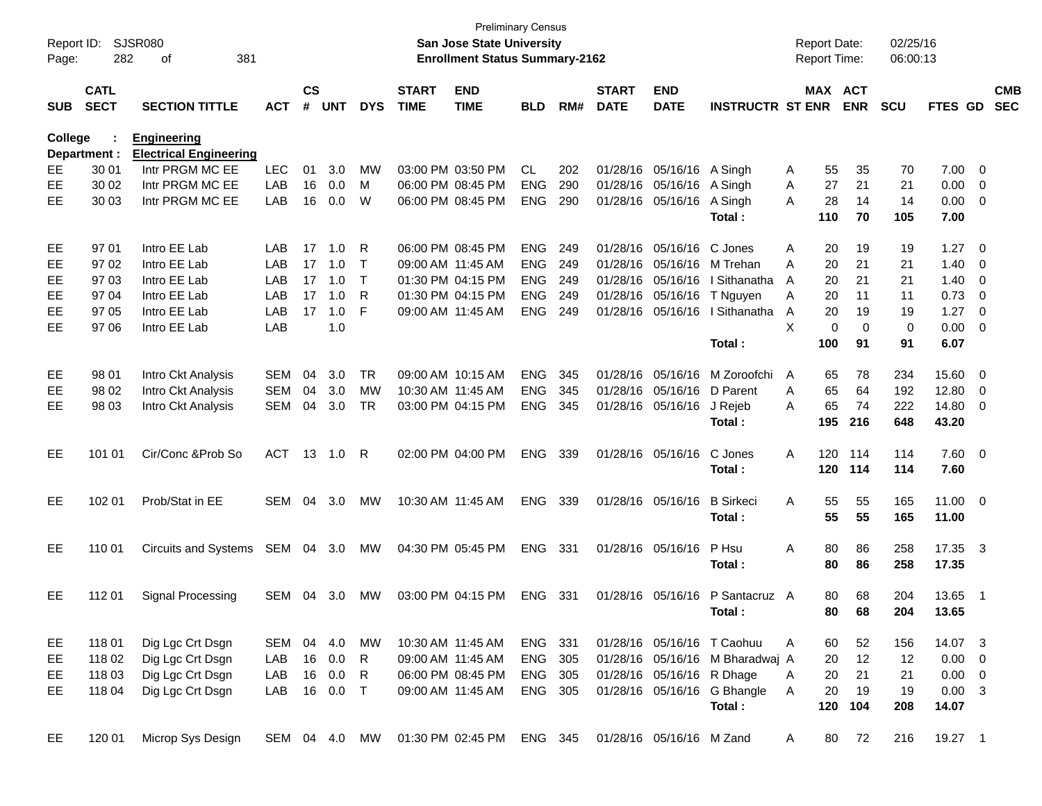| Report ID:<br>Page: | 282                        | <b>SJSR080</b><br>381<br>οf   |               |                    |            |            |                             | San Jose State University<br><b>Enrollment Status Summary-2162</b> | <b>Preliminary Census</b> |      |                             |                                        |                                 |   |           | <b>Report Date:</b><br><b>Report Time:</b> | 02/25/16<br>06:00:13 |                |                         |                          |
|---------------------|----------------------------|-------------------------------|---------------|--------------------|------------|------------|-----------------------------|--------------------------------------------------------------------|---------------------------|------|-----------------------------|----------------------------------------|---------------------------------|---|-----------|--------------------------------------------|----------------------|----------------|-------------------------|--------------------------|
| <b>SUB</b>          | <b>CATL</b><br><b>SECT</b> | <b>SECTION TITTLE</b>         | <b>ACT</b>    | $\mathsf{cs}$<br># | <b>UNT</b> | <b>DYS</b> | <b>START</b><br><b>TIME</b> | <b>END</b><br><b>TIME</b>                                          | <b>BLD</b>                | RM#  | <b>START</b><br><b>DATE</b> | <b>END</b><br><b>DATE</b>              | <b>INSTRUCTR ST ENR</b>         |   |           | MAX ACT<br><b>ENR</b>                      | <b>SCU</b>           | FTES GD        |                         | <b>CMB</b><br><b>SEC</b> |
| <b>College</b>      |                            | <b>Engineering</b>            |               |                    |            |            |                             |                                                                    |                           |      |                             |                                        |                                 |   |           |                                            |                      |                |                         |                          |
|                     | Department :               | <b>Electrical Engineering</b> |               |                    |            |            |                             |                                                                    |                           |      |                             |                                        |                                 |   |           |                                            |                      |                |                         |                          |
| EЕ                  | 30 01                      | Intr PRGM MC EE               | <b>LEC</b>    | 01                 | 3.0        | MW         |                             | 03:00 PM 03:50 PM                                                  | CL                        | 202  |                             | 01/28/16 05/16/16                      | A Singh                         | Α | 55        | 35                                         | 70                   | 7.00           | $\overline{0}$          |                          |
| EE                  | 30 02                      | Intr PRGM MC EE               | LAB           | 16                 | 0.0        | M          |                             | 06:00 PM 08:45 PM                                                  | <b>ENG</b>                | 290  |                             | 01/28/16 05/16/16<br>01/28/16 05/16/16 | A Singh                         | Α | 27        | 21                                         | 21                   | 0.00           | 0                       |                          |
| EЕ                  | 30 03                      | Intr PRGM MC EE               | LAB           | 16                 | 0.0        | W          |                             | 06:00 PM 08:45 PM                                                  | <b>ENG</b>                | 290  |                             |                                        | A Singh<br>Total:               | А | 28<br>110 | 14<br>70                                   | 14<br>105            | 0.00<br>7.00   | 0                       |                          |
|                     |                            |                               |               |                    |            |            |                             |                                                                    |                           |      |                             |                                        |                                 |   |           |                                            |                      |                |                         |                          |
| EE                  | 97 01                      | Intro EE Lab                  | LAB           | 17                 | 1.0        | R          |                             | 06:00 PM 08:45 PM                                                  | <b>ENG</b>                | 249  |                             | 01/28/16 05/16/16                      | C Jones                         | Α | 20        | 19                                         | 19                   | 1.27           | $\overline{0}$          |                          |
| EЕ                  | 97 02                      | Intro EE Lab                  | LAB           | 17                 | 1.0        | Т          |                             | 09:00 AM 11:45 AM                                                  | <b>ENG</b>                | 249  |                             | 01/28/16 05/16/16                      | M Trehan                        | Α | 20        | 21                                         | 21                   | 1.40           | 0                       |                          |
| EЕ                  | 97 03                      | Intro EE Lab                  | LAB           | 17                 | 1.0        | $\top$     |                             | 01:30 PM 04:15 PM                                                  | <b>ENG</b>                | -249 |                             | 01/28/16 05/16/16                      | I Sithanatha                    | A | 20        | 21                                         | 21                   | 1.40           | 0                       |                          |
| EЕ                  | 97 04                      | Intro EE Lab                  | LAB           | 17                 | 1.0        | R          |                             | 01:30 PM 04:15 PM                                                  | <b>ENG</b>                | 249  |                             | 01/28/16 05/16/16                      | T Nguyen                        | Α | 20        | 11                                         | 11                   | 0.73           | 0                       |                          |
| EЕ                  | 97 05                      | Intro EE Lab                  | LAB           | 17                 | 1.0        | F          |                             | 09:00 AM 11:45 AM                                                  | <b>ENG</b>                | 249  |                             | 01/28/16 05/16/16                      | I Sithanatha                    | Α | 20        | 19                                         | 19                   | 1.27           | 0                       |                          |
| EЕ                  | 97 06                      | Intro EE Lab                  | LAB           |                    | 1.0        |            |                             |                                                                    |                           |      |                             |                                        |                                 | X | 0         | 0                                          | 0                    | 0.00           | 0                       |                          |
|                     |                            |                               |               |                    |            |            |                             |                                                                    |                           |      |                             |                                        | Total:                          |   | 100       | 91                                         | 91                   | 6.07           |                         |                          |
| EE                  | 98 01                      | Intro Ckt Analysis            | <b>SEM</b>    | 04                 | 3.0        | <b>TR</b>  |                             | 09:00 AM 10:15 AM                                                  | <b>ENG</b>                | 345  |                             | 01/28/16 05/16/16                      | M Zoroofchi                     | A | 65        | 78                                         | 234                  | 15.60          | 0                       |                          |
| EЕ                  | 98 02                      | Intro Ckt Analysis            | <b>SEM</b>    | 04                 | 3.0        | MW         |                             | 10:30 AM 11:45 AM                                                  | <b>ENG</b>                | 345  |                             | 01/28/16 05/16/16                      | D Parent                        | A | 65        | 64                                         | 192                  | 12.80          | 0                       |                          |
| EЕ                  | 98 03                      | Intro Ckt Analysis            | <b>SEM</b>    | 04                 | 3.0        | <b>TR</b>  |                             | 03:00 PM 04:15 PM                                                  | <b>ENG</b>                | 345  |                             | 01/28/16 05/16/16                      | J Rejeb                         | Α | 65        | 74                                         | 222                  | 14.80          | 0                       |                          |
|                     |                            |                               |               |                    |            |            |                             |                                                                    |                           |      |                             |                                        | Total:                          |   | 195       | 216                                        | 648                  | 43.20          |                         |                          |
| EE                  | 101 01                     | Cir/Conc & Prob So            | <b>ACT</b>    |                    | 13 1.0     | R          |                             | 02:00 PM 04:00 PM                                                  | <b>ENG</b>                | 339  |                             | 01/28/16 05/16/16                      | C Jones                         | A | 120       | 114                                        | 114                  | $7.60$ 0       |                         |                          |
|                     |                            |                               |               |                    |            |            |                             |                                                                    |                           |      |                             |                                        | Total:                          |   | 120       | 114                                        | 114                  | 7.60           |                         |                          |
| EE                  | 102 01                     | Prob/Stat in EE               | SEM           | 04                 | 3.0        | МW         |                             | 10:30 AM 11:45 AM                                                  | <b>ENG</b>                | 339  |                             | 01/28/16 05/16/16                      | <b>B</b> Sirkeci                | Α | 55        | 55                                         | 165                  | $11.00 \t 0$   |                         |                          |
|                     |                            |                               |               |                    |            |            |                             |                                                                    |                           |      |                             |                                        | Total:                          |   | 55        | 55                                         | 165                  | 11.00          |                         |                          |
| EE                  | 110 01                     | <b>Circuits and Systems</b>   | SEM 04 3.0    |                    |            | МW         |                             | 04:30 PM 05:45 PM                                                  | <b>ENG</b>                | 331  |                             | 01/28/16 05/16/16                      | P Hsu                           | Α | 80        | 86                                         | 258                  | 17.35 3        |                         |                          |
|                     |                            |                               |               |                    |            |            |                             |                                                                    |                           |      |                             |                                        | Total:                          |   | 80        | 86                                         | 258                  | 17.35          |                         |                          |
| EE                  | 112 01                     | <b>Signal Processing</b>      | SEM           | 04                 | 3.0        | МW         |                             | 03:00 PM 04:15 PM                                                  | <b>ENG</b>                | 331  |                             | 01/28/16 05/16/16                      | P Santacruz A                   |   | 80        | 68                                         | 204                  | 13.65          | $\overline{1}$          |                          |
|                     |                            |                               |               |                    |            |            |                             |                                                                    |                           |      |                             |                                        | Total:                          |   | 80        | 68                                         | 204                  | 13.65          |                         |                          |
|                     |                            |                               |               |                    |            |            |                             |                                                                    |                           |      |                             |                                        |                                 |   |           |                                            |                      |                |                         |                          |
| EE,                 | 118 01                     | Dig Lgc Crt Dsgn              | SEM           | 04                 | 4.0        | МW         |                             | 10:30 AM 11:45 AM                                                  | ENG 331                   |      |                             |                                        | 01/28/16 05/16/16 T Caohuu      | A | 60        | 52                                         | 156                  | 14.07 3        |                         |                          |
| EE                  | 118 02                     | Dig Lgc Crt Dsgn              | LAB           | 16                 | 0.0        | R          | 09:00 AM 11:45 AM           |                                                                    | ENG 305                   |      |                             |                                        | 01/28/16 05/16/16 M Bharadwaj A |   | 20        | 12                                         | 12                   | 0.00           | 0                       |                          |
| EE                  | 118 03                     | Dig Lgc Crt Dsgn              | LAB           | 16                 | 0.0        | R          |                             | 06:00 PM 08:45 PM                                                  | ENG 305                   |      |                             | 01/28/16 05/16/16 R Dhage              |                                 | Α | 20        | 21                                         | 21                   | 0.00           | $\overline{\mathbf{0}}$ |                          |
| EЕ                  | 118 04                     | Dig Lgc Crt Dsgn              | LAB           |                    | 16 0.0     | $\top$     |                             | 09:00 AM 11:45 AM                                                  | ENG 305                   |      |                             |                                        | 01/28/16 05/16/16 G Bhangle     | Α | 20        | 19                                         | 19                   | $0.00 \quad 3$ |                         |                          |
|                     |                            |                               |               |                    |            |            |                             |                                                                    |                           |      |                             |                                        | Total:                          |   | 120       | 104                                        | 208                  | 14.07          |                         |                          |
| EE                  | 120 01                     | Microp Sys Design             | SEM 04 4.0 MW |                    |            |            |                             | 01:30 PM 02:45 PM                                                  | ENG 345                   |      |                             | 01/28/16 05/16/16 M Zand               |                                 | A | 80        | 72                                         | 216                  | 19.27 1        |                         |                          |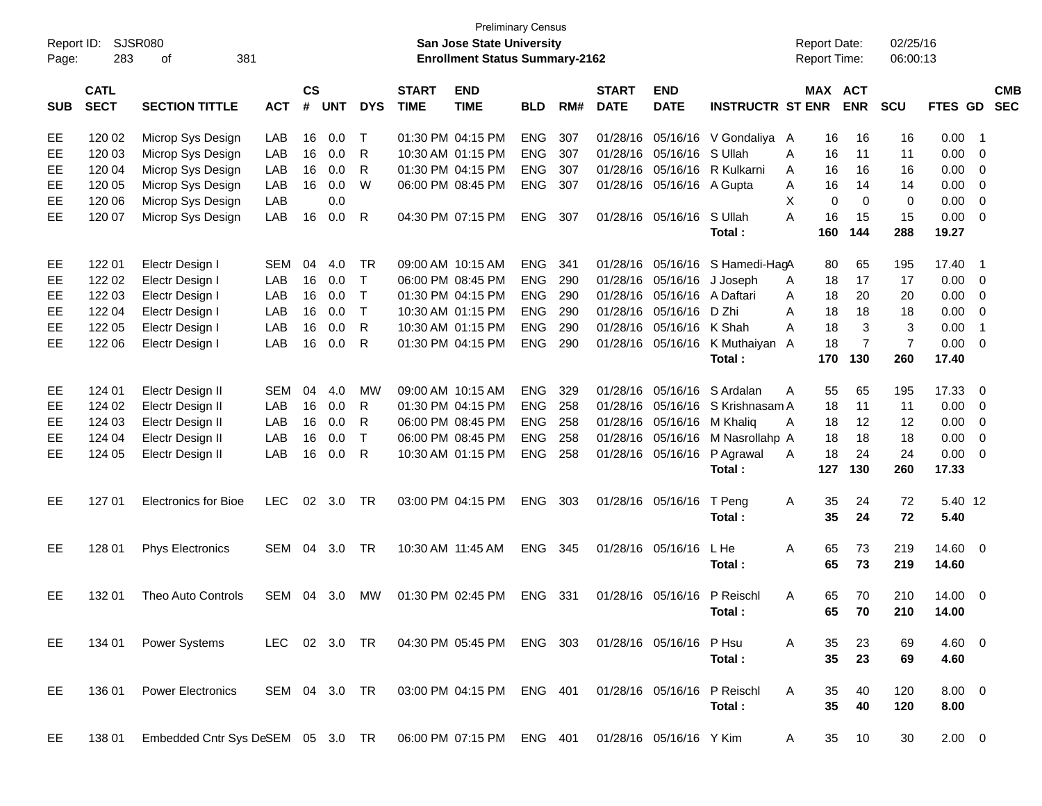| Report ID:<br>Page: | 283                        | <b>SJSR080</b><br>381<br>οf       |               |                             |            |              |                             | San Jose State University<br><b>Enrollment Status Summary-2162</b> | <b>Preliminary Census</b> |     |                             |                             |                         |   | <b>Report Date:</b><br><b>Report Time:</b> |                | 02/25/16<br>06:00:13 |                |                          |                          |
|---------------------|----------------------------|-----------------------------------|---------------|-----------------------------|------------|--------------|-----------------------------|--------------------------------------------------------------------|---------------------------|-----|-----------------------------|-----------------------------|-------------------------|---|--------------------------------------------|----------------|----------------------|----------------|--------------------------|--------------------------|
| <b>SUB</b>          | <b>CATL</b><br><b>SECT</b> | <b>SECTION TITTLE</b>             | <b>ACT</b>    | $\mathsf{cs}$<br>$\pmb{\#}$ | <b>UNT</b> | <b>DYS</b>   | <b>START</b><br><b>TIME</b> | <b>END</b><br><b>TIME</b>                                          | <b>BLD</b>                | RM# | <b>START</b><br><b>DATE</b> | <b>END</b><br><b>DATE</b>   | <b>INSTRUCTR ST ENR</b> |   | <b>MAX ACT</b>                             | <b>ENR</b>     | <b>SCU</b>           | <b>FTES GD</b> |                          | <b>CMB</b><br><b>SEC</b> |
| EE                  | 120 02                     | Microp Sys Design                 | LAB           | 16                          | 0.0        | Т            |                             | 01:30 PM 04:15 PM                                                  | <b>ENG</b>                | 307 | 01/28/16                    |                             | 05/16/16 V Gondaliya A  |   | 16                                         | 16             | 16                   | 0.00           | $\overline{\phantom{1}}$ |                          |
| EE                  | 120 03                     | Microp Sys Design                 | LAB           | 16                          | 0.0        | R            |                             | 10:30 AM 01:15 PM                                                  | <b>ENG</b>                | 307 | 01/28/16                    | 05/16/16 S Ullah            |                         | A | 16                                         | 11             | 11                   | 0.00           | - 0                      |                          |
| EE                  | 120 04                     | Microp Sys Design                 | LAB           | 16                          | 0.0        | R            |                             | 01:30 PM 04:15 PM                                                  | <b>ENG</b>                | 307 | 01/28/16                    | 05/16/16                    | R Kulkarni              | A | 16                                         | 16             | 16                   | 0.00           | 0                        |                          |
| EE                  | 120 05                     | Microp Sys Design                 | LAB           | 16                          | 0.0        | W            |                             | 06:00 PM 08:45 PM                                                  | <b>ENG</b>                | 307 |                             | 01/28/16 05/16/16 A Gupta   |                         | A | 16                                         | 14             | 14                   | 0.00           | 0                        |                          |
| EE                  | 120 06                     | Microp Sys Design                 | LAB           |                             | 0.0        |              |                             |                                                                    |                           |     |                             |                             |                         | X | $\Omega$                                   | 0              | 0                    | 0.00           | 0                        |                          |
| EE                  | 120 07                     | Microp Sys Design                 | LAB           | 16                          | 0.0        | R            |                             | 04:30 PM 07:15 PM                                                  | <b>ENG</b>                | 307 |                             | 01/28/16 05/16/16 S Ullah   |                         | A | 16                                         | 15             | 15                   | 0.00           | $\Omega$                 |                          |
|                     |                            |                                   |               |                             |            |              |                             |                                                                    |                           |     |                             |                             | Total:                  |   | 160                                        | 144            | 288                  | 19.27          |                          |                          |
| EE                  | 122 01                     | Electr Design I                   | <b>SEM</b>    | 04                          | 4.0        | TR           |                             | 09:00 AM 10:15 AM                                                  | <b>ENG</b>                | 341 | 01/28/16                    | 05/16/16                    | S Hamedi-HagA           |   | 80                                         | 65             | 195                  | 17.40          | $\overline{\phantom{1}}$ |                          |
| EE                  | 122 02                     | Electr Design I                   | LAB           | 16                          | 0.0        | $\mathsf{T}$ |                             | 06:00 PM 08:45 PM                                                  | <b>ENG</b>                | 290 | 01/28/16                    | 05/16/16                    | J Joseph                | A | 18                                         | 17             | 17                   | 0.00           | - 0                      |                          |
| EE                  | 122 03                     | Electr Design I                   | LAB           | 16                          | 0.0        | $\mathsf{T}$ |                             | 01:30 PM 04:15 PM                                                  | <b>ENG</b>                | 290 | 01/28/16                    | 05/16/16                    | A Daftari               | A | 18                                         | 20             | 20                   | 0.00           | 0                        |                          |
| EE                  | 122 04                     | Electr Design I                   | LAB           | 16                          | 0.0        | $\mathsf{T}$ |                             | 10:30 AM 01:15 PM                                                  | <b>ENG</b>                | 290 | 01/28/16                    | 05/16/16                    | D Zhi                   | A | 18                                         | 18             | 18                   | 0.00           | 0                        |                          |
| EE                  | 122 05                     | Electr Design I                   | LAB           | 16                          | 0.0        | R            |                             | 10:30 AM 01:15 PM                                                  | <b>ENG</b>                | 290 | 01/28/16                    | 05/16/16                    | K Shah                  | A | 18                                         | 3              | 3                    | 0.00           | $\overline{1}$           |                          |
| EE                  | 122 06                     | Electr Design I                   | LAB           | 16                          | 0.0        | $\mathsf{R}$ |                             | 01:30 PM 04:15 PM                                                  | <b>ENG</b>                | 290 |                             | 01/28/16 05/16/16           | K Muthaiyan A           |   | 18                                         | $\overline{7}$ | $\overline{7}$       | 0.00           | $\Omega$                 |                          |
|                     |                            |                                   |               |                             |            |              |                             |                                                                    |                           |     |                             |                             | Total:                  |   | 170                                        | 130            | 260                  | 17.40          |                          |                          |
| EE                  | 124 01                     | Electr Design II                  | <b>SEM</b>    | 04                          | 4.0        | <b>MW</b>    |                             | 09:00 AM 10:15 AM                                                  | <b>ENG</b>                | 329 | 01/28/16                    | 05/16/16                    | S Ardalan               | A | 55                                         | 65             | 195                  | 17.33          | 0                        |                          |
| EE                  | 124 02                     | Electr Design II                  | LAB           | 16                          | 0.0        | R            |                             | 01:30 PM 04:15 PM                                                  | <b>ENG</b>                | 258 | 01/28/16                    | 05/16/16                    | S Krishnasam A          |   | 18                                         | 11             | 11                   | 0.00           | - 0                      |                          |
| EE                  | 124 03                     | Electr Design II                  | LAB           | 16                          | 0.0        | R            |                             | 06:00 PM 08:45 PM                                                  | <b>ENG</b>                | 258 | 01/28/16                    | 05/16/16                    | M Khalig                | A | 18                                         | 12             | 12                   | 0.00           | 0                        |                          |
| EE                  | 124 04                     | Electr Design II                  | LAB           | 16                          | 0.0        | $\mathsf{T}$ |                             | 06:00 PM 08:45 PM                                                  | <b>ENG</b>                | 258 | 01/28/16                    | 05/16/16                    | M Nasrollahp A          |   | 18                                         | 18             | 18                   | 0.00           | 0                        |                          |
| EE                  | 124 05                     | Electr Design II                  | LAB           | 16                          | 0.0        | $\mathsf{R}$ |                             | 10:30 AM 01:15 PM                                                  | <b>ENG</b>                | 258 |                             | 01/28/16 05/16/16           | P Agrawal               | A | 18                                         | 24             | 24                   | 0.00           | $\Omega$                 |                          |
|                     |                            |                                   |               |                             |            |              |                             |                                                                    |                           |     |                             |                             | Total:                  |   | 127                                        | 130            | 260                  | 17.33          |                          |                          |
| EE                  | 127 01                     | <b>Electronics for Bioe</b>       | <b>LEC</b>    | 02                          | 3.0        | TR           |                             | 03:00 PM 04:15 PM                                                  | <b>ENG</b>                | 303 |                             | 01/28/16 05/16/16           | T Peng                  | A | 35                                         | 24             | 72                   | 5.40 12        |                          |                          |
|                     |                            |                                   |               |                             |            |              |                             |                                                                    |                           |     |                             |                             | Total:                  |   | 35                                         | 24             | 72                   | 5.40           |                          |                          |
| EE                  | 128 01                     | <b>Phys Electronics</b>           | SEM           | 04                          | 3.0        | <b>TR</b>    |                             | 10:30 AM 11:45 AM                                                  | <b>ENG</b>                | 345 |                             | 01/28/16 05/16/16           | L He                    | A | 65                                         | 73             | 219                  | 14.60 0        |                          |                          |
|                     |                            |                                   |               |                             |            |              |                             |                                                                    |                           |     |                             |                             | Total:                  |   | 65                                         | 73             | 219                  | 14.60          |                          |                          |
| EE                  | 132 01                     | Theo Auto Controls                | SEM           |                             | 04 3.0     | MW           |                             | 01:30 PM 02:45 PM                                                  | ENG                       | 331 |                             | 01/28/16 05/16/16 P Reischl |                         | A | 65                                         | 70             | 210                  | 14.00 0        |                          |                          |
|                     |                            |                                   |               |                             |            |              |                             |                                                                    |                           |     |                             |                             | Total :                 |   | 65                                         | 70             | 210                  | 14.00          |                          |                          |
| EE                  | 134 01                     | Power Systems                     | LEC 02 3.0 TR |                             |            |              |                             | 04:30 PM_05:45 PM                                                  | ENG 303                   |     |                             | 01/28/16 05/16/16           | P Hsu                   | A | 35                                         | 23             | 69                   | 4.60 0         |                          |                          |
|                     |                            |                                   |               |                             |            |              |                             |                                                                    |                           |     |                             |                             | Total:                  |   | 35                                         | 23             | 69                   | 4.60           |                          |                          |
| EE                  | 136 01                     | <b>Power Electronics</b>          | SEM 04 3.0 TR |                             |            |              |                             | 03:00 PM 04:15 PM                                                  | ENG 401                   |     |                             | 01/28/16 05/16/16           | P Reischl               | A | 35                                         | 40             | 120                  | $8.00 \ 0$     |                          |                          |
|                     |                            |                                   |               |                             |            |              |                             |                                                                    |                           |     |                             |                             | Total:                  |   | 35                                         | 40             | 120                  | 8.00           |                          |                          |
| EE                  | 138 01                     | Embedded Cntr Sys DeSEM 05 3.0 TR |               |                             |            |              |                             | 06:00 PM 07:15 PM ENG 401                                          |                           |     |                             | 01/28/16 05/16/16 Y Kim     |                         | A | 35                                         | 10             | 30                   | $2.00 \t 0$    |                          |                          |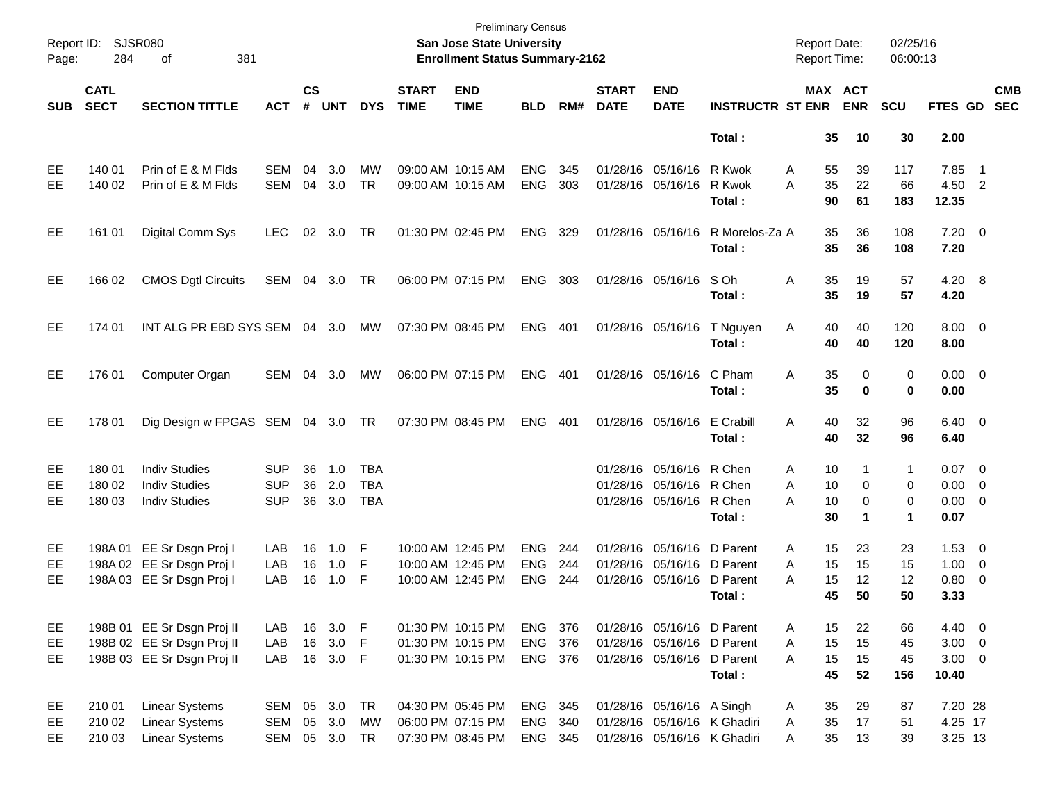| Page:      | Report ID: SJSR080<br>284  | 381<br>оf                        |               |                    |            |            |                             | <b>Preliminary Census</b><br><b>San Jose State University</b><br><b>Enrollment Status Summary-2162</b> |            |       |                             |                             |                         | <b>Report Date:</b><br><b>Report Time:</b> |                       | 02/25/16<br>06:00:13 |                     |                          |                          |
|------------|----------------------------|----------------------------------|---------------|--------------------|------------|------------|-----------------------------|--------------------------------------------------------------------------------------------------------|------------|-------|-----------------------------|-----------------------------|-------------------------|--------------------------------------------|-----------------------|----------------------|---------------------|--------------------------|--------------------------|
| <b>SUB</b> | <b>CATL</b><br><b>SECT</b> | <b>SECTION TITTLE</b>            | <b>ACT</b>    | $\mathsf{cs}$<br># | <b>UNT</b> | <b>DYS</b> | <b>START</b><br><b>TIME</b> | <b>END</b><br><b>TIME</b>                                                                              | <b>BLD</b> | RM#   | <b>START</b><br><b>DATE</b> | <b>END</b><br><b>DATE</b>   | <b>INSTRUCTR ST ENR</b> |                                            | MAX ACT<br><b>ENR</b> | <b>SCU</b>           | <b>FTES GD</b>      |                          | <b>CMB</b><br><b>SEC</b> |
|            |                            |                                  |               |                    |            |            |                             |                                                                                                        |            |       |                             |                             | Total:                  |                                            | 35<br>10              | 30                   | 2.00                |                          |                          |
| EE         | 140 01                     | Prin of E & M Flds               | <b>SEM</b>    | 04                 | 3.0        | MW         |                             | 09:00 AM 10:15 AM                                                                                      | <b>ENG</b> | 345   |                             | 01/28/16 05/16/16           | R Kwok                  | 55<br>A                                    | 39                    | 117                  | 7.85                | $\overline{\phantom{1}}$ |                          |
| EE.        | 140 02                     | Prin of E & M Flds               | <b>SEM</b>    | 04                 | 3.0        | <b>TR</b>  |                             | 09:00 AM 10:15 AM                                                                                      | <b>ENG</b> | 303   |                             | 01/28/16 05/16/16           | R Kwok<br>Total:        | 35<br>A<br>90                              | 22<br>61              | 66<br>183            | 4.50 2<br>12.35     |                          |                          |
| EE.        | 161 01                     | Digital Comm Sys                 | LEC.          | 02                 | 3.0        | TR         | 01:30 PM 02:45 PM           |                                                                                                        | <b>ENG</b> | 329   |                             | 01/28/16 05/16/16           | R Morelos-Za A          |                                            | 35<br>36              | 108                  | $7.20 \t 0$         |                          |                          |
|            |                            |                                  |               |                    |            |            |                             |                                                                                                        |            |       |                             |                             | Total:                  |                                            | 35<br>36              | 108                  | 7.20                |                          |                          |
| EE.        | 166 02                     | <b>CMOS Dgtl Circuits</b>        | SEM           | 04                 | 3.0        | TR         | 06:00 PM 07:15 PM           |                                                                                                        | <b>ENG</b> | 303   |                             | 01/28/16 05/16/16           | S Oh                    | A                                          | 35<br>19              | 57                   | $4.20\ 8$           |                          |                          |
|            |                            |                                  |               |                    |            |            |                             |                                                                                                        |            |       |                             |                             | Total :                 | 35                                         | 19                    | 57                   | 4.20                |                          |                          |
| EE.        | 174 01                     | INT ALG PR EBD SYS SEM 04 3.0    |               |                    |            | MW         | 07:30 PM 08:45 PM           |                                                                                                        | <b>ENG</b> | - 401 |                             | 01/28/16 05/16/16           | T Nguyen<br>Total:      | Α                                          | 40<br>40<br>40<br>40  | 120<br>120           | $8.00 \t 0$<br>8.00 |                          |                          |
| EE.        |                            |                                  |               |                    |            |            |                             |                                                                                                        |            |       |                             |                             | C Pham                  |                                            |                       |                      |                     |                          |                          |
|            | 176 01                     | Computer Organ                   | SEM           | 04                 | 3.0        | MW         | 06:00 PM 07:15 PM           |                                                                                                        | <b>ENG</b> | 401   |                             | 01/28/16 05/16/16           | Total:                  | 35<br>A<br>35                              |                       | 0<br>0<br>0<br>0     | $0.00 \t 0$<br>0.00 |                          |                          |
| EE.        | 178 01                     | Dig Design w FPGAS SEM 04 3.0 TR |               |                    |            |            | 07:30 PM 08:45 PM           |                                                                                                        | <b>ENG</b> | 401   |                             | 01/28/16 05/16/16           | E Crabill               | A                                          | 40<br>32              | 96                   | $6.40 \quad 0$      |                          |                          |
|            |                            |                                  |               |                    |            |            |                             |                                                                                                        |            |       |                             |                             | Total:                  | 40                                         | 32                    | 96                   | 6.40                |                          |                          |
| EE         | 180 01                     | <b>Indiv Studies</b>             | <b>SUP</b>    | 36                 | 1.0        | <b>TBA</b> |                             |                                                                                                        |            |       |                             | 01/28/16 05/16/16           | R Chen                  | A                                          | 10                    | 1<br>1               | $0.07$ 0            |                          |                          |
| EE         | 180 02                     | <b>Indiv Studies</b>             | <b>SUP</b>    | 36                 | 2.0        | <b>TBA</b> |                             |                                                                                                        |            |       |                             | 01/28/16 05/16/16           | R Chen                  | A                                          | 10                    | 0<br>0               | $0.00 \t 0$         |                          |                          |
| EE.        | 180 03                     | <b>Indiv Studies</b>             | <b>SUP</b>    | 36                 | 3.0        | <b>TBA</b> |                             |                                                                                                        |            |       |                             | 01/28/16 05/16/16           | R Chen<br>Total :       | А<br>30                                    | 10<br>1               | 0<br>0<br>1          | $0.00 \t 0$<br>0.07 |                          |                          |
|            |                            |                                  |               |                    |            |            |                             |                                                                                                        |            |       |                             |                             |                         |                                            |                       |                      |                     |                          |                          |
| EE         |                            | 198A 01 EE Sr Dsgn Proj I        | LAB           | 16                 | 1.0        | F          |                             | 10:00 AM 12:45 PM                                                                                      | <b>ENG</b> | 244   |                             | 01/28/16 05/16/16           | D Parent                | A                                          | 15<br>23              | 23                   | $1.53 \t 0$         |                          |                          |
| EE         |                            | 198A 02 EE Sr Dsgn Proj I        | LAB           | 16                 | 1.0        | F          |                             | 10:00 AM 12:45 PM                                                                                      | <b>ENG</b> | 244   |                             | 01/28/16 05/16/16           | D Parent                | 15<br>A                                    | 15                    | 15                   | $1.00 \t 0$         |                          |                          |
| EE.        |                            | 198A 03 EE Sr Dsgn Proj I        | LAB           | 16                 | 1.0        | F          |                             | 10:00 AM 12:45 PM                                                                                      | <b>ENG</b> | 244   |                             | 01/28/16 05/16/16           | D Parent                | 15<br>A                                    | 12                    | 12                   | 0.80 0              |                          |                          |
|            |                            |                                  |               |                    |            |            |                             |                                                                                                        |            |       |                             |                             | Total :                 | 45                                         | 50                    | 50                   | 3.33                |                          |                          |
| EE         |                            | 198B 01 EE Sr Dsgn Proj II       | LAB           | 16                 | 3.0        | -F         |                             | 01:30 PM 10:15 PM                                                                                      | ENG        | - 376 |                             | 01/28/16 05/16/16 D Parent  |                         | A                                          | 15<br>22              | 66                   | 4.40 0              |                          |                          |
| EE         |                            | 198B 02 EE Sr Dsgn Proj II       | LAB           | 16                 | 3.0        | F          |                             | 01:30 PM 10:15 PM                                                                                      | <b>ENG</b> | 376   |                             | 01/28/16 05/16/16 D Parent  |                         | 15<br>A                                    | 15                    | 45                   | $3.00 \ 0$          |                          |                          |
| EE         |                            | 198B 03 EE Sr Dsgn Proj II       | LAB           | 16                 | $3.0$ F    |            |                             | 01:30 PM 10:15 PM                                                                                      | ENG 376    |       |                             | 01/28/16 05/16/16 D Parent  |                         | 15<br>A                                    | 15                    | 45                   | $3.00 \ 0$          |                          |                          |
|            |                            |                                  |               |                    |            |            |                             |                                                                                                        |            |       |                             |                             | Total:                  |                                            | 45<br>52              | 156                  | 10.40               |                          |                          |
| EE         | 210 01                     | <b>Linear Systems</b>            | SEM 05 3.0 TR |                    |            |            |                             | 04:30 PM 05:45 PM                                                                                      | ENG 345    |       |                             | 01/28/16 05/16/16 A Singh   |                         | 35<br>A                                    | 29                    | 87                   | 7.20 28             |                          |                          |
| EE         | 210 02                     | <b>Linear Systems</b>            | <b>SEM</b>    | 05                 | 3.0        | <b>MW</b>  |                             | 06:00 PM 07:15 PM                                                                                      | ENG        | 340   |                             | 01/28/16 05/16/16 K Ghadiri |                         | 35<br>Α                                    | 17                    | 51                   | 4.25 17             |                          |                          |
| EE         | 210 03                     | <b>Linear Systems</b>            | SEM 05 3.0 TR |                    |            |            |                             | 07:30 PM 08:45 PM                                                                                      | ENG 345    |       |                             | 01/28/16 05/16/16 K Ghadiri |                         | Α                                          | 35<br>13              | 39                   | 3.25 13             |                          |                          |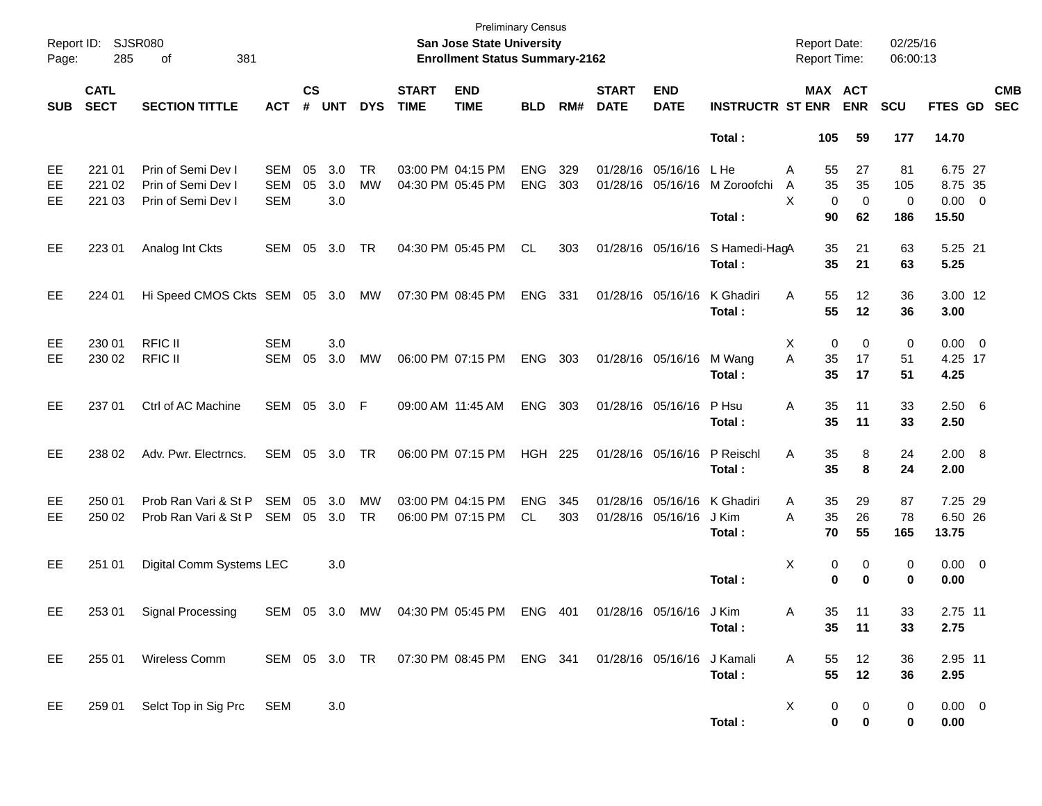| Report ID:<br>Page: | 285                        | <b>SJSR080</b><br>381<br>οf                                    |                          |                    |                   |                 |                             | <b>Preliminary Census</b><br>San Jose State University<br><b>Enrollment Status Summary-2162</b> |                          |            |                             |                                        |                               | <b>Report Date:</b><br><b>Report Time:</b> |                     | 02/25/16<br>06:00:13  |                                            |                          |
|---------------------|----------------------------|----------------------------------------------------------------|--------------------------|--------------------|-------------------|-----------------|-----------------------------|-------------------------------------------------------------------------------------------------|--------------------------|------------|-----------------------------|----------------------------------------|-------------------------------|--------------------------------------------|---------------------|-----------------------|--------------------------------------------|--------------------------|
| <b>SUB</b>          | <b>CATL</b><br><b>SECT</b> | <b>SECTION TITTLE</b>                                          | <b>ACT</b>               | $\mathsf{cs}$<br># | <b>UNT</b>        | <b>DYS</b>      | <b>START</b><br><b>TIME</b> | <b>END</b><br><b>TIME</b>                                                                       | <b>BLD</b>               | RM#        | <b>START</b><br><b>DATE</b> | <b>END</b><br><b>DATE</b>              | <b>INSTRUCTR ST ENR</b>       | MAX ACT                                    | <b>ENR</b>          | <b>SCU</b>            | FTES GD                                    | <b>CMB</b><br><b>SEC</b> |
|                     |                            |                                                                |                          |                    |                   |                 |                             |                                                                                                 |                          |            |                             |                                        | Total:                        | 105                                        | 59                  | 177                   | 14.70                                      |                          |
| EE<br>EE<br>EE      | 221 01<br>221 02<br>221 03 | Prin of Semi Dev I<br>Prin of Semi Dev I<br>Prin of Semi Dev I | SEM<br>SEM<br><b>SEM</b> | 05<br>05           | 3.0<br>3.0<br>3.0 | <b>TR</b><br>MW |                             | 03:00 PM 04:15 PM<br>04:30 PM 05:45 PM                                                          | <b>ENG</b><br><b>ENG</b> | 329<br>303 |                             | 01/28/16 05/16/16<br>01/28/16 05/16/16 | L He<br>M Zoroofchi<br>Total: | Α<br>55<br>35<br>A<br>X<br>0<br>90         | 27<br>35<br>0<br>62 | 81<br>105<br>0<br>186 | 6.75 27<br>8.75 35<br>$0.00 \t 0$<br>15.50 |                          |
| EE                  | 223 01                     | Analog Int Ckts                                                | SEM                      | 05                 | 3.0               | <b>TR</b>       |                             | 04:30 PM 05:45 PM                                                                               | CL.                      | 303        |                             | 01/28/16 05/16/16                      | S Hamedi-HagA<br>Total:       | 35<br>35                                   | 21<br>21            | 63<br>63              | 5.25 21<br>5.25                            |                          |
| EE                  | 224 01                     | Hi Speed CMOS Ckts SEM 05 3.0 MW                               |                          |                    |                   |                 | 07:30 PM 08:45 PM           |                                                                                                 | <b>ENG</b>               | 331        |                             | 01/28/16 05/16/16                      | K Ghadiri<br>Total:           | Α<br>55<br>55                              | 12<br>12            | 36<br>36              | 3.00 12<br>3.00                            |                          |
| EE<br>EE            | 230 01<br>230 02           | <b>RFIC II</b><br><b>RFIC II</b>                               | <b>SEM</b><br>SEM        | 05                 | 3.0<br>3.0        | MW              |                             | 06:00 PM 07:15 PM                                                                               | <b>ENG</b>               | 303        |                             | 01/28/16 05/16/16                      | M Wang<br>Total:              | 0<br>Х<br>A<br>35<br>35                    | 0<br>17<br>17       | 0<br>51<br>51         | $0.00 \t 0$<br>4.25 17<br>4.25             |                          |
| EE                  | 237 01                     | Ctrl of AC Machine                                             | SEM 05                   |                    | 3.0               | - F             | 09:00 AM 11:45 AM           |                                                                                                 | <b>ENG</b>               | 303        | 01/28/16 05/16/16           |                                        | P Hsu<br>Total:               | Α<br>35<br>35                              | 11<br>11            | 33<br>33              | 2.506<br>2.50                              |                          |
| EE                  | 238 02                     | Adv. Pwr. Electrncs.                                           | SEM 05                   |                    | 3.0               | TR              |                             | 06:00 PM 07:15 PM                                                                               | <b>HGH 225</b>           |            |                             | 01/28/16 05/16/16                      | P Reischl<br>Total:           | A<br>35<br>35                              | 8<br>8              | 24<br>24              | 2.00 8<br>2.00                             |                          |
| EE<br>EE            | 250 01<br>250 02           | Prob Ran Vari & St P<br>Prob Ran Vari & St P                   | SEM<br>SEM               | 05<br>05           | 3.0<br>3.0        | MW<br>TR        |                             | 03:00 PM 04:15 PM<br>06:00 PM 07:15 PM                                                          | <b>ENG</b><br>CL         | 345<br>303 |                             | 01/28/16 05/16/16<br>01/28/16 05/16/16 | K Ghadiri<br>J Kim<br>Total:  | Α<br>35<br>A<br>35<br>70                   | 29<br>26<br>55      | 87<br>78<br>165       | 7.25 29<br>6.50 26<br>13.75                |                          |
| EE                  | 251 01                     | Digital Comm Systems LEC                                       |                          |                    | 3.0               |                 |                             |                                                                                                 |                          |            |                             |                                        | Total:                        | Χ<br>0<br>0                                | 0<br>0              | 0<br>0                | $0.00 \t 0$<br>0.00                        |                          |
| EE                  | 253 01                     | Signal Processing                                              | SEM 05 3.0               |                    |                   | MW              |                             | 04:30 PM 05:45 PM                                                                               | ENG 401                  |            |                             | 01/28/16 05/16/16 J Kim                | Total:                        | 35-<br>A<br>35 <sub>o</sub>                | 11<br>11            | 33.<br>33             | 2.75 11<br>2.75                            |                          |
| EE                  | 255 01                     | Wireless Comm                                                  |                          |                    |                   |                 |                             | SEM 05 3.0 TR  07:30 PM 08:45 PM  ENG  341  01/28/16  05/16/16  J Kamali                        |                          |            |                             |                                        | Total:                        | A<br>55<br>55                              | 12<br>12            | 36<br>36              | 2.95 11<br>2.95                            |                          |
| EE                  |                            | 259 01 Selct Top in Sig Prc                                    | SEM                      |                    | 3.0               |                 |                             |                                                                                                 |                          |            |                             |                                        | Total:                        | X<br>0<br>0                                | 0<br>0              | 0<br>0                | $0.00 \t 0$<br>0.00                        |                          |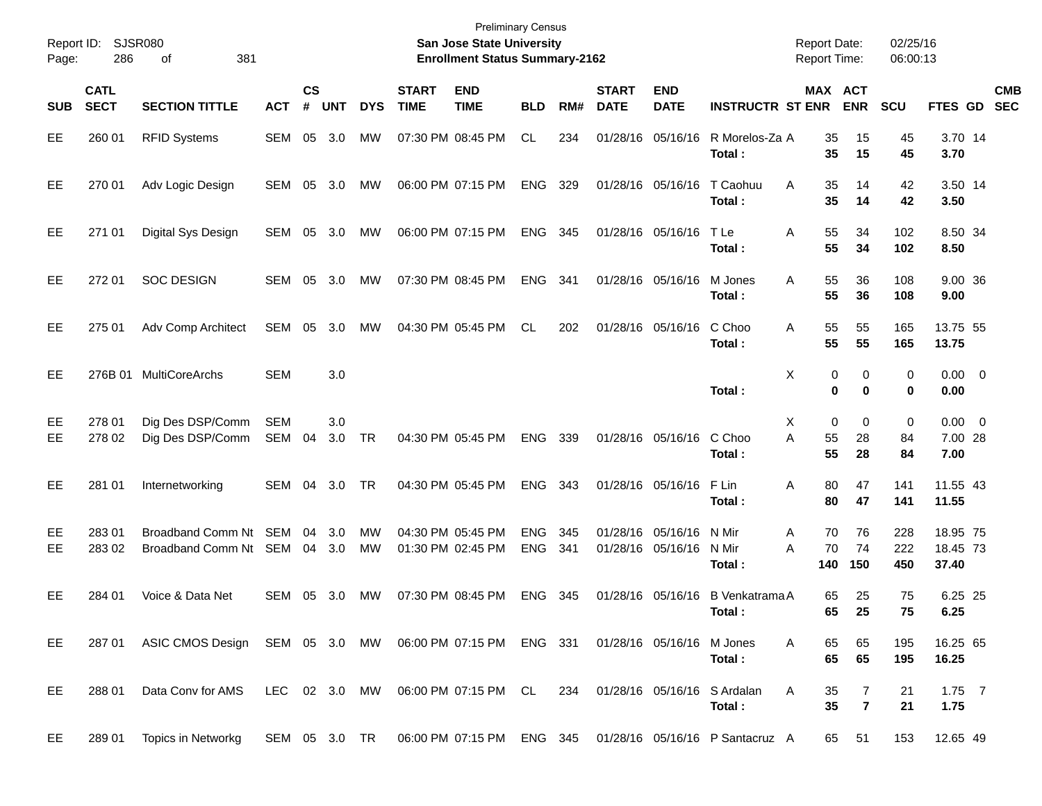| Report ID:<br>Page: | 286                        | SJSR080<br>381<br>οf                                                                       |                   |                |            |            |                             | <b>Preliminary Census</b><br>San Jose State University<br><b>Enrollment Status Summary-2162</b> |                          |            |                             |                                        |                           | <b>Report Date:</b><br><b>Report Time:</b> |                     | 02/25/16<br>06:00:13 |                                |                          |
|---------------------|----------------------------|--------------------------------------------------------------------------------------------|-------------------|----------------|------------|------------|-----------------------------|-------------------------------------------------------------------------------------------------|--------------------------|------------|-----------------------------|----------------------------------------|---------------------------|--------------------------------------------|---------------------|----------------------|--------------------------------|--------------------------|
| <b>SUB</b>          | <b>CATL</b><br><b>SECT</b> | <b>SECTION TITTLE</b>                                                                      | <b>ACT</b>        | <b>CS</b><br># | <b>UNT</b> | <b>DYS</b> | <b>START</b><br><b>TIME</b> | <b>END</b><br><b>TIME</b>                                                                       | <b>BLD</b>               | RM#        | <b>START</b><br><b>DATE</b> | <b>END</b><br><b>DATE</b>              | <b>INSTRUCTR ST ENR</b>   | MAX ACT                                    | <b>ENR</b>          | <b>SCU</b>           | FTES GD                        | <b>CMB</b><br><b>SEC</b> |
| EE                  | 260 01                     | <b>RFID Systems</b>                                                                        | SEM               | 05             | 3.0        | МW         |                             | 07:30 PM 08:45 PM                                                                               | CL.                      | 234        |                             | 01/28/16 05/16/16                      | R Morelos-Za A<br>Total:  | 35<br>35                                   | 15<br>15            | 45<br>45             | 3.70 14<br>3.70                |                          |
| EE                  | 270 01                     | Adv Logic Design                                                                           | SEM               | 05             | 3.0        | МW         |                             | 06:00 PM 07:15 PM                                                                               | <b>ENG</b>               | 329        |                             | 01/28/16 05/16/16                      | T Caohuu<br>Total:        | A<br>35<br>35                              | 14<br>14            | 42<br>42             | 3.50 14<br>3.50                |                          |
| EE                  | 271 01                     | Digital Sys Design                                                                         | SEM               | 05             | 3.0        | MW         |                             | 06:00 PM 07:15 PM                                                                               | <b>ENG</b>               | 345        |                             | 01/28/16 05/16/16                      | T Le<br>Total :           | 55<br>Α<br>55                              | 34<br>34            | 102<br>102           | 8.50 34<br>8.50                |                          |
| EE                  | 272 01                     | <b>SOC DESIGN</b>                                                                          | SEM               | 05             | 3.0        | MW         |                             | 07:30 PM 08:45 PM                                                                               | <b>ENG</b>               | 341        |                             | 01/28/16 05/16/16                      | M Jones<br>Total:         | 55<br>Α<br>55                              | 36<br>36            | 108<br>108           | 9.00 36<br>9.00                |                          |
| EE                  | 275 01                     | Adv Comp Architect                                                                         | SEM               | 05             | 3.0        | MW         |                             | 04:30 PM 05:45 PM                                                                               | CL                       | 202        |                             | 01/28/16 05/16/16                      | C Choo<br>Total:          | 55<br>Α<br>55                              | 55<br>55            | 165<br>165           | 13.75 55<br>13.75              |                          |
| EE                  | 276B 01                    | <b>MultiCoreArchs</b>                                                                      | <b>SEM</b>        |                | 3.0        |            |                             |                                                                                                 |                          |            |                             |                                        | Total:                    | X<br>0<br>0                                | 0<br>0              | 0<br>0               | $0.00 \t 0$<br>0.00            |                          |
| EE<br>EE            | 278 01<br>278 02           | Dig Des DSP/Comm<br>Dig Des DSP/Comm                                                       | <b>SEM</b><br>SEM | 04             | 3.0<br>3.0 | TR         |                             | 04:30 PM 05:45 PM                                                                               | ENG                      | 339        |                             | 01/28/16 05/16/16                      | C Choo<br>Total :         | 0<br>Х<br>A<br>55<br>55                    | 0<br>28<br>28       | 0<br>84<br>84        | $0.00 \t 0$<br>7.00 28<br>7.00 |                          |
| EE                  | 281 01                     | Internetworking                                                                            | SEM               | 04             | 3.0        | TR         |                             | 04:30 PM 05:45 PM                                                                               | <b>ENG</b>               | 343        |                             | 01/28/16 05/16/16                      | F Lin<br>Total :          | 80<br>Α<br>80                              | 47<br>47            | 141<br>141           | 11.55 43<br>11.55              |                          |
| EE<br>EE            | 28301<br>283 02            | Broadband Comm Nt SEM<br>Broadband Comm Nt SEM 04                                          |                   | 04             | 3.0<br>3.0 | MW<br>MW   |                             | 04:30 PM 05:45 PM<br>01:30 PM 02:45 PM                                                          | <b>ENG</b><br><b>ENG</b> | 345<br>341 |                             | 01/28/16 05/16/16<br>01/28/16 05/16/16 | N Mir<br>N Mir<br>Total : | 70<br>A<br>70<br>Α<br>140                  | 76<br>74<br>150     | 228<br>222<br>450    | 18.95 75<br>18.45 73<br>37.40  |                          |
| EE                  | 284 01                     | Voice & Data Net                                                                           | SEM               | 05             | 3.0        | МW         |                             | 07:30 PM 08:45 PM                                                                               | <b>ENG</b>               | 345        |                             | 01/28/16 05/16/16                      | B Venkatrama A<br>Total : | 65<br>65                                   | 25<br>25            | 75<br>75             | 6.25 25<br>6.25                |                          |
| EE.                 |                            | 287 01 ASIC CMOS Design SEM 05 3.0 MW 06:00 PM 07:15 PM ENG 331 01/28/16 05/16/16 M Jones  |                   |                |            |            |                             |                                                                                                 |                          |            |                             |                                        | Total:                    | A<br>65<br>65                              | 65<br>65            | 195<br>195           | 16.25 65<br>16.25              |                          |
| EE                  | 288 01                     | Data Conv for AMS LEC 02 3.0 MW 06:00 PM 07:15 PM CL 234 01/28/16 05/16/16 S Ardalan       |                   |                |            |            |                             |                                                                                                 |                          |            |                             |                                        | Total:                    | A<br>35<br>35                              | 7<br>$\overline{7}$ | 21<br>21             | $1.75$ 7<br>1.75               |                          |
| EE                  | 289 01                     | Topics in Networkg SEM 05 3.0 TR 06:00 PM 07:15 PM ENG 345 01/28/16 05/16/16 P Santacruz A |                   |                |            |            |                             |                                                                                                 |                          |            |                             |                                        |                           |                                            | 65 51               | 153                  | 12.65 49                       |                          |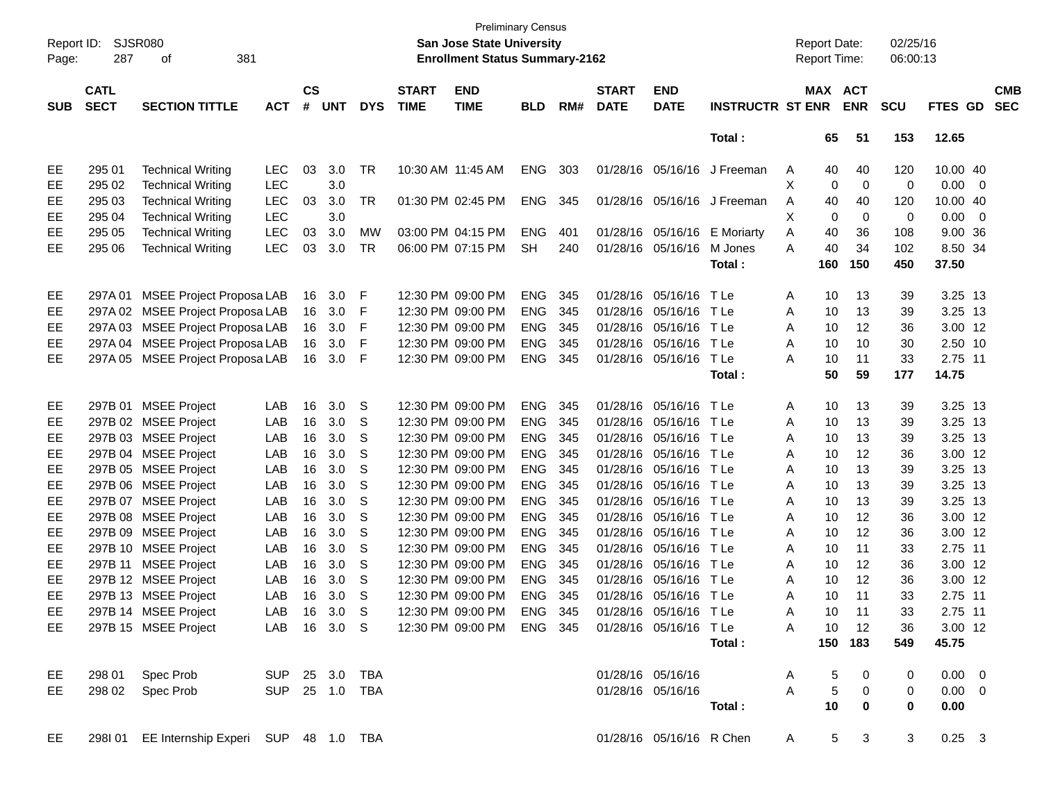| Page:      | Report ID: SJSR080<br>287  | 381<br>οf                                   |            |                    |            |            |                             | <b>Preliminary Census</b><br>San Jose State University<br><b>Enrollment Status Summary-2162</b> |            |     |                             |                           |                                                                        | <b>Report Date:</b> |                 | <b>Report Time:</b>     | 02/25/16<br>06:00:13 |                |                          |                          |
|------------|----------------------------|---------------------------------------------|------------|--------------------|------------|------------|-----------------------------|-------------------------------------------------------------------------------------------------|------------|-----|-----------------------------|---------------------------|------------------------------------------------------------------------|---------------------|-----------------|-------------------------|----------------------|----------------|--------------------------|--------------------------|
| <b>SUB</b> | <b>CATL</b><br><b>SECT</b> | <b>SECTION TITTLE</b>                       | <b>ACT</b> | $\mathsf{cs}$<br># | <b>UNT</b> | <b>DYS</b> | <b>START</b><br><b>TIME</b> | <b>END</b><br><b>TIME</b>                                                                       | <b>BLD</b> | RM# | <b>START</b><br><b>DATE</b> | <b>END</b><br><b>DATE</b> | <b>INSTRUCTR ST ENR</b>                                                |                     |                 | MAX ACT<br><b>ENR</b>   | <b>SCU</b>           | <b>FTES GD</b> |                          | <b>CMB</b><br><b>SEC</b> |
|            |                            |                                             |            |                    |            |            |                             |                                                                                                 |            |     |                             |                           | Total:                                                                 |                     | 65              | 51                      | 153                  | 12.65          |                          |                          |
| EE         | 295 01                     | <b>Technical Writing</b>                    | <b>LEC</b> | 03                 | 3.0        | TR         | 10:30 AM 11:45 AM           |                                                                                                 | ENG        | 303 |                             |                           | 01/28/16 05/16/16 J Freeman                                            | A                   | 40              | 40                      | 120                  | 10.00 40       |                          |                          |
| EE         | 295 02                     | <b>Technical Writing</b>                    | <b>LEC</b> |                    | 3.0        |            |                             |                                                                                                 |            |     |                             |                           |                                                                        | X                   | 0               | 0                       | 0                    | 0.00           | $\overline{\phantom{0}}$ |                          |
| EE         | 295 03                     | <b>Technical Writing</b>                    | <b>LEC</b> | 03                 | 3.0        | TR         |                             | 01:30 PM 02:45 PM                                                                               | <b>ENG</b> | 345 |                             |                           | 01/28/16 05/16/16 J Freeman                                            | A                   | 40              | 40                      | 120                  | 10.00 40       |                          |                          |
| EE         | 295 04                     | <b>Technical Writing</b>                    | <b>LEC</b> |                    | 3.0        |            |                             |                                                                                                 |            |     |                             |                           |                                                                        | X                   | 0               | 0                       | 0                    | 0.00           | $\overline{\phantom{0}}$ |                          |
| EE         | 295 05                     | <b>Technical Writing</b>                    | <b>LEC</b> | 03                 | 3.0        | MW         |                             | 03:00 PM 04:15 PM                                                                               | <b>ENG</b> | 401 |                             |                           | 01/28/16 05/16/16 E Moriarty                                           | Α                   | 40              | 36                      | 108                  | 9.00 36        |                          |                          |
| EE         | 295 06                     | <b>Technical Writing</b>                    | <b>LEC</b> | 03                 | 3.0        | TR         |                             | 06:00 PM 07:15 PM                                                                               | SH         | 240 |                             | 01/28/16 05/16/16         | M Jones                                                                | Α                   | 40              | 34                      | 102                  | 8.50 34        |                          |                          |
|            |                            |                                             |            |                    |            |            |                             |                                                                                                 |            |     |                             |                           | Total :                                                                |                     | 160             | 150                     | 450                  | 37.50          |                          |                          |
| EE         | 297A 01                    | <b>MSEE Project Proposa LAB</b>             |            | 16                 | 3.0        | F          |                             | 12:30 PM 09:00 PM                                                                               | <b>ENG</b> | 345 |                             | 01/28/16 05/16/16         | T Le                                                                   | A                   | 10              | 13                      | 39                   | 3.25 13        |                          |                          |
| EE.        | 297A 02                    | <b>MSEE Project Proposa LAB</b>             |            | 16                 | 3.0        | F          |                             | 12:30 PM 09:00 PM                                                                               | <b>ENG</b> | 345 |                             | 01/28/16 05/16/16 TLe     |                                                                        | Α                   | 10              | 13                      | 39                   | 3.25 13        |                          |                          |
| EE         | 297A03                     | <b>MSEE Project Proposa LAB</b>             |            | 16                 | 3.0        | F          |                             | 12:30 PM 09:00 PM                                                                               | <b>ENG</b> | 345 |                             | 01/28/16 05/16/16 TLe     |                                                                        | Α                   | 10              | 12                      | 36                   | 3.00 12        |                          |                          |
| EE         | 297A 04                    | <b>MSEE Project Proposa LAB</b>             |            | 16                 | 3.0        | F          |                             | 12:30 PM 09:00 PM                                                                               | <b>ENG</b> | 345 |                             | 01/28/16 05/16/16 TLe     |                                                                        | Α                   | 10              | 10                      | 30                   | 2.50 10        |                          |                          |
| EE         | 297A 05                    | MSEE Project Proposa LAB                    |            | 16                 | 3.0        | F          |                             | 12:30 PM 09:00 PM                                                                               | <b>ENG</b> | 345 |                             | 01/28/16 05/16/16         | T Le                                                                   | A                   | 10              | 11                      | 33                   | 2.75 11        |                          |                          |
|            |                            |                                             |            |                    |            |            |                             |                                                                                                 |            |     |                             |                           | Total :                                                                |                     | 50              | 59                      | 177                  | 14.75          |                          |                          |
| EE         |                            | 297B 01 MSEE Project                        | LAB        | 16                 | 3.0        | S          |                             | 12:30 PM 09:00 PM                                                                               | <b>ENG</b> | 345 |                             | 01/28/16 05/16/16 TLe     |                                                                        | A                   | 10              | 13                      | 39                   | 3.25 13        |                          |                          |
| EE         |                            | 297B 02 MSEE Project                        | LAB        | 16                 | 3.0        | S          |                             | 12:30 PM 09:00 PM                                                                               | <b>ENG</b> | 345 |                             | 01/28/16 05/16/16 TLe     |                                                                        | Α                   | 10              | 13                      | 39                   | 3.25 13        |                          |                          |
| EE         |                            | 297B 03 MSEE Project                        | LAB        | 16                 | 3.0        | S          |                             | 12:30 PM 09:00 PM                                                                               | <b>ENG</b> | 345 |                             | 01/28/16 05/16/16 TLe     |                                                                        | Α                   | 10              | 13                      | 39                   | 3.25 13        |                          |                          |
| EE         |                            | 297B 04 MSEE Project                        | LAB        | 16                 | 3.0        | S          |                             | 12:30 PM 09:00 PM                                                                               | <b>ENG</b> | 345 |                             | 01/28/16 05/16/16 TLe     |                                                                        | Α                   | 10              | 12                      | 36                   | 3.00 12        |                          |                          |
| EE         |                            | 297B 05 MSEE Project                        | LAB        | 16                 | 3.0        | S          |                             | 12:30 PM 09:00 PM                                                                               | <b>ENG</b> | 345 |                             | 01/28/16 05/16/16 TLe     |                                                                        | Α                   | 10              | 13                      | 39                   | 3.25 13        |                          |                          |
| EE         |                            | 297B 06 MSEE Project                        | LAB        | 16                 | 3.0        | S          |                             | 12:30 PM 09:00 PM                                                                               | <b>ENG</b> | 345 |                             | 01/28/16 05/16/16 TLe     |                                                                        | Α                   | 10              | 13                      | 39                   | 3.25 13        |                          |                          |
| EE         | 297B 07                    | <b>MSEE Project</b>                         | LAB        | 16                 | 3.0        | S          |                             | 12:30 PM 09:00 PM                                                                               | <b>ENG</b> | 345 |                             | 01/28/16 05/16/16 TLe     |                                                                        | Α                   | 10              | 13                      | 39                   | 3.25 13        |                          |                          |
| EE         |                            | 297B 08 MSEE Project                        | LAB        | 16                 | 3.0        | S          |                             | 12:30 PM 09:00 PM                                                                               | <b>ENG</b> | 345 |                             | 01/28/16 05/16/16 TLe     |                                                                        | Α                   | 10              | 12                      | 36                   | 3.00 12        |                          |                          |
| EE         |                            | 297B 09 MSEE Project                        | LAB        | 16                 | 3.0        | S          |                             | 12:30 PM 09:00 PM                                                                               | <b>ENG</b> | 345 |                             | 01/28/16 05/16/16 TLe     |                                                                        | Α                   | 10              | 12                      | 36                   | 3.00 12        |                          |                          |
| EE         |                            | 297B 10 MSEE Project                        | LAB        | 16                 | 3.0        | S          |                             | 12:30 PM 09:00 PM                                                                               | <b>ENG</b> | 345 |                             | 01/28/16 05/16/16 TLe     |                                                                        | A                   | 10              | 11                      | 33                   | 2.75 11        |                          |                          |
| EE         | 297B 11                    | <b>MSEE Project</b>                         | LAB        | 16                 | 3.0        | S          |                             | 12:30 PM 09:00 PM                                                                               | <b>ENG</b> | 345 |                             | 01/28/16 05/16/16 TLe     |                                                                        | Α                   | 10              | 12                      | 36                   | 3.00 12        |                          |                          |
| EE         |                            | 297B 12 MSEE Project                        | LAB        | 16                 | 3.0        | S          |                             | 12:30 PM 09:00 PM                                                                               | <b>ENG</b> | 345 |                             | 01/28/16 05/16/16 TLe     |                                                                        | Α                   | 10              | 12                      | 36                   | 3.00 12        |                          |                          |
| EE         |                            | 297B 13 MSEE Project                        | LAB        | 16                 | 3.0        | S          |                             | 12:30 PM 09:00 PM                                                                               | <b>ENG</b> | 345 |                             | 01/28/16 05/16/16 TLe     |                                                                        | Α                   | 10              | 11                      | 33                   | 2.75 11        |                          |                          |
| <b>EE</b>  |                            | 297B 14 MSEE Project                        | LAB        |                    | 16 3.0     | S          |                             | 12:30 PM 09:00 PM                                                                               | ENG 345    |     |                             | 01/28/16 05/16/16 TLe     |                                                                        | А                   | 10 <sup>°</sup> | 11                      | 33                   | 2.75 11        |                          |                          |
| EE         |                            | 297B 15 MSEE Project                        |            |                    |            |            |                             |                                                                                                 |            |     |                             |                           | LAB 16 3.0 S  12:30 PM 09:00 PM  ENG  345  01/28/16  05/16/16  T    Le | A                   |                 | 10 12                   | 36                   | $3.00$ 12      |                          |                          |
|            |                            |                                             |            |                    |            |            |                             |                                                                                                 |            |     |                             |                           | Total :                                                                |                     |                 | 150 183                 | 549                  | 45.75          |                          |                          |
| EE         |                            | 298 01 Spec Prob SUP 25 3.0 TBA             |            |                    |            |            |                             |                                                                                                 |            |     |                             | 01/28/16 05/16/16         |                                                                        | A                   | 5               | $\overline{\mathbf{0}}$ | 0                    | $0.00 \quad 0$ |                          |                          |
| EE         |                            | 298 02 Spec Prob SUP 25 1.0 TBA             |            |                    |            |            |                             |                                                                                                 |            |     |                             | 01/28/16 05/16/16         |                                                                        | A                   | $5\phantom{.0}$ | $\overline{\mathbf{0}}$ | $\mathbf{0}$         | $0.00 \quad 0$ |                          |                          |
|            |                            |                                             |            |                    |            |            |                             |                                                                                                 |            |     |                             |                           | Total :                                                                |                     | 10              | $\mathbf 0$             | $\mathbf 0$          | 0.00           |                          |                          |
| EE         |                            | 298I 01 EE Internship Experi SUP 48 1.0 TBA |            |                    |            |            |                             |                                                                                                 |            |     |                             |                           | 01/28/16 05/16/16 R Chen                                               | $A \quad \Box$      |                 | 5 <sub>3</sub>          | 3                    | $0.25 \quad 3$ |                          |                          |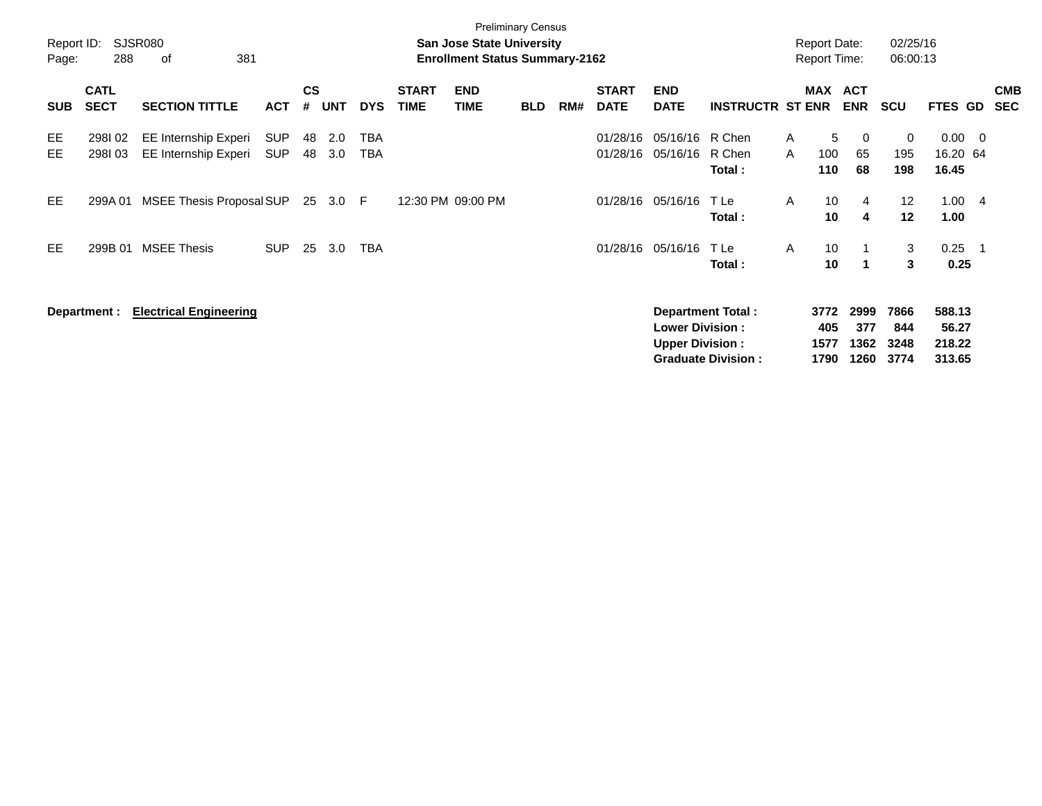| Report ID:<br>Page: | 288                        | SJSR080<br>381<br>οf                         |                          |                |            |            |                             | <b>Preliminary Census</b><br><b>San Jose State University</b><br><b>Enrollment Status Summary-2162</b> |            |     |                             |                                                  |                                                       |                   | <b>Report Date:</b><br><b>Report Time:</b> |                             | 02/25/16<br>06:00:13        |                                     |     |                          |
|---------------------|----------------------------|----------------------------------------------|--------------------------|----------------|------------|------------|-----------------------------|--------------------------------------------------------------------------------------------------------|------------|-----|-----------------------------|--------------------------------------------------|-------------------------------------------------------|-------------------|--------------------------------------------|-----------------------------|-----------------------------|-------------------------------------|-----|--------------------------|
| <b>SUB</b>          | <b>CATL</b><br><b>SECT</b> | <b>SECTION TITTLE</b>                        | <b>ACT</b>               | <b>CS</b><br># | <b>UNT</b> | <b>DYS</b> | <b>START</b><br><b>TIME</b> | <b>END</b><br><b>TIME</b>                                                                              | <b>BLD</b> | RM# | <b>START</b><br><b>DATE</b> | <b>END</b><br><b>DATE</b>                        | <b>INSTRUCTR ST ENR</b>                               |                   | MAX ACT                                    | <b>ENR</b>                  | <b>SCU</b>                  | FTES GD                             |     | <b>CMB</b><br><b>SEC</b> |
| EE<br>EЕ            | 298102<br>298103           | EE Internship Experi<br>EE Internship Experi | <b>SUP</b><br><b>SUP</b> | 48<br>48       | 2.0<br>3.0 | TBA<br>TBA |                             |                                                                                                        |            |     | 01/28/16<br>01/28/16        | 05/16/16<br>05/16/16                             | R Chen<br>R Chen<br>Total:                            | $\mathsf{A}$<br>A | 5<br>100<br>110                            | 0<br>65<br>68               | 0<br>195<br>198             | 0.00<br>16.20 64<br>16.45           | - 0 |                          |
| EE                  | 299A 01                    | MSEE Thesis Proposal SUP                     |                          |                | 25 3.0     | -F         |                             | 12:30 PM 09:00 PM                                                                                      |            |     | 01/28/16                    | 05/16/16                                         | T Le<br>Total:                                        | A                 | 10<br>10                                   | 4<br>$\overline{4}$         | 12<br>12                    | 1.00<br>1.00                        | - 4 |                          |
| EE                  | 299B 01                    | <b>MSEE Thesis</b>                           | <b>SUP</b>               | 25             | 3.0        | <b>TBA</b> |                             |                                                                                                        |            |     | 01/28/16                    | 05/16/16                                         | TLe<br>Total:                                         | A                 | 10<br>10                                   | -1                          | 3<br>3                      | 0.25<br>0.25                        | - 1 |                          |
|                     | Department :               | <b>Electrical Engineering</b>                |                          |                |            |            |                             |                                                                                                        |            |     |                             | <b>Lower Division:</b><br><b>Upper Division:</b> | <b>Department Total:</b><br><b>Graduate Division:</b> |                   | 3772<br>405<br>1577<br>1790                | 2999<br>377<br>1362<br>1260 | 7866<br>844<br>3248<br>3774 | 588.13<br>56.27<br>218.22<br>313.65 |     |                          |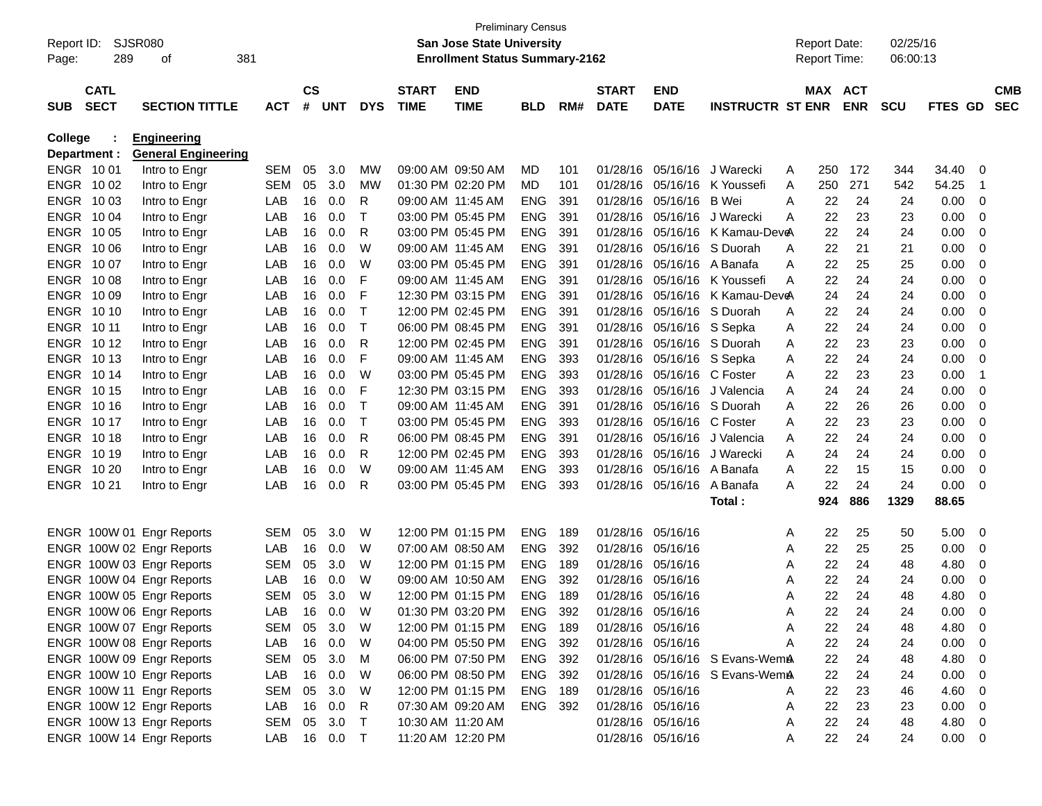| Report ID:<br>Page: | 289          | <b>SJSR080</b><br>381<br>оf |              |               |         |             |                   | <b>Preliminary Census</b><br><b>San Jose State University</b><br><b>Enrollment Status Summary-2162</b> |            |     |                   |                             |                                |   | <b>Report Date:</b><br><b>Report Time:</b> |            | 02/25/16<br>06:00:13 |             |                |            |
|---------------------|--------------|-----------------------------|--------------|---------------|---------|-------------|-------------------|--------------------------------------------------------------------------------------------------------|------------|-----|-------------------|-----------------------------|--------------------------------|---|--------------------------------------------|------------|----------------------|-------------|----------------|------------|
|                     | <b>CATL</b>  |                             |              | $\mathsf{cs}$ |         |             | <b>START</b>      | <b>END</b>                                                                                             |            |     | <b>START</b>      | <b>END</b>                  |                                |   | MAX ACT                                    |            |                      |             |                | <b>CMB</b> |
| <b>SUB</b>          | <b>SECT</b>  | <b>SECTION TITTLE</b>       | <b>ACT</b>   | #             | UNT     | <b>DYS</b>  | <b>TIME</b>       | <b>TIME</b>                                                                                            | <b>BLD</b> | RM# | <b>DATE</b>       | <b>DATE</b>                 | <b>INSTRUCTR ST ENR</b>        |   |                                            | <b>ENR</b> | <b>SCU</b>           | FTES GD     |                | <b>SEC</b> |
| <b>College</b>      |              | <b>Engineering</b>          |              |               |         |             |                   |                                                                                                        |            |     |                   |                             |                                |   |                                            |            |                      |             |                |            |
|                     | Department : | <b>General Engineering</b>  |              |               |         |             |                   |                                                                                                        |            |     |                   |                             |                                |   |                                            |            |                      |             |                |            |
|                     | ENGR 1001    | Intro to Engr               | <b>SEM</b>   | 05            | 3.0     | MW          | 09:00 AM 09:50 AM |                                                                                                        | MD         | 101 |                   | 01/28/16 05/16/16 J Warecki |                                | A | 250                                        | 172        | 344                  | 34.40       | 0              |            |
|                     | ENGR 1002    | Intro to Engr               | <b>SEM</b>   | 05            | 3.0     | MW          | 01:30 PM 02:20 PM |                                                                                                        | MD.        | 101 | 01/28/16          |                             | 05/16/16 K Youssefi            | A | 250                                        | 271        | 542                  | 54.25       | $\overline{1}$ |            |
|                     | ENGR 1003    | Intro to Engr               | LAB          | 16            | 0.0     | R           | 09:00 AM 11:45 AM |                                                                                                        | <b>ENG</b> | 391 | 01/28/16          | 05/16/16 B Wei              |                                | A | 22                                         | 24         | 24                   | 0.00        | 0              |            |
|                     | ENGR 1004    | Intro to Engr               | LAB          | 16            | 0.0     | T           | 03:00 PM 05:45 PM |                                                                                                        | <b>ENG</b> | 391 | 01/28/16          | 05/16/16 J Warecki          |                                | A | 22                                         | 23         | 23                   | 0.00        | 0              |            |
|                     | ENGR 1005    | Intro to Engr               | LAB          | 16            | 0.0     | R           | 03:00 PM 05:45 PM |                                                                                                        | <b>ENG</b> | 391 | 01/28/16          |                             | 05/16/16 K Kamau-DeveA         |   | 22                                         | 24         | 24                   | 0.00        | 0              |            |
|                     | ENGR 1006    | Intro to Engr               | LAB          | 16            | 0.0     | W           | 09:00 AM 11:45 AM |                                                                                                        | <b>ENG</b> | 391 | 01/28/16          | 05/16/16 S Duorah           |                                | A | 22                                         | 21         | 21                   | 0.00        | 0              |            |
|                     | ENGR 1007    | Intro to Engr               | LAB          | 16            | 0.0     | W           | 03:00 PM 05:45 PM |                                                                                                        | <b>ENG</b> | 391 | 01/28/16          | 05/16/16 A Banafa           |                                | A | 22                                         | 25         | 25                   | 0.00        | 0              |            |
|                     | ENGR 1008    | Intro to Engr               | LAB          | 16            | 0.0     | F           | 09:00 AM 11:45 AM |                                                                                                        | <b>ENG</b> | 391 | 01/28/16          |                             | 05/16/16 K Youssefi            | A | 22                                         | 24         | 24                   | 0.00        | 0              |            |
|                     | ENGR 1009    | Intro to Engr               | LAB          | 16            | 0.0     | F           |                   | 12:30 PM 03:15 PM                                                                                      | <b>ENG</b> | 391 | 01/28/16          |                             | 05/16/16 K Kamau-DeveA         |   | 24                                         | 24         | 24                   | 0.00        | 0              |            |
|                     | ENGR 1010    | Intro to Engr               | LAB          | 16            | 0.0     | $\mathsf T$ |                   | 12:00 PM 02:45 PM                                                                                      | <b>ENG</b> | 391 | 01/28/16          | 05/16/16 S Duorah           |                                | A | 22                                         | 24         | 24                   | 0.00        | 0              |            |
|                     | ENGR 10 11   | Intro to Engr               | LAB          | 16            | 0.0     | Τ           |                   | 06:00 PM 08:45 PM                                                                                      | <b>ENG</b> | 391 | 01/28/16          | 05/16/16 S Sepka            |                                | A | 22                                         | 24         | 24                   | 0.00        | 0              |            |
|                     | ENGR 1012    | Intro to Engr               | LAB          | 16            | 0.0     | R           |                   | 12:00 PM 02:45 PM                                                                                      | <b>ENG</b> | 391 | 01/28/16          | 05/16/16 S Duorah           |                                | A | 22                                         | 23         | 23                   | 0.00        | 0              |            |
|                     | ENGR 1013    | Intro to Engr               | LAB          | 16            | 0.0     | F           | 09:00 AM 11:45 AM |                                                                                                        | <b>ENG</b> | 393 |                   | 01/28/16 05/16/16 S Sepka   |                                | A | 22                                         | 24         | 24                   | 0.00        | 0              |            |
|                     | ENGR 1014    | Intro to Engr               | LAB          | 16            | 0.0     | W           | 03:00 PM 05:45 PM |                                                                                                        | <b>ENG</b> | 393 | 01/28/16          | 05/16/16 C Foster           |                                | A | 22                                         | 23         | 23                   | 0.00        | $\overline{1}$ |            |
|                     | ENGR 1015    | Intro to Engr               | LAB          | 16            | 0.0     | F           |                   | 12:30 PM 03:15 PM                                                                                      | <b>ENG</b> | 393 | 01/28/16          |                             | 05/16/16 J Valencia            | A | 24                                         | 24         | 24                   | 0.00        | 0              |            |
|                     | ENGR 1016    | Intro to Engr               | LAB          | 16            | 0.0     | $\mathsf T$ | 09:00 AM 11:45 AM |                                                                                                        | <b>ENG</b> | 391 | 01/28/16          | 05/16/16 S Duorah           |                                | A | 22                                         | 26         | 26                   | 0.00        | 0              |            |
|                     | ENGR 1017    | Intro to Engr               | LAB          | 16            | 0.0     | $\top$      | 03:00 PM 05:45 PM |                                                                                                        | <b>ENG</b> | 393 | 01/28/16          | 05/16/16 C Foster           |                                | A | 22                                         | 23         | 23                   | 0.00        | 0              |            |
|                     | ENGR 1018    | Intro to Engr               | LAB          | 16            | 0.0     | R           | 06:00 PM 08:45 PM |                                                                                                        | <b>ENG</b> | 391 | 01/28/16          |                             | 05/16/16 J Valencia            | A | 22                                         | 24         | 24                   | 0.00        | 0              |            |
|                     | ENGR 1019    | Intro to Engr               | LAB          | 16            | 0.0     | R           |                   | 12:00 PM 02:45 PM                                                                                      | <b>ENG</b> | 393 | 01/28/16          | 05/16/16 J Warecki          |                                | A | 24                                         | 24         | 24                   | 0.00        | 0              |            |
|                     | ENGR 10 20   | Intro to Engr               | LAB          | 16            | 0.0     | W           | 09:00 AM 11:45 AM |                                                                                                        | <b>ENG</b> | 393 | 01/28/16          | 05/16/16 A Banafa           |                                | A | 22                                         | 15         | 15                   | 0.00        | 0              |            |
|                     | ENGR 1021    | Intro to Engr               | LAB          | 16            | 0.0     | R           | 03:00 PM 05:45 PM |                                                                                                        | <b>ENG</b> | 393 |                   | 01/28/16 05/16/16           | A Banafa                       | A | 22                                         | 24         | 24                   | 0.00        | $\mathbf 0$    |            |
|                     |              |                             |              |               |         |             |                   |                                                                                                        |            |     |                   |                             | Total :                        |   | 924                                        | 886        | 1329                 | 88.65       |                |            |
|                     |              | ENGR 100W 01 Engr Reports   | <b>SEM</b>   | 05            | 3.0     | W           |                   | 12:00 PM 01:15 PM                                                                                      | <b>ENG</b> | 189 | 01/28/16 05/16/16 |                             |                                | A | 22                                         | 25         | 50                   | 5.00        | 0              |            |
|                     |              | ENGR 100W 02 Engr Reports   | LAB          | 16            | 0.0     | W           | 07:00 AM 08:50 AM |                                                                                                        | <b>ENG</b> | 392 | 01/28/16 05/16/16 |                             |                                | A | 22                                         | 25         | 25                   | 0.00        | 0              |            |
|                     |              | ENGR 100W 03 Engr Reports   | <b>SEM</b>   | 05            | 3.0     | W           |                   | 12:00 PM 01:15 PM                                                                                      | <b>ENG</b> | 189 | 01/28/16 05/16/16 |                             |                                | A | 22                                         | 24         | 48                   | 4.80        | 0              |            |
|                     |              | ENGR 100W 04 Engr Reports   | LAB          | 16            | 0.0     | W           |                   | 09:00 AM 10:50 AM                                                                                      | <b>ENG</b> | 392 | 01/28/16          | 05/16/16                    |                                | A | 22                                         | 24         | 24                   | 0.00        | 0              |            |
|                     |              | ENGR 100W 05 Engr Reports   | <b>SEM</b>   | 05            | 3.0     | W           |                   | 12:00 PM 01:15 PM                                                                                      | <b>ENG</b> | 189 | 01/28/16 05/16/16 |                             |                                | A | 22                                         | 24         | 48                   | 4.80        | 0              |            |
|                     |              | ENGR 100W 06 Engr Reports   | LAB          |               | 16  0.0 | W           |                   | 01:30 PM 03:20 PM                                                                                      | <b>ENG</b> | 392 | 01/28/16 05/16/16 |                             |                                |   | 22                                         | 24         | 24                   | 0.00        | 0              |            |
|                     |              | ENGR 100W 07 Engr Reports   | SEM 05 3.0   |               |         | W           |                   | 12:00 PM 01:15 PM                                                                                      | ENG 189    |     | 01/28/16 05/16/16 |                             |                                | A | 22                                         | 24         | 48                   | 4.80        | 0              |            |
|                     |              | ENGR 100W 08 Engr Reports   | LAB          |               | 16  0.0 | W           |                   | 04:00 PM 05:50 PM                                                                                      | ENG 392    |     | 01/28/16 05/16/16 |                             |                                | A | 22                                         | 24         | 24                   | 0.00        | - 0            |            |
|                     |              | ENGR 100W 09 Engr Reports   | SEM          |               | 05 3.0  | M           |                   | 06:00 PM 07:50 PM                                                                                      | ENG 392    |     |                   |                             | 01/28/16 05/16/16 S Evans-WemA |   | 22                                         | 24         | 48                   | 4.80        | - 0            |            |
|                     |              | ENGR 100W 10 Engr Reports   | LAB          |               | 16 0.0  | W           |                   | 06:00 PM 08:50 PM                                                                                      | ENG 392    |     |                   |                             | 01/28/16 05/16/16 S Evans-WemA |   | 22                                         | 24         | 24                   | 0.00        | - 0            |            |
|                     |              | ENGR 100W 11 Engr Reports   | SEM          | 05            | 3.0     | W           |                   | 12:00 PM 01:15 PM                                                                                      | ENG 189    |     | 01/28/16 05/16/16 |                             |                                | A | 22                                         | 23         | 46                   | 4.60        | - 0            |            |
|                     |              | ENGR 100W 12 Engr Reports   | LAB          |               | 16  0.0 | R.          |                   | 07:30 AM 09:20 AM                                                                                      | ENG 392    |     | 01/28/16 05/16/16 |                             |                                | A | 22                                         | 23         | 23                   | 0.00        | - 0            |            |
|                     |              | ENGR 100W 13 Engr Reports   | SEM          |               | 05 3.0  | $\top$      | 10:30 AM 11:20 AM |                                                                                                        |            |     | 01/28/16 05/16/16 |                             |                                | A | 22                                         | 24         | 48                   | 4.80        | - 0            |            |
|                     |              | ENGR 100W 14 Engr Reports   | LAB 16 0.0 T |               |         |             |                   | 11:20 AM 12:20 PM                                                                                      |            |     | 01/28/16 05/16/16 |                             |                                | A | 22                                         | 24         | 24                   | $0.00 \t 0$ |                |            |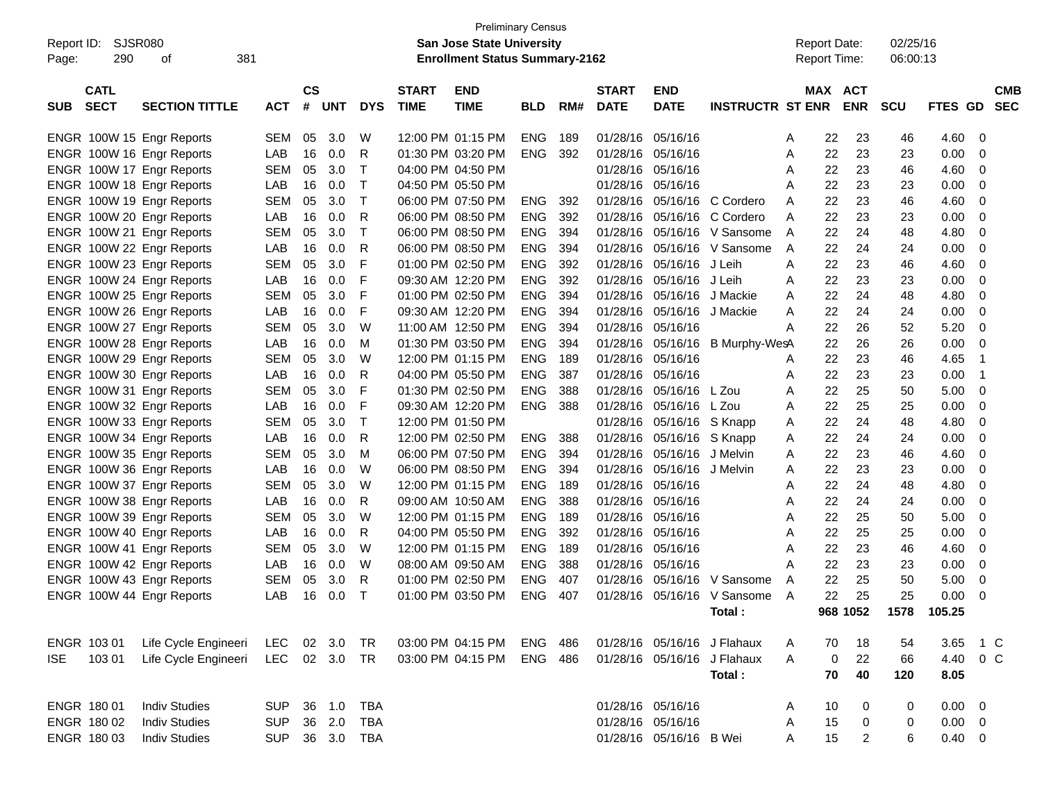| Report ID:<br>290<br>Page:               | SJSR080<br>381<br>οf  |            |                    |            |            |                             | <b>Preliminary Census</b><br><b>San Jose State University</b><br><b>Enrollment Status Summary-2162</b> |            |     |                             |                           |                             |   | <b>Report Date:</b><br>Report Time: |                | 02/25/16<br>06:00:13 |             |                         |                          |
|------------------------------------------|-----------------------|------------|--------------------|------------|------------|-----------------------------|--------------------------------------------------------------------------------------------------------|------------|-----|-----------------------------|---------------------------|-----------------------------|---|-------------------------------------|----------------|----------------------|-------------|-------------------------|--------------------------|
| <b>CATL</b><br><b>SECT</b><br><b>SUB</b> | <b>SECTION TITTLE</b> | <b>ACT</b> | $\mathsf{cs}$<br># | <b>UNT</b> | <b>DYS</b> | <b>START</b><br><b>TIME</b> | <b>END</b><br><b>TIME</b>                                                                              | <b>BLD</b> | RM# | <b>START</b><br><b>DATE</b> | <b>END</b><br><b>DATE</b> | <b>INSTRUCTR ST ENR</b>     |   | MAX ACT                             | <b>ENR</b>     | <b>SCU</b>           | <b>FTES</b> | GD.                     | <b>CMB</b><br><b>SEC</b> |
| ENGR 100W 15 Engr Reports                |                       | <b>SEM</b> | 05                 | 3.0        | W          |                             | 12:00 PM 01:15 PM                                                                                      | <b>ENG</b> | 189 |                             | 01/28/16 05/16/16         |                             | A | 22                                  | 23             | 46                   | 4.60        | 0                       |                          |
| ENGR 100W 16 Engr Reports                |                       | LAB        | 16                 | 0.0        | R          |                             | 01:30 PM 03:20 PM                                                                                      | <b>ENG</b> | 392 | 01/28/16                    | 05/16/16                  |                             | Α | 22                                  | 23             | 23                   | 0.00        | 0                       |                          |
| ENGR 100W 17 Engr Reports                |                       | <b>SEM</b> | 05                 | 3.0        | Т          |                             | 04:00 PM 04:50 PM                                                                                      |            |     | 01/28/16                    | 05/16/16                  |                             | Α | 22                                  | 23             | 46                   | 4.60        | 0                       |                          |
| ENGR 100W 18 Engr Reports                |                       | LAB        | 16                 | 0.0        | T          |                             | 04:50 PM 05:50 PM                                                                                      |            |     | 01/28/16                    | 05/16/16                  |                             | Α | 22                                  | 23             | 23                   | 0.00        | 0                       |                          |
| ENGR 100W 19 Engr Reports                |                       | <b>SEM</b> | 05                 | 3.0        | Т          |                             | 06:00 PM 07:50 PM                                                                                      | <b>ENG</b> | 392 | 01/28/16                    | 05/16/16                  | C Cordero                   | A | 22                                  | 23             | 46                   | 4.60        | 0                       |                          |
| ENGR 100W 20 Engr Reports                |                       | LAB        | 16                 | 0.0        | R          |                             | 06:00 PM 08:50 PM                                                                                      | <b>ENG</b> | 392 | 01/28/16                    | 05/16/16                  | C Cordero                   | A | 22                                  | 23             | 23                   | 0.00        | 0                       |                          |
| ENGR 100W 21 Engr Reports                |                       | <b>SEM</b> | 05                 | 3.0        | Т          |                             | 06:00 PM 08:50 PM                                                                                      | <b>ENG</b> | 394 | 01/28/16                    | 05/16/16                  | V Sansome                   | A | 22                                  | 24             | 48                   | 4.80        | 0                       |                          |
| ENGR 100W 22 Engr Reports                |                       | LAB        | 16                 | 0.0        | R          |                             | 06:00 PM 08:50 PM                                                                                      | <b>ENG</b> | 394 | 01/28/16                    | 05/16/16                  | V Sansome                   | A | 22                                  | 24             | 24                   | 0.00        | 0                       |                          |
| ENGR 100W 23 Engr Reports                |                       | <b>SEM</b> | 05                 | 3.0        | F          |                             | 01:00 PM 02:50 PM                                                                                      | <b>ENG</b> | 392 | 01/28/16                    | 05/16/16                  | J Leih                      | Α | 22                                  | 23             | 46                   | 4.60        | 0                       |                          |
| ENGR 100W 24 Engr Reports                |                       | LAB        | 16                 | 0.0        | F          |                             | 09:30 AM 12:20 PM                                                                                      | <b>ENG</b> | 392 | 01/28/16                    | 05/16/16                  | J Leih                      | Α | 22                                  | 23             | 23                   | 0.00        | 0                       |                          |
| ENGR 100W 25 Engr Reports                |                       | <b>SEM</b> | 05                 | 3.0        | F          |                             | 01:00 PM 02:50 PM                                                                                      | <b>ENG</b> | 394 | 01/28/16                    | 05/16/16                  | J Mackie                    | A | 22                                  | 24             | 48                   | 4.80        | 0                       |                          |
| ENGR 100W 26 Engr Reports                |                       | LAB        | 16                 | 0.0        | F          |                             | 09:30 AM 12:20 PM                                                                                      | <b>ENG</b> | 394 | 01/28/16                    | 05/16/16                  | J Mackie                    | A | 22                                  | 24             | 24                   | 0.00        | 0                       |                          |
| ENGR 100W 27 Engr Reports                |                       | <b>SEM</b> | 05                 | 3.0        | W          |                             | 11:00 AM 12:50 PM                                                                                      | <b>ENG</b> | 394 | 01/28/16                    | 05/16/16                  |                             | Α | 22                                  | 26             | 52                   | 5.20        | 0                       |                          |
| ENGR 100W 28 Engr Reports                |                       | LAB        | 16                 | 0.0        | M          |                             | 01:30 PM 03:50 PM                                                                                      | <b>ENG</b> | 394 | 01/28/16                    | 05/16/16                  | B Murphy-WesA               |   | 22                                  | 26             | 26                   | 0.00        | 0                       |                          |
| ENGR 100W 29 Engr Reports                |                       | <b>SEM</b> | 05                 | 3.0        | W          |                             | 12:00 PM 01:15 PM                                                                                      | <b>ENG</b> | 189 | 01/28/16                    | 05/16/16                  |                             | Α | 22                                  | 23             | 46                   | 4.65        | -1                      |                          |
| ENGR 100W 30 Engr Reports                |                       | LAB        | 16                 | 0.0        | R          |                             | 04:00 PM 05:50 PM                                                                                      | <b>ENG</b> | 387 | 01/28/16                    | 05/16/16                  |                             | Α | 22                                  | 23             | 23                   | 0.00        | $\overline{\mathbf{1}}$ |                          |
| ENGR 100W 31 Engr Reports                |                       | <b>SEM</b> | 05                 | 3.0        | F          |                             | 01:30 PM 02:50 PM                                                                                      | <b>ENG</b> | 388 | 01/28/16                    | 05/16/16                  | L Zou                       | Α | 22                                  | 25             | 50                   | 5.00        | 0                       |                          |
| ENGR 100W 32 Engr Reports                |                       | LAB        | 16                 | 0.0        | F          |                             | 09:30 AM 12:20 PM                                                                                      | <b>ENG</b> | 388 | 01/28/16                    | 05/16/16                  | L Zou                       | Α | 22                                  | 25             | 25                   | 0.00        | 0                       |                          |
| ENGR 100W 33 Engr Reports                |                       | <b>SEM</b> | 05                 | 3.0        | Т          |                             | 12:00 PM 01:50 PM                                                                                      |            |     | 01/28/16                    | 05/16/16                  | S Knapp                     | A | 22                                  | 24             | 48                   | 4.80        | 0                       |                          |
| ENGR 100W 34 Engr Reports                |                       | LAB        | 16                 | 0.0        | R          |                             | 12:00 PM 02:50 PM                                                                                      | <b>ENG</b> | 388 | 01/28/16                    | 05/16/16                  | S Knapp                     | Α | 22                                  | 24             | 24                   | 0.00        | 0                       |                          |
| ENGR 100W 35 Engr Reports                |                       | <b>SEM</b> | 05                 | 3.0        | M          |                             | 06:00 PM 07:50 PM                                                                                      | <b>ENG</b> | 394 | 01/28/16                    | 05/16/16                  | J Melvin                    | A | 22                                  | 23             | 46                   | 4.60        | 0                       |                          |
| ENGR 100W 36 Engr Reports                |                       | LAB        | 16                 | 0.0        | W          |                             | 06:00 PM 08:50 PM                                                                                      | <b>ENG</b> | 394 | 01/28/16                    | 05/16/16                  | J Melvin                    | A | 22                                  | 23             | 23                   | 0.00        | 0                       |                          |
| ENGR 100W 37 Engr Reports                |                       | <b>SEM</b> | 05                 | 3.0        | W          |                             | 12:00 PM 01:15 PM                                                                                      | <b>ENG</b> | 189 | 01/28/16                    | 05/16/16                  |                             | Α | 22                                  | 24             | 48                   | 4.80        | 0                       |                          |
| ENGR 100W 38 Engr Reports                |                       | LAB        | 16                 | 0.0        | R          |                             | 09:00 AM 10:50 AM                                                                                      | <b>ENG</b> | 388 | 01/28/16                    | 05/16/16                  |                             | Α | 22                                  | 24             | 24                   | 0.00        | 0                       |                          |
| ENGR 100W 39 Engr Reports                |                       | <b>SEM</b> | 05                 | 3.0        | W          |                             | 12:00 PM 01:15 PM                                                                                      | <b>ENG</b> | 189 | 01/28/16                    | 05/16/16                  |                             | Α | 22                                  | 25             | 50                   | 5.00        | 0                       |                          |
| ENGR 100W 40 Engr Reports                |                       | LAB        | 16                 | 0.0        | R          |                             | 04:00 PM 05:50 PM                                                                                      | <b>ENG</b> | 392 | 01/28/16                    | 05/16/16                  |                             | Α | 22                                  | 25             | 25                   | 0.00        | 0                       |                          |
| ENGR 100W 41 Engr Reports                |                       | <b>SEM</b> | 05                 | 3.0        | W          |                             | 12:00 PM 01:15 PM                                                                                      | <b>ENG</b> | 189 | 01/28/16                    | 05/16/16                  |                             | Α | 22                                  | 23             | 46                   | 4.60        | 0                       |                          |
| ENGR 100W 42 Engr Reports                |                       | LAB        | 16                 | 0.0        | W          |                             | 08:00 AM 09:50 AM                                                                                      | <b>ENG</b> | 388 | 01/28/16                    | 05/16/16                  |                             | Α | 22                                  | 23             | 23                   | 0.00        | 0                       |                          |
| ENGR 100W 43 Engr Reports                |                       | <b>SEM</b> | 05                 | 3.0        | R          |                             | 01:00 PM 02:50 PM                                                                                      | <b>ENG</b> | 407 | 01/28/16                    | 05/16/16                  | V Sansome                   | A | 22                                  | 25             | 50                   | 5.00        | 0                       |                          |
| ENGR 100W 44 Engr Reports                |                       | LAB        | 16                 | 0.0        | т          |                             | 01:00 PM 03:50 PM                                                                                      | <b>ENG</b> | 407 | 01/28/16                    | 05/16/16                  | V Sansome                   | A | 22                                  | 25             | 25                   | 0.00        | 0                       |                          |
|                                          |                       |            |                    |            |            |                             |                                                                                                        |            |     |                             |                           | Total:                      |   |                                     | 968 1052       | 1578                 | 105.25      |                         |                          |
| ENGR 103 01                              | Life Cycle Engineeri  | LEC        |                    | 02 3.0     | TR         |                             | 03:00 PM 04:15 PM ENG 486                                                                              |            |     |                             |                           | 01/28/16 05/16/16 J Flahaux | A | 70                                  | 18             | 54                   | 3.65        | 1 C                     |                          |
| 103 01<br><b>ISE</b>                     | Life Cycle Engineeri  | LEC 02 3.0 |                    |            | <b>TR</b>  |                             | 03:00 PM 04:15 PM                                                                                      | ENG 486    |     |                             |                           | 01/28/16 05/16/16 J Flahaux | A | 0                                   | 22             | 66                   | 4.40        | $0\,C$                  |                          |
|                                          |                       |            |                    |            |            |                             |                                                                                                        |            |     |                             |                           | Total:                      |   | 70                                  | 40             | 120                  | 8.05        |                         |                          |
| ENGR 180 01                              | <b>Indiv Studies</b>  | <b>SUP</b> |                    | 36 1.0     | <b>TBA</b> |                             |                                                                                                        |            |     |                             | 01/28/16 05/16/16         |                             | A | 10                                  | 0              | 0                    | 0.00        | $\overline{\mathbf{0}}$ |                          |
| ENGR 180 02                              | <b>Indiv Studies</b>  | <b>SUP</b> |                    | 36 2.0     | <b>TBA</b> |                             |                                                                                                        |            |     |                             | 01/28/16 05/16/16         |                             | A | 15                                  | $\pmb{0}$      | 0                    | $0.00 \t 0$ |                         |                          |
| ENGR 180 03                              | <b>Indiv Studies</b>  | <b>SUP</b> |                    | 36 3.0     | TBA        |                             |                                                                                                        |            |     |                             | 01/28/16 05/16/16 B Wei   |                             | Α | 15                                  | $\overline{2}$ | 6                    | $0.40 \ 0$  |                         |                          |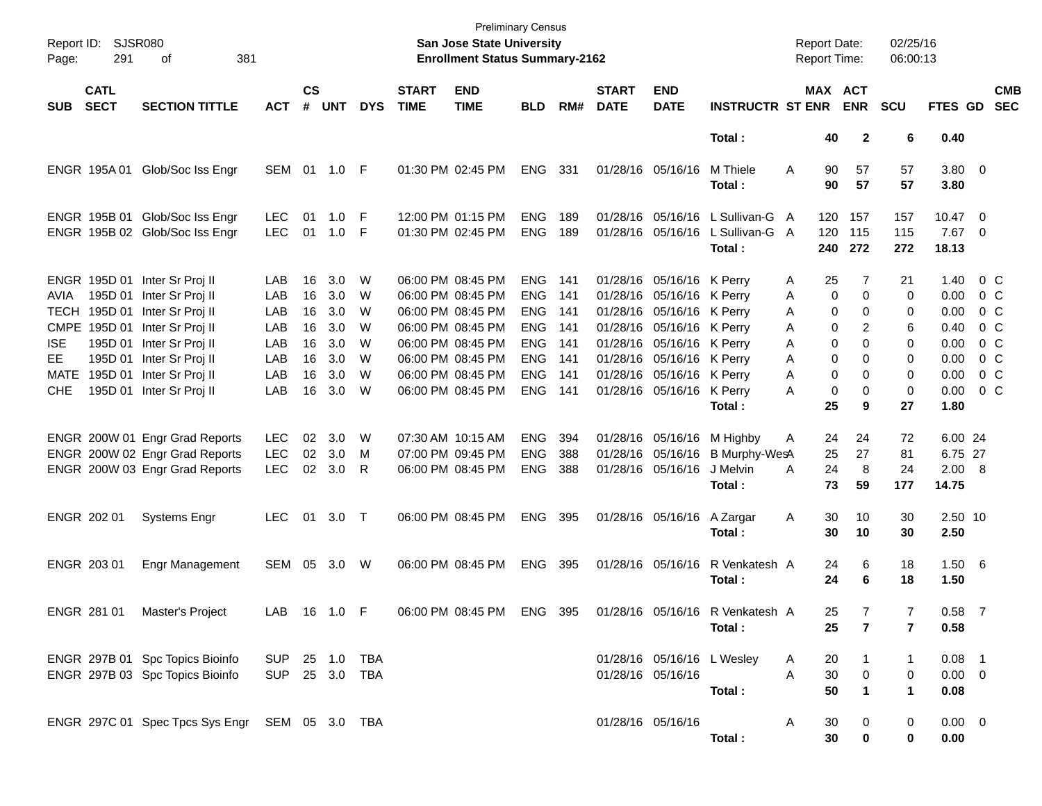| Page:                     | Report ID: SJSR080<br>291     | 381<br>οf                                                          |                                  |                    |                    |             |                             | <b>Preliminary Census</b><br>San Jose State University<br><b>Enrollment Status Summary-2162</b> |                                            |                   |                             |                                                                                     |                                                            |             | <b>Report Date:</b><br><b>Report Time:</b> |                       | 02/25/16<br>06:00:13  |                                 |                                  |                          |
|---------------------------|-------------------------------|--------------------------------------------------------------------|----------------------------------|--------------------|--------------------|-------------|-----------------------------|-------------------------------------------------------------------------------------------------|--------------------------------------------|-------------------|-----------------------------|-------------------------------------------------------------------------------------|------------------------------------------------------------|-------------|--------------------------------------------|-----------------------|-----------------------|---------------------------------|----------------------------------|--------------------------|
| <b>SUB</b>                | <b>CATL</b><br><b>SECT</b>    | <b>SECTION TITTLE</b>                                              | <b>ACT</b>                       | $\mathsf{cs}$<br># | <b>UNT</b>         | <b>DYS</b>  | <b>START</b><br><b>TIME</b> | <b>END</b><br><b>TIME</b>                                                                       | <b>BLD</b>                                 | RM#               | <b>START</b><br><b>DATE</b> | <b>END</b><br><b>DATE</b>                                                           | <b>INSTRUCTR ST ENR</b>                                    |             |                                            | MAX ACT<br><b>ENR</b> | <b>SCU</b>            | FTES GD                         |                                  | <b>CMB</b><br><b>SEC</b> |
|                           |                               |                                                                    |                                  |                    |                    |             |                             |                                                                                                 |                                            |                   |                             |                                                                                     | Total:                                                     |             | 40                                         | $\mathbf{2}$          | 6                     | 0.40                            |                                  |                          |
|                           |                               | ENGR 195A 01 Glob/Soc Iss Engr                                     | SEM 01 1.0 F                     |                    |                    |             |                             | 01:30 PM 02:45 PM                                                                               | ENG                                        | 331               |                             | 01/28/16 05/16/16                                                                   | M Thiele<br>Total :                                        | Α           | 90<br>90                                   | 57<br>57              | 57<br>57              | 3.80 0<br>3.80                  |                                  |                          |
|                           |                               | ENGR 195B 01 Glob/Soc Iss Engr<br>ENGR 195B 02 Glob/Soc Iss Engr   | <b>LEC</b><br><b>LEC</b>         | 01<br>01           | $1.0$ F<br>$1.0$ F |             |                             | 12:00 PM 01:15 PM<br>01:30 PM 02:45 PM                                                          | <b>ENG</b><br><b>ENG</b>                   | 189<br>189        |                             | 01/28/16 05/16/16                                                                   | L Sullivan-G<br>01/28/16 05/16/16 L Sullivan-G A<br>Total: | A           | 120<br>120<br>240                          | 157<br>115<br>272     | 157<br>115<br>272     | 10.47 0<br>$7.67$ 0<br>18.13    |                                  |                          |
| AVIA                      | 195D 01<br>TECH 195D 01       | ENGR 195D 01 Inter Sr Proj II<br>Inter Sr Proj II                  | LAB<br>LAB                       | 16<br>16           | 3.0<br>3.0         | W<br>W      |                             | 06:00 PM 08:45 PM<br>06:00 PM 08:45 PM                                                          | <b>ENG</b><br><b>ENG</b>                   | - 141<br>141      |                             | 01/28/16 05/16/16 K Perry<br>01/28/16 05/16/16 K Perry                              |                                                            | Α<br>Α      | 25<br>0                                    | 7<br>0                | 21<br>0               | 1.40<br>$0.00 \t 0 C$           | 0 C                              |                          |
| <b>CMPE</b><br><b>ISE</b> | 195D 01<br>195D 01            | Inter Sr Proj II<br>Inter Sr Proj II<br>Inter Sr Proj II           | LAB<br>LAB<br>LAB                | 16<br>16<br>16     | 3.0<br>3.0<br>3.0  | W<br>W<br>W |                             | 06:00 PM 08:45 PM<br>06:00 PM 08:45 PM<br>06:00 PM 08:45 PM                                     | <b>ENG</b><br><b>ENG</b><br><b>ENG</b>     | 141<br>141<br>141 |                             | 01/28/16 05/16/16 K Perry<br>01/28/16 05/16/16 K Perry<br>01/28/16 05/16/16 K Perry |                                                            | Α<br>Α<br>Α | 0<br>0<br>0                                | 0<br>2<br>0           | 0<br>6<br>0           | 0.00<br>0.40<br>0.00            | 0 C<br>0 C<br>0 C                |                          |
| EE.<br>MATE<br><b>CHE</b> | 195D 01<br>195D 01<br>195D 01 | Inter Sr Proj II<br>Inter Sr Proj II<br>Inter Sr Proj II           | LAB<br>LAB<br>LAB                | 16<br>16<br>16     | 3.0<br>3.0<br>3.0  | W<br>W<br>W |                             | 06:00 PM 08:45 PM<br>06:00 PM 08:45 PM<br>06:00 PM 08:45 PM                                     | <b>ENG</b><br><b>ENG</b><br><b>ENG 141</b> | 141<br>141        |                             | 01/28/16 05/16/16 K Perry<br>01/28/16 05/16/16 K Perry<br>01/28/16 05/16/16 K Perry | Total:                                                     | Α<br>Α<br>A | 0<br>0<br>0<br>25                          | 0<br>0<br>0<br>9      | 0<br>0<br>0<br>27     | 0.00<br>0.00<br>0.00<br>1.80    | 0 <sup>o</sup><br>$0\,$ C<br>0 C |                          |
|                           |                               | ENGR 200W 01 Engr Grad Reports<br>ENGR 200W 02 Engr Grad Reports   | <b>LEC</b><br><b>LEC</b>         | 02<br>02           | 3.0<br>3.0         | W<br>M      | 07:30 AM 10:15 AM           | 07:00 PM 09:45 PM                                                                               | <b>ENG</b><br><b>ENG</b>                   | 394<br>388        |                             | 01/28/16 05/16/16<br>01/28/16 05/16/16                                              | M Highby<br>B Murphy-WesA                                  | Α           | 24<br>25                                   | 24<br>27              | 72<br>81              | 6.00 24<br>6.75 27              |                                  |                          |
|                           |                               | ENGR 200W 03 Engr Grad Reports                                     | <b>LEC</b>                       |                    | 02 3.0             | -R          |                             | 06:00 PM 08:45 PM                                                                               | <b>ENG</b>                                 | 388               |                             | 01/28/16 05/16/16                                                                   | J Melvin<br>Total :                                        | A           | 24<br>73                                   | 8<br>59               | 24<br>177             | 2.00 8<br>14.75                 |                                  |                          |
|                           | ENGR 202 01                   | <b>Systems Engr</b>                                                | <b>LEC</b>                       |                    | 01 3.0 T           |             |                             | 06:00 PM 08:45 PM                                                                               | ENG 395                                    |                   |                             | 01/28/16 05/16/16                                                                   | A Zargar<br>Total:                                         | Α           | 30<br>30                                   | 10<br>10              | 30<br>30              | 2.50 10<br>2.50                 |                                  |                          |
|                           | ENGR 203 01                   | Engr Management                                                    | SEM                              |                    | 05 3.0             | W           |                             | 06:00 PM 08:45 PM                                                                               | ENG 395                                    |                   |                             | 01/28/16 05/16/16                                                                   | R Venkatesh A<br>Total :                                   |             | 24<br>24                                   | 6<br>6                | 18<br>18              | 1.50 6<br>1.50                  |                                  |                          |
|                           | ENGR 281 01                   | Master's Project                                                   | LAB 16 1.0 F                     |                    |                    |             |                             | 06:00 PM 08:45 PM                                                                               | ENG 395                                    |                   |                             |                                                                                     | 01/28/16 05/16/16 R Venkatesh A<br>Total:                  |             | 25<br>25                                   | 7<br>7                | 7<br>7                | $0.58$ 7<br>0.58                |                                  |                          |
|                           |                               | ENGR 297B 01 Spc Topics Bioinfo<br>ENGR 297B 03 Spc Topics Bioinfo | SUP 25 1.0 TBA<br>SUP 25 3.0 TBA |                    |                    |             |                             |                                                                                                 |                                            |                   |                             | 01/28/16 05/16/16 L Wesley<br>01/28/16 05/16/16                                     | Total:                                                     | A<br>A      | 20<br>30<br>50                             | 0<br>$\mathbf 1$      | 1<br>0<br>$\mathbf 1$ | $0.08$ 1<br>$0.00 \t 0$<br>0.08 |                                  |                          |
|                           |                               | ENGR 297C 01 Spec Tpcs Sys Engr SEM 05 3.0 TBA                     |                                  |                    |                    |             |                             |                                                                                                 |                                            |                   | 01/28/16 05/16/16           |                                                                                     | Total:                                                     | A           | 30<br>30                                   | 0<br>0                | 0<br>0                | $0.00 \t 0$<br>0.00             |                                  |                          |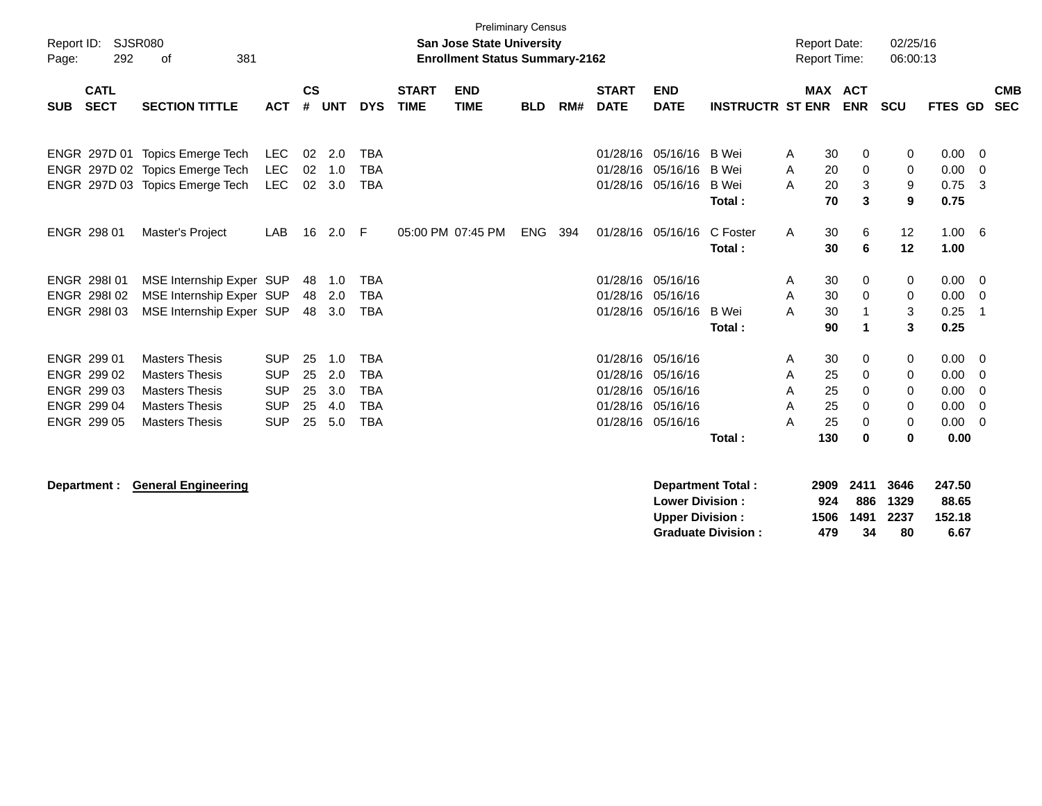| Report ID:<br>Page: | 292                        | SJSR080<br>381<br>оf                                               |                          |               |            |                          |                             | San Jose State University<br><b>Enrollment Status Summary-2162</b> | <b>Preliminary Census</b> |     |                             |                                                  |                                        |        | <b>Report Date:</b><br><b>Report Time:</b> |                     | 02/25/16<br>06:00:13 |                           |                     |                          |
|---------------------|----------------------------|--------------------------------------------------------------------|--------------------------|---------------|------------|--------------------------|-----------------------------|--------------------------------------------------------------------|---------------------------|-----|-----------------------------|--------------------------------------------------|----------------------------------------|--------|--------------------------------------------|---------------------|----------------------|---------------------------|---------------------|--------------------------|
| <b>SUB</b>          | <b>CATL</b><br><b>SECT</b> | <b>SECTION TITTLE</b>                                              | <b>ACT</b>               | $\mathsf{cs}$ | # UNT      | <b>DYS</b>               | <b>START</b><br><b>TIME</b> | <b>END</b><br><b>TIME</b>                                          | <b>BLD</b>                | RM# | <b>START</b><br><b>DATE</b> | <b>END</b><br><b>DATE</b>                        | <b>INSTRUCTR ST ENR</b>                |        | <b>MAX ACT</b>                             | <b>ENR</b>          | <b>SCU</b>           | <b>FTES GD</b>            |                     | <b>CMB</b><br><b>SEC</b> |
|                     |                            | ENGR 297D 01 Topics Emerge Tech                                    | <b>LEC</b>               | 02            | 2.0        | <b>TBA</b>               |                             |                                                                    |                           |     | 01/28/16                    | 05/16/16                                         | <b>B</b> Wei                           | A      | 30                                         | 0                   | 0                    | 0.00                      | 0                   |                          |
|                     |                            | ENGR 297D 02 Topics Emerge Tech<br>ENGR 297D 03 Topics Emerge Tech | <b>LEC</b><br><b>LEC</b> | 02<br>02      | 1.0<br>3.0 | <b>TBA</b><br><b>TBA</b> |                             |                                                                    |                           |     | 01/28/16<br>01/28/16        | 05/16/16<br>05/16/16                             | <b>B</b> Wei<br><b>B</b> Wei<br>Total: | A<br>A | 20<br>20<br>70                             | 0<br>3<br>3         | 0<br>9<br>9          | 0.00<br>0.75<br>0.75      | $\overline{0}$<br>3 |                          |
|                     | ENGR 298 01                | Master's Project                                                   | LAB                      | 16            | 2.0        | -F                       |                             | 05:00 PM 07:45 PM                                                  | ENG                       | 394 |                             | 01/28/16 05/16/16                                | C Foster                               | A      | 30                                         | 6                   | 12                   | 1.00 6                    |                     |                          |
|                     |                            |                                                                    |                          |               |            |                          |                             |                                                                    |                           |     |                             |                                                  | Total:                                 |        | 30                                         | 6                   | 12                   | 1.00                      |                     |                          |
|                     | ENGR 298101<br>ENGR 298102 | MSE Internship Exper SUP<br>MSE Internship Exper SUP               |                          | 48<br>48      | 1.0<br>2.0 | <b>TBA</b><br><b>TBA</b> |                             |                                                                    |                           |     | 01/28/16                    | 01/28/16 05/16/16<br>05/16/16                    |                                        | A<br>A | 30<br>30                                   | 0<br>$\mathbf 0$    | 0<br>0               | 0.00<br>0.00              | 0<br>- 0            |                          |
|                     | ENGR 298103                | MSE Internship Exper SUP                                           |                          |               | 48 3.0     | <b>TBA</b>               |                             |                                                                    |                           |     |                             | 01/28/16 05/16/16                                | B Wei                                  | A      | 30                                         | $\mathbf{1}$        | 3                    | 0.25                      | $\overline{1}$      |                          |
|                     |                            |                                                                    |                          |               |            |                          |                             |                                                                    |                           |     |                             |                                                  | Total:                                 |        | 90                                         | 1                   | 3                    | 0.25                      |                     |                          |
|                     | ENGR 299 01                | <b>Masters Thesis</b>                                              | <b>SUP</b>               | 25            | 1.0        | <b>TBA</b>               |                             |                                                                    |                           |     | 01/28/16                    | 05/16/16                                         |                                        | Α      | 30                                         | 0                   | 0                    | 0.00                      | - 0                 |                          |
|                     | ENGR 299 02<br>ENGR 299 03 | <b>Masters Thesis</b><br><b>Masters Thesis</b>                     | <b>SUP</b><br><b>SUP</b> | 25<br>25      | 2.0<br>3.0 | <b>TBA</b><br><b>TBA</b> |                             |                                                                    |                           |     | 01/28/16<br>01/28/16        | 05/16/16<br>05/16/16                             |                                        | Α<br>Α | 25<br>25                                   | 0<br>0              | 0<br>0               | 0.00<br>0.00              | 0<br>0              |                          |
|                     | ENGR 299 04                | <b>Masters Thesis</b>                                              | <b>SUP</b>               | 25            | 4.0        | <b>TBA</b>               |                             |                                                                    |                           |     | 01/28/16                    | 05/16/16                                         |                                        | A      | 25                                         | $\Omega$            | 0                    | 0.00                      | $\mathbf 0$         |                          |
|                     | ENGR 299 05                | <b>Masters Thesis</b>                                              | <b>SUP</b>               | 25            | 5.0        | <b>TBA</b>               |                             |                                                                    |                           |     |                             | 01/28/16 05/16/16                                |                                        | Α      | 25                                         | 0                   | 0                    | 0.00                      | 0                   |                          |
|                     |                            |                                                                    |                          |               |            |                          |                             |                                                                    |                           |     |                             |                                                  | Total:                                 |        | 130                                        | $\mathbf 0$         | 0                    | 0.00                      |                     |                          |
|                     | Department :               | <b>General Engineering</b>                                         |                          |               |            |                          |                             |                                                                    |                           |     |                             | <b>Lower Division:</b><br><b>Upper Division:</b> | <b>Department Total:</b>               |        | 2909<br>924<br>1506                        | 2411<br>886<br>1491 | 3646<br>1329<br>2237 | 247.50<br>88.65<br>152.18 |                     |                          |

**Upper Division : 1506 1491 2237 152.18**

**Graduate Division : 479 34 80 6.67**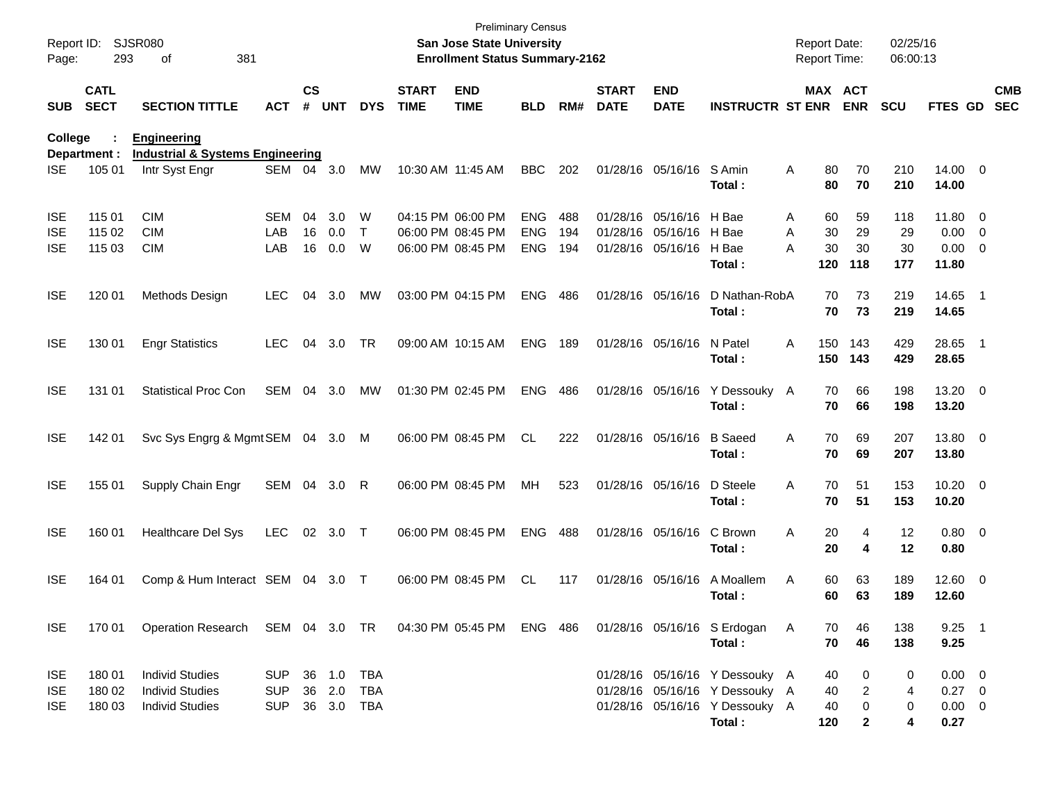| Report ID:<br>Page: | 293                        | <b>SJSR080</b><br>381<br>οf                                       |            |                    |            |              |                             | <b>Preliminary Census</b><br>San Jose State University<br><b>Enrollment Status Summary-2162</b> |            |     |                             |                           |                                       | <b>Report Date:</b><br>Report Time: |              | 02/25/16<br>06:00:13 |                       |     |                          |
|---------------------|----------------------------|-------------------------------------------------------------------|------------|--------------------|------------|--------------|-----------------------------|-------------------------------------------------------------------------------------------------|------------|-----|-----------------------------|---------------------------|---------------------------------------|-------------------------------------|--------------|----------------------|-----------------------|-----|--------------------------|
| <b>SUB</b>          | <b>CATL</b><br><b>SECT</b> | <b>SECTION TITTLE</b>                                             | <b>ACT</b> | $\mathsf{cs}$<br># | <b>UNT</b> | <b>DYS</b>   | <b>START</b><br><b>TIME</b> | <b>END</b><br><b>TIME</b>                                                                       | <b>BLD</b> | RM# | <b>START</b><br><b>DATE</b> | <b>END</b><br><b>DATE</b> | <b>INSTRUCTR ST ENR</b>               | MAX ACT                             | <b>ENR</b>   | SCU                  | <b>FTES GD</b>        |     | <b>CMB</b><br><b>SEC</b> |
| College             | Department :               | <b>Engineering</b><br><b>Industrial &amp; Systems Engineering</b> |            |                    |            |              |                             |                                                                                                 |            |     |                             |                           |                                       |                                     |              |                      |                       |     |                          |
| ISE                 | 105 01                     | Intr Syst Engr                                                    | SEM        | 04                 | 3.0        | MW           | 10:30 AM 11:45 AM           |                                                                                                 | <b>BBC</b> | 202 |                             | 01/28/16 05/16/16         | S Amin<br>Total :                     | A<br>80<br>80                       | 70<br>70     | 210<br>210           | 14.00 0<br>14.00      |     |                          |
| <b>ISE</b>          | 115 01                     | <b>CIM</b>                                                        | <b>SEM</b> | 04                 | 3.0        | W            |                             | 04:15 PM 06:00 PM                                                                               | <b>ENG</b> | 488 |                             | 01/28/16 05/16/16 H Bae   |                                       | 60<br>Α                             | 59           | 118                  | 11.80 0               |     |                          |
| <b>ISE</b>          | 115 02                     | <b>CIM</b>                                                        | LAB        | 16                 | 0.0        | $\mathsf{T}$ |                             | 06:00 PM 08:45 PM                                                                               | <b>ENG</b> | 194 |                             | 01/28/16 05/16/16 H Bae   |                                       | 30<br>A                             | 29           | 29                   | $0.00 \t 0$           |     |                          |
| ISE                 | 115 03                     | <b>CIM</b>                                                        | LAB        | 16                 | 0.0        | W            |                             | 06:00 PM 08:45 PM                                                                               | <b>ENG</b> | 194 |                             | 01/28/16 05/16/16         | H Bae<br>Total :                      | 30<br>А<br>120                      | 30<br>118    | 30<br>177            | $0.00 \t 0$<br>11.80  |     |                          |
| <b>ISE</b>          | 120 01                     | Methods Design                                                    | <b>LEC</b> | 04                 | 3.0        | MW           |                             | 03:00 PM 04:15 PM                                                                               | <b>ENG</b> | 486 |                             | 01/28/16 05/16/16         | D Nathan-RobA<br>Total:               | 70<br>70                            | 73<br>73     | 219<br>219           | 14.65 1<br>14.65      |     |                          |
| <b>ISE</b>          | 130 01                     | <b>Engr Statistics</b>                                            | <b>LEC</b> | 04                 | 3.0        | TR           |                             | 09:00 AM 10:15 AM                                                                               | <b>ENG</b> | 189 |                             | 01/28/16 05/16/16         | N Patel<br>Total :                    | 150<br>A<br>150                     | 143<br>143   | 429<br>429           | 28.65<br>28.65        | - 1 |                          |
| <b>ISE</b>          | 131 01                     | <b>Statistical Proc Con</b>                                       | <b>SEM</b> | 04                 | 3.0        | МW           |                             | 01:30 PM 02:45 PM                                                                               | <b>ENG</b> | 486 |                             | 01/28/16 05/16/16         | Y Dessouky<br>Total:                  | 70<br>A<br>70                       | 66<br>66     | 198<br>198           | 13.20 0<br>13.20      |     |                          |
| <b>ISE</b>          | 142 01                     | Svc Sys Engrg & Mgmt SEM 04 3.0 M                                 |            |                    |            |              |                             | 06:00 PM 08:45 PM                                                                               | <b>CL</b>  | 222 |                             | 01/28/16 05/16/16         | <b>B</b> Saeed<br>Total :             | 70<br>A<br>70                       | 69<br>69     | 207<br>207           | 13.80 0<br>13.80      |     |                          |
| <b>ISE</b>          | 155 01                     | Supply Chain Engr                                                 | SEM 04     |                    | 3.0        | R            |                             | 06:00 PM 08:45 PM                                                                               | MH         | 523 |                             | 01/28/16 05/16/16         | D Steele<br>Total:                    | 70<br>A<br>70                       | 51<br>51     | 153<br>153           | $10.20 \t 0$<br>10.20 |     |                          |
| <b>ISE</b>          | 160 01                     | <b>Healthcare Del Sys</b>                                         | <b>LEC</b> | 02                 | 3.0        | $\top$       |                             | 06:00 PM 08:45 PM                                                                               | <b>ENG</b> | 488 |                             | 01/28/16 05/16/16         | C Brown<br>Total:                     | 20<br>A<br>20                       | 4<br>4       | 12<br>12             | $0.80 \ 0$<br>0.80    |     |                          |
| <b>ISE</b>          | 164 01                     | Comp & Hum Interact SEM 04                                        |            |                    | 3.0 T      |              |                             | 06:00 PM 08:45 PM                                                                               | <b>CL</b>  | 117 |                             | 01/28/16 05/16/16         | A Moallem<br>Total :                  | 60<br>Α<br>60                       | 63<br>63     | 189<br>189           | 12.60 0<br>12.60      |     |                          |
| <b>ISE</b>          | 170 01                     | Operation Research SEM 04 3.0 TR 04:30 PM 05:45 PM ENG 486        |            |                    |            |              |                             |                                                                                                 |            |     |                             |                           | 01/28/16 05/16/16 S Erdogan<br>Total: | A<br>70<br>70                       | 46<br>46     | 138<br>138           | $9.25$ 1<br>9.25      |     |                          |
| <b>ISE</b>          | 180 01                     | <b>Individ Studies</b>                                            | <b>SUP</b> |                    | 36 1.0     | TBA          |                             |                                                                                                 |            |     |                             |                           | 01/28/16 05/16/16 Y Dessouky A        | 40                                  | 0            | 0                    | $0.00 \t 0$           |     |                          |
| <b>ISE</b>          | 180 02                     | <b>Individ Studies</b>                                            | <b>SUP</b> |                    | 36 2.0     | <b>TBA</b>   |                             |                                                                                                 |            |     |                             |                           | 01/28/16 05/16/16 Y Dessouky A        | 40                                  | 2            | 4                    | $0.27 \ 0$            |     |                          |
| ISE.                | 180 03                     | <b>Individ Studies</b>                                            | <b>SUP</b> |                    | 36 3.0 TBA |              |                             |                                                                                                 |            |     |                             |                           | 01/28/16 05/16/16 Y Dessouky A        | 40                                  | 0            | 0                    | $0.00 \t 0$           |     |                          |
|                     |                            |                                                                   |            |                    |            |              |                             |                                                                                                 |            |     |                             |                           | Total:                                | 120                                 | $\mathbf{2}$ | 4                    | 0.27                  |     |                          |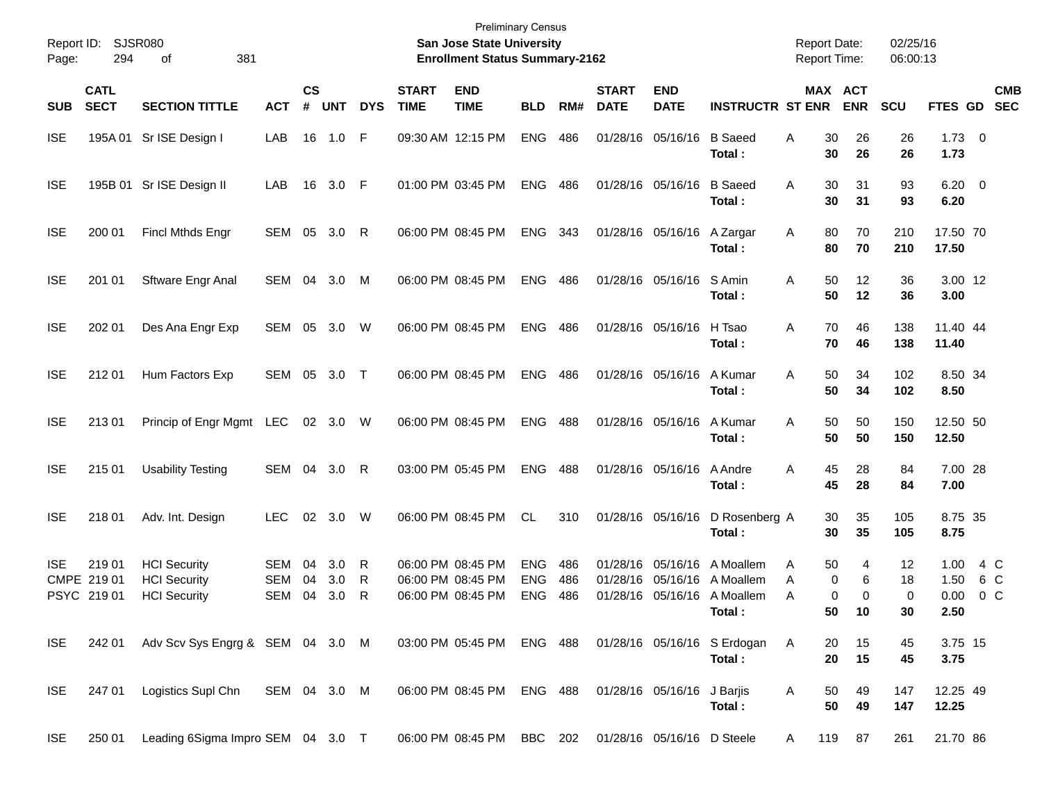| Report ID:<br>Page: | 294                                  | SJSR080<br>381<br>οf                                              |                          |                    |                   |             |                             | <b>Preliminary Census</b><br>San Jose State University<br><b>Enrollment Status Summary-2162</b> |                                        |                   |                             |                                                    |                                                | <b>Report Date:</b><br><b>Report Time:</b> |                                         | 02/25/16<br>06:00:13          |                              |                              |
|---------------------|--------------------------------------|-------------------------------------------------------------------|--------------------------|--------------------|-------------------|-------------|-----------------------------|-------------------------------------------------------------------------------------------------|----------------------------------------|-------------------|-----------------------------|----------------------------------------------------|------------------------------------------------|--------------------------------------------|-----------------------------------------|-------------------------------|------------------------------|------------------------------|
| <b>SUB</b>          | <b>CATL</b><br><b>SECT</b>           | <b>SECTION TITTLE</b>                                             | <b>ACT</b>               | $\mathsf{cs}$<br># | <b>UNT</b>        | <b>DYS</b>  | <b>START</b><br><b>TIME</b> | <b>END</b><br><b>TIME</b>                                                                       | <b>BLD</b>                             | RM#               | <b>START</b><br><b>DATE</b> | <b>END</b><br><b>DATE</b>                          | <b>INSTRUCTR ST ENR</b>                        |                                            | MAX ACT<br><b>ENR</b>                   | <b>SCU</b>                    | FTES GD                      | <b>CMB</b><br><b>SEC</b>     |
| <b>ISE</b>          | 195A 01                              | Sr ISE Design I                                                   | LAB                      | 16                 | 1.0               | F           |                             | 09:30 AM 12:15 PM                                                                               | <b>ENG</b>                             | 486               |                             | 01/28/16 05/16/16                                  | <b>B</b> Saeed<br>Total:                       | Α                                          | 30<br>26<br>30<br>26                    | 26<br>26                      | $1.73 \t 0$<br>1.73          |                              |
| <b>ISE</b>          |                                      | 195B 01 Sr ISE Design II                                          | LAB                      | 16                 | 3.0               | F           |                             | 01:00 PM 03:45 PM                                                                               | <b>ENG</b>                             | 486               |                             | 01/28/16 05/16/16                                  | <b>B</b> Saeed<br>Total:                       | Α                                          | 30<br>31<br>30<br>31                    | 93<br>93                      | $6.20\ 0$<br>6.20            |                              |
| <b>ISE</b>          | 200 01                               | <b>Fincl Mthds Engr</b>                                           | SEM 05                   |                    | 3.0               | R           |                             | 06:00 PM 08:45 PM                                                                               | <b>ENG</b>                             | 343               |                             | 01/28/16 05/16/16                                  | A Zargar<br>Total:                             | Α                                          | 70<br>80<br>80<br>70                    | 210<br>210                    | 17.50 70<br>17.50            |                              |
| <b>ISE</b>          | 201 01                               | <b>Sftware Engr Anal</b>                                          | SEM                      | 04                 | 3.0               | M           |                             | 06:00 PM 08:45 PM                                                                               | <b>ENG</b>                             | 486               |                             | 01/28/16 05/16/16                                  | S Amin<br>Total:                               | Α                                          | 50<br>12<br>50<br>12                    | 36<br>36                      | 3.00 12<br>3.00              |                              |
| <b>ISE</b>          | 202 01                               | Des Ana Engr Exp                                                  | SEM                      | 05                 | 3.0               | W           |                             | 06:00 PM 08:45 PM                                                                               | <b>ENG</b>                             | 486               |                             | 01/28/16 05/16/16                                  | H Tsao<br>Total:                               | Α                                          | 70<br>46<br>70<br>46                    | 138<br>138                    | 11.40 44<br>11.40            |                              |
| <b>ISE</b>          | 212 01                               | Hum Factors Exp                                                   | SEM 05                   |                    | 3.0               | $\top$      |                             | 06:00 PM 08:45 PM                                                                               | <b>ENG</b>                             | 486               |                             | 01/28/16 05/16/16                                  | A Kumar<br>Total:                              | Α                                          | 50<br>34<br>50<br>34                    | 102<br>102                    | 8.50 34<br>8.50              |                              |
| <b>ISE</b>          | 21301                                | Princip of Engr Mgmt LEC                                          |                          |                    | 02 3.0            | W           |                             | 06:00 PM 08:45 PM                                                                               | <b>ENG</b>                             | 488               |                             | 01/28/16 05/16/16                                  | A Kumar<br>Total:                              | A                                          | 50<br>50<br>50<br>50                    | 150<br>150                    | 12.50 50<br>12.50            |                              |
| <b>ISE</b>          | 215 01                               | <b>Usability Testing</b>                                          | SEM 04 3.0               |                    |                   | R           |                             | 03:00 PM 05:45 PM                                                                               | <b>ENG</b>                             | 488               |                             | 01/28/16 05/16/16                                  | A Andre<br>Total:                              | Α                                          | 45<br>28<br>45<br>28                    | 84<br>84                      | 7.00 28<br>7.00              |                              |
| <b>ISE</b>          | 218 01                               | Adv. Int. Design                                                  | <b>LEC</b>               |                    | 02 3.0            | W           |                             | 06:00 PM 08:45 PM                                                                               | CL.                                    | 310               |                             | 01/28/16 05/16/16                                  | D Rosenberg A<br>Total:                        |                                            | 30<br>35<br>30<br>35                    | 105<br>105                    | 8.75 35<br>8.75              |                              |
| <b>ISE</b>          | 219 01<br>CMPE 219 01<br>PSYC 219 01 | <b>HCI</b> Security<br><b>HCI</b> Security<br><b>HCI</b> Security | SEM<br><b>SEM</b><br>SEM | 04<br>04<br>04     | 3.0<br>3.0<br>3.0 | R<br>R<br>R |                             | 06:00 PM 08:45 PM<br>06:00 PM 08:45 PM<br>06:00 PM 08:45 PM                                     | <b>ENG</b><br><b>ENG</b><br><b>ENG</b> | 486<br>486<br>486 | 01/28/16                    | 01/28/16 05/16/16<br>05/16/16<br>01/28/16 05/16/16 | A Moallem<br>A Moallem<br>A Moallem<br>Total : | A<br>A<br>A                                | 50<br>4<br>0<br>6<br>0<br>0<br>50<br>10 | 12<br>18<br>$\mathbf 0$<br>30 | 1.00<br>1.50<br>0.00<br>2.50 | 4 C<br>6 C<br>0 <sup>o</sup> |
| <b>ISE</b>          | 242 01                               | Adv Scv Sys Engrg & SEM 04 3.0 M                                  |                          |                    |                   |             |                             | 03:00 PM 05:45 PM ENG 488                                                                       |                                        |                   |                             |                                                    | 01/28/16 05/16/16 S Erdogan<br>Total:          | A                                          | 20<br>15<br>20<br>15                    | 45<br>45                      | 3.75 15<br>3.75              |                              |
| <b>ISE</b>          | 247 01                               | Logistics Supl Chn                                                | SEM 04 3.0 M             |                    |                   |             |                             | 06:00 PM 08:45 PM ENG 488                                                                       |                                        |                   |                             | 01/28/16 05/16/16 J Barjis                         | Total:                                         | A                                          | 49<br>50<br>50<br>49                    | 147<br>147                    | 12.25 49<br>12.25            |                              |
| <b>ISE</b>          | 250 01                               | Leading 6Sigma Impro SEM 04 3.0 T                                 |                          |                    |                   |             |                             | 06:00 PM 08:45 PM BBC 202 01/28/16 05/16/16 D Steele                                            |                                        |                   |                             |                                                    |                                                | $\mathsf{A}$                               | 119 87                                  | 261                           | 21.70 86                     |                              |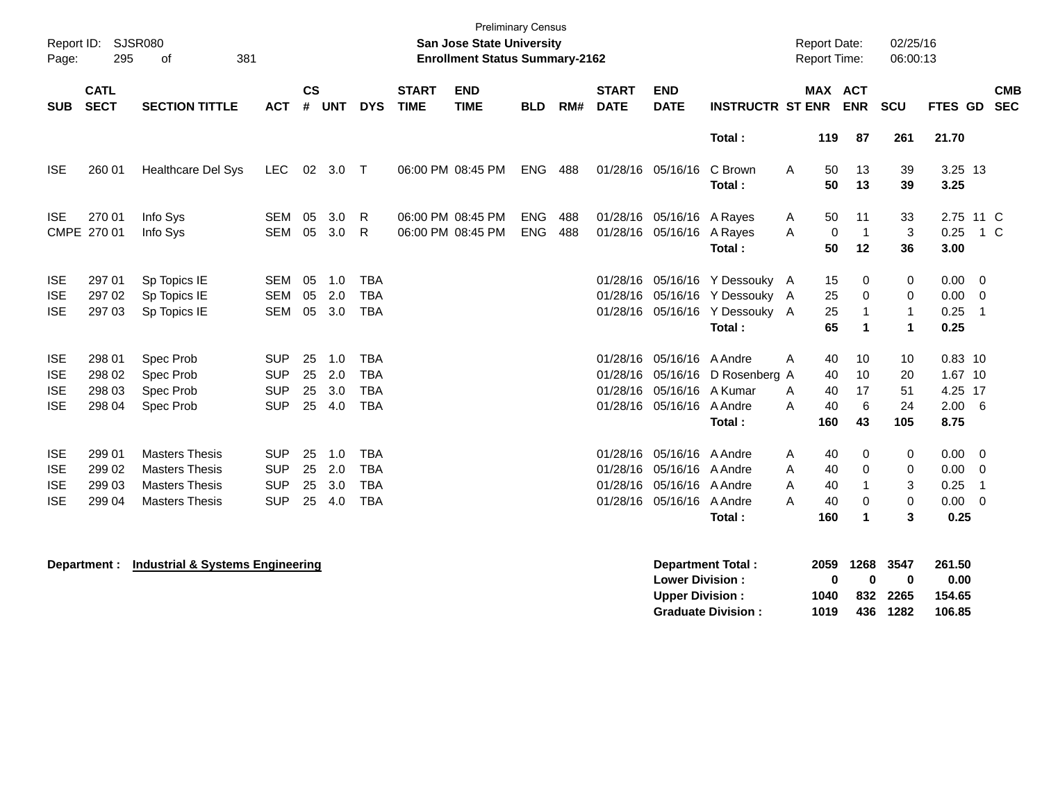| Report ID:<br>Page:                                  | 295                                  | SJSR080<br>381<br>of                                                                             |                                                      |                      |                          |                                                      |                             | <b>Preliminary Census</b><br><b>San Jose State University</b><br><b>Enrollment Status Summary-2162</b> |                          |            |                             |                                                                                                          |                                                                                                              | <b>Report Date:</b><br><b>Report Time:</b>      |                                             | 02/25/16<br>06:00:13                   |                                                          |                                                                   |            |
|------------------------------------------------------|--------------------------------------|--------------------------------------------------------------------------------------------------|------------------------------------------------------|----------------------|--------------------------|------------------------------------------------------|-----------------------------|--------------------------------------------------------------------------------------------------------|--------------------------|------------|-----------------------------|----------------------------------------------------------------------------------------------------------|--------------------------------------------------------------------------------------------------------------|-------------------------------------------------|---------------------------------------------|----------------------------------------|----------------------------------------------------------|-------------------------------------------------------------------|------------|
| <b>SUB</b>                                           | <b>CATL</b><br><b>SECT</b>           | <b>SECTION TITTLE</b>                                                                            | <b>ACT</b>                                           | <b>CS</b><br>#       | <b>UNT</b>               | <b>DYS</b>                                           | <b>START</b><br><b>TIME</b> | <b>END</b><br><b>TIME</b>                                                                              | <b>BLD</b>               | RM#        | <b>START</b><br><b>DATE</b> | <b>END</b><br><b>DATE</b>                                                                                | <b>INSTRUCTR ST ENR</b>                                                                                      | <b>MAX ACT</b>                                  | <b>ENR</b>                                  | <b>SCU</b>                             | FTES GD SEC                                              |                                                                   | <b>CMB</b> |
|                                                      |                                      |                                                                                                  |                                                      |                      |                          |                                                      |                             |                                                                                                        |                          |            |                             |                                                                                                          | Total:                                                                                                       | 119                                             | 87                                          | 261                                    | 21.70                                                    |                                                                   |            |
| <b>ISE</b>                                           | 260 01                               | Healthcare Del Sys                                                                               | <b>LEC</b>                                           |                      | 02 3.0 T                 |                                                      |                             | 06:00 PM 08:45 PM                                                                                      | <b>ENG</b>               | 488        |                             | 01/28/16 05/16/16                                                                                        | C Brown<br>Total:                                                                                            | A<br>50<br>50                                   | 13<br>13                                    | 39<br>39                               | 3.25 13<br>3.25                                          |                                                                   |            |
| <b>ISE</b>                                           | 270 01<br>CMPE 270 01                | Info Sys<br>Info Sys                                                                             | <b>SEM</b><br>SEM                                    | 05<br>05             | 3.0<br>3.0               | R.<br>$\mathsf{R}$                                   |                             | 06:00 PM 08:45 PM<br>06:00 PM 08:45 PM                                                                 | <b>ENG</b><br><b>ENG</b> | 488<br>488 |                             | 01/28/16 05/16/16 A Rayes<br>01/28/16 05/16/16                                                           | A Rayes<br>Total:                                                                                            | 50<br>A<br>0<br>A<br>50                         | 11<br>$\overline{1}$<br>12                  | 33<br>3<br>36                          | 0.25<br>3.00                                             | 2.75 11 C<br>1 C                                                  |            |
| <b>ISE</b><br><b>ISE</b><br><b>ISE</b>               | 297 01<br>297 02<br>297 03           | Sp Topics IE<br>Sp Topics IE<br>Sp Topics IE                                                     | <b>SEM</b><br><b>SEM</b><br><b>SEM</b>               | 05<br>05<br>05       | 1.0<br>2.0<br>3.0        | <b>TBA</b><br><b>TBA</b><br><b>TBA</b>               |                             |                                                                                                        |                          |            |                             |                                                                                                          | 01/28/16 05/16/16 Y Dessouky A<br>01/28/16 05/16/16 Y Dessouky A<br>01/28/16 05/16/16 Y Dessouky A<br>Total: | 15<br>25<br>25<br>65                            | 0<br>$\Omega$<br>$\blacktriangleleft$       | 0<br>0<br>$\mathbf{1}$<br>$\mathbf{1}$ | 0.00<br>0.00<br>0.25<br>0.25                             | $\overline{\mathbf{0}}$<br>$\overline{0}$<br>- 1                  |            |
| <b>ISE</b><br><b>ISE</b><br><b>ISE</b><br><b>ISE</b> | 298 01<br>298 02<br>298 03<br>298 04 | Spec Prob<br>Spec Prob<br>Spec Prob<br>Spec Prob                                                 | <b>SUP</b><br><b>SUP</b><br><b>SUP</b><br><b>SUP</b> | 25<br>25<br>25<br>25 | 1.0<br>2.0<br>3.0<br>4.0 | <b>TBA</b><br><b>TBA</b><br><b>TBA</b><br><b>TBA</b> |                             |                                                                                                        |                          |            |                             | 01/28/16 05/16/16 A Andre<br>01/28/16 05/16/16<br>01/28/16 05/16/16 A Kumar<br>01/28/16 05/16/16 A Andre | D Rosenberg A<br>Total:                                                                                      | 40<br>A<br>40<br>40<br>A<br>40<br>A<br>160      | 10<br>10<br>17<br>6<br>43                   | 10<br>20<br>51<br>24<br>105            | $0.83$ 10<br>1.67 10<br>4.25 17<br>$2.00\quad 6$<br>8.75 |                                                                   |            |
| <b>ISE</b><br><b>ISE</b><br><b>ISE</b><br><b>ISE</b> | 299 01<br>299 02<br>299 03<br>299 04 | <b>Masters Thesis</b><br><b>Masters Thesis</b><br><b>Masters Thesis</b><br><b>Masters Thesis</b> | <b>SUP</b><br><b>SUP</b><br><b>SUP</b><br><b>SUP</b> | 25<br>25<br>25<br>25 | 1.0<br>2.0<br>3.0<br>4.0 | <b>TBA</b><br><b>TBA</b><br><b>TBA</b><br><b>TBA</b> |                             |                                                                                                        |                          |            | 01/28/16                    | 01/28/16 05/16/16<br>05/16/16 A Andre<br>01/28/16 05/16/16 A Andre<br>01/28/16 05/16/16                  | A Andre<br>A Andre<br>Total:                                                                                 | 40<br>A<br>40<br>A<br>A<br>40<br>A<br>40<br>160 | $\mathbf 0$<br>$\Omega$<br>$\mathbf 0$<br>1 | 0<br>0<br>3<br>$\mathbf 0$<br>3        | 0.00<br>0.00<br>0.25<br>0.00<br>0.25                     | $\overline{\mathbf{0}}$<br>$\overline{0}$<br>-1<br>$\overline{0}$ |            |

**Department : Industrial & Systems Engineering** 

| Department Total:         |      | 2059 1268 3547 |              | 261.50 |
|---------------------------|------|----------------|--------------|--------|
| <b>Lower Division:</b>    | n    | n              | $\mathbf{u}$ | 0.00   |
| <b>Upper Division:</b>    | 1040 |                | 832 2265     | 154.65 |
| <b>Graduate Division:</b> | 1019 |                | 436 1282     | 106.85 |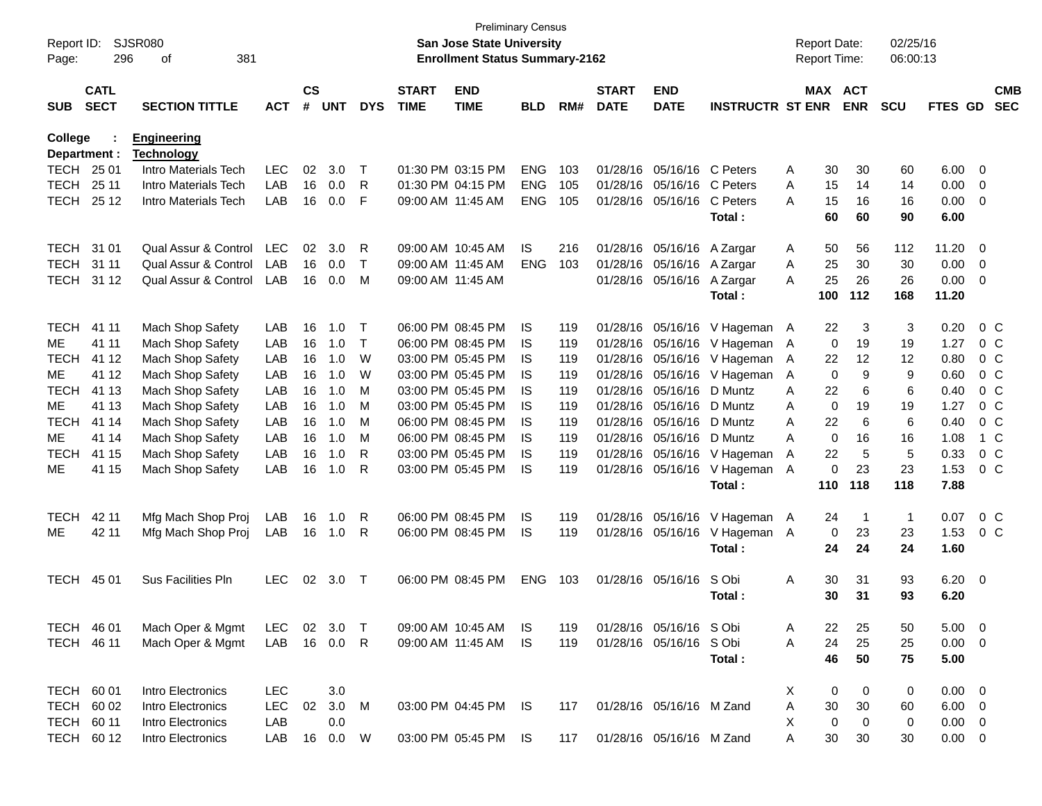| Report ID:<br>Page: | 296                        | SJSR080<br>381<br>οf                    |            |                    |            |              |                             | <b>Preliminary Census</b><br><b>San Jose State University</b><br><b>Enrollment Status Summary-2162</b> |            |     |                             |                           |                         |   | <b>Report Date:</b><br><b>Report Time:</b> |             | 02/25/16<br>06:00:13 |                |                          |                          |
|---------------------|----------------------------|-----------------------------------------|------------|--------------------|------------|--------------|-----------------------------|--------------------------------------------------------------------------------------------------------|------------|-----|-----------------------------|---------------------------|-------------------------|---|--------------------------------------------|-------------|----------------------|----------------|--------------------------|--------------------------|
| <b>SUB</b>          | <b>CATL</b><br><b>SECT</b> | <b>SECTION TITTLE</b>                   | <b>ACT</b> | $\mathsf{cs}$<br># | <b>UNT</b> | <b>DYS</b>   | <b>START</b><br><b>TIME</b> | <b>END</b><br><b>TIME</b>                                                                              | <b>BLD</b> | RM# | <b>START</b><br><b>DATE</b> | <b>END</b><br><b>DATE</b> | <b>INSTRUCTR ST ENR</b> |   | MAX ACT                                    | <b>ENR</b>  | <b>SCU</b>           | <b>FTES GD</b> |                          | <b>CMB</b><br><b>SEC</b> |
|                     |                            |                                         |            |                    |            |              |                             |                                                                                                        |            |     |                             |                           |                         |   |                                            |             |                      |                |                          |                          |
| College             | Department :               | <b>Engineering</b><br><b>Technology</b> |            |                    |            |              |                             |                                                                                                        |            |     |                             |                           |                         |   |                                            |             |                      |                |                          |                          |
| TECH 25 01          |                            | Intro Materials Tech                    | <b>LEC</b> | 02                 | 3.0        | $\top$       |                             | 01:30 PM 03:15 PM                                                                                      | <b>ENG</b> | 103 | 01/28/16                    | 05/16/16 C Peters         |                         | A | 30                                         | 30          | 60                   | 6.00           | 0                        |                          |
| <b>TECH</b>         | 25 11                      | Intro Materials Tech                    | LAB        | 16                 | 0.0        | R            |                             | 01:30 PM 04:15 PM                                                                                      | <b>ENG</b> | 105 | 01/28/16                    | 05/16/16                  | C Peters                | A | 15                                         | 14          | 14                   | 0.00           | $\overline{0}$           |                          |
| <b>TECH</b>         | 25 12                      | Intro Materials Tech                    | LAB        | 16                 | 0.0        | F            | 09:00 AM 11:45 AM           |                                                                                                        | <b>ENG</b> | 105 | 01/28/16                    | 05/16/16                  | C Peters                | A | 15                                         | 16          | 16                   | 0.00           | $\overline{0}$           |                          |
|                     |                            |                                         |            |                    |            |              |                             |                                                                                                        |            |     |                             |                           | Total:                  |   | 60                                         | 60          | 90                   | 6.00           |                          |                          |
| <b>TECH</b>         | 31 01                      | Qual Assur & Control                    | <b>LEC</b> | 02                 | 3.0        | R            |                             | 09:00 AM 10:45 AM                                                                                      | IS         | 216 | 01/28/16                    | 05/16/16                  | A Zargar                | A | 50                                         | 56          | 112                  | 11.20          | - 0                      |                          |
| <b>TECH</b>         | 31 11                      | Qual Assur & Control                    | LAB        | 16                 | 0.0        | $\mathsf{T}$ | 09:00 AM 11:45 AM           |                                                                                                        | <b>ENG</b> | 103 | 01/28/16                    | 05/16/16                  | A Zargar                | A | 25                                         | 30          | 30                   | 0.00           | $\overline{0}$           |                          |
| TECH                | 31 12                      | Qual Assur & Control                    | LAB        | 16                 | 0.0        | M            |                             | 09:00 AM 11:45 AM                                                                                      |            |     | 01/28/16                    | 05/16/16                  | A Zargar                | A | 25                                         | 26          | 26                   | 0.00           | $\overline{0}$           |                          |
|                     |                            |                                         |            |                    |            |              |                             |                                                                                                        |            |     |                             |                           | Total:                  |   | 100                                        | 112         | 168                  | 11.20          |                          |                          |
| <b>TECH</b>         | 41 11                      | Mach Shop Safety                        | LAB        | 16                 | 1.0        | $\top$       |                             | 06:00 PM 08:45 PM                                                                                      | IS         | 119 | 01/28/16                    | 05/16/16                  | V Hageman A             |   | 22                                         | 3           | 3                    | 0.20           | 0 <sup>o</sup>           |                          |
| ME                  | 41 11                      | Mach Shop Safety                        | LAB        | 16                 | 1.0        | $\mathsf{T}$ |                             | 06:00 PM 08:45 PM                                                                                      | IS.        | 119 | 01/28/16                    | 05/16/16                  | V Hageman               | A | 0                                          | 19          | 19                   | 1.27           | 0 <sup>o</sup>           |                          |
| <b>TECH</b>         | 41 12                      | Mach Shop Safety                        | LAB        | 16                 | 1.0        | W            |                             | 03:00 PM 05:45 PM                                                                                      | IS.        | 119 | 01/28/16                    | 05/16/16                  | V Hageman               | A | 22                                         | 12          | 12                   | 0.80           | $0\,$ C                  |                          |
| ME                  | 41 12                      | Mach Shop Safety                        | LAB        | 16                 | 1.0        | W            |                             | 03:00 PM 05:45 PM                                                                                      | IS.        | 119 | 01/28/16                    | 05/16/16                  | V Hageman               | A | 0                                          | 9           | 9                    | 0.60           | 0 <sup>o</sup>           |                          |
| <b>TECH</b>         | 41 13                      | Mach Shop Safety                        | LAB        | 16                 | 1.0        | M            |                             | 03:00 PM 05:45 PM                                                                                      | IS.        | 119 | 01/28/16                    | 05/16/16                  | D Muntz                 | A | 22                                         | 6           | 6                    | 0.40           | 0 <sup>o</sup>           |                          |
| ME                  | 41 13                      | Mach Shop Safety                        | LAB        | 16                 | 1.0        | M            |                             | 03:00 PM 05:45 PM                                                                                      | IS.        | 119 | 01/28/16                    | 05/16/16                  | D Muntz                 | A | 0                                          | 19          | 19                   | 1.27           | 0 <sup>o</sup>           |                          |
| <b>TECH</b>         | 41 14                      | Mach Shop Safety                        | LAB        | 16                 | 1.0        | M            |                             | 06:00 PM 08:45 PM                                                                                      | <b>IS</b>  | 119 | 01/28/16                    | 05/16/16                  | D Muntz                 | A | 22                                         | 6           | 6                    | 0.40           | 0 <sup>o</sup>           |                          |
| ME                  | 41 14                      | Mach Shop Safety                        | LAB        | 16                 | 1.0        | M            |                             | 06:00 PM 08:45 PM                                                                                      | <b>IS</b>  | 119 | 01/28/16                    | 05/16/16                  | D Muntz                 | A | 0                                          | 16          | 16                   | 1.08           |                          | $1\,C$                   |
| <b>TECH</b>         | 41 15                      | Mach Shop Safety                        | LAB        | 16                 | 1.0        | R            |                             | 03:00 PM 05:45 PM                                                                                      | <b>IS</b>  | 119 | 01/28/16                    | 05/16/16                  | V Hageman               | A | 22                                         | 5           | 5                    | 0.33           | 0 <sup>o</sup>           |                          |
| MЕ                  | 41 15                      | Mach Shop Safety                        | LAB        | 16                 | 1.0        | R            |                             | 03:00 PM 05:45 PM                                                                                      | <b>IS</b>  | 119 | 01/28/16                    | 05/16/16                  | V Hageman               | A | 0                                          | 23          | 23                   | 1.53           | 0 <sup>o</sup>           |                          |
|                     |                            |                                         |            |                    |            |              |                             |                                                                                                        |            |     |                             |                           | Total:                  |   | 110                                        | 118         | 118                  | 7.88           |                          |                          |
| <b>TECH</b>         | 42 11                      | Mfg Mach Shop Proj                      | LAB        | 16                 | 1.0        | R            |                             | 06:00 PM 08:45 PM                                                                                      | IS.        | 119 | 01/28/16                    | 05/16/16                  | V Hageman A             |   | 24                                         | $\mathbf 1$ | $\mathbf{1}$         | 0.07           | 0 C                      |                          |
| ME                  | 42 11                      | Mfg Mach Shop Proj                      | LAB        | 16                 | 1.0        | R            |                             | 06:00 PM 08:45 PM                                                                                      | <b>IS</b>  | 119 | 01/28/16                    | 05/16/16                  | V Hageman A             |   | 0                                          | 23          | 23                   | 1.53           | 0 <sup>C</sup>           |                          |
|                     |                            |                                         |            |                    |            |              |                             |                                                                                                        |            |     |                             |                           | Total:                  |   | 24                                         | 24          | 24                   | 1.60           |                          |                          |
| <b>TECH</b>         | 45 01                      | Sus Facilities Pln                      | <b>LEC</b> | 02                 | 3.0        | $\top$       |                             | 06:00 PM 08:45 PM                                                                                      | <b>ENG</b> | 103 |                             | 01/28/16 05/16/16         | S Obi                   | A | 30                                         | 31          | 93                   | 6.20           | $\overline{\mathbf{0}}$  |                          |
|                     |                            |                                         |            |                    |            |              |                             |                                                                                                        |            |     |                             |                           | Total:                  |   | 30                                         | 31          | 93                   | 6.20           |                          |                          |
| TECH 46 01          |                            | Mach Oper & Mgmt                        | LEC.       |                    | 02 3.0     | $\top$       |                             | 09:00 AM 10:45 AM                                                                                      | IS.        | 119 |                             | 01/28/16 05/16/16         | S Obi                   | A | 22                                         | 25          | 50                   | 5.00           | $\overline{\mathbf{0}}$  |                          |
| TECH 46 11          |                            | Mach Oper & Mgmt                        | LAB        |                    | 16  0.0    | R            |                             | 09:00 AM 11:45 AM                                                                                      | <b>IS</b>  | 119 |                             | 01/28/16 05/16/16         | S Obi                   | Α | 24                                         | 25          | 25                   | 0.00           | $\overline{\phantom{0}}$ |                          |
|                     |                            |                                         |            |                    |            |              |                             |                                                                                                        |            |     |                             |                           | Total:                  |   | 46                                         | 50          | 75                   | 5.00           |                          |                          |
| TECH 60 01          |                            | Intro Electronics                       | LEC        |                    | 3.0        |              |                             |                                                                                                        |            |     |                             |                           |                         | X | 0                                          | 0           | 0                    | 0.00           | $\overline{\phantom{0}}$ |                          |
| <b>TECH</b>         | 60 02                      | Intro Electronics                       | <b>LEC</b> | 02                 | 3.0        | M            |                             | 03:00 PM 04:45 PM IS                                                                                   |            | 117 |                             | 01/28/16 05/16/16 M Zand  |                         | Α | 30                                         | 30          | 60                   | 6.00           | $\overline{\mathbf{0}}$  |                          |
| TECH 60 11          |                            | Intro Electronics                       | LAB        |                    | 0.0        |              |                             |                                                                                                        |            |     |                             |                           |                         | X | 0                                          | $\mathbf 0$ | 0                    | 0.00           | $\overline{\phantom{0}}$ |                          |
|                     | TECH 60 12                 | Intro Electronics                       | LAB        |                    | 16  0.0  W |              |                             | 03:00 PM 05:45 PM                                                                                      | IS         | 117 |                             | 01/28/16 05/16/16 M Zand  |                         | A | 30                                         | 30          | 30                   | $0.00 \t 0$    |                          |                          |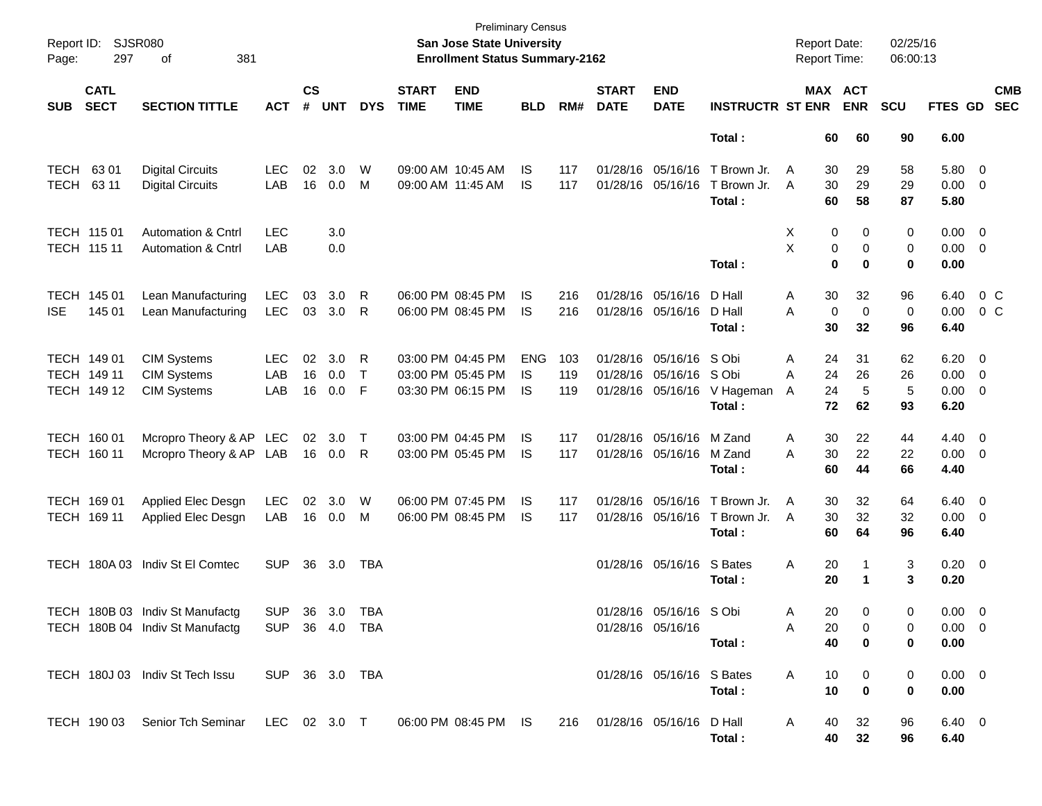| Page:                      | Report ID: SJSR080<br>297                 | 381<br>of                                                                                     |                          |                    |                   |                        |                             | <b>Preliminary Census</b><br>San Jose State University<br><b>Enrollment Status Summary-2162</b> |                          |                   |                             |                                                   |                                                        | <b>Report Date:</b><br><b>Report Time:</b> |                       |                       | 02/25/16<br>06:00:13 |                                          |                                                                               |                                  |
|----------------------------|-------------------------------------------|-----------------------------------------------------------------------------------------------|--------------------------|--------------------|-------------------|------------------------|-----------------------------|-------------------------------------------------------------------------------------------------|--------------------------|-------------------|-----------------------------|---------------------------------------------------|--------------------------------------------------------|--------------------------------------------|-----------------------|-----------------------|----------------------|------------------------------------------|-------------------------------------------------------------------------------|----------------------------------|
| <b>SUB</b>                 | <b>CATL</b><br><b>SECT</b>                | <b>SECTION TITTLE</b>                                                                         | <b>ACT</b>               | $\mathsf{cs}$<br># | <b>UNT</b>        | <b>DYS</b>             | <b>START</b><br><b>TIME</b> | <b>END</b><br><b>TIME</b>                                                                       | <b>BLD</b>               | RM#               | <b>START</b><br><b>DATE</b> | <b>END</b><br><b>DATE</b>                         | <b>INSTRUCTR ST ENR</b>                                |                                            |                       | MAX ACT<br><b>ENR</b> | <b>SCU</b>           | <b>FTES GD</b>                           |                                                                               | <b>CMB</b><br><b>SEC</b>         |
|                            |                                           |                                                                                               |                          |                    |                   |                        |                             |                                                                                                 |                          |                   |                             |                                                   | Total:                                                 |                                            | 60                    | 60                    | 90                   | 6.00                                     |                                                                               |                                  |
| TECH<br>TECH               | 63 01<br>63 11                            | <b>Digital Circuits</b><br><b>Digital Circuits</b>                                            | <b>LEC</b><br>LAB        | 02                 | 3.0<br>16 0.0     | W<br>M                 | 09:00 AM 11:45 AM           | 09:00 AM 10:45 AM                                                                               | IS.<br>IS.               | 117<br>117        |                             | 01/28/16 05/16/16<br>01/28/16 05/16/16            | T Brown Jr.<br>T Brown Jr.<br>Total:                   | A<br>A                                     | 30<br>30<br>60        | 29<br>29<br>58        | 58<br>29<br>87       | 5.80<br>0.00<br>5.80                     | $\overline{\mathbf{0}}$<br>$\overline{\mathbf{0}}$                            |                                  |
| TECH 115 01<br>TECH 115 11 |                                           | <b>Automation &amp; Cntrl</b><br><b>Automation &amp; Cntrl</b>                                | <b>LEC</b><br>LAB        |                    | 3.0<br>0.0        |                        |                             |                                                                                                 |                          |                   |                             |                                                   | Total:                                                 | X<br>Χ                                     | 0<br>0<br>$\mathbf 0$ | 0<br>0<br>0           | 0<br>0<br>0          | 0.00<br>0.00<br>0.00                     | $\overline{\mathbf{0}}$<br>$\overline{\mathbf{0}}$                            |                                  |
| <b>ISE</b>                 | TECH 145 01<br>145 01                     | Lean Manufacturing<br>Lean Manufacturing                                                      | <b>LEC</b><br><b>LEC</b> | 03<br>03           | 3.0<br>3.0        | R<br>R                 |                             | 06:00 PM 08:45 PM<br>06:00 PM 08:45 PM                                                          | IS.<br>IS.               | 216<br>216        |                             | 01/28/16 05/16/16<br>01/28/16 05/16/16            | D Hall<br>D Hall<br>Total:                             | A<br>A                                     | 30<br>0<br>30         | 32<br>0<br>32         | 96<br>0<br>96        | 6.40<br>0.00<br>6.40                     |                                                                               | 0 <sup>o</sup><br>0 <sup>o</sup> |
|                            | TECH 149 01<br>TECH 149 11<br>TECH 149 12 | <b>CIM Systems</b><br><b>CIM Systems</b><br><b>CIM Systems</b>                                | <b>LEC</b><br>LAB<br>LAB | 02<br>16<br>16     | 3.0<br>0.0<br>0.0 | R<br>$\mathsf{T}$<br>F |                             | 03:00 PM 04:45 PM<br>03:00 PM 05:45 PM<br>03:30 PM 06:15 PM                                     | <b>ENG</b><br>IS.<br>IS. | 103<br>119<br>119 |                             | 01/28/16 05/16/16 SObi<br>01/28/16 05/16/16 S Obi | 01/28/16 05/16/16 V Hageman<br>Total:                  | A<br>Α<br>A                                | 24<br>24<br>24<br>72  | 31<br>26<br>5<br>62   | 62<br>26<br>5<br>93  | 6.20<br>0.00<br>0.00<br>6.20             | $\overline{\mathbf{0}}$<br>$\overline{\mathbf{0}}$<br>$\overline{\mathbf{0}}$ |                                  |
|                            | TECH 160 01<br>TECH 160 11                | Mcropro Theory & AP LEC<br>Mcropro Theory & AP LAB                                            |                          |                    | 02 3.0<br>16  0.0 | $\top$<br>R            |                             | 03:00 PM 04:45 PM<br>03:00 PM 05:45 PM                                                          | IS.<br>IS.               | 117<br>117        |                             | 01/28/16 05/16/16<br>01/28/16 05/16/16            | M Zand<br>M Zand<br>Total:                             | A<br>Α                                     | 30<br>30<br>60        | 22<br>22<br>44        | 44<br>22<br>66       | 4.40<br>0.00<br>4.40                     | $\overline{\mathbf{0}}$<br>$\overline{\mathbf{0}}$                            |                                  |
|                            | TECH 169 01<br>TECH 169 11                | Applied Elec Desgn<br>Applied Elec Desgn                                                      | <b>LEC</b><br>LAB        | 02                 | 3.0<br>16 0.0     | W<br>M                 |                             | 06:00 PM 07:45 PM<br>06:00 PM 08:45 PM                                                          | IS<br>IS.                | 117<br>117        |                             | 01/28/16 05/16/16                                 | T Brown Jr.<br>01/28/16 05/16/16 T Brown Jr.<br>Total: | A<br>A                                     | 30<br>30<br>60        | 32<br>32<br>64        | 64<br>32<br>96       | $6.40\quad 0$<br>0.00<br>6.40            | $\overline{\mathbf{0}}$                                                       |                                  |
|                            |                                           | TECH 180A 03 Indiv St El Comtec                                                               | <b>SUP</b>               |                    | 36 3.0            | TBA                    |                             |                                                                                                 |                          |                   |                             | 01/28/16 05/16/16                                 | S Bates<br>Total :                                     | Α                                          | 20<br>20              | 1                     | 3<br>3               | $0.20 \ 0$<br>0.20                       |                                                                               |                                  |
|                            |                                           | TECH 180B 03 Indiv St Manufactg<br>TECH 180B 04 Indiv St Manufactg SUP 36 4.0 TBA             | SUP.                     |                    | 36 3.0 TBA        |                        |                             |                                                                                                 |                          |                   |                             | 01/28/16 05/16/16 S Obi<br>01/28/16 05/16/16      | Total:                                                 | A<br>A                                     | 20<br>20<br>40        | 0<br>0<br>0           | 0<br>0<br>0          | $0.00 \quad 0$<br>$0.00 \quad 0$<br>0.00 |                                                                               |                                  |
|                            |                                           | TECH 180J 03 Indiv St Tech Issu SUP 36 3.0 TBA                                                |                          |                    |                   |                        |                             |                                                                                                 |                          |                   |                             | 01/28/16 05/16/16 S Bates                         | Total :                                                | A                                          | 10<br>10              | 0<br>$\mathbf 0$      | 0<br>$\mathbf 0$     | $0.00 \quad 0$<br>0.00                   |                                                                               |                                  |
|                            |                                           | TECH 190 03 Senior Tch Seminar LEC 02 3.0 T 06:00 PM 08:45 PM IS 216 01/28/16 05/16/16 D Hall |                          |                    |                   |                        |                             |                                                                                                 |                          |                   |                             |                                                   | Total:                                                 | A                                          | 40                    | 32<br>40 32           | 96<br>96             | $6.40 \quad 0$<br>6.40                   |                                                                               |                                  |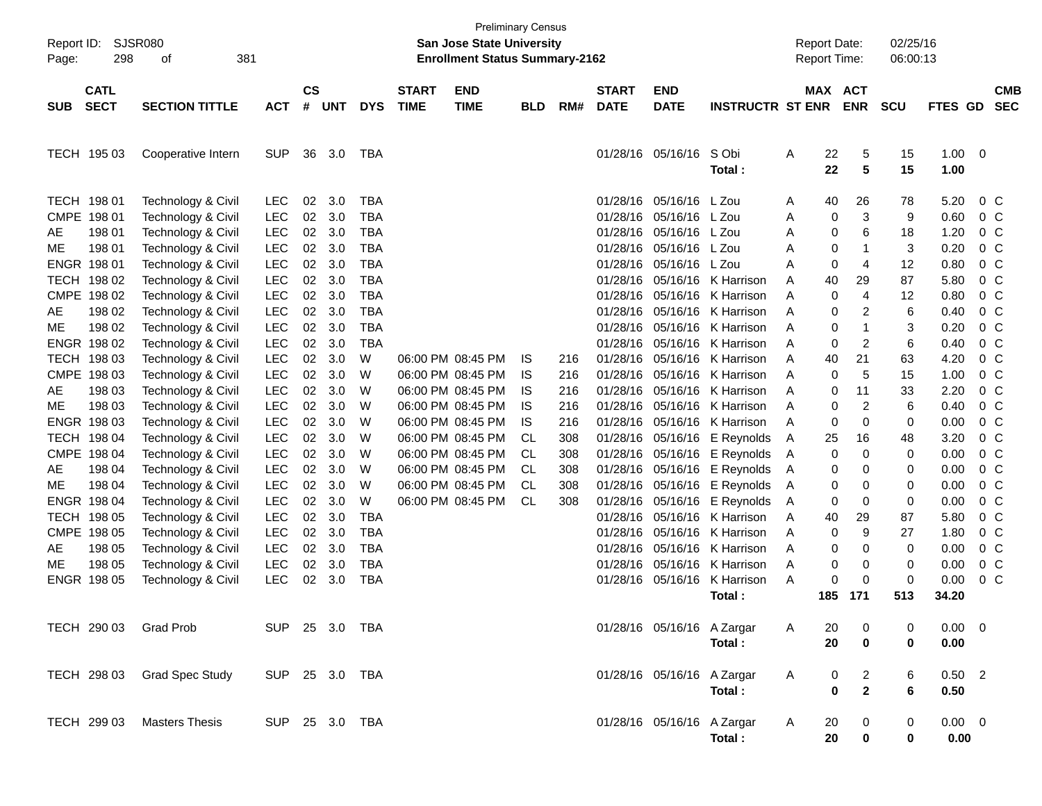| Report ID:<br>Page: | <b>SJSR080</b><br>298      | 381<br>οf                   |                |                    |            |            |                             | <b>Preliminary Census</b><br><b>San Jose State University</b><br><b>Enrollment Status Summary-2162</b> |            |     |                             |                            |                         |   | <b>Report Date:</b><br><b>Report Time:</b> |                                | 02/25/16<br>06:00:13 |                     |                          |
|---------------------|----------------------------|-----------------------------|----------------|--------------------|------------|------------|-----------------------------|--------------------------------------------------------------------------------------------------------|------------|-----|-----------------------------|----------------------------|-------------------------|---|--------------------------------------------|--------------------------------|----------------------|---------------------|--------------------------|
| <b>SUB</b>          | <b>CATL</b><br><b>SECT</b> | <b>SECTION TITTLE</b>       | <b>ACT</b>     | $\mathsf{cs}$<br># | <b>UNT</b> | <b>DYS</b> | <b>START</b><br><b>TIME</b> | <b>END</b><br><b>TIME</b>                                                                              | <b>BLD</b> | RM# | <b>START</b><br><b>DATE</b> | <b>END</b><br><b>DATE</b>  | <b>INSTRUCTR ST ENR</b> |   | MAX ACT                                    | <b>ENR</b>                     | <b>SCU</b>           | FTES GD             | <b>CMB</b><br><b>SEC</b> |
|                     |                            |                             |                |                    |            |            |                             |                                                                                                        |            |     |                             |                            |                         |   |                                            |                                |                      |                     |                          |
|                     | TECH 195 03                | Cooperative Intern          | <b>SUP</b>     | 36                 | 3.0        | TBA        |                             |                                                                                                        |            |     | 01/28/16 05/16/16           |                            | S Obi<br>Total:         | Α | 22<br>22                                   | 5<br>5                         | 15<br>15             | $1.00 \t 0$<br>1.00 |                          |
|                     | TECH 198 01                | Technology & Civil          | <b>LEC</b>     | 02                 | 3.0        | <b>TBA</b> |                             |                                                                                                        |            |     | 01/28/16                    | 05/16/16 L Zou             |                         | A | 40                                         | 26                             | 78                   | 5.20                | $0\,C$                   |
| CMPE                | 198 01                     | Technology & Civil          | <b>LEC</b>     | 02                 | 3.0        | <b>TBA</b> |                             |                                                                                                        |            |     | 01/28/16                    | 05/16/16 L Zou             |                         | A | 0                                          | 3                              | 9                    | 0.60                | $0\,C$                   |
| AE                  | 198 01                     | Technology & Civil          | <b>LEC</b>     | 02                 | 3.0        | <b>TBA</b> |                             |                                                                                                        |            |     | 01/28/16                    | 05/16/16 L Zou             |                         | A | 0                                          | 6                              | 18                   | 1.20                | 0 <sup>C</sup>           |
| ME                  | 198 01                     | Technology & Civil          | <b>LEC</b>     | 02                 | 3.0        | <b>TBA</b> |                             |                                                                                                        |            |     | 01/28/16                    | 05/16/16                   | L Zou                   | A | 0                                          | -1                             | 3                    | 0.20                | 0 <sup>C</sup>           |
|                     | ENGR 198 01                | Technology & Civil          | <b>LEC</b>     | 02                 | 3.0        | <b>TBA</b> |                             |                                                                                                        |            |     | 01/28/16                    | 05/16/16                   | L Zou                   | A | 0                                          | 4                              | 12                   | 0.80                | 0 <sup>C</sup>           |
|                     | TECH 198 02                | Technology & Civil          | <b>LEC</b>     | 02                 | 3.0        | <b>TBA</b> |                             |                                                                                                        |            |     | 01/28/16                    |                            | 05/16/16 K Harrison     | A | 40                                         | 29                             | 87                   | 5.80                | 0 <sup>C</sup>           |
| CMPE                | 198 02                     | Technology & Civil          | <b>LEC</b>     | 02                 | 3.0        | <b>TBA</b> |                             |                                                                                                        |            |     | 01/28/16                    | 05/16/16                   | K Harrison              | A | 0                                          | 4                              | 12                   | 0.80                | 0 <sup>C</sup>           |
| AE                  | 198 02                     | Technology & Civil          | <b>LEC</b>     | 02                 | 3.0        | <b>TBA</b> |                             |                                                                                                        |            |     | 01/28/16                    | 05/16/16                   | K Harrison              | A | 0                                          | $\overline{c}$                 | 6                    | 0.40                | 0 <sup>C</sup>           |
| ME                  | 198 02                     | Technology & Civil          | <b>LEC</b>     | 02                 | 3.0        | <b>TBA</b> |                             |                                                                                                        |            |     | 01/28/16                    | 05/16/16                   | K Harrison              | A | 0                                          | 1                              | 3                    | 0.20                | 0 <sup>C</sup>           |
|                     | ENGR 198 02                | Technology & Civil          | <b>LEC</b>     | 02                 | 3.0        | <b>TBA</b> |                             |                                                                                                        |            |     | 01/28/16                    | 05/16/16                   | K Harrison              | A | 0                                          | $\overline{c}$                 | 6                    | 0.40                | 0 <sup>C</sup>           |
|                     | TECH 198 03                | Technology & Civil          | <b>LEC</b>     | 02                 | 3.0        | W          |                             | 06:00 PM 08:45 PM                                                                                      | IS.        | 216 | 01/28/16                    | 05/16/16                   | K Harrison              | A | 40                                         | 21                             | 63                   | 4.20                | 0 <sup>C</sup>           |
| CMPE                | 198 03                     | Technology & Civil          | <b>LEC</b>     | 02                 | 3.0        | W          |                             | 06:00 PM 08:45 PM                                                                                      | IS.        | 216 | 01/28/16                    | 05/16/16                   | K Harrison              | A | 0                                          | 5                              | 15                   | 1.00                | $0\,C$                   |
| AE                  | 198 03                     | Technology & Civil          | LEC            | 02                 | 3.0        | W          |                             | 06:00 PM 08:45 PM                                                                                      | IS.        | 216 | 01/28/16                    | 05/16/16                   | K Harrison              | A | 0                                          | 11                             | 33                   | 2.20                | 0 <sup>C</sup>           |
| ME                  | 198 03                     | Technology & Civil          | LEC            | 02                 | 3.0        | W          |                             | 06:00 PM 08:45 PM                                                                                      | <b>IS</b>  | 216 | 01/28/16                    | 05/16/16                   | K Harrison              | A | 0                                          | $\overline{c}$                 | 6                    | 0.40                | 0 <sup>C</sup>           |
|                     | ENGR 198 03                | Technology & Civil          | <b>LEC</b>     | 02                 | 3.0        | W          |                             | 06:00 PM 08:45 PM                                                                                      | <b>IS</b>  | 216 | 01/28/16                    | 05/16/16                   | K Harrison              | A | 0                                          | 0                              | 0                    | 0.00                | 0 <sup>C</sup>           |
|                     | TECH 198 04                | Technology & Civil          | LEC            | 02                 | 3.0        | W          |                             | 06:00 PM 08:45 PM                                                                                      | <b>CL</b>  | 308 | 01/28/16                    | 05/16/16                   | E Reynolds              | A | 25                                         | 16                             | 48                   | 3.20                | 0 <sup>C</sup>           |
| CMPE                | 198 04                     | Technology & Civil          | LEC            | 02                 | 3.0        | W          |                             | 06:00 PM 08:45 PM                                                                                      | CL         | 308 | 01/28/16                    | 05/16/16                   | E Reynolds              | A | 0                                          | 0                              | 0                    | 0.00                | 0 <sup>C</sup>           |
| AE                  | 198 04                     | Technology & Civil          | <b>LEC</b>     | 02                 | 3.0        | W          |                             | 06:00 PM 08:45 PM                                                                                      | CL         | 308 | 01/28/16                    | 05/16/16                   | E Reynolds              | A | 0                                          | 0                              | 0                    | 0.00                | 0 <sup>C</sup>           |
| ME                  | 198 04                     | Technology & Civil          | <b>LEC</b>     | 02                 | 3.0        | W          |                             | 06:00 PM 08:45 PM                                                                                      | CL         | 308 | 01/28/16                    | 05/16/16                   | E Reynolds              | Α | 0                                          | 0                              | 0                    | 0.00                | 0 <sup>C</sup>           |
|                     | ENGR 198 04                | Technology & Civil          | <b>LEC</b>     | 02                 | 3.0        | W          |                             | 06:00 PM 08:45 PM                                                                                      | CL         | 308 | 01/28/16                    | 05/16/16                   | E Reynolds              | A | 0                                          | 0                              | 0                    | 0.00                | 0 <sup>C</sup>           |
|                     | TECH 198 05                | Technology & Civil          | <b>LEC</b>     | 02                 | 3.0        | <b>TBA</b> |                             |                                                                                                        |            |     | 01/28/16                    | 05/16/16                   | K Harrison              | A | 40                                         | 29                             | 87                   | 5.80                | $0\,C$                   |
| CMPE                | 198 05                     | Technology & Civil          | <b>LEC</b>     | 02                 | 3.0        | <b>TBA</b> |                             |                                                                                                        |            |     | 01/28/16                    | 05/16/16                   | K Harrison              | A | 0                                          | 9                              | 27                   | 1.80                | 0 <sup>C</sup>           |
| AE                  | 198 05                     | Technology & Civil          | <b>LEC</b>     | 02                 | 3.0        | <b>TBA</b> |                             |                                                                                                        |            |     | 01/28/16                    | 05/16/16                   | K Harrison              | A | 0                                          | 0                              | 0                    | 0.00                | 0 <sup>C</sup>           |
| ME                  | 198 05                     | Technology & Civil          | LEC            | 02                 | 3.0        | <b>TBA</b> |                             |                                                                                                        |            |     | 01/28/16                    | 05/16/16                   | K Harrison              | A | 0                                          | 0                              | 0                    | 0.00                | $0\,C$                   |
|                     | ENGR 198 05                | Technology & Civil          | <b>LEC</b>     | 02                 | 3.0        | <b>TBA</b> |                             |                                                                                                        |            |     | 01/28/16                    | 05/16/16                   | K Harrison              | A | 0                                          | 0                              | $\mathbf 0$          | 0.00                | 0 <sup>C</sup>           |
|                     |                            |                             |                |                    |            |            |                             |                                                                                                        |            |     |                             |                            | Total :                 |   | 185                                        | 171                            | 513                  | 34.20               |                          |
|                     |                            | TECH 290 03 Grad Prob       | SUP 25 3.0 TBA |                    |            |            |                             |                                                                                                        |            |     |                             | 01/28/16 05/16/16 A Zargar |                         | A | 20                                         | 0                              | 0                    | $0.00 \t 0$         |                          |
|                     |                            |                             |                |                    |            |            |                             |                                                                                                        |            |     |                             |                            | Total:                  |   | 20                                         | 0                              | 0                    | 0.00                |                          |
|                     |                            | TECH 298 03 Grad Spec Study | SUP 25 3.0 TBA |                    |            |            |                             |                                                                                                        |            |     |                             | 01/28/16 05/16/16 A Zargar |                         | A | 0                                          |                                | 6                    | $0.50$ 2            |                          |
|                     |                            |                             |                |                    |            |            |                             |                                                                                                        |            |     |                             |                            | Total:                  |   | 0                                          | $\overline{2}$<br>$\mathbf{2}$ | 6                    | 0.50                |                          |
|                     | TECH 299 03                | <b>Masters Thesis</b>       | SUP 25 3.0 TBA |                    |            |            |                             |                                                                                                        |            |     |                             | 01/28/16 05/16/16 A Zargar | Total:                  | A | 20<br>20                                   | 0<br>$\bf{0}$                  | 0<br>0               | $0.00 \t 0$<br>0.00 |                          |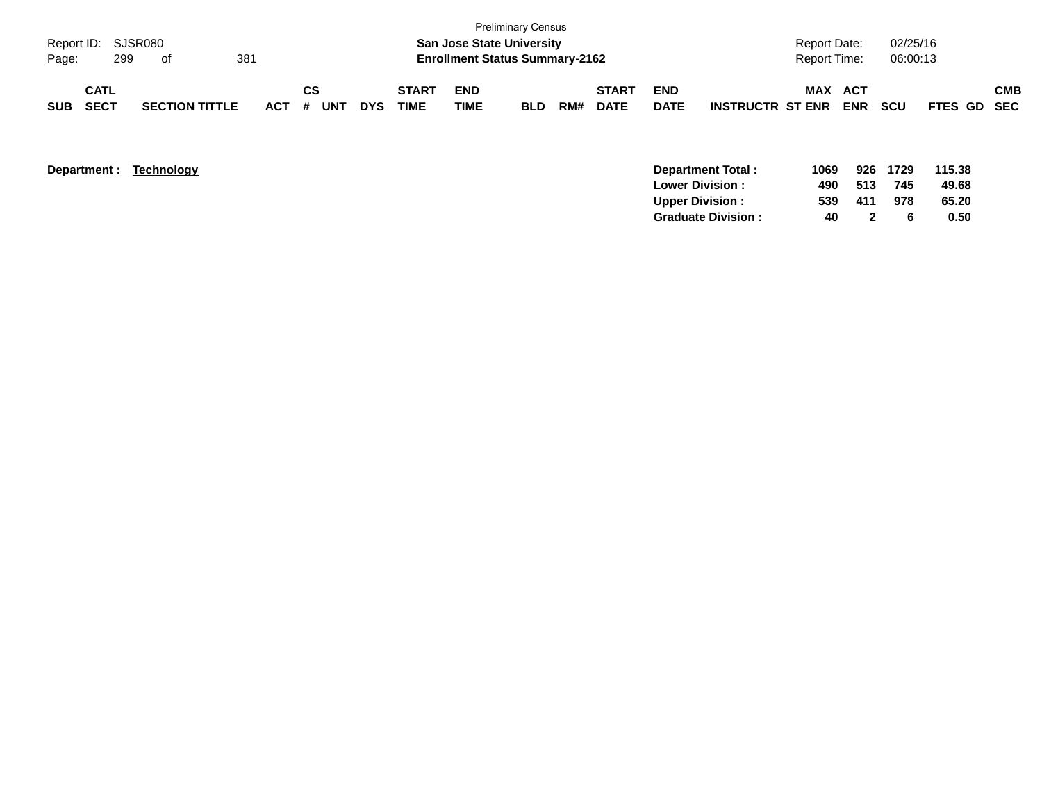| Page:      | Report ID: SJSR080<br>299  | of                    | 381 |            |                       |            |                             | <b>San Jose State University</b><br><b>Enrollment Status Summary-2162</b> | <b>Preliminary Census</b> |     |                             |                           |                         | <b>Report Date:</b><br><b>Report Time:</b> |                   | 02/25/16<br>06:00:13 |             |            |
|------------|----------------------------|-----------------------|-----|------------|-----------------------|------------|-----------------------------|---------------------------------------------------------------------------|---------------------------|-----|-----------------------------|---------------------------|-------------------------|--------------------------------------------|-------------------|----------------------|-------------|------------|
| <b>SUB</b> | <b>CATL</b><br><b>SECT</b> | <b>SECTION TITTLE</b> |     | <b>ACT</b> | СS<br><b>UNT</b><br># | <b>DYS</b> | <b>START</b><br><b>TIME</b> | <b>END</b><br>TIME                                                        | <b>BLD</b>                | RM# | <b>START</b><br><b>DATE</b> | <b>END</b><br><b>DATE</b> | <b>INSTRUCTR ST ENR</b> | MAX                                        | ACT<br><b>ENR</b> | <b>SCU</b>           | FTES GD SEC | <b>CMB</b> |

| Department : | Technology | <b>Department Total:</b>  | 1069 | 926 | 1729 | 115.38 |
|--------------|------------|---------------------------|------|-----|------|--------|
|              |            | <b>Lower Division:</b>    | 490  | 513 | 745  | 49.68  |
|              |            | <b>Upper Division:</b>    | 539  | 411 | 978  | 65.20  |
|              |            | <b>Graduate Division:</b> | 40   |     |      | 0.50   |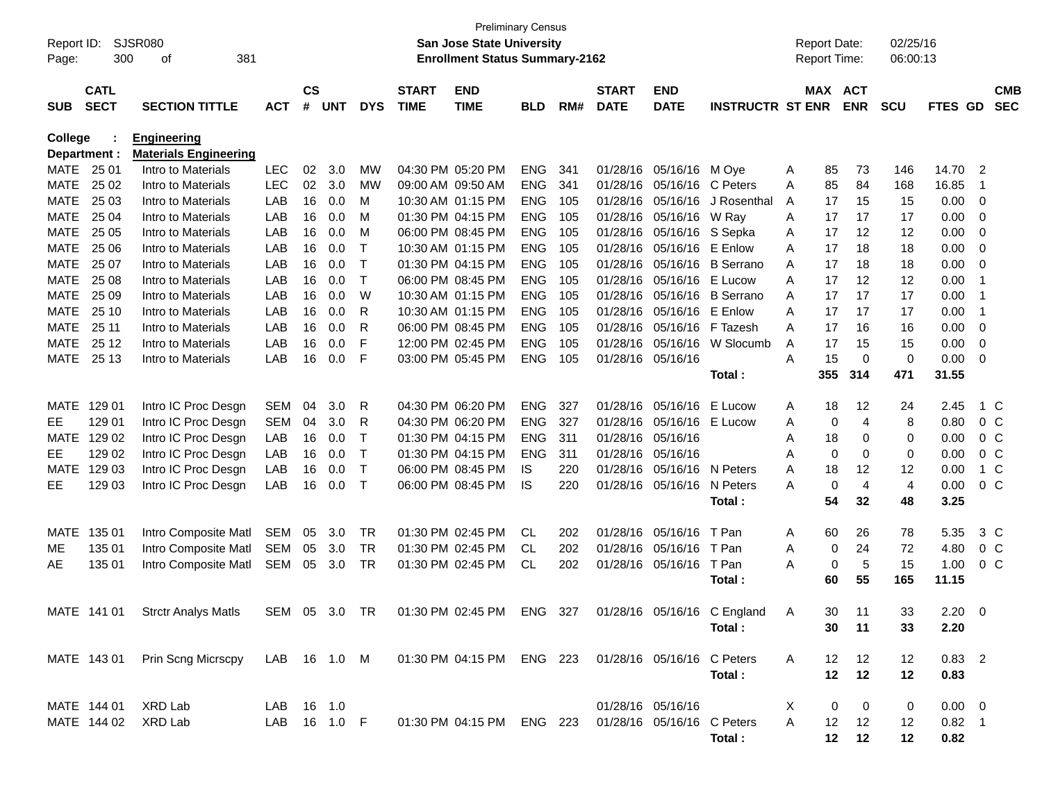| Report ID:<br>Page: | 300          | SJSR080<br>381<br>οf                                                                             |            |               |            |              |              | <b>Preliminary Census</b><br>San Jose State University<br><b>Enrollment Status Summary-2162</b> |            |     |                   |                   |                             |    | <b>Report Date:</b><br><b>Report Time:</b> |                | 02/25/16<br>06:00:13 |                |                |                |
|---------------------|--------------|--------------------------------------------------------------------------------------------------|------------|---------------|------------|--------------|--------------|-------------------------------------------------------------------------------------------------|------------|-----|-------------------|-------------------|-----------------------------|----|--------------------------------------------|----------------|----------------------|----------------|----------------|----------------|
|                     | <b>CATL</b>  |                                                                                                  |            | $\mathsf{cs}$ |            |              | <b>START</b> | <b>END</b>                                                                                      |            |     | <b>START</b>      | <b>END</b>        |                             |    | MAX ACT                                    |                |                      |                |                | <b>CMB</b>     |
| <b>SUB</b>          | <b>SECT</b>  | <b>SECTION TITTLE</b>                                                                            | <b>ACT</b> | #             | <b>UNT</b> | <b>DYS</b>   | <b>TIME</b>  | <b>TIME</b>                                                                                     | <b>BLD</b> | RM# | <b>DATE</b>       | <b>DATE</b>       | <b>INSTRUCTR ST ENR</b>     |    |                                            | <b>ENR</b>     | <b>SCU</b>           | FTES GD        |                | <b>SEC</b>     |
| College             |              | <b>Engineering</b>                                                                               |            |               |            |              |              |                                                                                                 |            |     |                   |                   |                             |    |                                            |                |                      |                |                |                |
|                     | Department : | <b>Materials Engineering</b>                                                                     |            |               |            |              |              |                                                                                                 |            |     |                   |                   |                             |    |                                            |                |                      |                |                |                |
| MATE                | 25 01        | Intro to Materials                                                                               | <b>LEC</b> | 02            | 3.0        | MW           |              | 04:30 PM 05:20 PM                                                                               | <b>ENG</b> | 341 | 01/28/16          | 05/16/16 M Oye    |                             | Α  | 85                                         | 73             | 146                  | 14.70          | $\overline{2}$ |                |
| <b>MATE</b>         | 25 02        | Intro to Materials                                                                               | <b>LEC</b> | 02            | 3.0        | MW           |              | 09:00 AM 09:50 AM                                                                               | <b>ENG</b> | 341 | 01/28/16          | 05/16/16          | C Peters                    | A  | 85                                         | 84             | 168                  | 16.85          | -1             |                |
| <b>MATE</b>         | 25 03        | Intro to Materials                                                                               | LAB        | 16            | 0.0        | M            |              | 10:30 AM 01:15 PM                                                                               | <b>ENG</b> | 105 | 01/28/16          | 05/16/16          | J Rosenthal                 | A  | 17                                         | 15             | 15                   | 0.00           | 0              |                |
| <b>MATE</b>         | 25 04        | Intro to Materials                                                                               | LAB        | 16            | 0.0        | м            |              | 01:30 PM 04:15 PM                                                                               | <b>ENG</b> | 105 | 01/28/16          | 05/16/16          | W Ray                       | A  | 17                                         | 17             | 17                   | 0.00           | 0              |                |
| <b>MATE</b>         | 25 05        | Intro to Materials                                                                               | LAB        | 16            | 0.0        | M            |              | 06:00 PM 08:45 PM                                                                               | <b>ENG</b> | 105 | 01/28/16          | 05/16/16 S Sepka  |                             | A  | 17                                         | 12             | 12                   | 0.00           | 0              |                |
| <b>MATE</b>         | 25 06        | Intro to Materials                                                                               | LAB        | 16            | 0.0        | Т            |              | 10:30 AM 01:15 PM                                                                               | <b>ENG</b> | 105 | 01/28/16          | 05/16/16          | E Enlow                     | A  | 17                                         | 18             | 18                   | 0.00           | 0              |                |
| <b>MATE</b>         | 25 07        | Intro to Materials                                                                               | LAB        | 16            | 0.0        | Т            |              | 01:30 PM 04:15 PM                                                                               | <b>ENG</b> | 105 | 01/28/16          |                   | 05/16/16 B Serrano          | A  | 17                                         | 18             | 18                   | 0.00           | 0              |                |
| <b>MATE</b>         | 25 08        | Intro to Materials                                                                               | LAB        | 16            | 0.0        | T            |              | 06:00 PM 08:45 PM                                                                               | <b>ENG</b> | 105 | 01/28/16          | 05/16/16          | E Lucow                     | A  | 17                                         | 12             | 12                   | 0.00           | $\mathbf 1$    |                |
| <b>MATE</b>         | 25 09        | Intro to Materials                                                                               | LAB        | 16            | 0.0        | W            |              | 10:30 AM 01:15 PM                                                                               | <b>ENG</b> | 105 | 01/28/16          |                   | 05/16/16 B Serrano          | A  | 17                                         | 17             | 17                   | 0.00           | -1             |                |
| <b>MATE</b>         | 25 10        | Intro to Materials                                                                               | LAB        | 16            | 0.0        | R            |              | 10:30 AM 01:15 PM                                                                               | <b>ENG</b> | 105 | 01/28/16          | 05/16/16          | E Enlow                     | A  | 17                                         | 17             | 17                   | 0.00           | $\mathbf 1$    |                |
| <b>MATE</b>         | 25 11        | Intro to Materials                                                                               | LAB        | 16            | 0.0        | R            |              | 06:00 PM 08:45 PM                                                                               | <b>ENG</b> | 105 | 01/28/16          | 05/16/16          | F Tazesh                    | A  | 17                                         | 16             | 16                   | 0.00           | 0              |                |
| <b>MATE</b>         | 25 12        | Intro to Materials                                                                               | LAB        | 16            | 0.0        | F            |              | 12:00 PM 02:45 PM                                                                               | <b>ENG</b> | 105 | 01/28/16          | 05/16/16          | W Slocumb                   | A  | 17                                         | 15             | 15                   | 0.00           | 0              |                |
| <b>MATE</b>         | 25 13        | Intro to Materials                                                                               | LAB        | 16            | 0.0        | F            |              | 03:00 PM 05:45 PM                                                                               | <b>ENG</b> | 105 | 01/28/16          | 05/16/16          |                             | Α  | 15                                         | 0              | $\mathbf 0$          | 0.00           | 0              |                |
|                     |              |                                                                                                  |            |               |            |              |              |                                                                                                 |            |     |                   |                   | Total :                     |    | 355                                        | 314            | 471                  | 31.55          |                |                |
| MATE                | 129 01       | Intro IC Proc Desgn                                                                              | <b>SEM</b> | 04            | 3.0        | R            |              | 04:30 PM 06:20 PM                                                                               | <b>ENG</b> | 327 | 01/28/16          | 05/16/16          | E Lucow                     | A  | 18                                         | 12             | 24                   | 2.45           |                | 1 C            |
| EE.                 | 129 01       | Intro IC Proc Desgn                                                                              | <b>SEM</b> | 04            | 3.0        | R            |              | 04:30 PM 06:20 PM                                                                               | <b>ENG</b> | 327 | 01/28/16          | 05/16/16 E Lucow  |                             | A  | 0                                          | 4              | 8                    | 0.80           |                | $0\,C$         |
| MATE                | 129 02       | Intro IC Proc Desgn                                                                              | LAB        | 16            | 0.0        | Т            |              | 01:30 PM 04:15 PM                                                                               | <b>ENG</b> | 311 | 01/28/16          | 05/16/16          |                             | A  | 18                                         | 0              | 0                    | 0.00           |                | $0\,C$         |
| EE                  | 129 02       | Intro IC Proc Desgn                                                                              | LAB        | 16            | 0.0        | Т            |              | 01:30 PM 04:15 PM                                                                               | <b>ENG</b> | 311 |                   | 01/28/16 05/16/16 |                             | A  | 0                                          | 0              | 0                    | 0.00           |                | 0 <sup>C</sup> |
| MATE                | 129 03       | Intro IC Proc Desgn                                                                              | LAB        | 16            | 0.0        | $\top$       |              | 06:00 PM 08:45 PM                                                                               | IS         | 220 | 01/28/16          | 05/16/16 N Peters |                             | A  | 18                                         | 12             | 12                   | 0.00           |                | 1 C            |
| EE                  | 129 03       | Intro IC Proc Desgn                                                                              | LAB        | 16            | 0.0        | $\mathsf T$  |              | 06:00 PM 08:45 PM                                                                               | IS         | 220 |                   | 01/28/16 05/16/16 | N Peters                    | A  | 0                                          | $\overline{4}$ | 4                    | 0.00           | 0 <sup>o</sup> |                |
|                     |              |                                                                                                  |            |               |            |              |              |                                                                                                 |            |     |                   |                   | Total :                     |    | 54                                         | 32             | 48                   | 3.25           |                |                |
| <b>MATE</b>         | 135 01       | Intro Composite Matl                                                                             | <b>SEM</b> | 05            | 3.0        | TR           |              | 01:30 PM 02:45 PM                                                                               | CL         | 202 |                   | 01/28/16 05/16/16 | T Pan                       | A  | 60                                         | 26             | 78                   | 5.35           |                | 3 C            |
| ME                  | 135 01       | Intro Composite Matl                                                                             | <b>SEM</b> | 05            | 3.0        | <b>TR</b>    |              | 01:30 PM 02:45 PM                                                                               | CL.        | 202 | 01/28/16          | 05/16/16          | T Pan                       | A  | 0                                          | 24             | 72                   | 4.80           |                | $0\,C$         |
| AE                  | 135 01       | Intro Composite Matl                                                                             | SEM        | 05            | 3.0        | TR           |              | 01:30 PM 02:45 PM                                                                               | CL         | 202 |                   | 01/28/16 05/16/16 | T Pan                       | A  | 0                                          | 5              | 15                   | 1.00           |                | $0\,C$         |
|                     |              |                                                                                                  |            |               |            |              |              |                                                                                                 |            |     |                   |                   | Total :                     |    | 60                                         | 55             | 165                  | 11.15          |                |                |
|                     | MATE 141 01  | <b>Strctr Analys Matls</b>                                                                       | SEM        |               | 05 3.0     | TR           |              | 01:30 PM 02:45 PM ENG 327                                                                       |            |     |                   |                   | 01/28/16 05/16/16 C England | A  | 30                                         | -11            | 33                   | 2.20           | - 0            |                |
|                     |              |                                                                                                  |            |               |            |              |              |                                                                                                 |            |     |                   |                   | Total :                     |    | 30                                         | $-11$          | 33                   | 2.20           |                |                |
|                     |              |                                                                                                  |            |               |            |              |              |                                                                                                 |            |     |                   |                   |                             |    |                                            |                |                      |                |                |                |
|                     |              | MATE 143 01 Prin Scng Micrscpy LAB 16 1.0 M 01:30 PM 04:15 PM ENG 223 01/28/16 05/16/16 C Peters |            |               |            |              |              |                                                                                                 |            |     |                   |                   |                             | A  |                                            | 12 12          | 12                   | $0.83$ 2       |                |                |
|                     |              |                                                                                                  |            |               |            |              |              |                                                                                                 |            |     |                   |                   | Total:                      |    |                                            | $12 \qquad 12$ | $12 \,$              | 0.83           |                |                |
|                     |              |                                                                                                  |            |               |            |              |              |                                                                                                 |            |     |                   |                   |                             |    |                                            |                |                      |                |                |                |
|                     | MATE 144 01  | XRD Lab                                                                                          | LAB 16 1.0 |               |            |              |              |                                                                                                 |            |     | 01/28/16 05/16/16 |                   |                             | X. | $\mathbf{0}$                               | $\mathbf 0$    | 0                    | $0.00 \quad 0$ |                |                |
|                     |              | MATE 144 02 XRD Lab                                                                              |            |               |            | LAB 16 1.0 F |              | 01:30 PM 04:15 PM ENG 223 01/28/16 05/16/16 C Peters                                            |            |     |                   |                   |                             | A  |                                            | 12 12          | 12                   | $0.82$ 1       |                |                |
|                     |              |                                                                                                  |            |               |            |              |              |                                                                                                 |            |     |                   |                   | Total:                      |    |                                            | 12 12          | 12                   | 0.82           |                |                |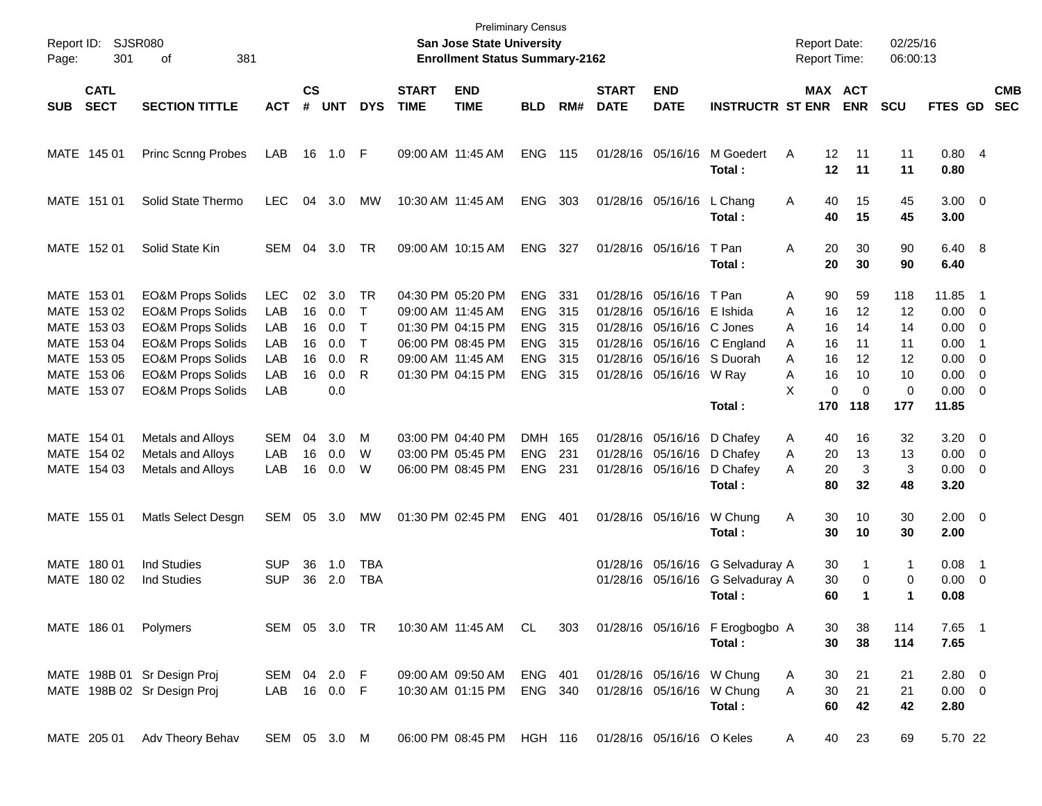| Report ID:<br>Page: | 301                                                                                                   | <b>SJSR080</b><br>381<br>οf                                                                                                                                                                                                  |                                                      |                                  |                                               |                                            |                             | <b>Preliminary Census</b><br>San Jose State University<br><b>Enrollment Status Summary-2162</b>                            |                                                                                  |                                        |                                                          |                                                                                    |                                                              |                                 | <b>Report Date:</b><br><b>Report Time:</b>                                     | 02/25/16<br>06:00:13                             |                                                       |                                                                                                                    |                          |
|---------------------|-------------------------------------------------------------------------------------------------------|------------------------------------------------------------------------------------------------------------------------------------------------------------------------------------------------------------------------------|------------------------------------------------------|----------------------------------|-----------------------------------------------|--------------------------------------------|-----------------------------|----------------------------------------------------------------------------------------------------------------------------|----------------------------------------------------------------------------------|----------------------------------------|----------------------------------------------------------|------------------------------------------------------------------------------------|--------------------------------------------------------------|---------------------------------|--------------------------------------------------------------------------------|--------------------------------------------------|-------------------------------------------------------|--------------------------------------------------------------------------------------------------------------------|--------------------------|
| <b>SUB</b>          | <b>CATL</b><br><b>SECT</b>                                                                            | <b>SECTION TITTLE</b>                                                                                                                                                                                                        | <b>ACT</b>                                           | $\mathsf{cs}$<br>#               | <b>UNT</b>                                    | <b>DYS</b>                                 | <b>START</b><br><b>TIME</b> | <b>END</b><br><b>TIME</b>                                                                                                  | <b>BLD</b>                                                                       | RM#                                    | <b>START</b><br><b>DATE</b>                              | <b>END</b><br><b>DATE</b>                                                          | <b>INSTRUCTR ST ENR</b>                                      |                                 | MAX ACT<br><b>ENR</b>                                                          | <b>SCU</b>                                       | FTES GD                                               |                                                                                                                    | <b>CMB</b><br><b>SEC</b> |
|                     | MATE 145 01                                                                                           | <b>Princ Scnng Probes</b>                                                                                                                                                                                                    | LAB                                                  | 16                               | 1.0                                           | F                                          |                             | 09:00 AM 11:45 AM                                                                                                          | <b>ENG</b>                                                                       | 115                                    |                                                          | 01/28/16 05/16/16                                                                  | M Goedert<br>Total:                                          | A                               | 12<br>11<br>12<br>11                                                           | 11<br>11                                         | 0.804<br>0.80                                         |                                                                                                                    |                          |
|                     | MATE 151 01                                                                                           | Solid State Thermo                                                                                                                                                                                                           | <b>LEC</b>                                           | 04                               | 3.0                                           | MW                                         |                             | 10:30 AM 11:45 AM                                                                                                          | <b>ENG</b>                                                                       | 303                                    |                                                          | 01/28/16 05/16/16                                                                  | L Chang<br>Total:                                            | Α                               | 40<br>15<br>40<br>15                                                           | 45<br>45                                         | $3.00 \ 0$<br>3.00                                    |                                                                                                                    |                          |
|                     | MATE 152 01                                                                                           | Solid State Kin                                                                                                                                                                                                              | SEM                                                  | 04                               | 3.0                                           | TR                                         |                             | 09:00 AM 10:15 AM                                                                                                          | <b>ENG</b>                                                                       | 327                                    |                                                          | 01/28/16 05/16/16                                                                  | T Pan<br>Total:                                              | Α                               | 20<br>30<br>20<br>30                                                           | 90<br>90                                         | 6.40 8<br>6.40                                        |                                                                                                                    |                          |
|                     | MATE 153 01<br>MATE 153 02<br>MATE 153 03<br>MATE 153 04<br>MATE 153 05<br>MATE 153 06<br>MATE 153 07 | <b>EO&amp;M Props Solids</b><br><b>EO&amp;M Props Solids</b><br><b>EO&amp;M Props Solids</b><br><b>EO&amp;M Props Solids</b><br><b>EO&amp;M Props Solids</b><br><b>EO&amp;M Props Solids</b><br><b>EO&amp;M Props Solids</b> | <b>LEC</b><br>LAB<br>LAB<br>LAB<br>LAB<br>LAB<br>LAB | 02<br>16<br>16<br>16<br>16<br>16 | 3.0<br>0.0<br>0.0<br>0.0<br>0.0<br>0.0<br>0.0 | TR<br>$\top$<br>$\top$<br>$\top$<br>R<br>R |                             | 04:30 PM 05:20 PM<br>09:00 AM 11:45 AM<br>01:30 PM 04:15 PM<br>06:00 PM 08:45 PM<br>09:00 AM 11:45 AM<br>01:30 PM 04:15 PM | <b>ENG</b><br><b>ENG</b><br><b>ENG</b><br><b>ENG</b><br><b>ENG</b><br><b>ENG</b> | 331<br>315<br>315<br>315<br>315<br>315 | 01/28/16<br>01/28/16<br>01/28/16<br>01/28/16<br>01/28/16 | 05/16/16 T Pan<br>05/16/16 E Ishida<br>05/16/16 C Jones<br>01/28/16 05/16/16 W Ray | 05/16/16 C England<br>05/16/16 S Duorah                      | Α<br>A<br>A<br>A<br>A<br>Α<br>X | 90<br>59<br>16<br>12<br>16<br>14<br>16<br>11<br>16<br>12<br>10<br>16<br>0<br>0 | 118<br>12<br>14<br>11<br>12<br>10<br>$\mathbf 0$ | 11.85<br>0.00<br>0.00<br>0.00<br>0.00<br>0.00<br>0.00 | $\overline{\phantom{1}}$<br>$\overline{\mathbf{0}}$<br>$\overline{\mathbf{0}}$<br>-1<br>0<br>$\overline{0}$<br>- 0 |                          |
|                     | MATE 154 01<br>MATE 154 02                                                                            | Metals and Alloys<br>Metals and Alloys                                                                                                                                                                                       | SEM<br>LAB                                           | 04<br>16                         | 3.0<br>0.0                                    | M<br>W                                     |                             | 03:00 PM 04:40 PM<br>03:00 PM 05:45 PM                                                                                     | <b>DMH</b><br><b>ENG</b>                                                         | 165<br>231                             | 01/28/16                                                 | 01/28/16 05/16/16 D Chafey<br>05/16/16 D Chafey                                    | Total:                                                       | 170<br>A<br>A                   | 118<br>40<br>16<br>20<br>13                                                    | 177<br>32<br>13                                  | 11.85<br>$3.20 \ 0$<br>0.00                           | $\overline{\phantom{0}}$                                                                                           |                          |
|                     | MATE 154 03                                                                                           | Metals and Alloys                                                                                                                                                                                                            | LAB                                                  | 16                               | 0.0                                           | W                                          |                             | 06:00 PM 08:45 PM                                                                                                          | <b>ENG</b>                                                                       | 231                                    |                                                          | 01/28/16 05/16/16                                                                  | D Chafey<br>Total:                                           | A                               | 20<br>3<br>80<br>32                                                            | 3<br>48                                          | 0.00<br>3.20                                          | $\overline{\phantom{0}}$                                                                                           |                          |
|                     | MATE 155 01                                                                                           | Matls Select Desgn                                                                                                                                                                                                           | SEM                                                  | 05                               | 3.0                                           | МW                                         |                             | 01:30 PM 02:45 PM                                                                                                          | <b>ENG</b>                                                                       | 401                                    |                                                          | 01/28/16 05/16/16                                                                  | W Chung<br>Total:                                            | Α                               | 30<br>10<br>30<br>10                                                           | 30<br>30                                         | $2.00 \t 0$<br>2.00                                   |                                                                                                                    |                          |
|                     | MATE 180 01<br>MATE 180 02                                                                            | <b>Ind Studies</b><br><b>Ind Studies</b>                                                                                                                                                                                     | <b>SUP</b><br><b>SUP</b>                             | 36<br>36                         | 1.0<br>2.0                                    | <b>TBA</b><br><b>TBA</b>                   |                             |                                                                                                                            |                                                                                  |                                        |                                                          | 01/28/16 05/16/16                                                                  | 01/28/16 05/16/16 G Selvaduray A<br>G Selvaduray A<br>Total: |                                 | 30<br>1<br>30<br>0<br>60<br>1                                                  | $\mathbf{1}$<br>0<br>1                           | 0.08<br>0.00<br>0.08                                  | $\overline{1}$<br>$\overline{\mathbf{0}}$                                                                          |                          |
|                     | MATE 186 01                                                                                           | Polymers                                                                                                                                                                                                                     | SEM 05 3.0 TR                                        |                                  |                                               |                                            |                             | 10:30 AM 11:45 AM                                                                                                          | CL                                                                               | 303                                    |                                                          |                                                                                    | 01/28/16 05/16/16 F Erogbogbo A<br>Total:                    |                                 | 30<br>38<br>30<br>38                                                           | 114<br>114                                       | 7.65 1<br>7.65                                        |                                                                                                                    |                          |
|                     |                                                                                                       | MATE 198B 01 Sr Design Proj<br>MATE 198B 02 Sr Design Proj                                                                                                                                                                   | SEM 04 2.0 F<br>LAB                                  |                                  | 16  0.0  F                                    |                                            |                             | 09:00 AM 09:50 AM<br>10:30 AM 01:15 PM                                                                                     | ENG 401<br>ENG 340                                                               |                                        |                                                          | 01/28/16 05/16/16 W Chung<br>01/28/16 05/16/16 W Chung                             | Total:                                                       | A<br>A                          | 30<br>21<br>30<br>21<br>60<br>42                                               | 21<br>21<br>42                                   | $2.80 \t 0$<br>$0.00 \t 0$<br>2.80                    |                                                                                                                    |                          |
|                     | MATE 205 01                                                                                           | Adv Theory Behav                                                                                                                                                                                                             | SEM 05 3.0 M                                         |                                  |                                               |                                            |                             | 06:00 PM 08:45 PM                                                                                                          |                                                                                  | HGH 116                                |                                                          | 01/28/16 05/16/16 O Keles                                                          |                                                              | A                               | 40<br>23                                                                       | 69                                               | 5.70 22                                               |                                                                                                                    |                          |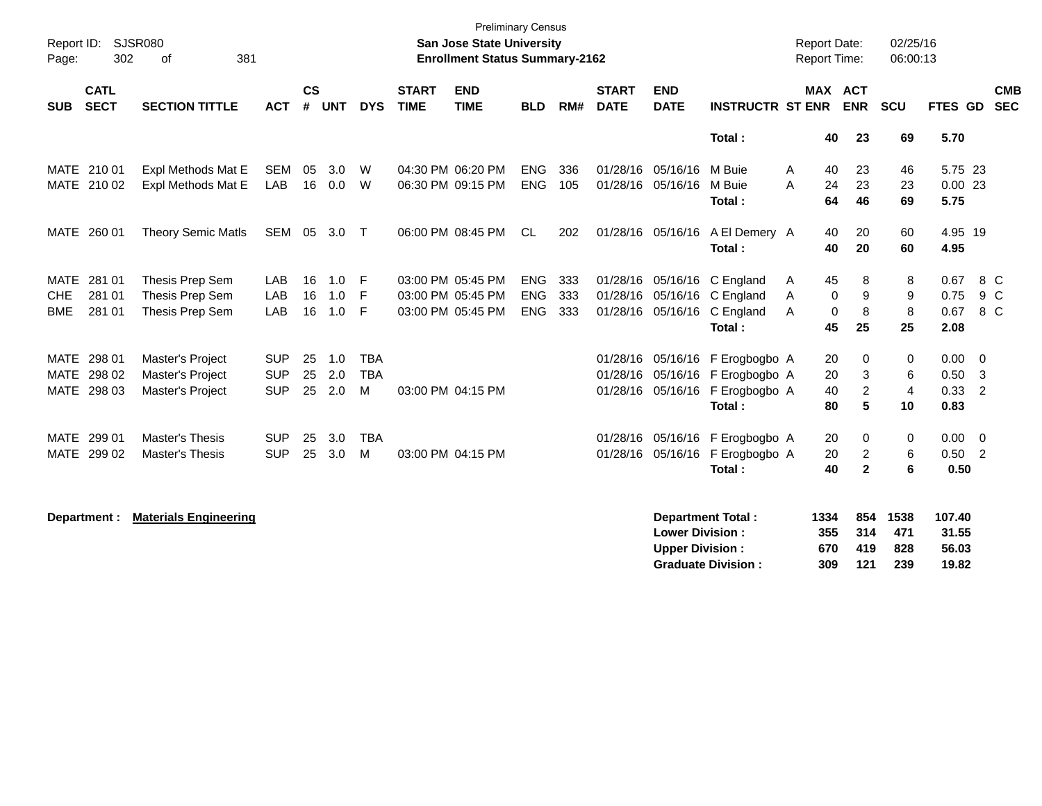| Report ID:<br>Page: | 302                        | SJSR080<br>381<br>of         |            |                |            |            |                             | <b>Preliminary Census</b><br>San Jose State University<br><b>Enrollment Status Summary-2162</b> |            |     |                             |                           |                             | <b>Report Date:</b><br>Report Time: |                              | 02/25/16<br>06:00:13 |                |                          |                          |
|---------------------|----------------------------|------------------------------|------------|----------------|------------|------------|-----------------------------|-------------------------------------------------------------------------------------------------|------------|-----|-----------------------------|---------------------------|-----------------------------|-------------------------------------|------------------------------|----------------------|----------------|--------------------------|--------------------------|
| <b>SUB</b>          | <b>CATL</b><br><b>SECT</b> | <b>SECTION TITTLE</b>        | <b>ACT</b> | <b>CS</b><br># | <b>UNT</b> | <b>DYS</b> | <b>START</b><br><b>TIME</b> | <b>END</b><br><b>TIME</b>                                                                       | <b>BLD</b> | RM# | <b>START</b><br><b>DATE</b> | <b>END</b><br><b>DATE</b> | <b>INSTRUCTR ST ENR</b>     |                                     | <b>MAX ACT</b><br><b>ENR</b> | <b>SCU</b>           | <b>FTES GD</b> |                          | <b>CMB</b><br><b>SEC</b> |
|                     |                            |                              |            |                |            |            |                             |                                                                                                 |            |     |                             |                           | Total:                      | 40                                  | 23                           | 69                   | 5.70           |                          |                          |
| MATE 210 01         |                            | Expl Methods Mat E           | SEM        | 05             | 3.0        | W          |                             | 04:30 PM 06:20 PM                                                                               | <b>ENG</b> | 336 |                             | 01/28/16 05/16/16         | M Buie                      | 40<br>A                             | 23                           | 46                   | 5.75 23        |                          |                          |
|                     | MATE 210 02                | Expl Methods Mat E           | LAB        |                | 16 0.0     | W          |                             | 06:30 PM 09:15 PM                                                                               | <b>ENG</b> | 105 |                             | 01/28/16 05/16/16         | M Buie                      | A<br>24                             | 23                           | 23                   | 0.0023         |                          |                          |
|                     |                            |                              |            |                |            |            |                             |                                                                                                 |            |     |                             |                           | Total:                      | 64                                  | 46                           | 69                   | 5.75           |                          |                          |
| MATE 260 01         |                            | <b>Theory Semic Matls</b>    | SEM        | 05             | 3.0        | $\top$     |                             | 06:00 PM 08:45 PM                                                                               | <b>CL</b>  | 202 |                             | 01/28/16 05/16/16         | A El Demery A               | 40                                  | 20                           | 60                   | 4.95 19        |                          |                          |
|                     |                            |                              |            |                |            |            |                             |                                                                                                 |            |     |                             |                           | Total:                      | 40                                  | 20                           | 60                   | 4.95           |                          |                          |
| MATE                | 281 01                     | Thesis Prep Sem              | LAB        | 16             | 1.0        | F          |                             | 03:00 PM 05:45 PM                                                                               | <b>ENG</b> | 333 |                             |                           | 01/28/16 05/16/16 C England | 45<br>A                             | 8                            | 8                    | 0.67           | 8 C                      |                          |
| CHE                 | 281 01                     | Thesis Prep Sem              | LAB        | 16             | 1.0        | F          |                             | 03:00 PM 05:45 PM                                                                               | <b>ENG</b> | 333 |                             |                           | 01/28/16 05/16/16 C England | A                                   | 0<br>9                       | 9                    | 0.75           | 9 C                      |                          |
| <b>BME</b>          | 281 01                     | Thesis Prep Sem              | LAB        | 16             | 1.0        | F          |                             | 03:00 PM 05:45 PM                                                                               | <b>ENG</b> | 333 |                             | 01/28/16 05/16/16         | C England                   | A                                   | 8<br>0                       | 8                    | 0.67           | 8 C                      |                          |
|                     |                            |                              |            |                |            |            |                             |                                                                                                 |            |     |                             |                           | Total:                      | 45                                  | 25                           | 25                   | 2.08           |                          |                          |
| MATE                | 298 01                     | Master's Project             | <b>SUP</b> | 25             | 1.0        | <b>TBA</b> |                             |                                                                                                 |            |     |                             | 01/28/16 05/16/16         | F Erogbogbo A               | 20                                  | 0                            | 0                    | 0.00           | $\overline{0}$           |                          |
| <b>MATE</b>         | 298 02                     | Master's Project             | <b>SUP</b> | 25             | 2.0        | <b>TBA</b> |                             |                                                                                                 |            |     | 01/28/16                    | 05/16/16                  | F Erogbogbo A               | 20                                  | 3                            | 6                    | 0.50           | $\overline{\mathbf{3}}$  |                          |
| MATE 298 03         |                            | Master's Project             | <b>SUP</b> | 25             | 2.0        | M          |                             | 03:00 PM 04:15 PM                                                                               |            |     |                             | 01/28/16 05/16/16         | F Erogbogbo A               | 40                                  | $\overline{a}$               | $\overline{4}$       | 0.33           | $\overline{\phantom{0}}$ |                          |
|                     |                            |                              |            |                |            |            |                             |                                                                                                 |            |     |                             |                           | Total:                      | 80                                  | 5                            | 10                   | 0.83           |                          |                          |
| MATE                | 299 01                     | <b>Master's Thesis</b>       | <b>SUP</b> | 25             | 3.0        | <b>TBA</b> |                             |                                                                                                 |            |     |                             | 01/28/16 05/16/16         | F Erogbogbo A               | 20                                  | 0                            | 0                    | 0.00           | $\overline{\phantom{0}}$ |                          |
|                     | MATE 299 02                | Master's Thesis              | <b>SUP</b> | 25             | 3.0        | M          |                             | 03:00 PM 04:15 PM                                                                               |            |     |                             | 01/28/16 05/16/16         | F Erogbogbo A               | 20                                  | $\overline{c}$               | 6                    | $0.50$ 2       |                          |                          |
|                     |                            |                              |            |                |            |            |                             |                                                                                                 |            |     |                             |                           | Total:                      | 40                                  | $\overline{2}$               | 6                    | 0.50           |                          |                          |
|                     |                            |                              |            |                |            |            |                             |                                                                                                 |            |     |                             |                           |                             |                                     |                              | 1538                 | 107.40         |                          |                          |
| Department :        |                            | <b>Materials Engineering</b> |            |                |            |            |                             |                                                                                                 |            |     |                             | <b>Lower Division:</b>    | <b>Department Total:</b>    | 1334<br>355                         | 854<br>314                   | 471                  | 31.55          |                          |                          |
|                     |                            |                              |            |                |            |            |                             |                                                                                                 |            |     |                             | <b>Upper Division:</b>    |                             | 670                                 | 419                          | 828                  | 56.03          |                          |                          |
|                     |                            |                              |            |                |            |            |                             |                                                                                                 |            |     |                             |                           | <b>Graduate Division:</b>   | 309                                 | 121                          | 239                  | 19.82          |                          |                          |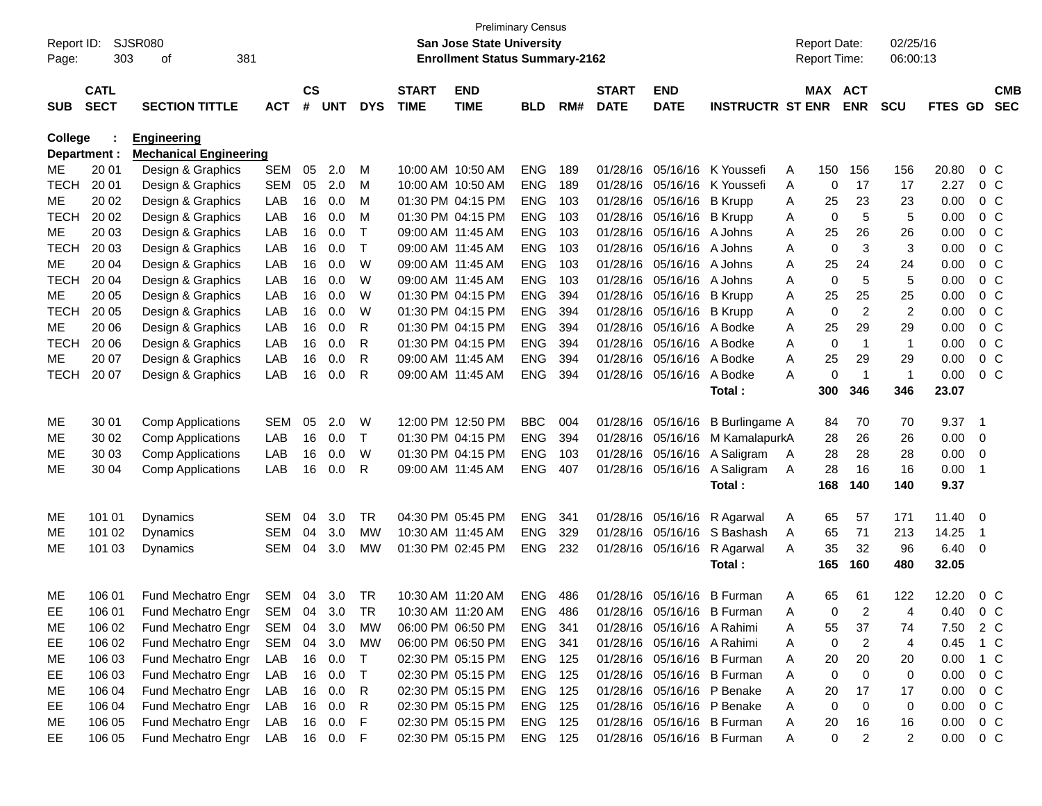| Report ID:  |                                                     | <b>SJSR080</b>                   |            |               |            |            |              | <b>Preliminary Census</b><br><b>San Jose State University</b> |            |     |              |                            |                            |   | <b>Report Date:</b> |                | 02/25/16       |               |                |                |
|-------------|-----------------------------------------------------|----------------------------------|------------|---------------|------------|------------|--------------|---------------------------------------------------------------|------------|-----|--------------|----------------------------|----------------------------|---|---------------------|----------------|----------------|---------------|----------------|----------------|
| Page:       | 303<br>381<br>of                                    |                                  |            |               |            |            |              | <b>Enrollment Status Summary-2162</b>                         |            |     |              |                            |                            |   | Report Time:        |                | 06:00:13       |               |                |                |
|             | <b>CATL</b><br><b>SECT</b><br><b>SECTION TITTLE</b> |                                  |            | $\mathsf{cs}$ |            |            | <b>START</b> | <b>END</b>                                                    |            |     | <b>START</b> | <b>END</b>                 |                            |   | MAX ACT             |                |                |               |                | <b>CMB</b>     |
| <b>SUB</b>  |                                                     |                                  | <b>ACT</b> | #             | <b>UNT</b> | <b>DYS</b> | <b>TIME</b>  | <b>TIME</b>                                                   | <b>BLD</b> | RM# | <b>DATE</b>  | <b>DATE</b>                | <b>INSTRUCTR ST ENR</b>    |   |                     | <b>ENR</b>     | <b>SCU</b>     | FTES GD       |                | <b>SEC</b>     |
| College     |                                                     | <b>Engineering</b>               |            |               |            |            |              |                                                               |            |     |              |                            |                            |   |                     |                |                |               |                |                |
|             | Department :                                        | <b>Mechanical Engineering</b>    |            |               |            |            |              |                                                               |            |     |              |                            |                            |   |                     |                |                |               |                |                |
| МE          | 20 01                                               | Design & Graphics                | <b>SEM</b> | 05            | 2.0        | M          |              | 10:00 AM 10:50 AM                                             | <b>ENG</b> | 189 |              | 01/28/16 05/16/16          | K Youssefi                 | A | 150                 | 156            | 156            | 20.80         |                | $0\,C$         |
| <b>TECH</b> | 20 01                                               | Design & Graphics                | <b>SEM</b> | 05            | 2.0        | м          |              | 10:00 AM 10:50 AM                                             | <b>ENG</b> | 189 | 01/28/16     | 05/16/16                   | K Youssefi                 | A | 0                   | 17             | 17             | 2.27          |                | 0 <sup>C</sup> |
| МE          | 20 02                                               | Design & Graphics                | LAB        | 16            | 0.0        | M          |              | 01:30 PM 04:15 PM                                             | <b>ENG</b> | 103 | 01/28/16     | 05/16/16                   | <b>B</b> Krupp             | A | 25                  | 23             | 23             | 0.00          |                | 0 <sup>C</sup> |
| <b>TECH</b> | 20 02                                               | Design & Graphics                | LAB        | 16            | 0.0        | M          |              | 01:30 PM 04:15 PM                                             | <b>ENG</b> | 103 | 01/28/16     | 05/16/16                   | <b>B</b> Krupp             | A | 0                   | 5              | 5              | 0.00          |                | 0 <sup>C</sup> |
| МE          | 20 03                                               | Design & Graphics                | LAB        | 16            | 0.0        | Τ          |              | 09:00 AM 11:45 AM                                             | <b>ENG</b> | 103 | 01/28/16     | 05/16/16                   | A Johns                    | A | 25                  | 26             | 26             | 0.00          |                | 0 <sup>C</sup> |
| <b>TECH</b> | 20 03                                               | Design & Graphics                | LAB        | 16            | 0.0        | Τ          |              | 09:00 AM 11:45 AM                                             | <b>ENG</b> | 103 | 01/28/16     | 05/16/16                   | A Johns                    | A | 0                   | 3              | 3              | 0.00          |                | 0 <sup>C</sup> |
| МE          | 20 04                                               | Design & Graphics                | LAB        | 16            | 0.0        | W          |              | 09:00 AM 11:45 AM                                             | <b>ENG</b> | 103 | 01/28/16     | 05/16/16                   | A Johns                    | A | 25                  | 24             | 24             | 0.00          |                | 0 <sup>C</sup> |
| <b>TECH</b> | 20 04                                               | Design & Graphics                | LAB        | 16            | 0.0        | W          |              | 09:00 AM 11:45 AM                                             | <b>ENG</b> | 103 | 01/28/16     | 05/16/16                   | A Johns                    | A | 0                   | 5              | 5              | 0.00          |                | 0 <sup>C</sup> |
| МE          | 20 05                                               | Design & Graphics                | LAB        | 16            | 0.0        | W          |              | 01:30 PM 04:15 PM                                             | <b>ENG</b> | 394 | 01/28/16     | 05/16/16                   | <b>B</b> Krupp             | A | 25                  | 25             | 25             | 0.00          |                | 0 <sup>C</sup> |
| <b>TECH</b> | 20 05                                               | Design & Graphics                | LAB        | 16            | 0.0        | W          |              | 01:30 PM 04:15 PM                                             | <b>ENG</b> | 394 | 01/28/16     | 05/16/16                   | <b>B</b> Krupp             | A | 0                   | $\overline{2}$ | $\overline{c}$ | 0.00          |                | 0 <sup>C</sup> |
| МE          | 20 06                                               | Design & Graphics                | LAB        | 16            | 0.0        | R          |              | 01:30 PM 04:15 PM                                             | <b>ENG</b> | 394 | 01/28/16     | 05/16/16                   | A Bodke                    | A | 25                  | 29             | 29             | 0.00          |                | 0 <sup>C</sup> |
| <b>TECH</b> | 20 06                                               | Design & Graphics                | LAB        | 16            | 0.0        | R          |              | 01:30 PM 04:15 PM                                             | <b>ENG</b> | 394 | 01/28/16     | 05/16/16                   | A Bodke                    | A | 0                   | $\overline{1}$ | $\mathbf{1}$   | 0.00          |                | 0 <sup>C</sup> |
| МE          | 20 07                                               | Design & Graphics                | LAB        | 16            | 0.0        | R          |              | 09:00 AM 11:45 AM                                             | <b>ENG</b> | 394 | 01/28/16     | 05/16/16                   | A Bodke                    | A | 25                  | 29             | 29             | 0.00          |                | 0 <sup>C</sup> |
| <b>TECH</b> | 20 07                                               | Design & Graphics                | LAB        | 16            | 0.0        | R          |              | 09:00 AM 11:45 AM                                             | <b>ENG</b> | 394 | 01/28/16     | 05/16/16                   | A Bodke                    | А | 0                   | $\overline{1}$ | $\mathbf 1$    | 0.00          |                | 0 <sup>C</sup> |
|             |                                                     |                                  |            |               |            |            |              |                                                               |            |     |              |                            | Total:                     |   | 300                 | 346            | 346            | 23.07         |                |                |
| ME          | 30 01                                               | <b>Comp Applications</b>         | <b>SEM</b> | 05            | 2.0        | W          |              | 12:00 PM 12:50 PM                                             | <b>BBC</b> | 004 |              | 01/28/16 05/16/16          | <b>B</b> Burlingame A      |   | 84                  | 70             | 70             | 9.37          | - 1            |                |
| MЕ          | 30 02                                               | <b>Comp Applications</b>         | LAB        | 16            | 0.0        | Τ          |              | 01:30 PM 04:15 PM                                             | <b>ENG</b> | 394 |              | 01/28/16 05/16/16          | M KamalapurkA              |   | 28                  | 26             | 26             | 0.00          | 0              |                |
| MЕ          | 30 03                                               | <b>Comp Applications</b>         | LAB        | 16            | 0.0        | W          |              | 01:30 PM 04:15 PM                                             | <b>ENG</b> | 103 |              | 01/28/16 05/16/16          | A Saligram                 | Α | 28                  | 28             | 28             | 0.00          | 0              |                |
| ME          | 30 04                                               | <b>Comp Applications</b>         | LAB        | 16            | 0.0        | R          |              | 09:00 AM 11:45 AM                                             | <b>ENG</b> | 407 |              | 01/28/16 05/16/16          | A Saligram                 | Α | 28                  | 16             | 16             | 0.00          | -1             |                |
|             |                                                     |                                  |            |               |            |            |              |                                                               |            |     |              |                            | Total:                     |   | 168                 | 140            | 140            | 9.37          |                |                |
| ME          | 101 01                                              | Dynamics                         | <b>SEM</b> | 04            | 3.0        | <b>TR</b>  |              | 04:30 PM 05:45 PM                                             | <b>ENG</b> | 341 |              | 01/28/16 05/16/16          | R Agarwal                  | A | 65                  | 57             | 171            | 11.40         | - 0            |                |
| MЕ          | 101 02                                              | Dynamics                         | <b>SEM</b> | 04            | 3.0        | МW         |              | 10:30 AM 11:45 AM                                             | <b>ENG</b> | 329 |              | 01/28/16 05/16/16          | S Bashash                  | A | 65                  | 71             | 213            | 14.25         | $\overline{1}$ |                |
| ME          | 101 03                                              | Dynamics                         | <b>SEM</b> | 04            | 3.0        | МW         |              | 01:30 PM 02:45 PM                                             | <b>ENG</b> | 232 |              | 01/28/16 05/16/16          | R Agarwal                  | A | 35                  | 32             | 96             | 6.40          | - 0            |                |
|             |                                                     |                                  |            |               |            |            |              |                                                               |            |     |              |                            | Total:                     |   | 165                 | 160            | 480            | 32.05         |                |                |
|             |                                                     |                                  |            |               |            |            |              |                                                               |            |     |              |                            |                            |   |                     |                |                |               |                |                |
| ME          | 106 01                                              | Fund Mechatro Engr               | SEM        | 04            | 3.0        | <b>TR</b>  |              | 10:30 AM 11:20 AM                                             | <b>ENG</b> | 486 |              | 01/28/16 05/16/16          | <b>B</b> Furman            | Α | 65                  | 61             | 122            | 12.20         |                | $0\,C$         |
| EE          | 106 01                                              | Fund Mechatro Engr SEM 04 3.0 TR |            |               |            |            |              | 10:30 AM 11:20 AM                                             | <b>ENG</b> | 486 |              |                            | 01/28/16 05/16/16 B Furman | A | $\Omega$            | $\overline{2}$ | 4              | 0.40          |                | $0\,C$         |
| ME          | 106 02                                              | Fund Mechatro Engr               | SEM        | 04            | 3.0        | МW         |              | 06:00 PM 06:50 PM                                             | ENG 341    |     |              | 01/28/16 05/16/16 A Rahimi |                            | A | 55                  | 37             | 74             | 7.50 2 C      |                |                |
| EE          | 106 02                                              | Fund Mechatro Engr               | SEM        | 04            | 3.0        | МW         |              | 06:00 PM 06:50 PM                                             | ENG 341    |     |              | 01/28/16 05/16/16 A Rahimi |                            | A | 0                   | $\overline{2}$ | 4              | 0.45 1 C      |                |                |
| ME          | 106 03                                              | Fund Mechatro Engr               | LAB        |               | 16 0.0     | T          |              | 02:30 PM 05:15 PM                                             | ENG 125    |     |              |                            | 01/28/16 05/16/16 B Furman | A | 20                  | 20             | 20             | $0.00 \t1 C$  |                |                |
| EE          | 106 03                                              | Fund Mechatro Engr               | LAB        |               | 16 0.0     | T          |              | 02:30 PM 05:15 PM                                             | ENG 125    |     |              |                            | 01/28/16 05/16/16 B Furman | Α | 0                   | 0              | 0              | 0.00          |                | $0\,C$         |
| ME          | 106 04                                              | Fund Mechatro Engr               | LAB        |               | 16 0.0     | R          |              | 02:30 PM 05:15 PM                                             | ENG 125    |     |              |                            | 01/28/16 05/16/16 P Benake | A | 20                  | 17             | 17             | 0.00          |                | 0 C            |
| EE          | 106 04                                              | Fund Mechatro Engr               | LAB        |               | 16  0.0    | R          |              | 02:30 PM 05:15 PM                                             | ENG 125    |     |              |                            | 01/28/16 05/16/16 P Benake | A | 0                   | 0              | 0              | 0.00          |                | $0\,$ C        |
| ME          | 106 05                                              | Fund Mechatro Engr               | LAB        |               | 16  0.0    | F          |              | 02:30 PM 05:15 PM                                             | ENG 125    |     |              |                            | 01/28/16 05/16/16 B Furman | A | 20                  | 16             | 16             | 0.00          |                | $0\,$ C        |
| EE          | 106 05                                              | Fund Mechatro Engr               | LAB        |               | 16  0.0  F |            |              | 02:30 PM 05:15 PM                                             | ENG 125    |     |              |                            | 01/28/16 05/16/16 B Furman | A | 0                   | $\overline{c}$ | $\overline{2}$ | $0.00 \t 0 C$ |                |                |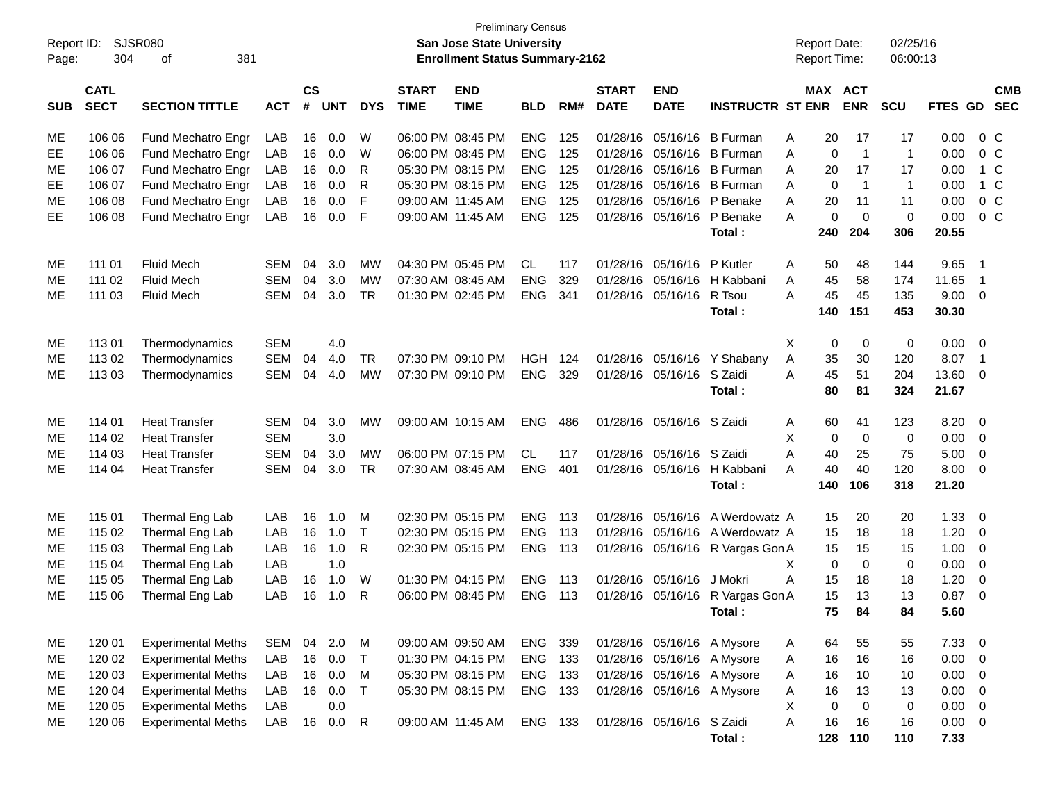|            | <b>Preliminary Census</b><br>Report ID:<br>SJSR080<br>San Jose State University<br><b>Enrollment Status Summary-2162</b> |                           |            |                    |            |              |                             |                           |            |     |                             |                           |                                  | <b>Report Date:</b> |             |                       | 02/25/16     |              |                          |            |
|------------|--------------------------------------------------------------------------------------------------------------------------|---------------------------|------------|--------------------|------------|--------------|-----------------------------|---------------------------|------------|-----|-----------------------------|---------------------------|----------------------------------|---------------------|-------------|-----------------------|--------------|--------------|--------------------------|------------|
| Page:      | 304                                                                                                                      | 381<br>of                 |            |                    |            |              |                             |                           |            |     |                             |                           |                                  | Report Time:        |             |                       | 06:00:13     |              |                          |            |
| <b>SUB</b> | <b>CATL</b><br><b>SECT</b>                                                                                               | <b>SECTION TITTLE</b>     | <b>ACT</b> | $\mathsf{cs}$<br># | <b>UNT</b> | <b>DYS</b>   | <b>START</b><br><b>TIME</b> | <b>END</b><br><b>TIME</b> | <b>BLD</b> | RM# | <b>START</b><br><b>DATE</b> | <b>END</b><br><b>DATE</b> | <b>INSTRUCTR ST ENR</b>          |                     |             | MAX ACT<br><b>ENR</b> | SCU          | FTES GD SEC  |                          | <b>CMB</b> |
| ME         | 106 06                                                                                                                   | Fund Mechatro Engr        | LAB        | 16                 | 0.0        | W            |                             | 06:00 PM 08:45 PM         | <b>ENG</b> | 125 | 01/28/16                    | 05/16/16                  | <b>B</b> Furman                  | A                   | 20          | 17                    | 17           | 0.00         | $0\,C$                   |            |
| EE         | 106 06                                                                                                                   | Fund Mechatro Engr        | LAB        | 16                 | 0.0        | W            |                             | 06:00 PM 08:45 PM         | <b>ENG</b> | 125 | 01/28/16                    | 05/16/16                  | <b>B</b> Furman                  | Α                   | $\mathbf 0$ | $\overline{1}$        | $\mathbf{1}$ | 0.00         | 0 <sup>C</sup>           |            |
| ME         | 106 07                                                                                                                   | Fund Mechatro Engr        | LAB        | 16                 | 0.0        | R            |                             | 05:30 PM 08:15 PM         | <b>ENG</b> | 125 | 01/28/16                    | 05/16/16                  | <b>B</b> Furman                  | A                   | 20          | 17                    | 17           | 0.00         | $1\,C$                   |            |
| EE         | 106 07                                                                                                                   | Fund Mechatro Engr        | LAB        | 16                 | 0.0        | R            |                             | 05:30 PM 08:15 PM         | <b>ENG</b> | 125 | 01/28/16                    | 05/16/16                  | <b>B</b> Furman                  | A                   | 0           | $\overline{1}$        | $\mathbf{1}$ | 0.00         | $1\,C$                   |            |
| ME         | 106 08                                                                                                                   | Fund Mechatro Engr        | LAB        | 16                 | 0.0        | F            |                             | 09:00 AM 11:45 AM         | <b>ENG</b> | 125 | 01/28/16                    | 05/16/16                  | P Benake                         | A                   | 20          | 11                    | 11           | 0.00         | $0\,C$                   |            |
| EE         | 106 08                                                                                                                   | Fund Mechatro Engr        | LAB        | 16                 | 0.0        | F            |                             | 09:00 AM 11:45 AM         | <b>ENG</b> | 125 |                             | 01/28/16 05/16/16         | P Benake                         | A                   | 0           | $\overline{0}$        | 0            | 0.00         | $0\,C$                   |            |
|            |                                                                                                                          |                           |            |                    |            |              |                             |                           |            |     |                             |                           | Total:                           |                     | 240         | 204                   | 306          | 20.55        |                          |            |
| ME         | 111 01                                                                                                                   | <b>Fluid Mech</b>         | <b>SEM</b> | 04                 | 3.0        | <b>MW</b>    |                             | 04:30 PM 05:45 PM         | CL.        | 117 | 01/28/16                    | 05/16/16                  | P Kutler                         | A                   | 50          | 48                    | 144          | 9.65         | $\overline{\phantom{0}}$ |            |
| МE         | 111 02                                                                                                                   | <b>Fluid Mech</b>         | <b>SEM</b> | 04                 | 3.0        | <b>MW</b>    |                             | 07:30 AM 08:45 AM         | <b>ENG</b> | 329 | 01/28/16                    | 05/16/16                  | H Kabbani                        | Α                   | 45          | 58                    | 174          | 11.65        | $\overline{1}$           |            |
| ME         | 111 03                                                                                                                   | <b>Fluid Mech</b>         | <b>SEM</b> | 04                 | 3.0        | <b>TR</b>    |                             | 01:30 PM 02:45 PM         | <b>ENG</b> | 341 |                             | 01/28/16 05/16/16         | R Tsou                           | A                   | 45          | 45                    | 135          | 9.00         | $\overline{0}$           |            |
|            |                                                                                                                          |                           |            |                    |            |              |                             |                           |            |     |                             |                           | Total:                           |                     | 140         | 151                   | 453          | 30.30        |                          |            |
| ME         | 11301                                                                                                                    | Thermodynamics            | <b>SEM</b> |                    | 4.0        |              |                             |                           |            |     |                             |                           |                                  | Χ                   | $\mathbf 0$ | 0                     | 0            | 0.00         | $\overline{0}$           |            |
| МE         | 113 02                                                                                                                   | Thermodynamics            | <b>SEM</b> | 04                 | 4.0        | <b>TR</b>    |                             | 07:30 PM 09:10 PM         | <b>HGH</b> | 124 | 01/28/16                    | 05/16/16                  | Y Shabany                        | Α                   | 35          | 30                    | 120          | 8.07         | $\overline{1}$           |            |
| ME         | 113 03                                                                                                                   | Thermodynamics            | <b>SEM</b> | 04                 | 4.0        | <b>MW</b>    |                             | 07:30 PM 09:10 PM         | <b>ENG</b> | 329 |                             | 01/28/16 05/16/16         | S Zaidi                          | A                   | 45          | 51                    | 204          | 13.60        | 0                        |            |
|            |                                                                                                                          |                           |            |                    |            |              |                             |                           |            |     |                             |                           | Total:                           |                     | 80          | 81                    | 324          | 21.67        |                          |            |
| ME         | 114 01                                                                                                                   | <b>Heat Transfer</b>      | <b>SEM</b> | 04                 | 3.0        | <b>MW</b>    |                             | 09:00 AM 10:15 AM         | <b>ENG</b> | 486 |                             | 01/28/16 05/16/16 S Zaidi |                                  | A                   | 60          | 41                    | 123          | 8.20         | 0                        |            |
| ME         | 114 02                                                                                                                   | <b>Heat Transfer</b>      | <b>SEM</b> |                    | 3.0        |              |                             |                           |            |     |                             |                           |                                  | Χ                   | $\mathbf 0$ | $\overline{0}$        | 0            | 0.00         | 0                        |            |
| МE         | 114 03                                                                                                                   | <b>Heat Transfer</b>      | <b>SEM</b> | 04                 | 3.0        | <b>MW</b>    |                             | 06:00 PM 07:15 PM         | CL         | 117 | 01/28/16                    | 05/16/16                  | S Zaidi                          | A                   | 40          | 25                    | 75           | 5.00         | 0                        |            |
| <b>ME</b>  | 114 04                                                                                                                   | <b>Heat Transfer</b>      | <b>SEM</b> | 04                 | 3.0        | <b>TR</b>    |                             | 07:30 AM 08:45 AM         | <b>ENG</b> | 401 |                             | 01/28/16 05/16/16         | H Kabbani                        | A                   | 40          | 40                    | 120          | 8.00         | $\mathbf{0}$             |            |
|            |                                                                                                                          |                           |            |                    |            |              |                             |                           |            |     |                             |                           | Total:                           |                     | 140         | 106                   | 318          | 21.20        |                          |            |
| ME         | 115 01                                                                                                                   | Thermal Eng Lab           | LAB        | 16                 | 1.0        | м            |                             | 02:30 PM 05:15 PM         | <b>ENG</b> | 113 | 01/28/16                    | 05/16/16                  | A Werdowatz A                    |                     | 15          | 20                    | 20           | 1.33         | 0                        |            |
| ME         | 115 02                                                                                                                   | Thermal Eng Lab           | LAB        | 16                 | 1.0        | $\mathsf{T}$ |                             | 02:30 PM 05:15 PM         | <b>ENG</b> | 113 | 01/28/16                    | 05/16/16                  | A Werdowatz A                    |                     | 15          | 18                    | 18           | 1.20         | 0                        |            |
| ME         | 115 03                                                                                                                   | Thermal Eng Lab           | LAB        | 16                 | 1.0        | R            |                             | 02:30 PM 05:15 PM         | <b>ENG</b> | 113 |                             | 01/28/16 05/16/16         | R Vargas Gon A                   |                     | 15          | 15                    | 15           | 1.00         | 0                        |            |
| МE         | 115 04                                                                                                                   | Thermal Eng Lab           | LAB        |                    | 1.0        |              |                             |                           |            |     |                             |                           |                                  | Χ                   | $\mathbf 0$ | $\mathbf 0$           | $\mathbf 0$  | 0.00         | 0                        |            |
| МE         | 115 05                                                                                                                   | Thermal Eng Lab           | LAB        | 16                 | 1.0        | W            |                             | 01:30 PM 04:15 PM         | <b>ENG</b> | 113 | 01/28/16                    | 05/16/16                  | J Mokri                          | A                   | 15          | 18                    | 18           | 1.20         | 0                        |            |
| ME         | 115 06                                                                                                                   | Thermal Eng Lab           | LAB        | 16                 | 1.0        | R            |                             | 06:00 PM 08:45 PM         | ENG        | 113 |                             |                           | 01/28/16 05/16/16 R Vargas Gon A |                     | 15          | 13                    | 13           | 0.87         | 0                        |            |
|            |                                                                                                                          |                           |            |                    |            |              |                             |                           |            |     |                             |                           | Total :                          |                     | 75          | 84                    | 84           | 5.60         |                          |            |
| ME         | 120 01                                                                                                                   | <b>Experimental Meths</b> | <b>SEM</b> | 04                 | 2.0        | M            |                             | 09:00 AM 09:50 AM         | ENG 339    |     |                             |                           | 01/28/16 05/16/16 A Mysore       | A                   | 64          | 55                    | 55           | 7.33         | $\overline{\mathbf{0}}$  |            |
| ME         | 120 02                                                                                                                   | <b>Experimental Meths</b> | LAB        | 16                 | 0.0        | $\top$       |                             | 01:30 PM 04:15 PM         | ENG        | 133 |                             |                           | 01/28/16 05/16/16 A Mysore       | A                   | 16          | 16                    | 16           | 0.00         | $\mathbf 0$              |            |
| ME         | 120 03                                                                                                                   | <b>Experimental Meths</b> | LAB        | 16                 | 0.0        | M            |                             | 05:30 PM 08:15 PM         | ENG 133    |     | 01/28/16                    | 05/16/16                  | A Mysore                         | A                   | 16          | 10                    | 10           | 0.00         | $\mathbf 0$              |            |
| ME         | 120 04                                                                                                                   | <b>Experimental Meths</b> | LAB        | 16                 | 0.0        | $\mathsf T$  |                             | 05:30 PM 08:15 PM         | ENG 133    |     |                             |                           | 01/28/16 05/16/16 A Mysore       | A                   | 16          | 13                    | 13           | 0.00         | $\mathbf 0$              |            |
| ME         | 120 05                                                                                                                   | <b>Experimental Meths</b> | LAB        |                    | 0.0        |              |                             |                           |            |     |                             |                           |                                  | X                   | 0           | $\mathbf 0$           | $\mathbf 0$  | 0.00         | 0                        |            |
| ME         | 120 06                                                                                                                   | <b>Experimental Meths</b> | LAB        | 16                 | 0.0        | $\mathsf{R}$ |                             | 09:00 AM 11:45 AM         | ENG 133    |     |                             | 01/28/16 05/16/16 S Zaidi | Total:                           | A                   | 16<br>128   | 16<br>110             | 16<br>110    | 0.00<br>7.33 | $\overline{0}$           |            |
|            |                                                                                                                          |                           |            |                    |            |              |                             |                           |            |     |                             |                           |                                  |                     |             |                       |              |              |                          |            |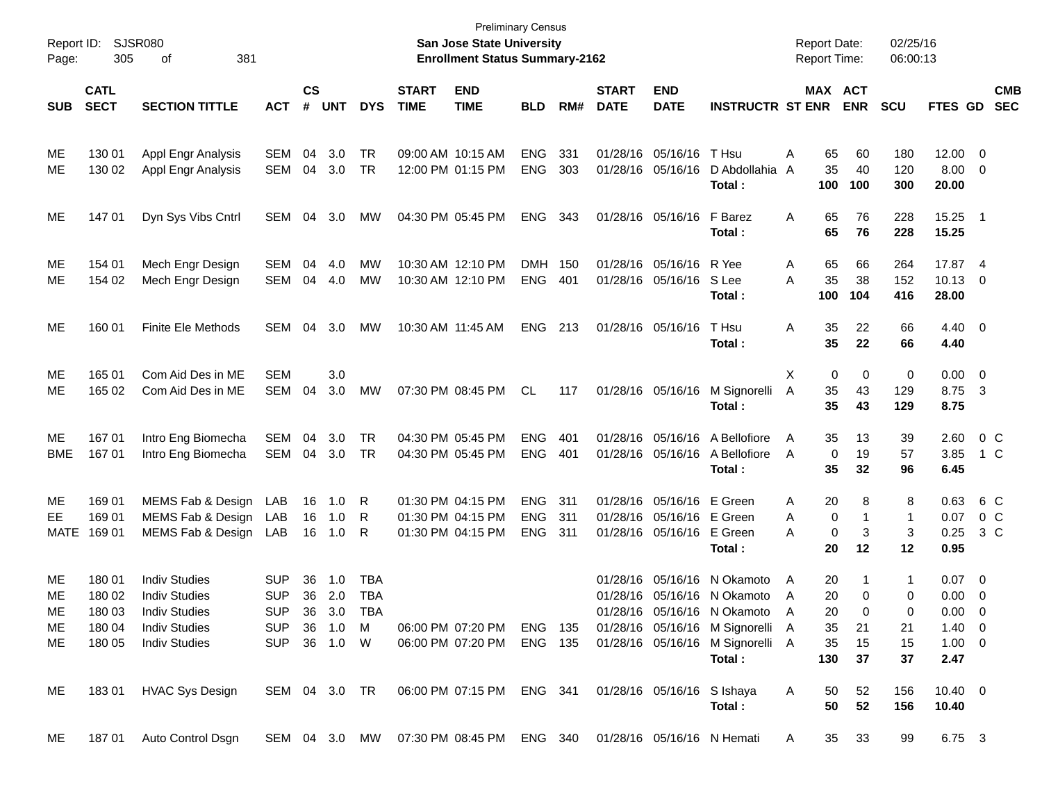| Report ID:<br>Page: | 305                        | <b>SJSR080</b><br>381<br>οf | <b>Preliminary Census</b><br>San Jose State University<br><b>Enrollment Status Summary-2162</b> |                    |            |            |                             |                                                                          |            |      |                             |                           | <b>Report Date:</b><br><b>Report Time:</b>                 |   |           | 02/25/16<br>06:00:13 |              |                     |                         |                          |
|---------------------|----------------------------|-----------------------------|-------------------------------------------------------------------------------------------------|--------------------|------------|------------|-----------------------------|--------------------------------------------------------------------------|------------|------|-----------------------------|---------------------------|------------------------------------------------------------|---|-----------|----------------------|--------------|---------------------|-------------------------|--------------------------|
| <b>SUB</b>          | <b>CATL</b><br><b>SECT</b> | <b>SECTION TITTLE</b>       | <b>ACT</b>                                                                                      | $\mathsf{cs}$<br># | <b>UNT</b> | <b>DYS</b> | <b>START</b><br><b>TIME</b> | <b>END</b><br><b>TIME</b>                                                | <b>BLD</b> | RM#  | <b>START</b><br><b>DATE</b> | <b>END</b><br><b>DATE</b> | <b>INSTRUCTR ST ENR</b>                                    |   | MAX ACT   | <b>ENR</b>           | <b>SCU</b>   | FTES GD             |                         | <b>CMB</b><br><b>SEC</b> |
|                     |                            |                             |                                                                                                 |                    |            |            |                             |                                                                          |            |      |                             |                           |                                                            |   |           |                      |              |                     |                         |                          |
| MЕ                  | 130 01                     | Appl Engr Analysis          | <b>SEM</b>                                                                                      | 04                 | 3.0        | TR         |                             | 09:00 AM 10:15 AM                                                        | <b>ENG</b> | 331  |                             | 01/28/16 05/16/16         | T Hsu                                                      | Α | 65        | 60                   | 180          | 12.00               | 0                       |                          |
| ME                  | 130 02                     | Appl Engr Analysis          | SEM                                                                                             | 04                 | 3.0        | <b>TR</b>  |                             | 12:00 PM 01:15 PM                                                        | <b>ENG</b> | 303  |                             | 01/28/16 05/16/16         | D Abdollahia                                               | A | 35        | 40                   | 120          | 8.00                | 0                       |                          |
|                     |                            |                             |                                                                                                 |                    |            |            |                             |                                                                          |            |      |                             |                           | Total:                                                     |   | 100       | 100                  | 300          | 20.00               |                         |                          |
| ME                  | 147 01                     | Dyn Sys Vibs Cntrl          | SEM                                                                                             | 04                 | 3.0        | MW         |                             | 04:30 PM 05:45 PM                                                        | <b>ENG</b> | 343  |                             | 01/28/16 05/16/16         | F Barez                                                    | Α | 65        | 76                   | 228          | 15.25               | $\overline{1}$          |                          |
|                     |                            |                             |                                                                                                 |                    |            |            |                             |                                                                          |            |      |                             |                           | Total:                                                     |   | 65        | 76                   | 228          | 15.25               |                         |                          |
| MЕ                  | 154 01                     | Mech Engr Design            | <b>SEM</b>                                                                                      | 04                 | 4.0        | MW         |                             | 10:30 AM 12:10 PM                                                        | <b>DMH</b> | 150  |                             | 01/28/16 05/16/16         | R Yee                                                      | Α | 65        | 66                   | 264          | 17.87               | - 4                     |                          |
| ME                  | 154 02                     | Mech Engr Design            | SEM                                                                                             |                    | 04 4.0     | MW         |                             | 10:30 AM 12:10 PM                                                        | <b>ENG</b> | 401  |                             | 01/28/16 05/16/16         | S Lee                                                      | A | 35        | 38                   | 152          | 10.13               | 0                       |                          |
|                     |                            |                             |                                                                                                 |                    |            |            |                             |                                                                          |            |      |                             |                           | Total:                                                     |   | 100       | 104                  | 416          | 28.00               |                         |                          |
| ME                  | 160 01                     | <b>Finite Ele Methods</b>   | SEM                                                                                             | 04                 | 3.0        | МW         |                             | 10:30 AM 11:45 AM                                                        | <b>ENG</b> | 213  |                             | 01/28/16 05/16/16         | T Hsu                                                      | Α | 35        | 22                   | 66           | 4.40                | $\overline{\mathbf{0}}$ |                          |
|                     |                            |                             |                                                                                                 |                    |            |            |                             |                                                                          |            |      |                             |                           | Total:                                                     |   | 35        | 22                   | 66           | 4.40                |                         |                          |
| ME                  | 165 01                     | Com Aid Des in ME           | <b>SEM</b>                                                                                      |                    | 3.0        |            |                             |                                                                          |            |      |                             |                           |                                                            | Χ | 0         | 0                    | 0            | 0.00                | $\overline{0}$          |                          |
| МE                  | 165 02                     | Com Aid Des in ME           | <b>SEM</b>                                                                                      | 04                 | 3.0        | MW         |                             | 07:30 PM 08:45 PM                                                        | CL         | 117  |                             | 01/28/16 05/16/16         | M Signorelli                                               | A | 35        | 43                   | 129          | 8.75                | $\overline{\mathbf{3}}$ |                          |
|                     |                            |                             |                                                                                                 |                    |            |            |                             |                                                                          |            |      |                             |                           | Total:                                                     |   | 35        | 43                   | 129          | 8.75                |                         |                          |
| ME                  | 167 01                     | Intro Eng Biomecha          | <b>SEM</b>                                                                                      | 04                 | 3.0        | <b>TR</b>  |                             | 04:30 PM 05:45 PM                                                        | <b>ENG</b> | 401  |                             | 01/28/16 05/16/16         | A Bellofiore                                               | A | 35        | 13                   | 39           | 2.60                |                         | 0 <sup>C</sup>           |
| <b>BME</b>          | 167 01                     | Intro Eng Biomecha          | <b>SEM</b>                                                                                      | 04                 | 3.0        | TR         |                             | 04:30 PM 05:45 PM                                                        | <b>ENG</b> | 401  |                             | 01/28/16 05/16/16         | A Bellofiore                                               | A | 0         | 19                   | 57           | 3.85                | 1 C                     |                          |
|                     |                            |                             |                                                                                                 |                    |            |            |                             |                                                                          |            |      |                             |                           | Total:                                                     |   | 35        | 32                   | 96           | 6.45                |                         |                          |
| MЕ                  | 169 01                     | MEMS Fab & Design           | LAB                                                                                             | 16                 | 1.0        | R          |                             | 01:30 PM 04:15 PM                                                        | <b>ENG</b> | 311  |                             | 01/28/16 05/16/16         | E Green                                                    | Α | 20        | 8                    | 8            | 0.63                |                         | 6 C                      |
| EE.                 | 169 01                     | MEMS Fab & Design           | LAB                                                                                             | 16                 | 1.0        | R          |                             | 01:30 PM 04:15 PM                                                        | <b>ENG</b> | 311  |                             | 01/28/16 05/16/16         | E Green                                                    | Α | 0         |                      | $\mathbf{1}$ | 0.07                | $0\,$ C                 |                          |
| <b>MATE</b>         | 169 01                     | MEMS Fab & Design LAB       |                                                                                                 | 16                 | 1.0        | R          |                             | 01:30 PM 04:15 PM                                                        | <b>ENG</b> | -311 |                             | 01/28/16 05/16/16         | E Green<br>Total:                                          | A | 0<br>20   | 3<br>12              | 3<br>12      | 0.25<br>0.95        | $3\,C$                  |                          |
|                     |                            |                             |                                                                                                 |                    |            |            |                             |                                                                          |            |      |                             |                           |                                                            |   |           |                      |              |                     |                         |                          |
| ME                  | 180 01                     | <b>Indiv Studies</b>        | <b>SUP</b>                                                                                      | 36                 | 1.0        | TBA        |                             |                                                                          |            |      |                             | 01/28/16 05/16/16         | N Okamoto                                                  | A | 20        |                      | 1            | 0.07                | $\overline{0}$          |                          |
| МE                  | 180 02                     | <b>Indiv Studies</b>        | <b>SUP</b>                                                                                      | 36                 | 2.0        | <b>TBA</b> |                             |                                                                          |            |      |                             |                           | 01/28/16 05/16/16 N Okamoto                                | A | 20        | $\mathbf 0$          | 0            | 0.00                | 0                       |                          |
| ME                  | 18003                      | <b>Indiv Studies</b>        | <b>SUP</b>                                                                                      |                    | 36 3.0     | <b>TBA</b> |                             |                                                                          |            |      |                             |                           | 01/28/16 05/16/16 N Okamoto                                | A | 20        | $\overline{0}$       | 0            | $0.00 \t 0$         |                         |                          |
| ME                  | 180 04                     | <b>Indiv Studies</b>        | SUP 36 1.0 M                                                                                    |                    |            |            |                             |                                                                          |            |      |                             |                           | 06:00 PM 07:20 PM ENG 135 01/28/16 05/16/16 M Signorelli A |   | 35        | 21                   | 21           | $1.40 \quad 0$      |                         |                          |
| ME                  | 180 05                     | <b>Indiv Studies</b>        | SUP 36 1.0 W                                                                                    |                    |            |            |                             | 06:00 PM 07:20 PM                                                        | ENG 135    |      |                             |                           | 01/28/16 05/16/16 M Signorelli A<br>Total:                 |   | 35<br>130 | 15<br>37             | 15<br>37     | $1.00 \t 0$<br>2.47 |                         |                          |
| ME                  | 18301                      | <b>HVAC Sys Design</b>      |                                                                                                 |                    |            |            |                             | SEM 04 3.0 TR  06:00 PM 07:15 PM  ENG  341  01/28/16  05/16/16  S Ishaya |            |      |                             |                           |                                                            | A | 50        | 52                   | 156          | $10.40 \t 0$        |                         |                          |
|                     |                            |                             |                                                                                                 |                    |            |            |                             |                                                                          |            |      |                             |                           | Total:                                                     |   | 50        | 52                   | 156          | 10.40               |                         |                          |
| ME                  |                            | 187 01 Auto Control Dsgn    |                                                                                                 |                    |            |            |                             | SEM 04 3.0 MW 07:30 PM 08:45 PM ENG 340 01/28/16 05/16/16 N Hemati       |            |      |                             |                           |                                                            | A |           | 35 33                | 99           | 6.75 3              |                         |                          |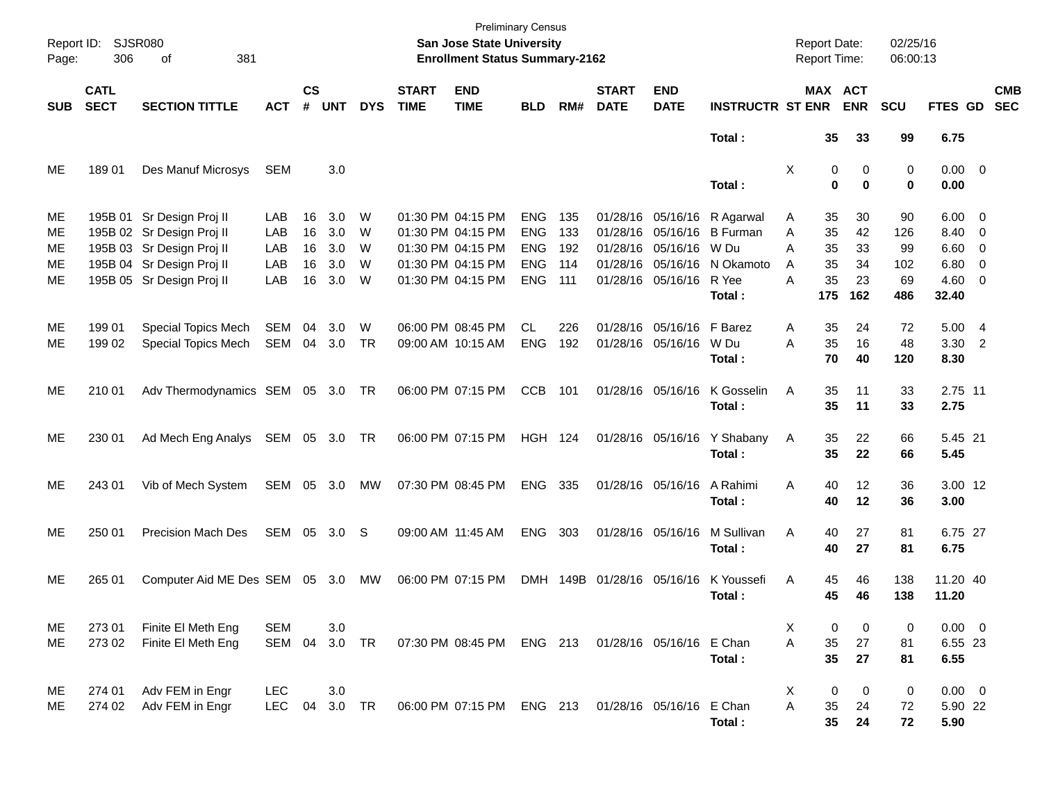| Page:                      | Report ID: SJSR080<br>306  | 381<br>оf                                                                                                                                     |                                 |                            |                                 |                       |                             | <b>Preliminary Census</b><br><b>San Jose State University</b><br><b>Enrollment Status Summary-2162</b> |                                                                    |                                 | <b>Report Date:</b><br><b>Report Time:</b> | 02/25/16<br>06:00:13                                                                                  |                                                                      |                                                            |                                   |                                     |                                                                       |                          |
|----------------------------|----------------------------|-----------------------------------------------------------------------------------------------------------------------------------------------|---------------------------------|----------------------------|---------------------------------|-----------------------|-----------------------------|--------------------------------------------------------------------------------------------------------|--------------------------------------------------------------------|---------------------------------|--------------------------------------------|-------------------------------------------------------------------------------------------------------|----------------------------------------------------------------------|------------------------------------------------------------|-----------------------------------|-------------------------------------|-----------------------------------------------------------------------|--------------------------|
| <b>SUB</b>                 | <b>CATL</b><br><b>SECT</b> | <b>SECTION TITTLE</b>                                                                                                                         | <b>ACT</b>                      | $\mathsf{cs}$<br>#         | <b>UNT</b>                      | <b>DYS</b>            | <b>START</b><br><b>TIME</b> | <b>END</b><br><b>TIME</b>                                                                              | <b>BLD</b>                                                         | RM#                             | <b>START</b><br><b>DATE</b>                | <b>END</b><br><b>DATE</b>                                                                             | <b>INSTRUCTR ST ENR</b>                                              |                                                            | MAX ACT<br><b>ENR</b>             | <b>SCU</b>                          | FTES GD                                                               | <b>CMB</b><br><b>SEC</b> |
|                            |                            |                                                                                                                                               |                                 |                            |                                 |                       |                             |                                                                                                        |                                                                    |                                 |                                            |                                                                                                       | Total:                                                               | 35                                                         | 33                                | 99                                  | 6.75                                                                  |                          |
| ME                         | 18901                      | Des Manuf Microsys                                                                                                                            | SEM                             |                            | 3.0                             |                       |                             |                                                                                                        |                                                                    |                                 |                                            |                                                                                                       | Total:                                                               | Χ                                                          | 0<br>0<br>0<br>$\mathbf 0$        | 0<br>0                              | $0.00 \t 0$<br>0.00                                                   |                          |
| МE<br>ME<br>ME<br>ME<br>ME |                            | 195B 01 Sr Design Proj II<br>195B 02 Sr Design Proj II<br>195B 03 Sr Design Proj II<br>195B 04 Sr Design Proj II<br>195B 05 Sr Design Proj II | LAB<br>LAB<br>LAB<br>LAB<br>LAB | 16<br>16<br>16<br>16<br>16 | 3.0<br>3.0<br>3.0<br>3.0<br>3.0 | W<br>W<br>W<br>W<br>W |                             | 01:30 PM 04:15 PM<br>01:30 PM 04:15 PM<br>01:30 PM 04:15 PM<br>01:30 PM 04:15 PM<br>01:30 PM 04:15 PM  | <b>ENG</b><br><b>ENG</b><br><b>ENG</b><br><b>ENG</b><br><b>ENG</b> | 135<br>133<br>192<br>114<br>111 |                                            | 01/28/16 05/16/16<br>01/28/16 05/16/16<br>01/28/16 05/16/16<br>01/28/16 05/16/16<br>01/28/16 05/16/16 | R Agarwal<br><b>B</b> Furman<br>W Du<br>N Okamoto<br>R Yee<br>Total: | 35<br>A<br>35<br>A<br>Α<br>35<br>35<br>A<br>35<br>A<br>175 | 30<br>42<br>33<br>34<br>23<br>162 | 90<br>126<br>99<br>102<br>69<br>486 | $6.00 \quad 0$<br>8.40 0<br>$6.60$ 0<br>$6.80$ 0<br>$4.60$ 0<br>32.40 |                          |
| ME<br>ME                   | 199 01<br>199 02           | <b>Special Topics Mech</b><br>Special Topics Mech                                                                                             | <b>SEM</b><br>SEM               | 04                         | 3.0<br>04 3.0                   | W<br>TR               |                             | 06:00 PM 08:45 PM<br>09:00 AM 10:15 AM                                                                 | <b>CL</b><br><b>ENG</b>                                            | 226<br>192                      |                                            | 01/28/16 05/16/16<br>01/28/16 05/16/16                                                                | F Barez<br>W Du<br>Total:                                            | 35<br>A<br>35<br>A<br>70                                   | 24<br>16<br>40                    | 72<br>48<br>120                     | 5.00 4<br>$3.30$ 2<br>8.30                                            |                          |
| ME                         | 210 01                     | Adv Thermodynamics SEM 05 3.0 TR                                                                                                              |                                 |                            |                                 |                       |                             | 06:00 PM 07:15 PM                                                                                      | <b>CCB</b>                                                         | 101                             |                                            | 01/28/16 05/16/16                                                                                     | K Gosselin<br>Total:                                                 | 35<br>Α<br>35                                              | 11<br>11                          | 33<br>33                            | 2.75 11<br>2.75                                                       |                          |
| ME                         | 230 01                     | Ad Mech Eng Analys SEM 05 3.0 TR                                                                                                              |                                 |                            |                                 |                       |                             | 06:00 PM 07:15 PM                                                                                      | <b>HGH 124</b>                                                     |                                 |                                            |                                                                                                       | 01/28/16 05/16/16 Y Shabany<br>Total:                                | 35<br>A<br>35                                              | 22<br>22                          | 66<br>66                            | 5.45 21<br>5.45                                                       |                          |
| ME                         | 243 01                     | Vib of Mech System                                                                                                                            | SEM 05 3.0                      |                            |                                 | МW                    |                             | 07:30 PM 08:45 PM                                                                                      | ENG 335                                                            |                                 |                                            | 01/28/16 05/16/16                                                                                     | A Rahimi<br>Total:                                                   | 40<br>Α<br>40                                              | 12<br>12                          | 36<br>36                            | 3.00 12<br>3.00                                                       |                          |
| ME                         | 250 01                     | Precision Mach Des                                                                                                                            | SEM 05 3.0 S                    |                            |                                 |                       |                             | 09:00 AM 11:45 AM                                                                                      | <b>ENG</b>                                                         | 303                             |                                            | 01/28/16 05/16/16                                                                                     | M Sullivan<br>Total:                                                 | Α<br>40<br>40                                              | 27<br>27                          | 81<br>81                            | 6.75 27<br>6.75                                                       |                          |
| ME                         | 265 01                     | Computer Aid ME Des SEM 05 3.0                                                                                                                |                                 |                            |                                 | МW                    |                             | 06:00 PM 07:15 PM                                                                                      |                                                                    |                                 | DMH 149B 01/28/16 05/16/16                 |                                                                                                       | K Youssefi<br>Total:                                                 | Α<br>45<br>45                                              | 46<br>46                          | 138<br>138                          | 11.20 40<br>11.20                                                     |                          |
| ME<br>ME                   | 273 01<br>273 02           | Finite El Meth Eng<br>Finite El Meth Eng                                                                                                      | <b>SEM</b><br>SEM 04            |                            | 3.0<br>3.0 TR                   |                       |                             | 07:30 PM 08:45 PM ENG 213 01/28/16 05/16/16 E Chan                                                     |                                                                    |                                 |                                            |                                                                                                       | Total:                                                               | х<br>35<br>Α<br>35                                         | 0<br>0<br>27<br>27                | 0<br>81<br>81                       | $0.00 \t 0$<br>6.55 23<br>6.55                                        |                          |
| ME<br>ME                   | 274 01<br>274 02           | Adv FEM in Engr<br>Adv FEM in Engr                                                                                                            | <b>LEC</b><br>LEC 04            |                            | 3.0<br>3.0 TR                   |                       |                             | 06:00 PM 07:15 PM ENG 213 01/28/16 05/16/16 E Chan                                                     |                                                                    |                                 |                                            |                                                                                                       | Total:                                                               | Χ<br>Α<br>35<br>35                                         | 0<br>0<br>24<br>24                | 0<br>72<br>72                       | $0.00 \t 0$<br>5.90 22<br>5.90                                        |                          |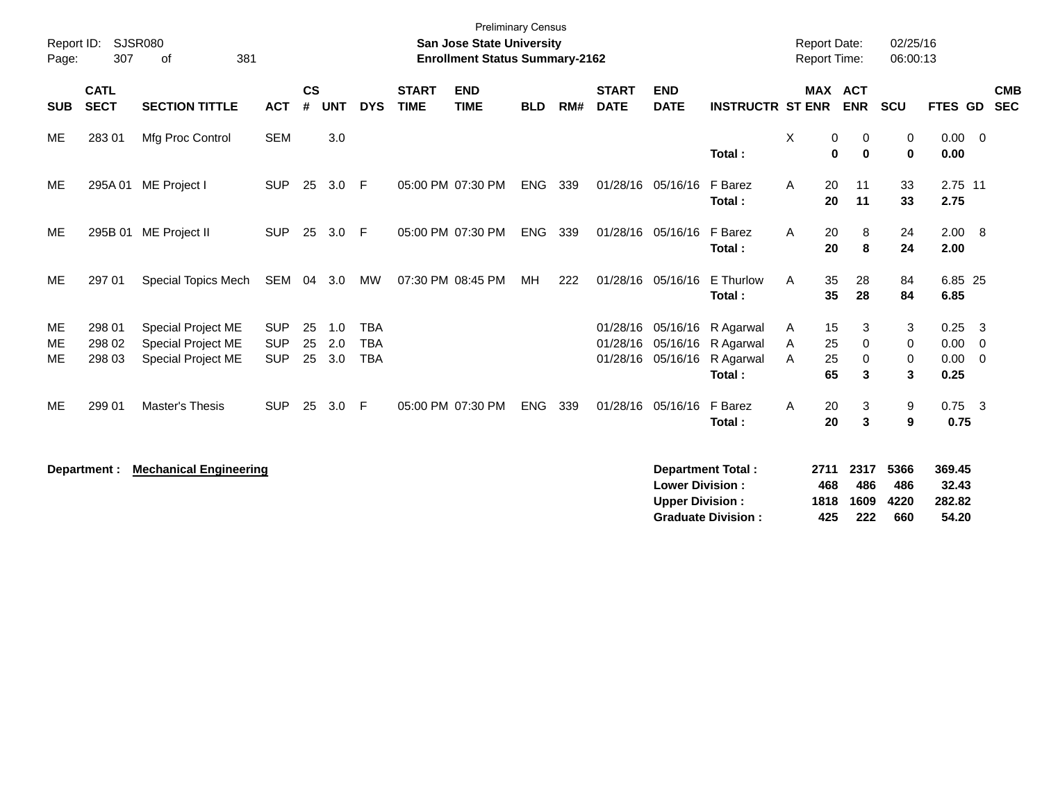| Report ID:<br>Page: | 307                        | <b>SJSR080</b><br>381<br>οf                                           | <b>Preliminary Census</b><br><b>San Jose State University</b><br><b>Enrollment Status Summary-2162</b> |                    |                   |                                        |                             |                           |            |     |                                  |                                                  | <b>Report Date:</b><br>02/25/16<br><b>Report Time:</b><br>06:00:13 |             |                      |                     |                     |                              |                          |            |
|---------------------|----------------------------|-----------------------------------------------------------------------|--------------------------------------------------------------------------------------------------------|--------------------|-------------------|----------------------------------------|-----------------------------|---------------------------|------------|-----|----------------------------------|--------------------------------------------------|--------------------------------------------------------------------|-------------|----------------------|---------------------|---------------------|------------------------------|--------------------------|------------|
| <b>SUB</b>          | <b>CATL</b><br><b>SECT</b> | <b>SECTION TITTLE</b>                                                 | <b>ACT</b>                                                                                             | $\mathsf{cs}$<br># | <b>UNT</b>        | <b>DYS</b>                             | <b>START</b><br><b>TIME</b> | <b>END</b><br><b>TIME</b> | <b>BLD</b> | RM# | <b>START</b><br><b>DATE</b>      | <b>END</b><br><b>DATE</b>                        | <b>INSTRUCTR ST ENR</b>                                            |             | <b>MAX ACT</b>       | <b>ENR</b>          | <b>SCU</b>          | FTES GD                      | <b>SEC</b>               | <b>CMB</b> |
| ME                  | 283 01                     | Mfg Proc Control                                                      | <b>SEM</b>                                                                                             |                    | 3.0               |                                        |                             |                           |            |     |                                  |                                                  | Total:                                                             | X           | 0<br>$\bf{0}$        | 0<br>$\mathbf 0$    | 0<br>0              | 0.00<br>0.00                 | $\overline{\phantom{0}}$ |            |
| ME                  | 295A01                     | ME Project I                                                          | <b>SUP</b>                                                                                             | 25                 | 3.0               | E                                      |                             | 05:00 PM 07:30 PM         | ENG        | 339 |                                  | 01/28/16 05/16/16                                | F Barez<br>Total:                                                  | A           | 20<br>20             | 11<br>11            | 33<br>33            | 2.75 11<br>2.75              |                          |            |
| ME                  |                            | 295B 01 ME Project II                                                 | <b>SUP</b>                                                                                             | 25                 | 3.0               | F                                      |                             | 05:00 PM 07:30 PM         | <b>ENG</b> | 339 | 01/28/16 05/16/16                |                                                  | F Barez<br>Total:                                                  | A           | 20<br>20             | 8<br>8              | 24<br>24            | 2.00 8<br>2.00               |                          |            |
| ME                  | 297 01                     | Special Topics Mech                                                   | SEM                                                                                                    |                    | 04 3.0            | MW                                     |                             | 07:30 PM 08:45 PM         | MH         | 222 | 01/28/16 05/16/16                |                                                  | E Thurlow<br>Total:                                                | A           | 35<br>35             | 28<br>28            | 84<br>84            | 6.85 25<br>6.85              |                          |            |
| ME<br>ME<br>ME      | 298 01<br>298 02<br>298 03 | Special Project ME<br>Special Project ME<br><b>Special Project ME</b> | <b>SUP</b><br><b>SUP</b><br><b>SUP</b>                                                                 | 25<br>25<br>25     | 1.0<br>2.0<br>3.0 | <b>TBA</b><br><b>TBA</b><br><b>TBA</b> |                             |                           |            |     | 01/28/16<br>01/28/16<br>01/28/16 | 05/16/16<br>05/16/16                             | R Agarwal<br>05/16/16 R Agarwal<br>R Agarwal<br>Total:             | A<br>Α<br>A | 15<br>25<br>25<br>65 | 3<br>0<br>0<br>3    | 3<br>0<br>0<br>3    | 0.25<br>0.00<br>0.00<br>0.25 | - 3<br>- 0<br>- 0        |            |
| ME                  | 299 01                     | Master's Thesis                                                       | <b>SUP</b>                                                                                             | 25                 | 3.0               | F.                                     |                             | 05:00 PM 07:30 PM         | <b>ENG</b> | 339 | 01/28/16                         | 05/16/16 F Barez                                 | Total:                                                             | A           | 20<br>20             | 3<br>3              | 9<br>9              | $0.75$ 3<br>0.75             |                          |            |
|                     | Department :               | <b>Mechanical Engineering</b>                                         |                                                                                                        |                    |                   |                                        |                             |                           |            |     |                                  | <b>Lower Division:</b><br><b>Upper Division:</b> | <b>Department Total:</b>                                           |             | 2711<br>468<br>1818  | 2317<br>486<br>1609 | 5366<br>486<br>4220 | 369.45<br>32.43<br>282.82    |                          |            |

**Graduate Division : 425 222 660 54.20**